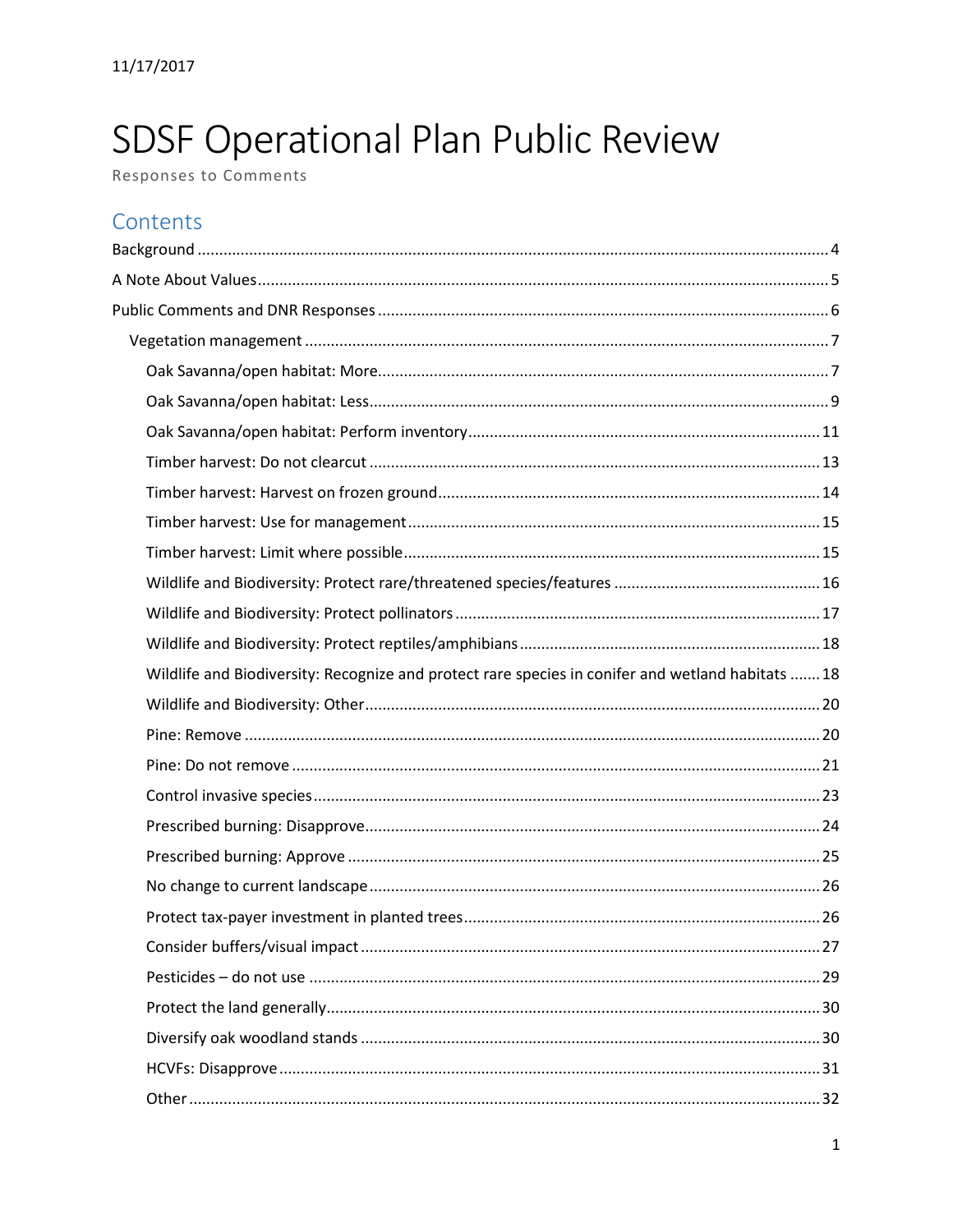# SDSF Operational Plan Public Review

Responses to Comments

## Contents

| Wildlife and Biodiversity: Recognize and protect rare species in conifer and wetland habitats  18 |  |
|---------------------------------------------------------------------------------------------------|--|
|                                                                                                   |  |
|                                                                                                   |  |
|                                                                                                   |  |
|                                                                                                   |  |
|                                                                                                   |  |
|                                                                                                   |  |
|                                                                                                   |  |
|                                                                                                   |  |
|                                                                                                   |  |
|                                                                                                   |  |
|                                                                                                   |  |
|                                                                                                   |  |
|                                                                                                   |  |
|                                                                                                   |  |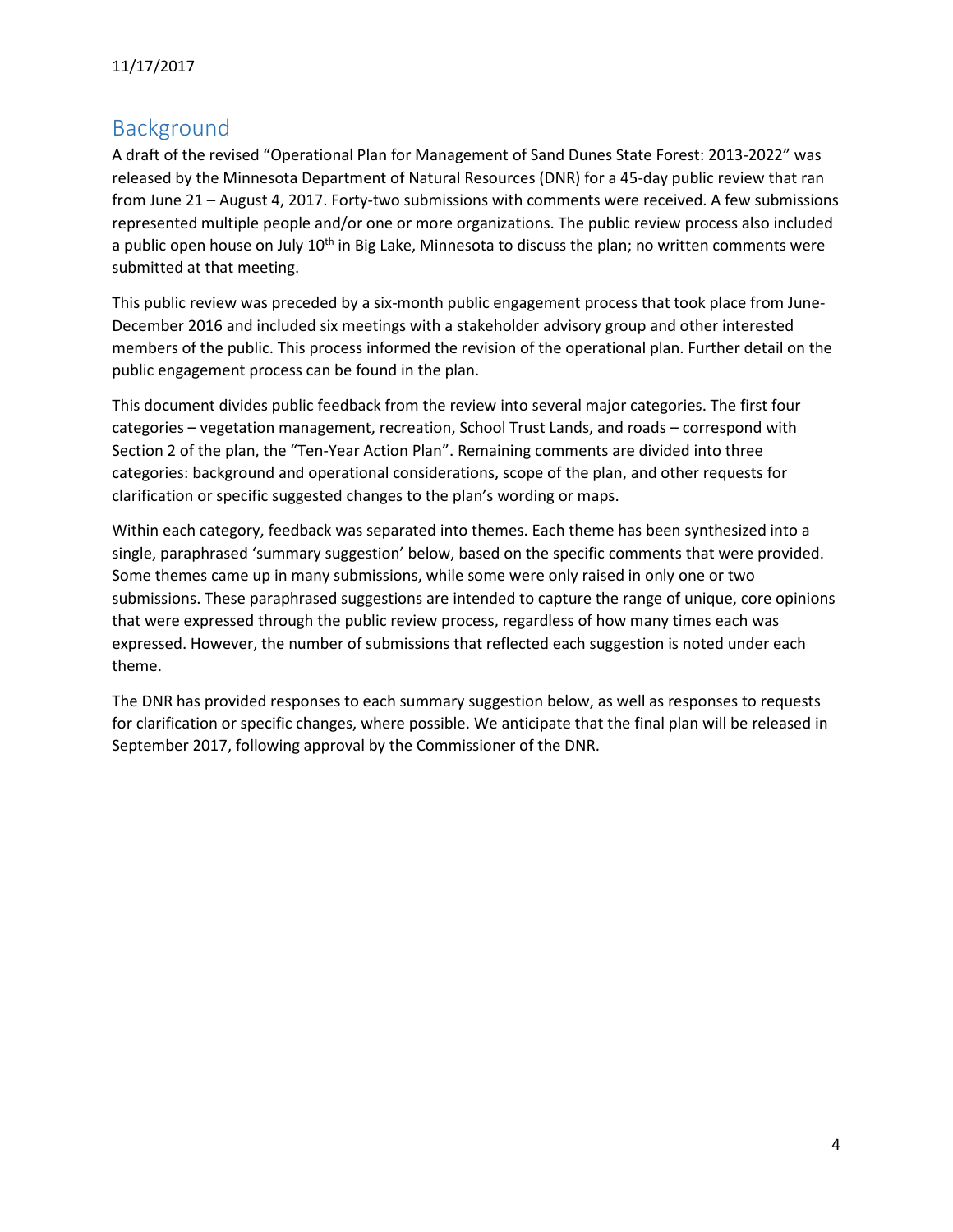## <span id="page-3-0"></span>Background

A draft of the revised "Operational Plan for Management of Sand Dunes State Forest: 2013-2022" was released by the Minnesota Department of Natural Resources (DNR) for a 45-day public review that ran from June 21 – August 4, 2017. Forty-two submissions with comments were received. A few submissions represented multiple people and/or one or more organizations. The public review process also included a public open house on July 10<sup>th</sup> in Big Lake, Minnesota to discuss the plan; no written comments were submitted at that meeting.

This public review was preceded by a six-month public engagement process that took place from June-December 2016 and included six meetings with a stakeholder advisory group and other interested members of the public. This process informed the revision of the operational plan. Further detail on the public engagement process can be found in the plan.

This document divides public feedback from the review into several major categories. The first four categories – vegetation management, recreation, School Trust Lands, and roads – correspond with Section 2 of the plan, the "Ten-Year Action Plan". Remaining comments are divided into three categories: background and operational considerations, scope of the plan, and other requests for clarification or specific suggested changes to the plan's wording or maps.

Within each category, feedback was separated into themes. Each theme has been synthesized into a single, paraphrased 'summary suggestion' below, based on the specific comments that were provided. Some themes came up in many submissions, while some were only raised in only one or two submissions. These paraphrased suggestions are intended to capture the range of unique, core opinions that were expressed through the public review process, regardless of how many times each was expressed. However, the number of submissions that reflected each suggestion is noted under each theme.

The DNR has provided responses to each summary suggestion below, as well as responses to requests for clarification or specific changes, where possible. We anticipate that the final plan will be released in September 2017, following approval by the Commissioner of the DNR.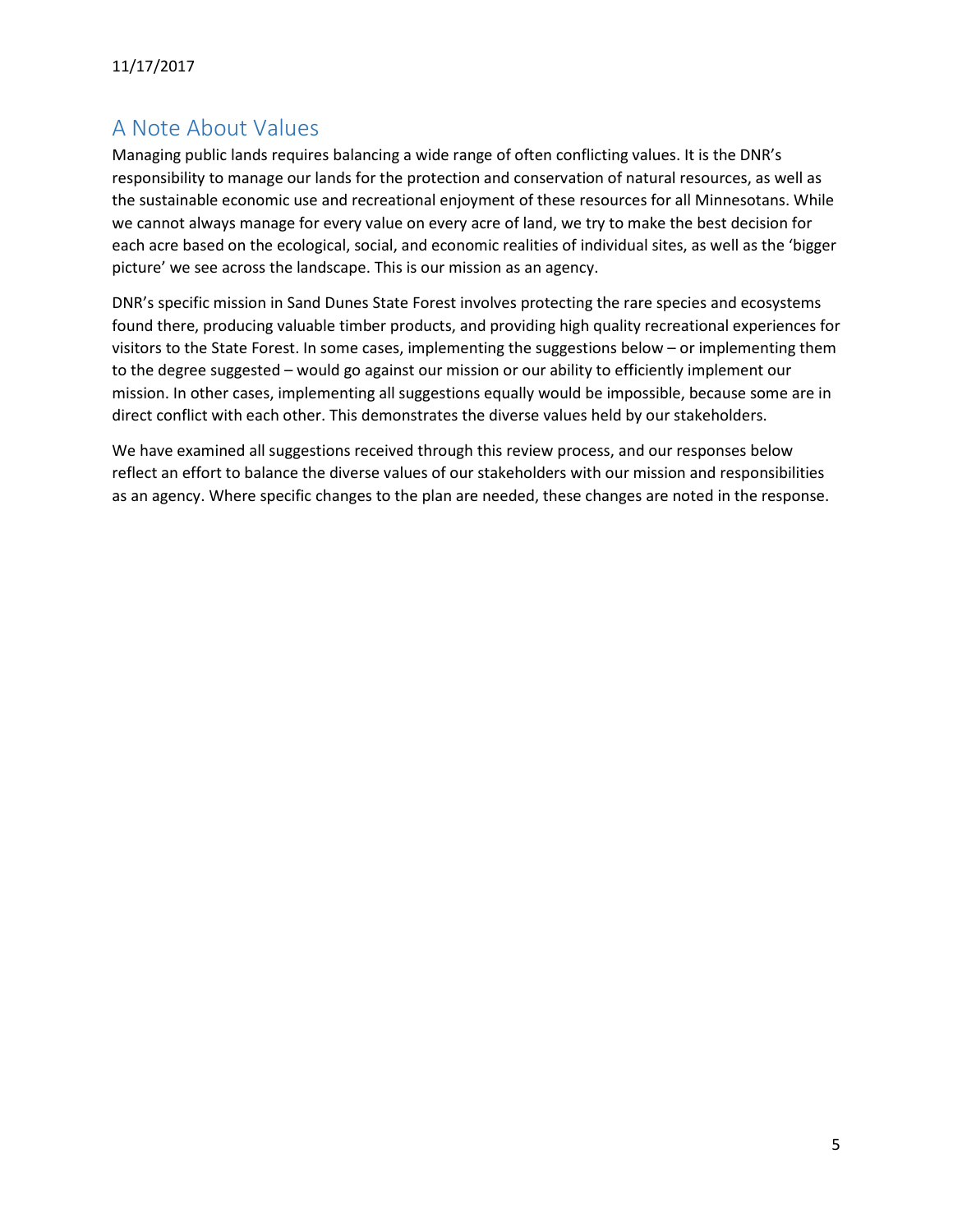## <span id="page-4-0"></span>A Note About Values

Managing public lands requires balancing a wide range of often conflicting values. It is the DNR's responsibility to manage our lands for the protection and conservation of natural resources, as well as the sustainable economic use and recreational enjoyment of these resources for all Minnesotans. While we cannot always manage for every value on every acre of land, we try to make the best decision for each acre based on the ecological, social, and economic realities of individual sites, as well as the 'bigger picture' we see across the landscape. This is our mission as an agency.

DNR's specific mission in Sand Dunes State Forest involves protecting the rare species and ecosystems found there, producing valuable timber products, and providing high quality recreational experiences for visitors to the State Forest. In some cases, implementing the suggestions below – or implementing them to the degree suggested – would go against our mission or our ability to efficiently implement our mission. In other cases, implementing all suggestions equally would be impossible, because some are in direct conflict with each other. This demonstrates the diverse values held by our stakeholders.

We have examined all suggestions received through this review process, and our responses below reflect an effort to balance the diverse values of our stakeholders with our mission and responsibilities as an agency. Where specific changes to the plan are needed, these changes are noted in the response.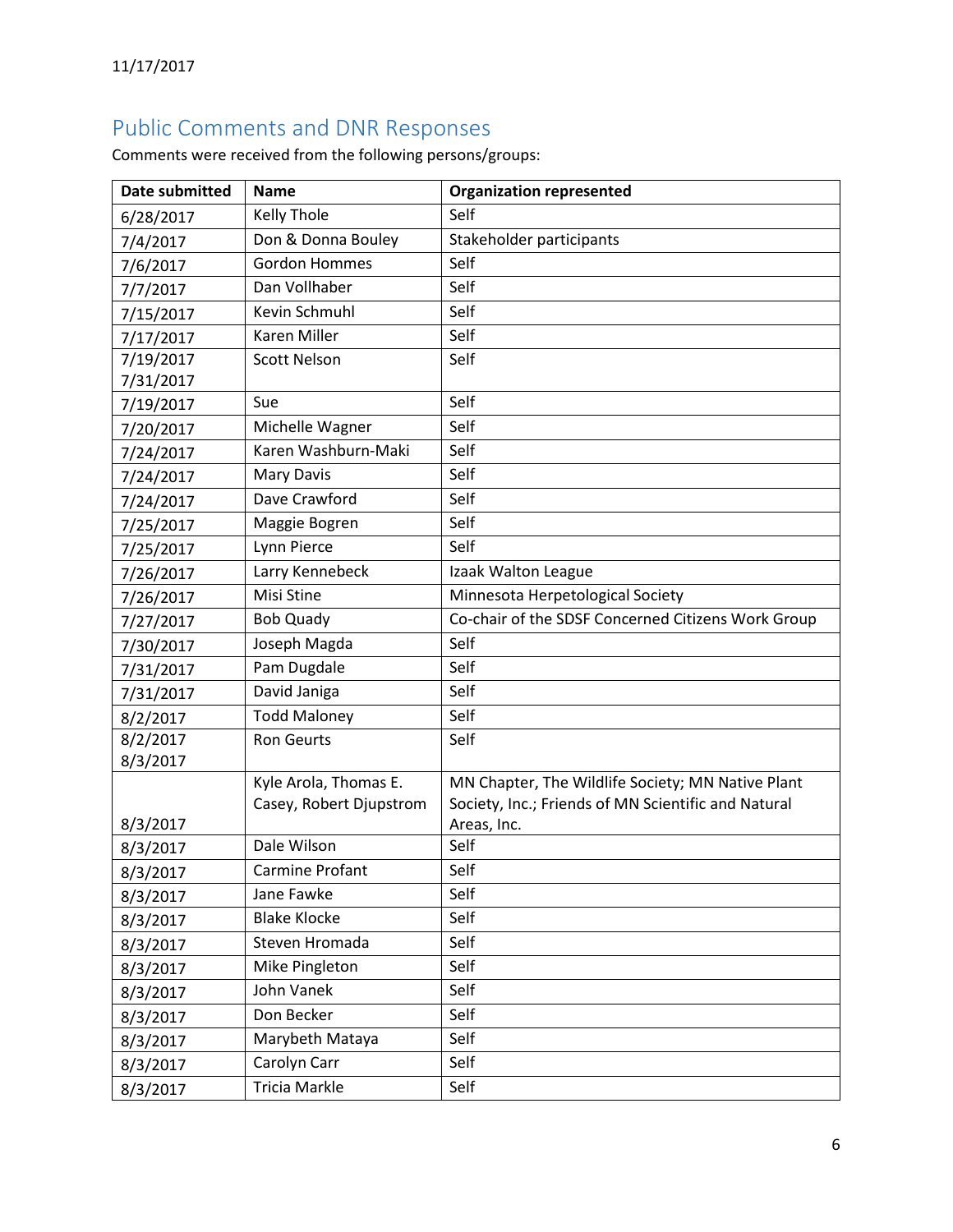## <span id="page-5-0"></span>Public Comments and DNR Responses

Comments were received from the following persons/groups:

| <b>Date submitted</b> | <b>Name</b>             | <b>Organization represented</b>                     |
|-----------------------|-------------------------|-----------------------------------------------------|
| 6/28/2017             | Kelly Thole             | Self                                                |
| 7/4/2017              | Don & Donna Bouley      | Stakeholder participants                            |
| 7/6/2017              | <b>Gordon Hommes</b>    | Self                                                |
| 7/7/2017              | Dan Vollhaber           | Self                                                |
| 7/15/2017             | Kevin Schmuhl           | Self                                                |
| 7/17/2017             | Karen Miller            | Self                                                |
| 7/19/2017             | <b>Scott Nelson</b>     | Self                                                |
| 7/31/2017             |                         |                                                     |
| 7/19/2017             | Sue                     | Self                                                |
| 7/20/2017             | Michelle Wagner         | Self                                                |
| 7/24/2017             | Karen Washburn-Maki     | Self                                                |
| 7/24/2017             | <b>Mary Davis</b>       | Self                                                |
| 7/24/2017             | Dave Crawford           | Self                                                |
| 7/25/2017             | Maggie Bogren           | Self                                                |
| 7/25/2017             | Lynn Pierce             | Self                                                |
| 7/26/2017             | Larry Kennebeck         | Izaak Walton League                                 |
| 7/26/2017             | Misi Stine              | Minnesota Herpetological Society                    |
| 7/27/2017             | <b>Bob Quady</b>        | Co-chair of the SDSF Concerned Citizens Work Group  |
| 7/30/2017             | Joseph Magda            | Self                                                |
| 7/31/2017             | Pam Dugdale             | Self                                                |
| 7/31/2017             | David Janiga            | Self                                                |
| 8/2/2017              | <b>Todd Maloney</b>     | Self                                                |
| 8/2/2017              | <b>Ron Geurts</b>       | Self                                                |
| 8/3/2017              |                         |                                                     |
|                       | Kyle Arola, Thomas E.   | MN Chapter, The Wildlife Society; MN Native Plant   |
|                       | Casey, Robert Djupstrom | Society, Inc.; Friends of MN Scientific and Natural |
| 8/3/2017              | Dale Wilson             | Areas, Inc.<br>Self                                 |
| 8/3/2017              | <b>Carmine Profant</b>  | Self                                                |
| 8/3/2017              | Jane Fawke              | Self                                                |
| 8/3/2017              | <b>Blake Klocke</b>     | Self                                                |
| 8/3/2017              | Steven Hromada          | Self                                                |
| 8/3/2017              | Mike Pingleton          | Self                                                |
| 8/3/2017              | John Vanek              | Self                                                |
| 8/3/2017              |                         |                                                     |
| 8/3/2017              | Don Becker              | Self                                                |
| 8/3/2017              | Marybeth Mataya         | Self                                                |
| 8/3/2017              | Carolyn Carr            | Self                                                |
| 8/3/2017              | Tricia Markle           | Self                                                |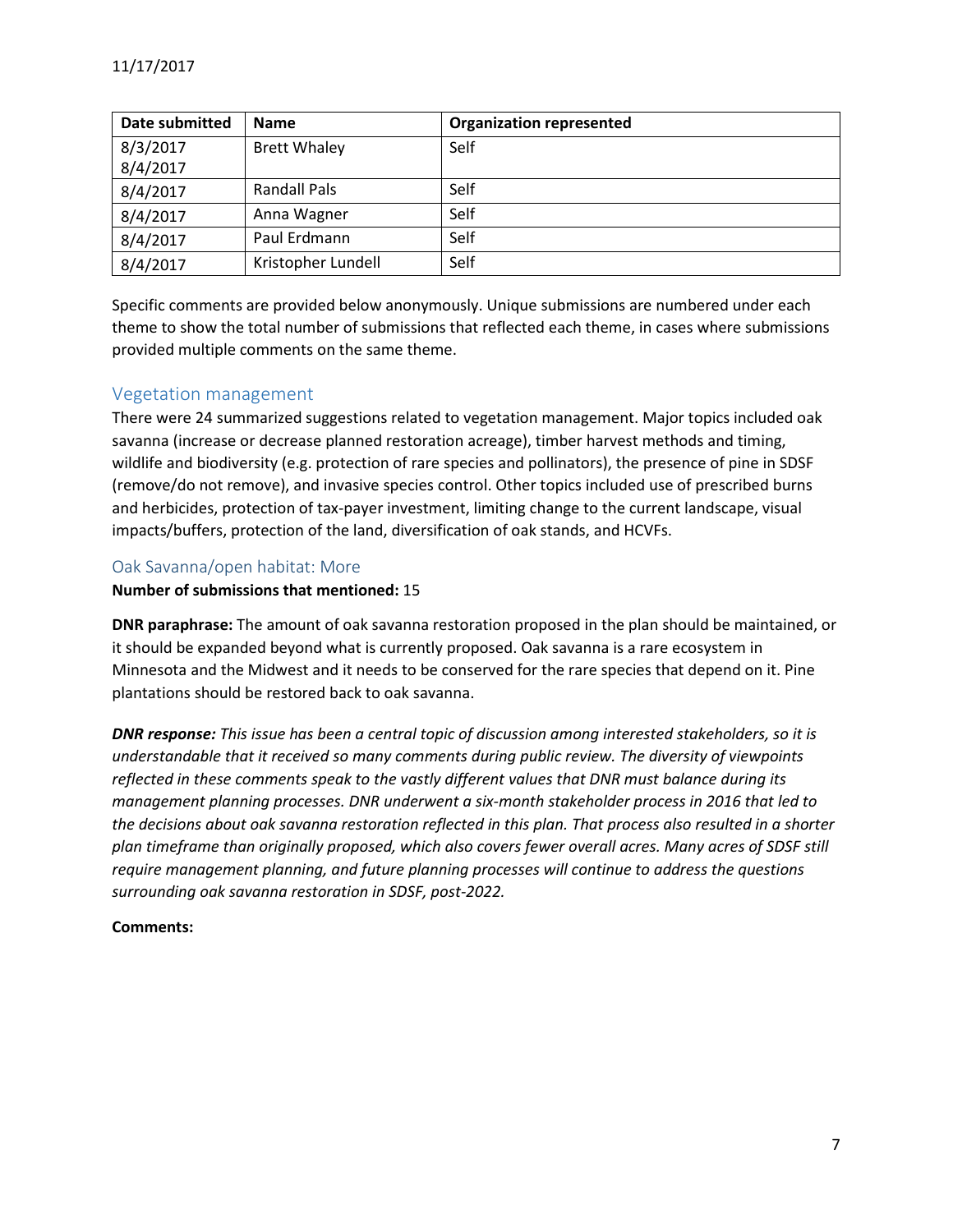| Date submitted | <b>Name</b>         | <b>Organization represented</b> |
|----------------|---------------------|---------------------------------|
| 8/3/2017       | <b>Brett Whaley</b> | Self                            |
| 8/4/2017       |                     |                                 |
| 8/4/2017       | Randall Pals        | Self                            |
| 8/4/2017       | Anna Wagner         | Self                            |
| 8/4/2017       | Paul Erdmann        | Self                            |
| 8/4/2017       | Kristopher Lundell  | Self                            |

Specific comments are provided below anonymously. Unique submissions are numbered under each theme to show the total number of submissions that reflected each theme, in cases where submissions provided multiple comments on the same theme.

## <span id="page-6-0"></span>Vegetation management

There were 24 summarized suggestions related to vegetation management. Major topics included oak savanna (increase or decrease planned restoration acreage), timber harvest methods and timing, wildlife and biodiversity (e.g. protection of rare species and pollinators), the presence of pine in SDSF (remove/do not remove), and invasive species control. Other topics included use of prescribed burns and herbicides, protection of tax-payer investment, limiting change to the current landscape, visual impacts/buffers, protection of the land, diversification of oak stands, and HCVFs.

## <span id="page-6-1"></span>Oak Savanna/open habitat: More

#### **Number of submissions that mentioned:** 15

**DNR paraphrase:** The amount of oak savanna restoration proposed in the plan should be maintained, or it should be expanded beyond what is currently proposed. Oak savanna is a rare ecosystem in Minnesota and the Midwest and it needs to be conserved for the rare species that depend on it. Pine plantations should be restored back to oak savanna.

*DNR response: This issue has been a central topic of discussion among interested stakeholders, so it is understandable that it received so many comments during public review. The diversity of viewpoints reflected in these comments speak to the vastly different values that DNR must balance during its management planning processes. DNR underwent a six-month stakeholder process in 2016 that led to the decisions about oak savanna restoration reflected in this plan. That process also resulted in a shorter plan timeframe than originally proposed, which also covers fewer overall acres. Many acres of SDSF still require management planning, and future planning processes will continue to address the questions surrounding oak savanna restoration in SDSF, post-2022.*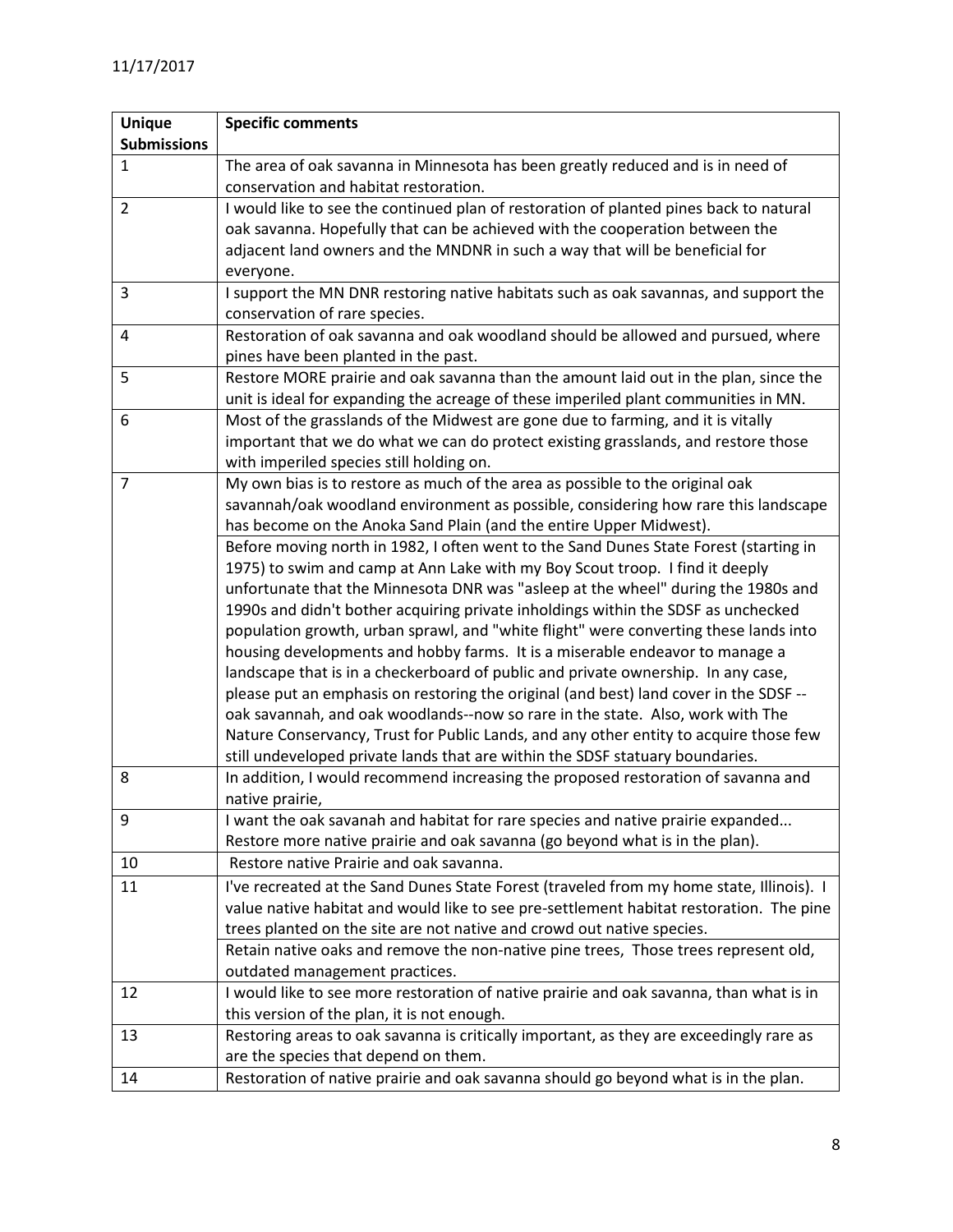| <b>Unique</b>      | <b>Specific comments</b>                                                                                                                                               |  |
|--------------------|------------------------------------------------------------------------------------------------------------------------------------------------------------------------|--|
| <b>Submissions</b> |                                                                                                                                                                        |  |
| $\mathbf{1}$       | The area of oak savanna in Minnesota has been greatly reduced and is in need of                                                                                        |  |
|                    | conservation and habitat restoration.                                                                                                                                  |  |
| $\overline{2}$     | I would like to see the continued plan of restoration of planted pines back to natural                                                                                 |  |
|                    | oak savanna. Hopefully that can be achieved with the cooperation between the                                                                                           |  |
|                    | adjacent land owners and the MNDNR in such a way that will be beneficial for                                                                                           |  |
|                    | everyone.                                                                                                                                                              |  |
| 3                  | I support the MN DNR restoring native habitats such as oak savannas, and support the                                                                                   |  |
|                    | conservation of rare species.                                                                                                                                          |  |
| $\overline{4}$     | Restoration of oak savanna and oak woodland should be allowed and pursued, where                                                                                       |  |
|                    | pines have been planted in the past.                                                                                                                                   |  |
| 5                  | Restore MORE prairie and oak savanna than the amount laid out in the plan, since the                                                                                   |  |
|                    | unit is ideal for expanding the acreage of these imperiled plant communities in MN.                                                                                    |  |
| 6                  | Most of the grasslands of the Midwest are gone due to farming, and it is vitally                                                                                       |  |
|                    | important that we do what we can do protect existing grasslands, and restore those                                                                                     |  |
|                    | with imperiled species still holding on.                                                                                                                               |  |
| $\overline{7}$     | My own bias is to restore as much of the area as possible to the original oak                                                                                          |  |
|                    | savannah/oak woodland environment as possible, considering how rare this landscape                                                                                     |  |
|                    | has become on the Anoka Sand Plain (and the entire Upper Midwest).                                                                                                     |  |
|                    | Before moving north in 1982, I often went to the Sand Dunes State Forest (starting in                                                                                  |  |
|                    | 1975) to swim and camp at Ann Lake with my Boy Scout troop. I find it deeply                                                                                           |  |
|                    | unfortunate that the Minnesota DNR was "asleep at the wheel" during the 1980s and                                                                                      |  |
|                    | 1990s and didn't bother acquiring private inholdings within the SDSF as unchecked                                                                                      |  |
|                    | population growth, urban sprawl, and "white flight" were converting these lands into                                                                                   |  |
|                    | housing developments and hobby farms. It is a miserable endeavor to manage a                                                                                           |  |
|                    | landscape that is in a checkerboard of public and private ownership. In any case,                                                                                      |  |
|                    | please put an emphasis on restoring the original (and best) land cover in the SDSF --                                                                                  |  |
|                    | oak savannah, and oak woodlands--now so rare in the state. Also, work with The                                                                                         |  |
|                    | Nature Conservancy, Trust for Public Lands, and any other entity to acquire those few<br>still undeveloped private lands that are within the SDSF statuary boundaries. |  |
| 8                  | In addition, I would recommend increasing the proposed restoration of savanna and                                                                                      |  |
|                    | native prairie,                                                                                                                                                        |  |
| 9                  | I want the oak savanah and habitat for rare species and native prairie expanded                                                                                        |  |
|                    | Restore more native prairie and oak savanna (go beyond what is in the plan).                                                                                           |  |
| 10                 | Restore native Prairie and oak savanna.                                                                                                                                |  |
| 11                 |                                                                                                                                                                        |  |
|                    | I've recreated at the Sand Dunes State Forest (traveled from my home state, Illinois). I                                                                               |  |
|                    | value native habitat and would like to see pre-settlement habitat restoration. The pine                                                                                |  |
|                    | trees planted on the site are not native and crowd out native species.                                                                                                 |  |
|                    | Retain native oaks and remove the non-native pine trees, Those trees represent old,<br>outdated management practices.                                                  |  |
| 12                 | I would like to see more restoration of native prairie and oak savanna, than what is in                                                                                |  |
|                    | this version of the plan, it is not enough.                                                                                                                            |  |
| 13                 | Restoring areas to oak savanna is critically important, as they are exceedingly rare as                                                                                |  |
|                    | are the species that depend on them.                                                                                                                                   |  |
| 14                 | Restoration of native prairie and oak savanna should go beyond what is in the plan.                                                                                    |  |
|                    |                                                                                                                                                                        |  |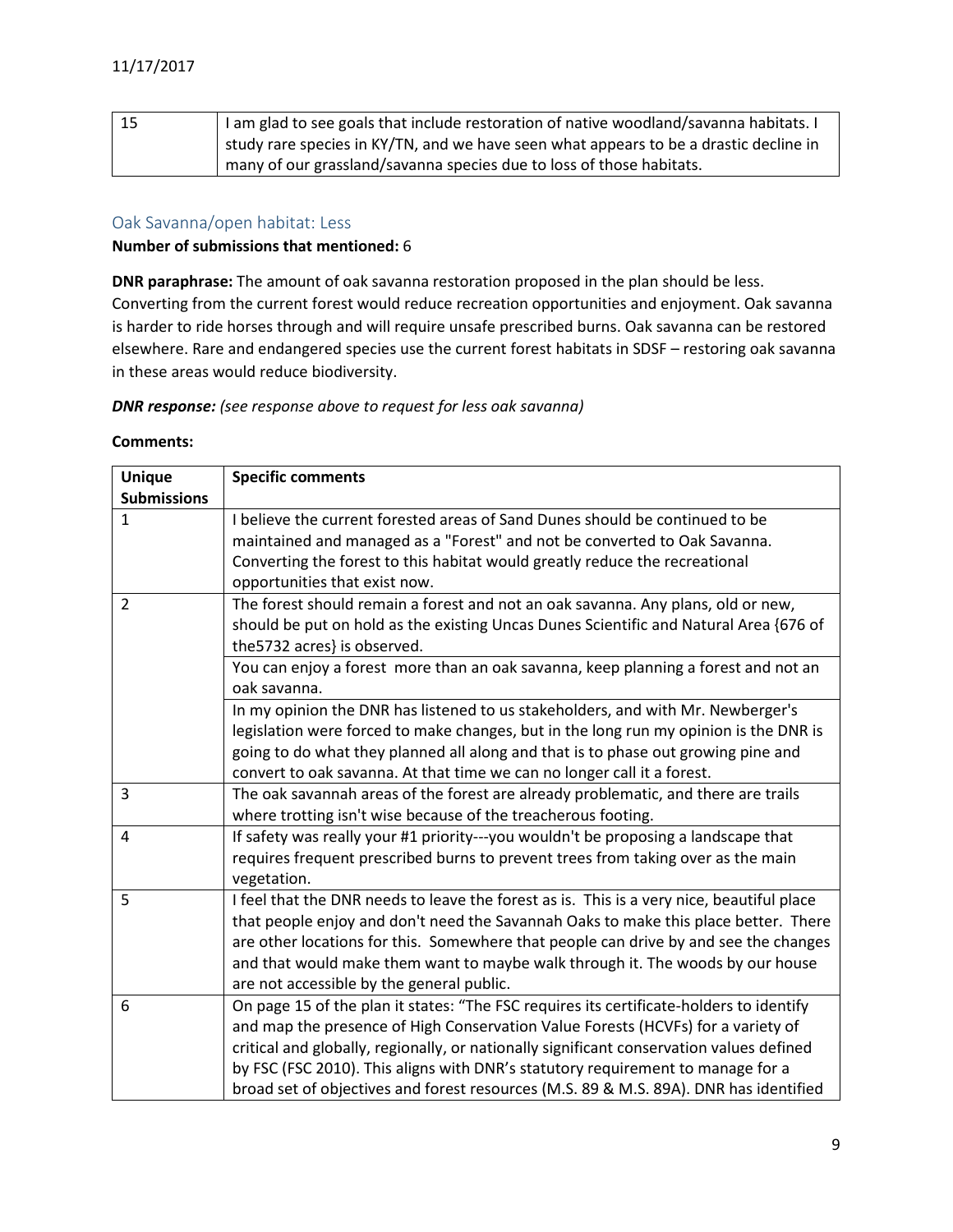| 15 | I am glad to see goals that include restoration of native woodland/savanna habitats. I |
|----|----------------------------------------------------------------------------------------|
|    | study rare species in KY/TN, and we have seen what appears to be a drastic decline in  |
|    | many of our grassland/savanna species due to loss of those habitats.                   |

## <span id="page-8-0"></span>Oak Savanna/open habitat: Less

#### **Number of submissions that mentioned:** 6

**DNR paraphrase:** The amount of oak savanna restoration proposed in the plan should be less. Converting from the current forest would reduce recreation opportunities and enjoyment. Oak savanna is harder to ride horses through and will require unsafe prescribed burns. Oak savanna can be restored elsewhere. Rare and endangered species use the current forest habitats in SDSF – restoring oak savanna in these areas would reduce biodiversity.

*DNR response: (see response above to request for less oak savanna)*

| <b>Unique</b>      | <b>Specific comments</b>                                                                  |
|--------------------|-------------------------------------------------------------------------------------------|
| <b>Submissions</b> |                                                                                           |
| $\mathbf{1}$       | I believe the current forested areas of Sand Dunes should be continued to be              |
|                    | maintained and managed as a "Forest" and not be converted to Oak Savanna.                 |
|                    | Converting the forest to this habitat would greatly reduce the recreational               |
|                    | opportunities that exist now.                                                             |
| $\overline{2}$     | The forest should remain a forest and not an oak savanna. Any plans, old or new,          |
|                    | should be put on hold as the existing Uncas Dunes Scientific and Natural Area {676 of     |
|                    | the 5732 acres} is observed.                                                              |
|                    | You can enjoy a forest more than an oak savanna, keep planning a forest and not an        |
|                    | oak savanna.                                                                              |
|                    | In my opinion the DNR has listened to us stakeholders, and with Mr. Newberger's           |
|                    | legislation were forced to make changes, but in the long run my opinion is the DNR is     |
|                    | going to do what they planned all along and that is to phase out growing pine and         |
|                    | convert to oak savanna. At that time we can no longer call it a forest.                   |
| $\overline{3}$     | The oak savannah areas of the forest are already problematic, and there are trails        |
|                    | where trotting isn't wise because of the treacherous footing.                             |
| $\overline{4}$     | If safety was really your #1 priority---you wouldn't be proposing a landscape that        |
|                    | requires frequent prescribed burns to prevent trees from taking over as the main          |
|                    | vegetation.                                                                               |
| 5                  | I feel that the DNR needs to leave the forest as is. This is a very nice, beautiful place |
|                    | that people enjoy and don't need the Savannah Oaks to make this place better. There       |
|                    | are other locations for this. Somewhere that people can drive by and see the changes      |
|                    | and that would make them want to maybe walk through it. The woods by our house            |
|                    | are not accessible by the general public.                                                 |
| 6                  | On page 15 of the plan it states: "The FSC requires its certificate-holders to identify   |
|                    | and map the presence of High Conservation Value Forests (HCVFs) for a variety of          |
|                    | critical and globally, regionally, or nationally significant conservation values defined  |
|                    | by FSC (FSC 2010). This aligns with DNR's statutory requirement to manage for a           |
|                    | broad set of objectives and forest resources (M.S. 89 & M.S. 89A). DNR has identified     |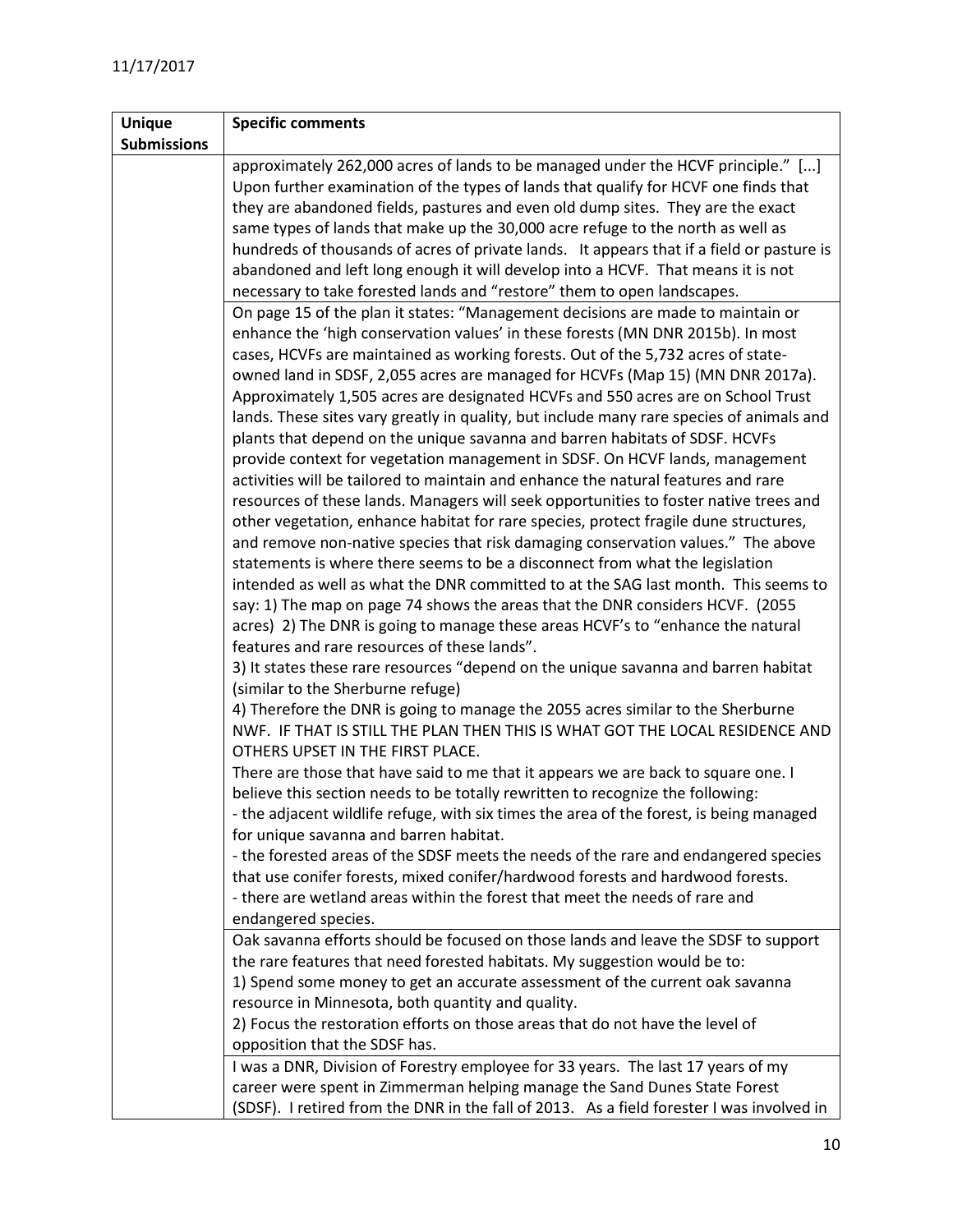| <b>Unique</b>      | <b>Specific comments</b>                                                                  |
|--------------------|-------------------------------------------------------------------------------------------|
| <b>Submissions</b> |                                                                                           |
|                    | approximately 262,000 acres of lands to be managed under the HCVF principle." []          |
|                    | Upon further examination of the types of lands that qualify for HCVF one finds that       |
|                    | they are abandoned fields, pastures and even old dump sites. They are the exact           |
|                    | same types of lands that make up the 30,000 acre refuge to the north as well as           |
|                    | hundreds of thousands of acres of private lands. It appears that if a field or pasture is |
|                    | abandoned and left long enough it will develop into a HCVF. That means it is not          |
|                    | necessary to take forested lands and "restore" them to open landscapes.                   |
|                    | On page 15 of the plan it states: "Management decisions are made to maintain or           |
|                    | enhance the 'high conservation values' in these forests (MN DNR 2015b). In most           |
|                    | cases, HCVFs are maintained as working forests. Out of the 5,732 acres of state-          |
|                    | owned land in SDSF, 2,055 acres are managed for HCVFs (Map 15) (MN DNR 2017a).            |
|                    | Approximately 1,505 acres are designated HCVFs and 550 acres are on School Trust          |
|                    | lands. These sites vary greatly in quality, but include many rare species of animals and  |
|                    | plants that depend on the unique savanna and barren habitats of SDSF. HCVFs               |
|                    | provide context for vegetation management in SDSF. On HCVF lands, management              |
|                    | activities will be tailored to maintain and enhance the natural features and rare         |
|                    | resources of these lands. Managers will seek opportunities to foster native trees and     |
|                    | other vegetation, enhance habitat for rare species, protect fragile dune structures,      |
|                    | and remove non-native species that risk damaging conservation values." The above          |
|                    | statements is where there seems to be a disconnect from what the legislation              |
|                    | intended as well as what the DNR committed to at the SAG last month. This seems to        |
|                    | say: 1) The map on page 74 shows the areas that the DNR considers HCVF. (2055             |
|                    | acres) 2) The DNR is going to manage these areas HCVF's to "enhance the natural           |
|                    | features and rare resources of these lands".                                              |
|                    | 3) It states these rare resources "depend on the unique savanna and barren habitat        |
|                    | (similar to the Sherburne refuge)                                                         |
|                    | 4) Therefore the DNR is going to manage the 2055 acres similar to the Sherburne           |
|                    | NWF. IF THAT IS STILL THE PLAN THEN THIS IS WHAT GOT THE LOCAL RESIDENCE AND              |
|                    | OTHERS UPSET IN THE FIRST PLACE.                                                          |
|                    | There are those that have said to me that it appears we are back to square one. I         |
|                    | believe this section needs to be totally rewritten to recognize the following:            |
|                    | - the adjacent wildlife refuge, with six times the area of the forest, is being managed   |
|                    | for unique savanna and barren habitat.                                                    |
|                    | - the forested areas of the SDSF meets the needs of the rare and endangered species       |
|                    | that use conifer forests, mixed conifer/hardwood forests and hardwood forests.            |
|                    | - there are wetland areas within the forest that meet the needs of rare and               |
|                    | endangered species.                                                                       |
|                    | Oak savanna efforts should be focused on those lands and leave the SDSF to support        |
|                    | the rare features that need forested habitats. My suggestion would be to:                 |
|                    | 1) Spend some money to get an accurate assessment of the current oak savanna              |
|                    | resource in Minnesota, both quantity and quality.                                         |
|                    | 2) Focus the restoration efforts on those areas that do not have the level of             |
|                    | opposition that the SDSF has.                                                             |
|                    | I was a DNR, Division of Forestry employee for 33 years. The last 17 years of my          |
|                    | career were spent in Zimmerman helping manage the Sand Dunes State Forest                 |
|                    | (SDSF). I retired from the DNR in the fall of 2013. As a field forester I was involved in |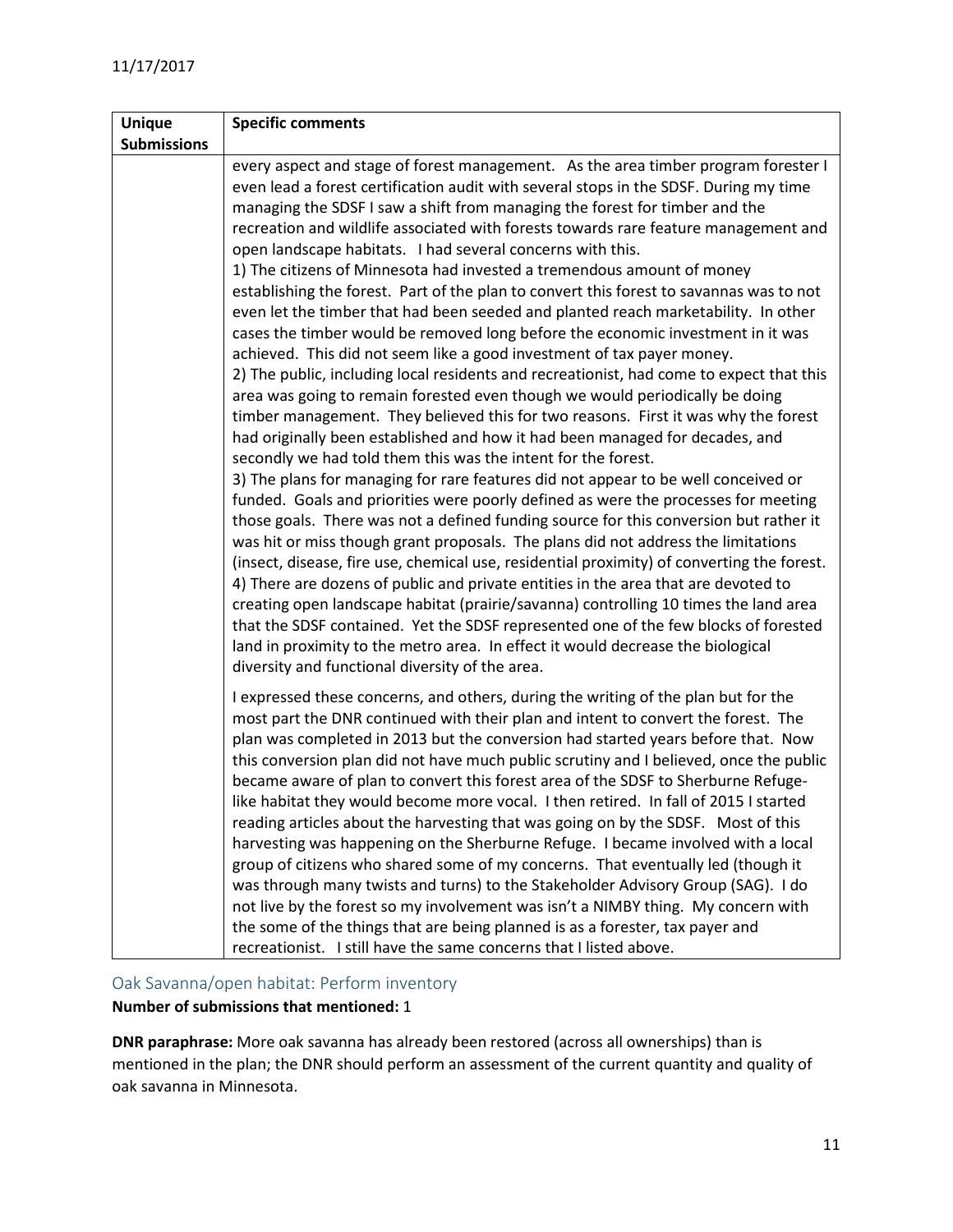| <b>Unique</b>      | <b>Specific comments</b>                                                                                                                                                                                                                                                                                                                                                                                                                                                                                                                                                                                                                                                                                                                                                                                                                                                                                                                                                                                                                                                                                                                                                                                                                                                                                                                                                                                                                                                                                                                                                                                                                                                                                                                                                                                                                                                                                                                                                                                                                                                   |
|--------------------|----------------------------------------------------------------------------------------------------------------------------------------------------------------------------------------------------------------------------------------------------------------------------------------------------------------------------------------------------------------------------------------------------------------------------------------------------------------------------------------------------------------------------------------------------------------------------------------------------------------------------------------------------------------------------------------------------------------------------------------------------------------------------------------------------------------------------------------------------------------------------------------------------------------------------------------------------------------------------------------------------------------------------------------------------------------------------------------------------------------------------------------------------------------------------------------------------------------------------------------------------------------------------------------------------------------------------------------------------------------------------------------------------------------------------------------------------------------------------------------------------------------------------------------------------------------------------------------------------------------------------------------------------------------------------------------------------------------------------------------------------------------------------------------------------------------------------------------------------------------------------------------------------------------------------------------------------------------------------------------------------------------------------------------------------------------------------|
| <b>Submissions</b> |                                                                                                                                                                                                                                                                                                                                                                                                                                                                                                                                                                                                                                                                                                                                                                                                                                                                                                                                                                                                                                                                                                                                                                                                                                                                                                                                                                                                                                                                                                                                                                                                                                                                                                                                                                                                                                                                                                                                                                                                                                                                            |
|                    | every aspect and stage of forest management. As the area timber program forester I<br>even lead a forest certification audit with several stops in the SDSF. During my time<br>managing the SDSF I saw a shift from managing the forest for timber and the<br>recreation and wildlife associated with forests towards rare feature management and<br>open landscape habitats. I had several concerns with this.<br>1) The citizens of Minnesota had invested a tremendous amount of money<br>establishing the forest. Part of the plan to convert this forest to savannas was to not<br>even let the timber that had been seeded and planted reach marketability. In other<br>cases the timber would be removed long before the economic investment in it was<br>achieved. This did not seem like a good investment of tax payer money.<br>2) The public, including local residents and recreationist, had come to expect that this<br>area was going to remain forested even though we would periodically be doing<br>timber management. They believed this for two reasons. First it was why the forest<br>had originally been established and how it had been managed for decades, and<br>secondly we had told them this was the intent for the forest.<br>3) The plans for managing for rare features did not appear to be well conceived or<br>funded. Goals and priorities were poorly defined as were the processes for meeting<br>those goals. There was not a defined funding source for this conversion but rather it<br>was hit or miss though grant proposals. The plans did not address the limitations<br>(insect, disease, fire use, chemical use, residential proximity) of converting the forest.<br>4) There are dozens of public and private entities in the area that are devoted to<br>creating open landscape habitat (prairie/savanna) controlling 10 times the land area<br>that the SDSF contained. Yet the SDSF represented one of the few blocks of forested<br>land in proximity to the metro area. In effect it would decrease the biological |
|                    | diversity and functional diversity of the area.<br>I expressed these concerns, and others, during the writing of the plan but for the<br>most part the DNR continued with their plan and intent to convert the forest. The<br>plan was completed in 2013 but the conversion had started years before that. Now<br>this conversion plan did not have much public scrutiny and I believed, once the public<br>became aware of plan to convert this forest area of the SDSF to Sherburne Refuge-<br>like habitat they would become more vocal. I then retired. In fall of 2015 I started<br>reading articles about the harvesting that was going on by the SDSF. Most of this<br>harvesting was happening on the Sherburne Refuge. I became involved with a local<br>group of citizens who shared some of my concerns. That eventually led (though it<br>was through many twists and turns) to the Stakeholder Advisory Group (SAG). I do<br>not live by the forest so my involvement was isn't a NIMBY thing. My concern with<br>the some of the things that are being planned is as a forester, tax payer and<br>recreationist. I still have the same concerns that I listed above.                                                                                                                                                                                                                                                                                                                                                                                                                                                                                                                                                                                                                                                                                                                                                                                                                                                                                         |

## <span id="page-10-0"></span>Oak Savanna/open habitat: Perform inventory

## **Number of submissions that mentioned:** 1

**DNR paraphrase:** More oak savanna has already been restored (across all ownerships) than is mentioned in the plan; the DNR should perform an assessment of the current quantity and quality of oak savanna in Minnesota.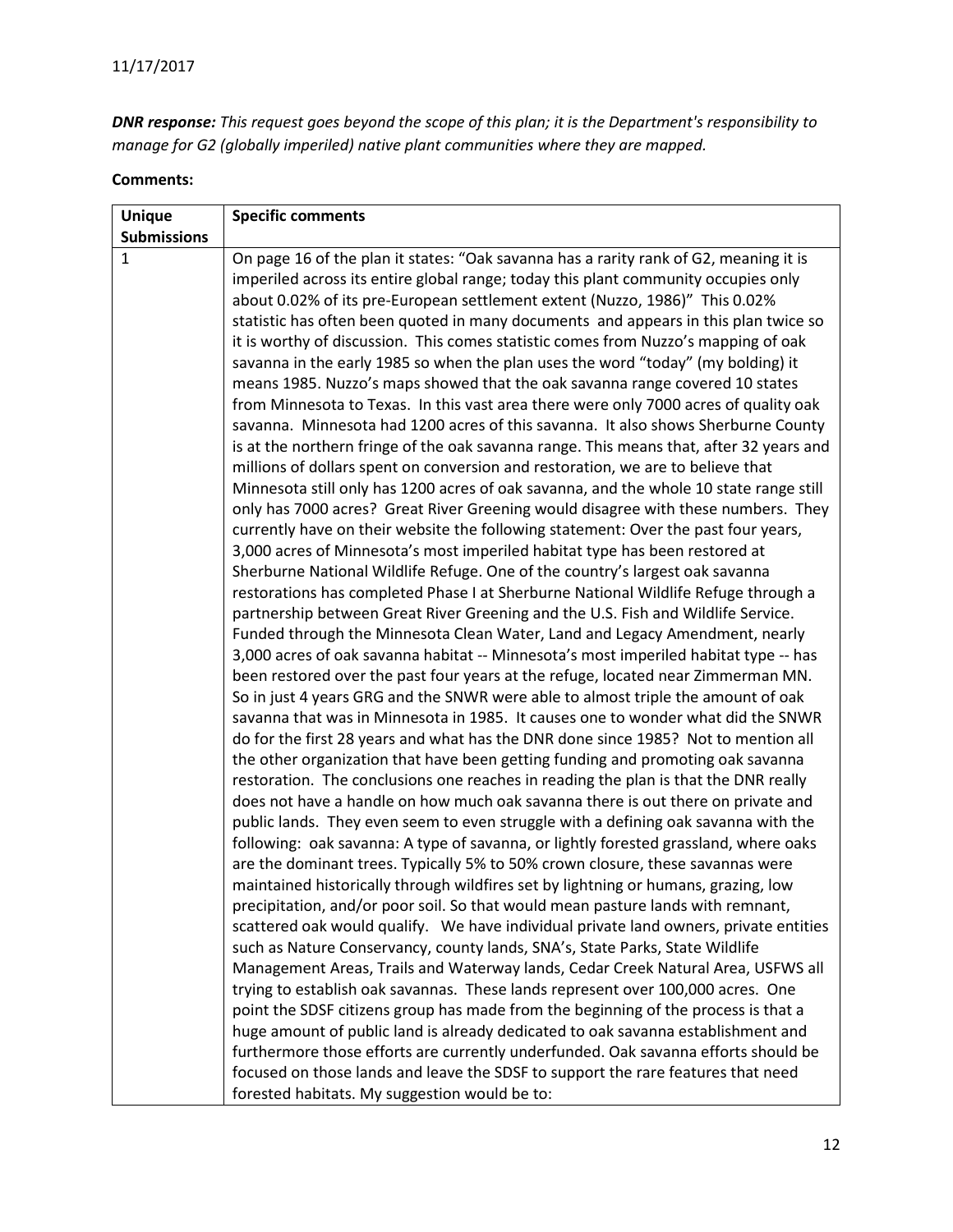*DNR response: This request goes beyond the scope of this plan; it is the Department's responsibility to manage for G2 (globally imperiled) native plant communities where they are mapped.*

| <b>Unique</b>      | <b>Specific comments</b>                                                                                                                                    |
|--------------------|-------------------------------------------------------------------------------------------------------------------------------------------------------------|
| <b>Submissions</b> |                                                                                                                                                             |
| 1                  | On page 16 of the plan it states: "Oak savanna has a rarity rank of G2, meaning it is                                                                       |
|                    | imperiled across its entire global range; today this plant community occupies only                                                                          |
|                    | about 0.02% of its pre-European settlement extent (Nuzzo, 1986)" This 0.02%                                                                                 |
|                    | statistic has often been quoted in many documents and appears in this plan twice so                                                                         |
|                    | it is worthy of discussion. This comes statistic comes from Nuzzo's mapping of oak                                                                          |
|                    | savanna in the early 1985 so when the plan uses the word "today" (my bolding) it                                                                            |
|                    | means 1985. Nuzzo's maps showed that the oak savanna range covered 10 states                                                                                |
|                    | from Minnesota to Texas. In this vast area there were only 7000 acres of quality oak                                                                        |
|                    | savanna. Minnesota had 1200 acres of this savanna. It also shows Sherburne County                                                                           |
|                    | is at the northern fringe of the oak savanna range. This means that, after 32 years and                                                                     |
|                    | millions of dollars spent on conversion and restoration, we are to believe that                                                                             |
|                    | Minnesota still only has 1200 acres of oak savanna, and the whole 10 state range still                                                                      |
|                    | only has 7000 acres? Great River Greening would disagree with these numbers. They                                                                           |
|                    | currently have on their website the following statement: Over the past four years,                                                                          |
|                    | 3,000 acres of Minnesota's most imperiled habitat type has been restored at<br>Sherburne National Wildlife Refuge. One of the country's largest oak savanna |
|                    | restorations has completed Phase I at Sherburne National Wildlife Refuge through a                                                                          |
|                    | partnership between Great River Greening and the U.S. Fish and Wildlife Service.                                                                            |
|                    | Funded through the Minnesota Clean Water, Land and Legacy Amendment, nearly                                                                                 |
|                    | 3,000 acres of oak savanna habitat -- Minnesota's most imperiled habitat type -- has                                                                        |
|                    | been restored over the past four years at the refuge, located near Zimmerman MN.                                                                            |
|                    | So in just 4 years GRG and the SNWR were able to almost triple the amount of oak                                                                            |
|                    | savanna that was in Minnesota in 1985. It causes one to wonder what did the SNWR                                                                            |
|                    | do for the first 28 years and what has the DNR done since 1985? Not to mention all                                                                          |
|                    | the other organization that have been getting funding and promoting oak savanna                                                                             |
|                    | restoration. The conclusions one reaches in reading the plan is that the DNR really                                                                         |
|                    | does not have a handle on how much oak savanna there is out there on private and                                                                            |
|                    | public lands. They even seem to even struggle with a defining oak savanna with the                                                                          |
|                    | following: oak savanna: A type of savanna, or lightly forested grassland, where oaks                                                                        |
|                    | are the dominant trees. Typically 5% to 50% crown closure, these savannas were                                                                              |
|                    | maintained historically through wildfires set by lightning or humans, grazing, low                                                                          |
|                    | precipitation, and/or poor soil. So that would mean pasture lands with remnant,                                                                             |
|                    | scattered oak would qualify. We have individual private land owners, private entities                                                                       |
|                    | such as Nature Conservancy, county lands, SNA's, State Parks, State Wildlife                                                                                |
|                    | Management Areas, Trails and Waterway lands, Cedar Creek Natural Area, USFWS all                                                                            |
|                    | trying to establish oak savannas. These lands represent over 100,000 acres. One                                                                             |
|                    | point the SDSF citizens group has made from the beginning of the process is that a                                                                          |
|                    | huge amount of public land is already dedicated to oak savanna establishment and                                                                            |
|                    | furthermore those efforts are currently underfunded. Oak savanna efforts should be                                                                          |
|                    | focused on those lands and leave the SDSF to support the rare features that need                                                                            |
|                    | forested habitats. My suggestion would be to:                                                                                                               |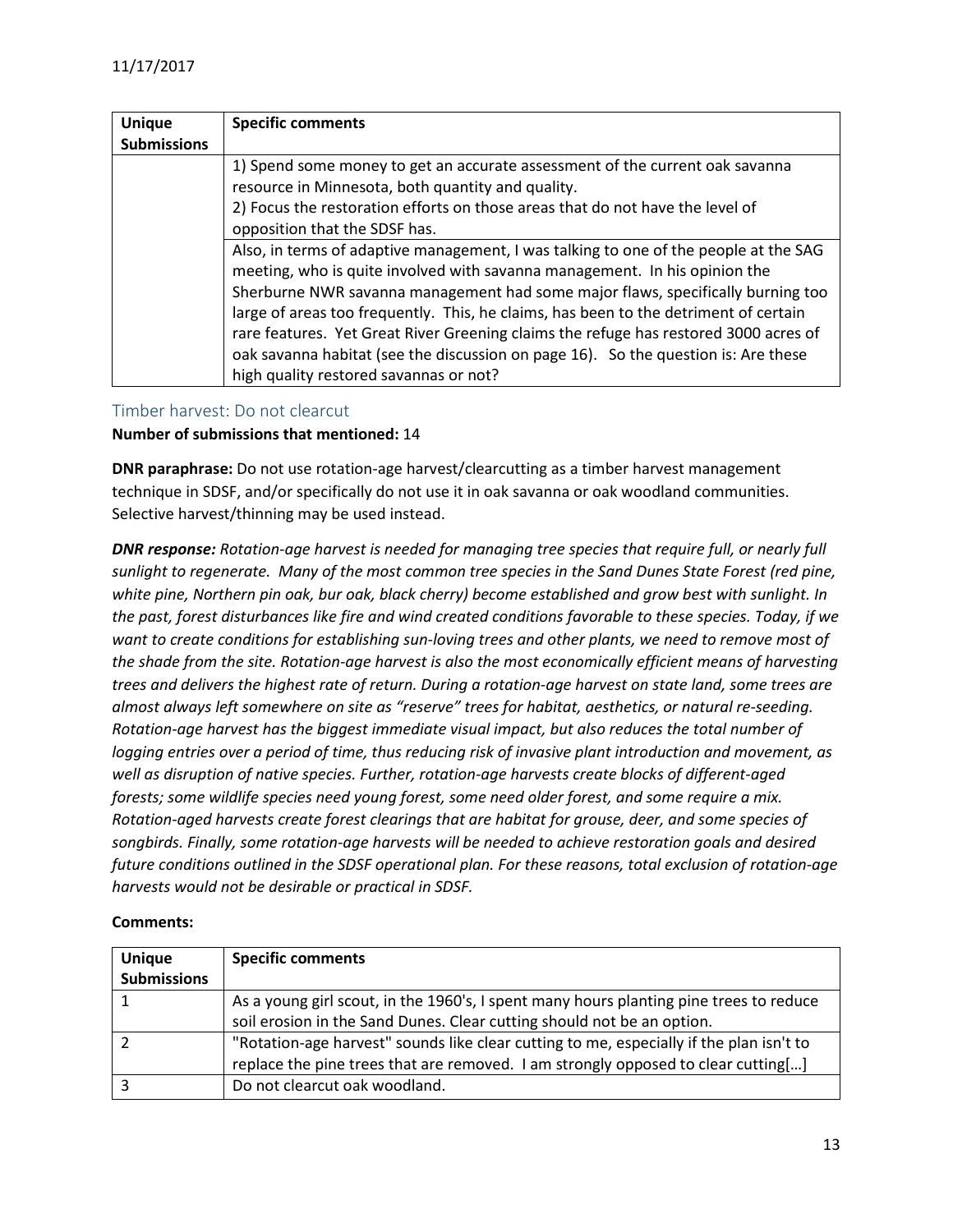| <b>Unique</b><br><b>Submissions</b> | <b>Specific comments</b>                                                                                                                                                                                                                                                                                                                                                                                                                                                                                                                                              |
|-------------------------------------|-----------------------------------------------------------------------------------------------------------------------------------------------------------------------------------------------------------------------------------------------------------------------------------------------------------------------------------------------------------------------------------------------------------------------------------------------------------------------------------------------------------------------------------------------------------------------|
|                                     | 1) Spend some money to get an accurate assessment of the current oak savanna<br>resource in Minnesota, both quantity and quality.<br>2) Focus the restoration efforts on those areas that do not have the level of<br>opposition that the SDSF has.                                                                                                                                                                                                                                                                                                                   |
|                                     | Also, in terms of adaptive management, I was talking to one of the people at the SAG<br>meeting, who is quite involved with savanna management. In his opinion the<br>Sherburne NWR savanna management had some major flaws, specifically burning too<br>large of areas too frequently. This, he claims, has been to the detriment of certain<br>rare features. Yet Great River Greening claims the refuge has restored 3000 acres of<br>oak savanna habitat (see the discussion on page 16). So the question is: Are these<br>high quality restored savannas or not? |

#### <span id="page-12-0"></span>Timber harvest: Do not clearcut

#### **Number of submissions that mentioned:** 14

**DNR paraphrase:** Do not use rotation-age harvest/clearcutting as a timber harvest management technique in SDSF, and/or specifically do not use it in oak savanna or oak woodland communities. Selective harvest/thinning may be used instead.

*DNR response: Rotation-age harvest is needed for managing tree species that require full, or nearly full sunlight to regenerate. Many of the most common tree species in the Sand Dunes State Forest (red pine, white pine, Northern pin oak, bur oak, black cherry) become established and grow best with sunlight. In the past, forest disturbances like fire and wind created conditions favorable to these species. Today, if we want to create conditions for establishing sun-loving trees and other plants, we need to remove most of the shade from the site. Rotation-age harvest is also the most economically efficient means of harvesting trees and delivers the highest rate of return. During a rotation-age harvest on state land, some trees are almost always left somewhere on site as "reserve" trees for habitat, aesthetics, or natural re-seeding. Rotation-age harvest has the biggest immediate visual impact, but also reduces the total number of logging entries over a period of time, thus reducing risk of invasive plant introduction and movement, as well as disruption of native species. Further, rotation-age harvests create blocks of different-aged forests; some wildlife species need young forest, some need older forest, and some require a mix. Rotation-aged harvests create forest clearings that are habitat for grouse, deer, and some species of songbirds. Finally, some rotation-age harvests will be needed to achieve restoration goals and desired future conditions outlined in the SDSF operational plan. For these reasons, total exclusion of rotation-age harvests would not be desirable or practical in SDSF.*

| <b>Unique</b>      | <b>Specific comments</b>                                                                |
|--------------------|-----------------------------------------------------------------------------------------|
| <b>Submissions</b> |                                                                                         |
|                    | As a young girl scout, in the 1960's, I spent many hours planting pine trees to reduce  |
|                    | soil erosion in the Sand Dunes. Clear cutting should not be an option.                  |
|                    | "Rotation-age harvest" sounds like clear cutting to me, especially if the plan isn't to |
|                    | replace the pine trees that are removed. I am strongly opposed to clear cutting[]       |
|                    | Do not clearcut oak woodland.                                                           |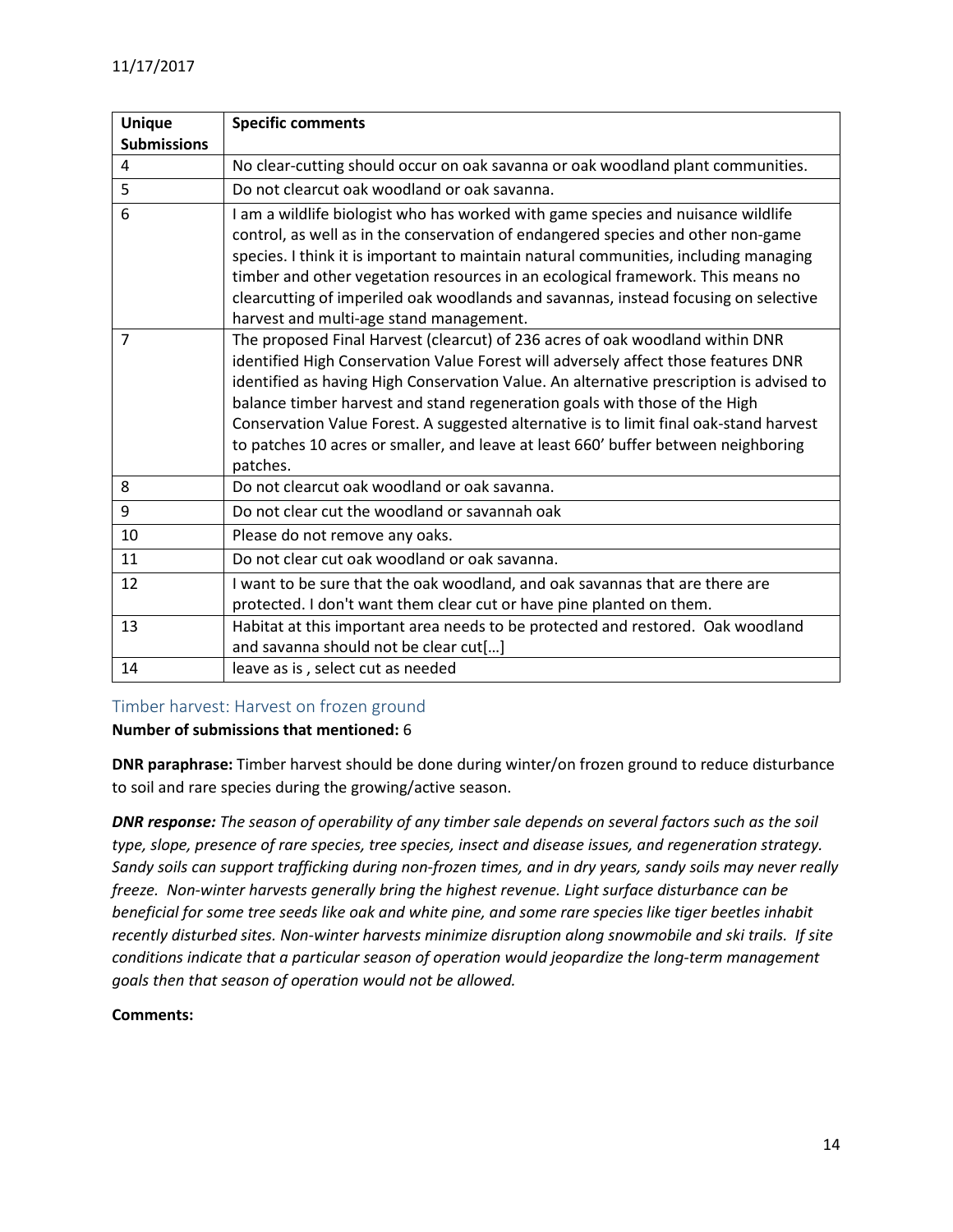| <b>Unique</b><br><b>Submissions</b> | <b>Specific comments</b>                                                                                                                                             |
|-------------------------------------|----------------------------------------------------------------------------------------------------------------------------------------------------------------------|
| 4                                   | No clear-cutting should occur on oak savanna or oak woodland plant communities.                                                                                      |
| 5                                   | Do not clearcut oak woodland or oak savanna.                                                                                                                         |
| 6                                   |                                                                                                                                                                      |
|                                     | I am a wildlife biologist who has worked with game species and nuisance wildlife<br>control, as well as in the conservation of endangered species and other non-game |
|                                     | species. I think it is important to maintain natural communities, including managing                                                                                 |
|                                     | timber and other vegetation resources in an ecological framework. This means no                                                                                      |
|                                     | clearcutting of imperiled oak woodlands and savannas, instead focusing on selective                                                                                  |
|                                     | harvest and multi-age stand management.                                                                                                                              |
| $\overline{7}$                      | The proposed Final Harvest (clearcut) of 236 acres of oak woodland within DNR                                                                                        |
|                                     | identified High Conservation Value Forest will adversely affect those features DNR                                                                                   |
|                                     | identified as having High Conservation Value. An alternative prescription is advised to                                                                              |
|                                     | balance timber harvest and stand regeneration goals with those of the High                                                                                           |
|                                     | Conservation Value Forest. A suggested alternative is to limit final oak-stand harvest                                                                               |
|                                     | to patches 10 acres or smaller, and leave at least 660' buffer between neighboring                                                                                   |
|                                     | patches.                                                                                                                                                             |
| 8                                   | Do not clearcut oak woodland or oak savanna.                                                                                                                         |
| 9                                   | Do not clear cut the woodland or savannah oak                                                                                                                        |
| 10                                  | Please do not remove any oaks.                                                                                                                                       |
| 11                                  | Do not clear cut oak woodland or oak savanna.                                                                                                                        |
| 12                                  | I want to be sure that the oak woodland, and oak savannas that are there are                                                                                         |
|                                     | protected. I don't want them clear cut or have pine planted on them.                                                                                                 |
| 13                                  | Habitat at this important area needs to be protected and restored. Oak woodland                                                                                      |
|                                     | and savanna should not be clear cut[]                                                                                                                                |
| 14                                  | leave as is, select cut as needed                                                                                                                                    |

## <span id="page-13-0"></span>Timber harvest: Harvest on frozen ground

#### **Number of submissions that mentioned:** 6

**DNR paraphrase:** Timber harvest should be done during winter/on frozen ground to reduce disturbance to soil and rare species during the growing/active season.

*DNR response: The season of operability of any timber sale depends on several factors such as the soil type, slope, presence of rare species, tree species, insect and disease issues, and regeneration strategy. Sandy soils can support trafficking during non-frozen times, and in dry years, sandy soils may never really freeze. Non-winter harvests generally bring the highest revenue. Light surface disturbance can be beneficial for some tree seeds like oak and white pine, and some rare species like tiger beetles inhabit recently disturbed sites. Non-winter harvests minimize disruption along snowmobile and ski trails. If site conditions indicate that a particular season of operation would jeopardize the long-term management goals then that season of operation would not be allowed.*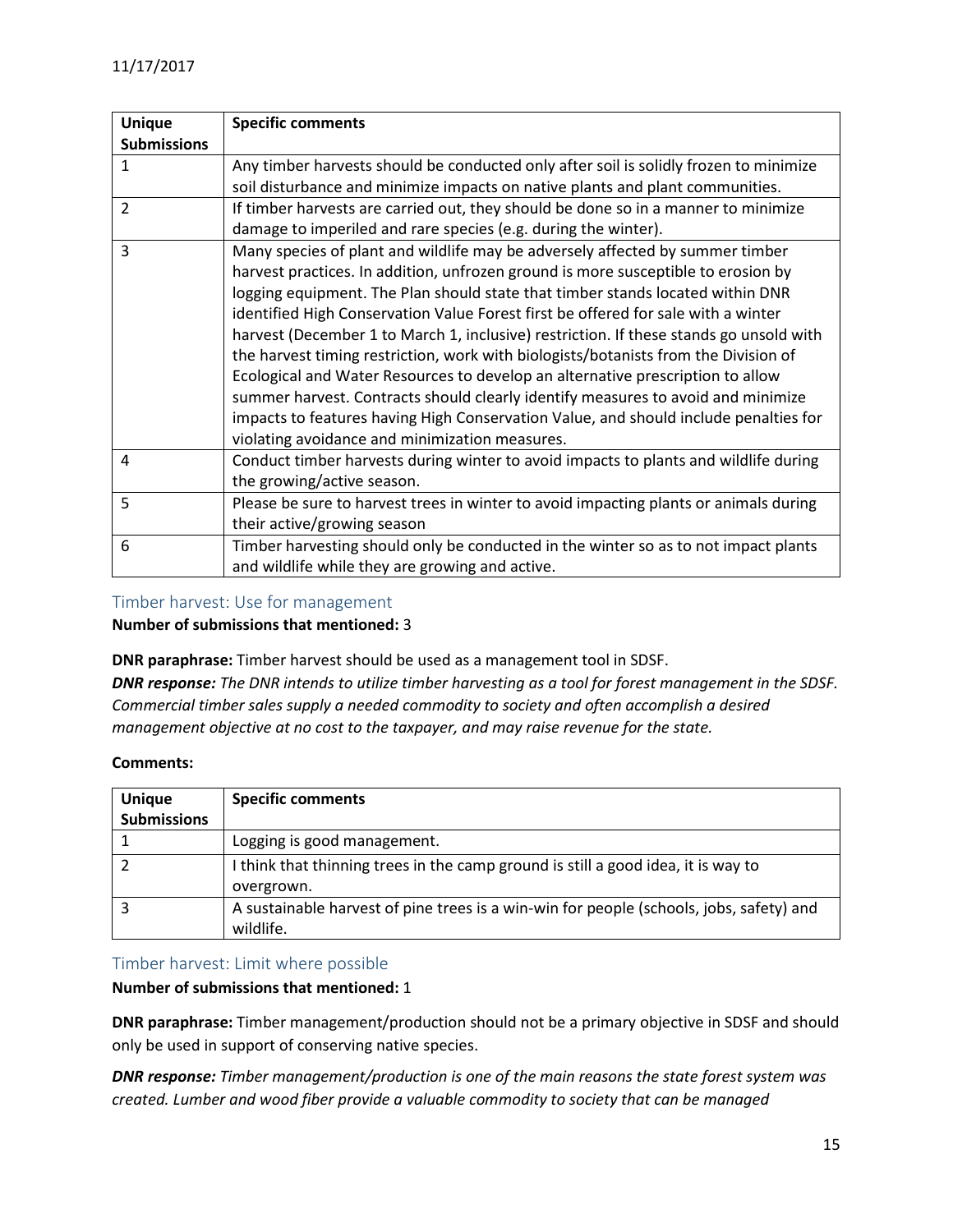| <b>Unique</b>      | <b>Specific comments</b>                                                               |
|--------------------|----------------------------------------------------------------------------------------|
| <b>Submissions</b> |                                                                                        |
| 1                  | Any timber harvests should be conducted only after soil is solidly frozen to minimize  |
|                    | soil disturbance and minimize impacts on native plants and plant communities.          |
| 2                  | If timber harvests are carried out, they should be done so in a manner to minimize     |
|                    | damage to imperiled and rare species (e.g. during the winter).                         |
| 3                  | Many species of plant and wildlife may be adversely affected by summer timber          |
|                    | harvest practices. In addition, unfrozen ground is more susceptible to erosion by      |
|                    | logging equipment. The Plan should state that timber stands located within DNR         |
|                    | identified High Conservation Value Forest first be offered for sale with a winter      |
|                    | harvest (December 1 to March 1, inclusive) restriction. If these stands go unsold with |
|                    | the harvest timing restriction, work with biologists/botanists from the Division of    |
|                    | Ecological and Water Resources to develop an alternative prescription to allow         |
|                    | summer harvest. Contracts should clearly identify measures to avoid and minimize       |
|                    | impacts to features having High Conservation Value, and should include penalties for   |
|                    | violating avoidance and minimization measures.                                         |
| 4                  | Conduct timber harvests during winter to avoid impacts to plants and wildlife during   |
|                    | the growing/active season.                                                             |
| 5                  | Please be sure to harvest trees in winter to avoid impacting plants or animals during  |
|                    | their active/growing season                                                            |
| 6                  | Timber harvesting should only be conducted in the winter so as to not impact plants    |
|                    | and wildlife while they are growing and active.                                        |

#### <span id="page-14-0"></span>Timber harvest: Use for management

#### **Number of submissions that mentioned:** 3

**DNR paraphrase:** Timber harvest should be used as a management tool in SDSF.

*DNR response: The DNR intends to utilize timber harvesting as a tool for forest management in the SDSF. Commercial timber sales supply a needed commodity to society and often accomplish a desired management objective at no cost to the taxpayer, and may raise revenue for the state.*

#### **Comments:**

| <b>Unique</b><br><b>Submissions</b> | <b>Specific comments</b>                                                                             |
|-------------------------------------|------------------------------------------------------------------------------------------------------|
|                                     | Logging is good management.                                                                          |
|                                     | I think that thinning trees in the camp ground is still a good idea, it is way to<br>overgrown.      |
|                                     | A sustainable harvest of pine trees is a win-win for people (schools, jobs, safety) and<br>wildlife. |

#### <span id="page-14-1"></span>Timber harvest: Limit where possible

#### **Number of submissions that mentioned:** 1

**DNR paraphrase:** Timber management/production should not be a primary objective in SDSF and should only be used in support of conserving native species.

*DNR response: Timber management/production is one of the main reasons the state forest system was created. Lumber and wood fiber provide a valuable commodity to society that can be managed*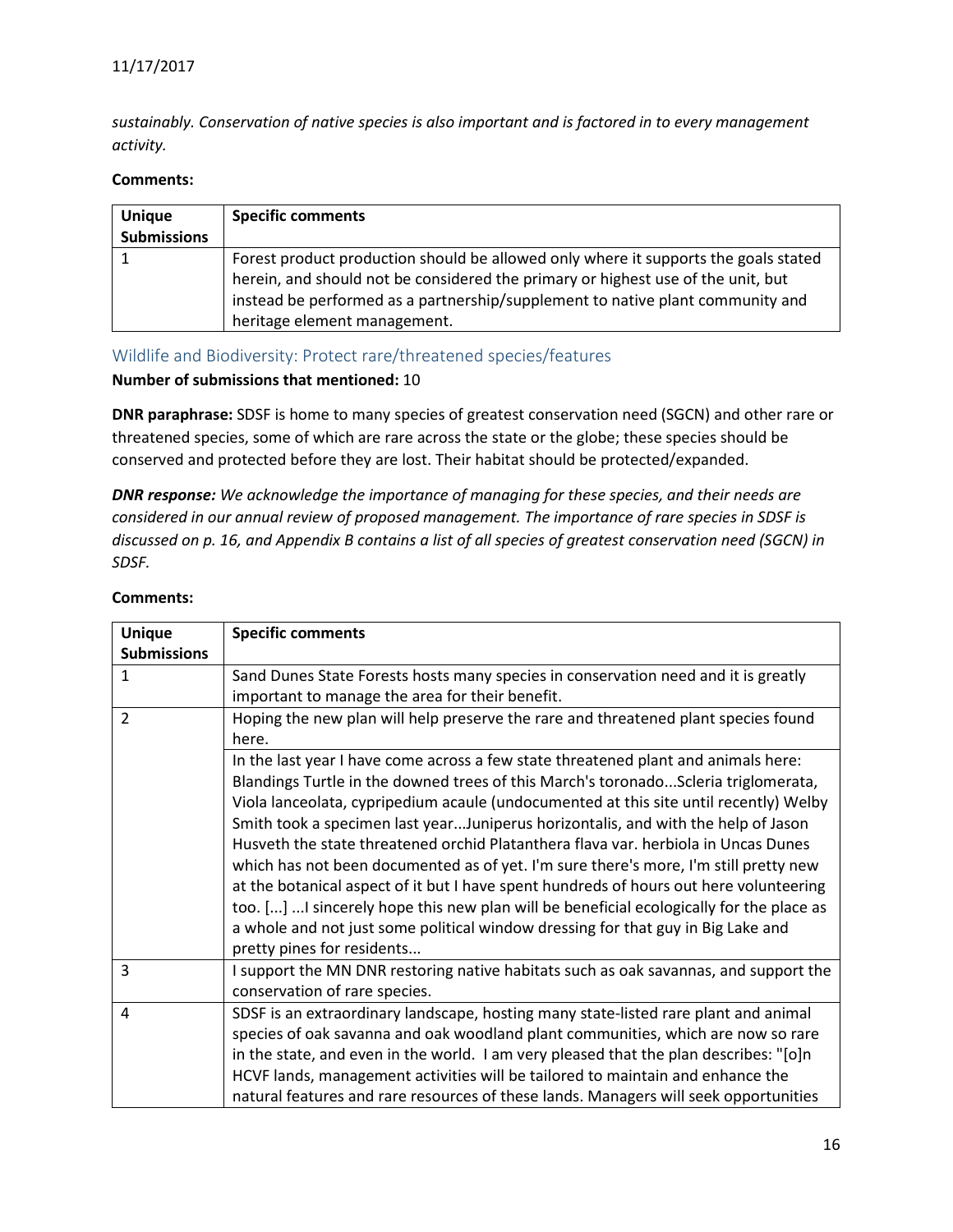*sustainably. Conservation of native species is also important and is factored in to every management activity.*

#### **Comments:**

| <b>Unique</b><br><b>Submissions</b> | <b>Specific comments</b>                                                                                                                                                                                                                                                                  |
|-------------------------------------|-------------------------------------------------------------------------------------------------------------------------------------------------------------------------------------------------------------------------------------------------------------------------------------------|
|                                     | Forest product production should be allowed only where it supports the goals stated<br>herein, and should not be considered the primary or highest use of the unit, but<br>instead be performed as a partnership/supplement to native plant community and<br>heritage element management. |

#### <span id="page-15-0"></span>Wildlife and Biodiversity: Protect rare/threatened species/features

#### **Number of submissions that mentioned:** 10

**DNR paraphrase:** SDSF is home to many species of greatest conservation need (SGCN) and other rare or threatened species, some of which are rare across the state or the globe; these species should be conserved and protected before they are lost. Their habitat should be protected/expanded.

*DNR response: We acknowledge the importance of managing for these species, and their needs are considered in our annual review of proposed management. The importance of rare species in SDSF is discussed on p. 16, and Appendix B contains a list of all species of greatest conservation need (SGCN) in SDSF.*

| <b>Unique</b>      | <b>Specific comments</b>                                                                |
|--------------------|-----------------------------------------------------------------------------------------|
| <b>Submissions</b> |                                                                                         |
|                    |                                                                                         |
| $\mathbf{1}$       | Sand Dunes State Forests hosts many species in conservation need and it is greatly      |
|                    | important to manage the area for their benefit.                                         |
| $\overline{2}$     | Hoping the new plan will help preserve the rare and threatened plant species found      |
|                    | here.                                                                                   |
|                    | In the last year I have come across a few state threatened plant and animals here:      |
|                    | Blandings Turtle in the downed trees of this March's toronadoScleria triglomerata,      |
|                    | Viola lanceolata, cypripedium acaule (undocumented at this site until recently) Welby   |
|                    | Smith took a specimen last yearJuniperus horizontalis, and with the help of Jason       |
|                    | Husveth the state threatened orchid Platanthera flava var. herbiola in Uncas Dunes      |
|                    | which has not been documented as of yet. I'm sure there's more, I'm still pretty new    |
|                    | at the botanical aspect of it but I have spent hundreds of hours out here volunteering  |
|                    | too. [] I sincerely hope this new plan will be beneficial ecologically for the place as |
|                    | a whole and not just some political window dressing for that guy in Big Lake and        |
|                    | pretty pines for residents                                                              |
| 3                  | I support the MN DNR restoring native habitats such as oak savannas, and support the    |
|                    | conservation of rare species.                                                           |
| 4                  | SDSF is an extraordinary landscape, hosting many state-listed rare plant and animal     |
|                    | species of oak savanna and oak woodland plant communities, which are now so rare        |
|                    | in the state, and even in the world. I am very pleased that the plan describes: "[0]n   |
|                    | HCVF lands, management activities will be tailored to maintain and enhance the          |
|                    | natural features and rare resources of these lands. Managers will seek opportunities    |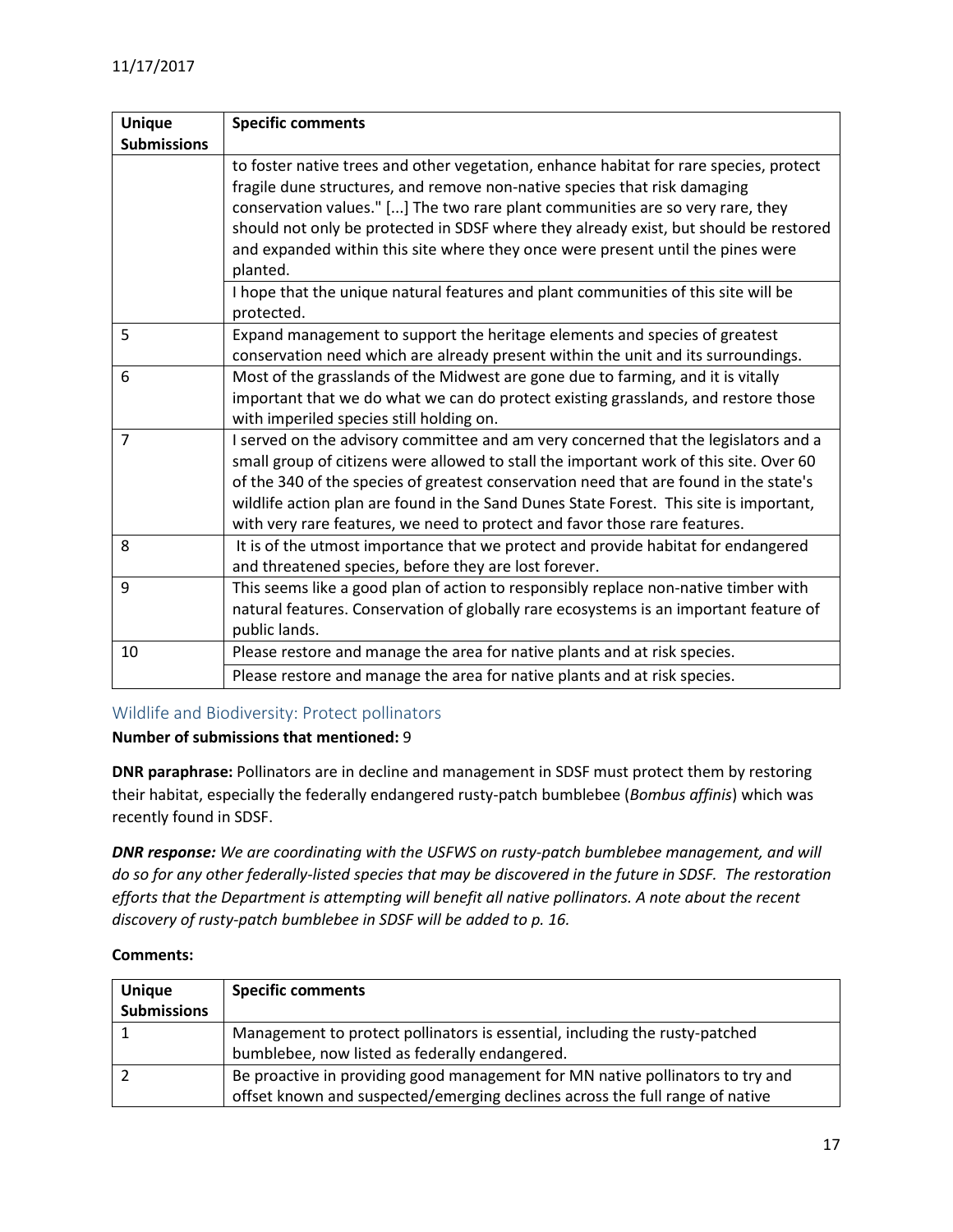| <b>Unique</b>      | <b>Specific comments</b>                                                                                                                                                                                                                                                                                                                                                                                                                       |
|--------------------|------------------------------------------------------------------------------------------------------------------------------------------------------------------------------------------------------------------------------------------------------------------------------------------------------------------------------------------------------------------------------------------------------------------------------------------------|
| <b>Submissions</b> |                                                                                                                                                                                                                                                                                                                                                                                                                                                |
|                    | to foster native trees and other vegetation, enhance habitat for rare species, protect<br>fragile dune structures, and remove non-native species that risk damaging<br>conservation values." [] The two rare plant communities are so very rare, they<br>should not only be protected in SDSF where they already exist, but should be restored<br>and expanded within this site where they once were present until the pines were<br>planted.  |
|                    | I hope that the unique natural features and plant communities of this site will be<br>protected.                                                                                                                                                                                                                                                                                                                                               |
| 5                  | Expand management to support the heritage elements and species of greatest<br>conservation need which are already present within the unit and its surroundings.                                                                                                                                                                                                                                                                                |
| 6                  | Most of the grasslands of the Midwest are gone due to farming, and it is vitally<br>important that we do what we can do protect existing grasslands, and restore those<br>with imperiled species still holding on.                                                                                                                                                                                                                             |
| $\overline{7}$     | I served on the advisory committee and am very concerned that the legislators and a<br>small group of citizens were allowed to stall the important work of this site. Over 60<br>of the 340 of the species of greatest conservation need that are found in the state's<br>wildlife action plan are found in the Sand Dunes State Forest. This site is important,<br>with very rare features, we need to protect and favor those rare features. |
| 8                  | It is of the utmost importance that we protect and provide habitat for endangered<br>and threatened species, before they are lost forever.                                                                                                                                                                                                                                                                                                     |
| 9                  | This seems like a good plan of action to responsibly replace non-native timber with<br>natural features. Conservation of globally rare ecosystems is an important feature of<br>public lands.                                                                                                                                                                                                                                                  |
| 10                 | Please restore and manage the area for native plants and at risk species.                                                                                                                                                                                                                                                                                                                                                                      |
|                    | Please restore and manage the area for native plants and at risk species.                                                                                                                                                                                                                                                                                                                                                                      |

## <span id="page-16-0"></span>Wildlife and Biodiversity: Protect pollinators

## **Number of submissions that mentioned:** 9

**DNR paraphrase:** Pollinators are in decline and management in SDSF must protect them by restoring their habitat, especially the federally endangered rusty-patch bumblebee (*Bombus affinis*) which was recently found in SDSF.

*DNR response: We are coordinating with the USFWS on rusty-patch bumblebee management, and will do so for any other federally-listed species that may be discovered in the future in SDSF. The restoration efforts that the Department is attempting will benefit all native pollinators. A note about the recent discovery of rusty-patch bumblebee in SDSF will be added to p. 16.*

| <b>Unique</b>      | <b>Specific comments</b>                                                       |
|--------------------|--------------------------------------------------------------------------------|
| <b>Submissions</b> |                                                                                |
|                    | Management to protect pollinators is essential, including the rusty-patched    |
|                    | bumblebee, now listed as federally endangered.                                 |
|                    | Be proactive in providing good management for MN native pollinators to try and |
|                    | offset known and suspected/emerging declines across the full range of native   |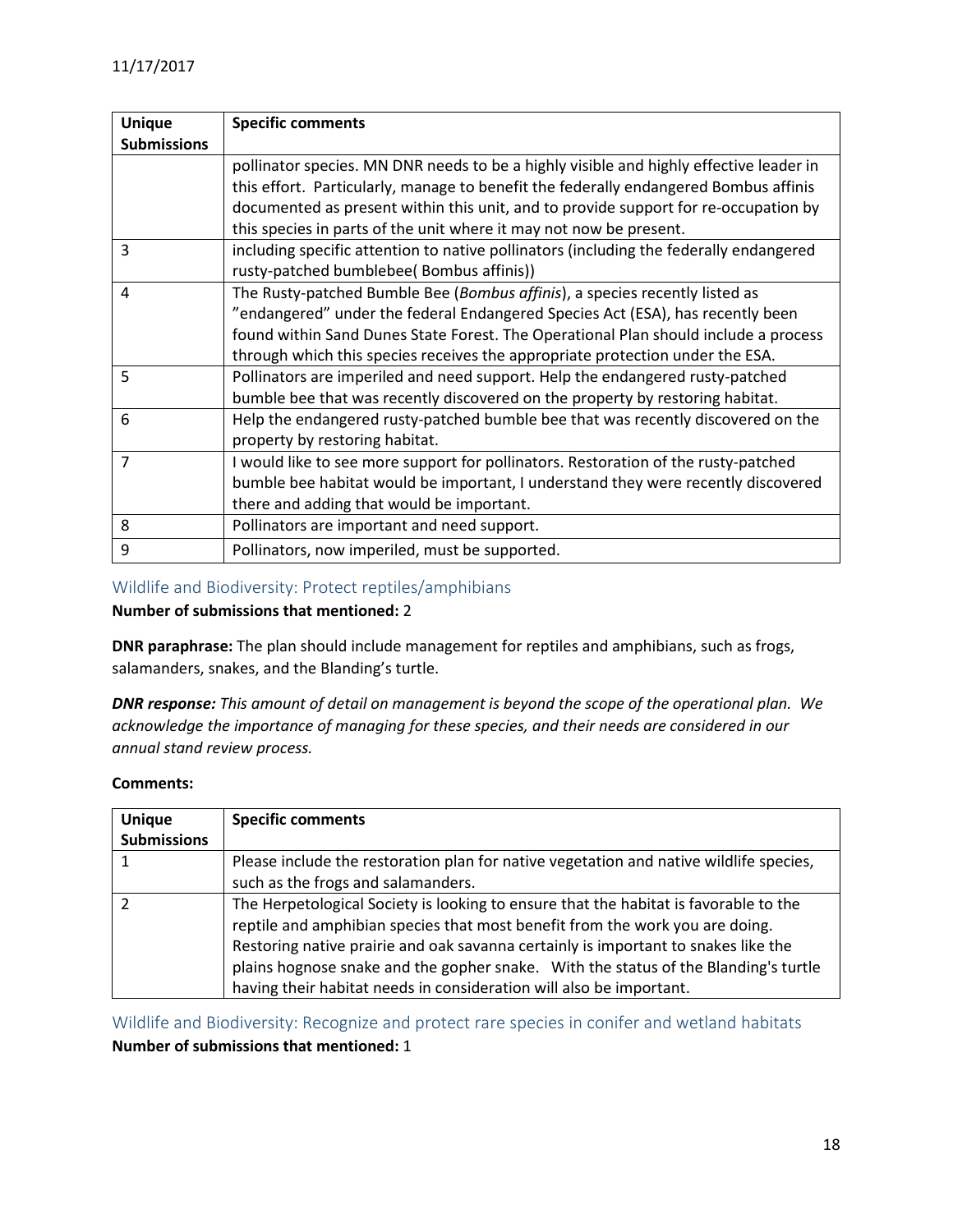| <b>Unique</b>      | <b>Specific comments</b>                                                               |
|--------------------|----------------------------------------------------------------------------------------|
| <b>Submissions</b> |                                                                                        |
|                    | pollinator species. MN DNR needs to be a highly visible and highly effective leader in |
|                    | this effort. Particularly, manage to benefit the federally endangered Bombus affinis   |
|                    | documented as present within this unit, and to provide support for re-occupation by    |
|                    | this species in parts of the unit where it may not now be present.                     |
| 3                  | including specific attention to native pollinators (including the federally endangered |
|                    | rusty-patched bumblebee( Bombus affinis))                                              |
| 4                  | The Rusty-patched Bumble Bee (Bombus affinis), a species recently listed as            |
|                    | "endangered" under the federal Endangered Species Act (ESA), has recently been         |
|                    | found within Sand Dunes State Forest. The Operational Plan should include a process    |
|                    | through which this species receives the appropriate protection under the ESA.          |
| 5                  | Pollinators are imperiled and need support. Help the endangered rusty-patched          |
|                    | bumble bee that was recently discovered on the property by restoring habitat.          |
| 6                  | Help the endangered rusty-patched bumble bee that was recently discovered on the       |
|                    | property by restoring habitat.                                                         |
| $\overline{7}$     | I would like to see more support for pollinators. Restoration of the rusty-patched     |
|                    | bumble bee habitat would be important, I understand they were recently discovered      |
|                    | there and adding that would be important.                                              |
| 8                  | Pollinators are important and need support.                                            |
| 9                  | Pollinators, now imperiled, must be supported.                                         |

## <span id="page-17-0"></span>Wildlife and Biodiversity: Protect reptiles/amphibians

## **Number of submissions that mentioned:** 2

**DNR paraphrase:** The plan should include management for reptiles and amphibians, such as frogs, salamanders, snakes, and the Blanding's turtle.

*DNR response: This amount of detail on management is beyond the scope of the operational plan. We acknowledge the importance of managing for these species, and their needs are considered in our annual stand review process.*

#### **Comments:**

| <b>Unique</b>      | <b>Specific comments</b>                                                               |
|--------------------|----------------------------------------------------------------------------------------|
| <b>Submissions</b> |                                                                                        |
|                    | Please include the restoration plan for native vegetation and native wildlife species, |
|                    | such as the frogs and salamanders.                                                     |
|                    | The Herpetological Society is looking to ensure that the habitat is favorable to the   |
|                    | reptile and amphibian species that most benefit from the work you are doing.           |
|                    | Restoring native prairie and oak savanna certainly is important to snakes like the     |
|                    | plains hognose snake and the gopher snake. With the status of the Blanding's turtle    |
|                    | having their habitat needs in consideration will also be important.                    |

<span id="page-17-1"></span>Wildlife and Biodiversity: Recognize and protect rare species in conifer and wetland habitats **Number of submissions that mentioned:** 1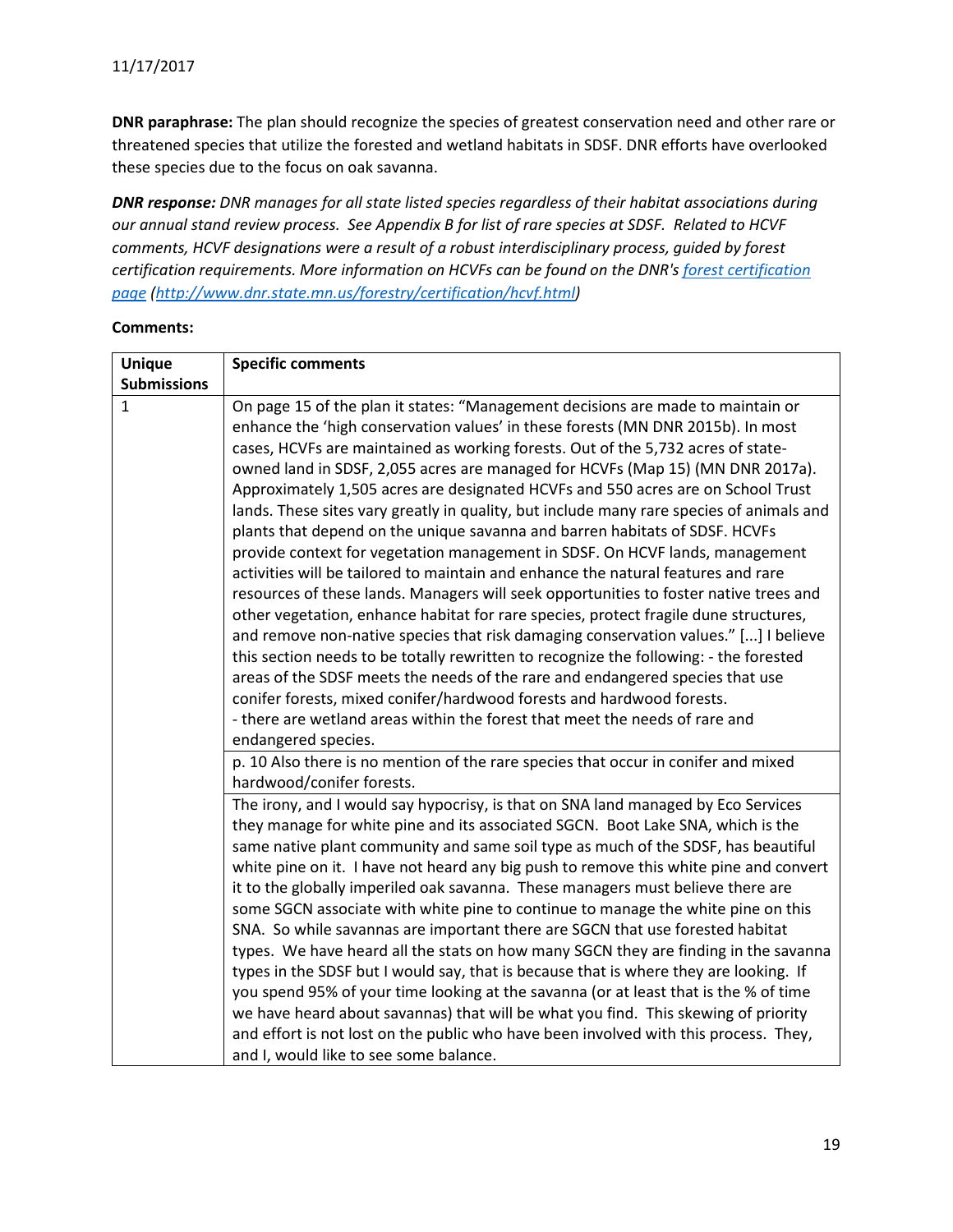**DNR paraphrase:** The plan should recognize the species of greatest conservation need and other rare or threatened species that utilize the forested and wetland habitats in SDSF. DNR efforts have overlooked these species due to the focus on oak savanna.

*DNR response: DNR manages for all state listed species regardless of their habitat associations during our annual stand review process. See Appendix B for list of rare species at SDSF. Related to HCVF comments, HCVF designations were a result of a robust interdisciplinary process, guided by forest certification requirements. More information on HCVFs can be found on the DNR's [forest certification](http://www.dnr.state.mn.us/forestry/certification/hcvf.html)  [page](http://www.dnr.state.mn.us/forestry/certification/hcvf.html) [\(http://www.dnr.state.mn.us/forestry/certification/hcvf.html\)](http://www.dnr.state.mn.us/forestry/certification/hcvf.html)*

| <b>Unique</b>      | <b>Specific comments</b>                                                                                                                                                                                                                                                                                                                                                                                                                                                                                                                                                                                                                                                                                                                                                                                                                                                                                                                                                                                                                                                                                                                                                                                                                                                                                                                                                                                      |
|--------------------|---------------------------------------------------------------------------------------------------------------------------------------------------------------------------------------------------------------------------------------------------------------------------------------------------------------------------------------------------------------------------------------------------------------------------------------------------------------------------------------------------------------------------------------------------------------------------------------------------------------------------------------------------------------------------------------------------------------------------------------------------------------------------------------------------------------------------------------------------------------------------------------------------------------------------------------------------------------------------------------------------------------------------------------------------------------------------------------------------------------------------------------------------------------------------------------------------------------------------------------------------------------------------------------------------------------------------------------------------------------------------------------------------------------|
| <b>Submissions</b> |                                                                                                                                                                                                                                                                                                                                                                                                                                                                                                                                                                                                                                                                                                                                                                                                                                                                                                                                                                                                                                                                                                                                                                                                                                                                                                                                                                                                               |
| $\mathbf{1}$       | On page 15 of the plan it states: "Management decisions are made to maintain or<br>enhance the 'high conservation values' in these forests (MN DNR 2015b). In most<br>cases, HCVFs are maintained as working forests. Out of the 5,732 acres of state-<br>owned land in SDSF, 2,055 acres are managed for HCVFs (Map 15) (MN DNR 2017a).<br>Approximately 1,505 acres are designated HCVFs and 550 acres are on School Trust<br>lands. These sites vary greatly in quality, but include many rare species of animals and<br>plants that depend on the unique savanna and barren habitats of SDSF. HCVFs<br>provide context for vegetation management in SDSF. On HCVF lands, management<br>activities will be tailored to maintain and enhance the natural features and rare<br>resources of these lands. Managers will seek opportunities to foster native trees and<br>other vegetation, enhance habitat for rare species, protect fragile dune structures,<br>and remove non-native species that risk damaging conservation values." [] I believe<br>this section needs to be totally rewritten to recognize the following: - the forested<br>areas of the SDSF meets the needs of the rare and endangered species that use<br>conifer forests, mixed conifer/hardwood forests and hardwood forests.<br>- there are wetland areas within the forest that meet the needs of rare and<br>endangered species. |
|                    | p. 10 Also there is no mention of the rare species that occur in conifer and mixed<br>hardwood/conifer forests.                                                                                                                                                                                                                                                                                                                                                                                                                                                                                                                                                                                                                                                                                                                                                                                                                                                                                                                                                                                                                                                                                                                                                                                                                                                                                               |
|                    | The irony, and I would say hypocrisy, is that on SNA land managed by Eco Services<br>they manage for white pine and its associated SGCN. Boot Lake SNA, which is the<br>same native plant community and same soil type as much of the SDSF, has beautiful<br>white pine on it. I have not heard any big push to remove this white pine and convert<br>it to the globally imperiled oak savanna. These managers must believe there are<br>some SGCN associate with white pine to continue to manage the white pine on this<br>SNA. So while savannas are important there are SGCN that use forested habitat<br>types. We have heard all the stats on how many SGCN they are finding in the savanna<br>types in the SDSF but I would say, that is because that is where they are looking. If<br>you spend 95% of your time looking at the savanna (or at least that is the % of time<br>we have heard about savannas) that will be what you find. This skewing of priority<br>and effort is not lost on the public who have been involved with this process. They,<br>and I, would like to see some balance.                                                                                                                                                                                                                                                                                                    |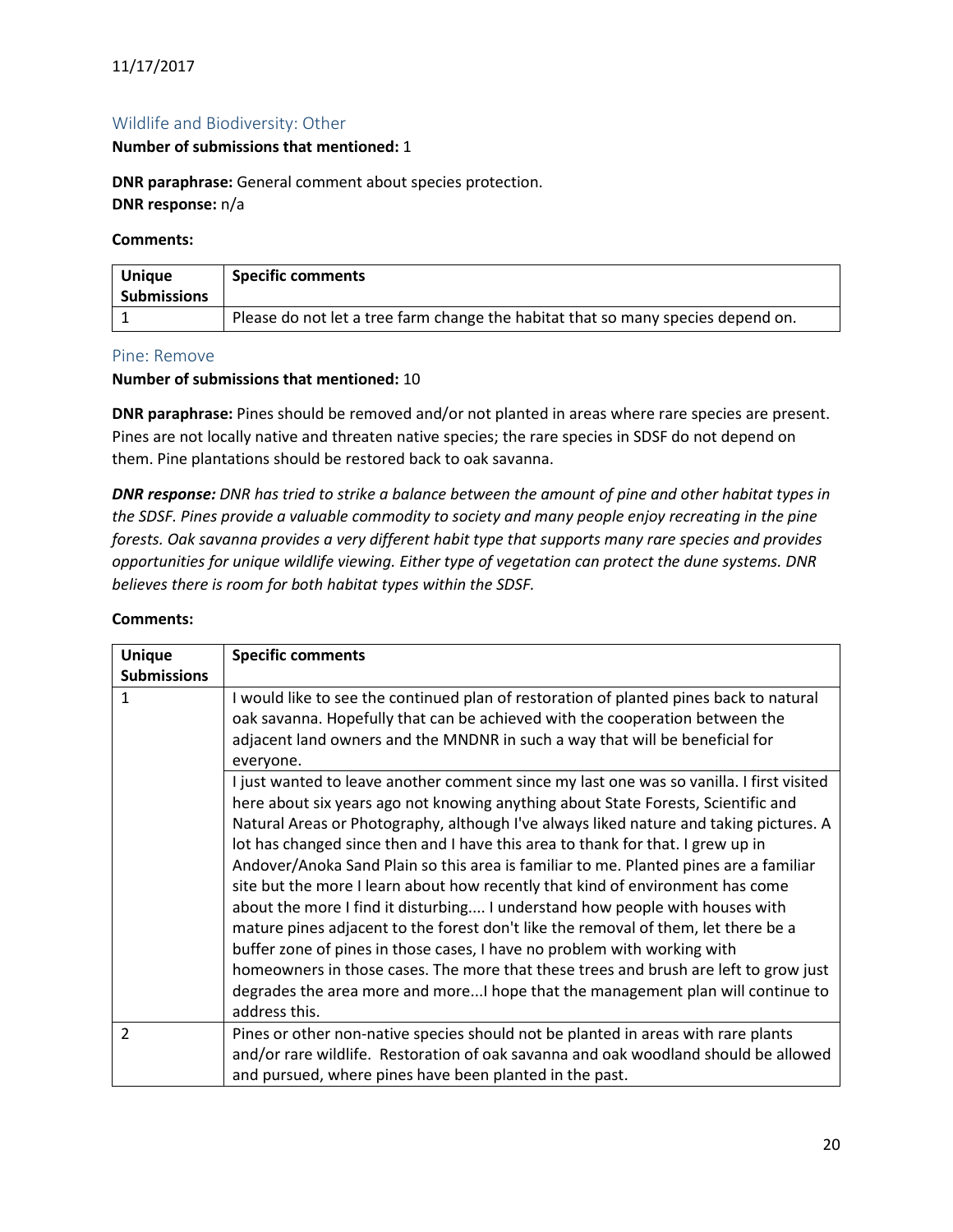## <span id="page-19-0"></span>Wildlife and Biodiversity: Other

#### **Number of submissions that mentioned:** 1

**DNR paraphrase:** General comment about species protection. **DNR response:** n/a

#### **Comments:**

| <b>Unique</b><br><b>Submissions</b> | <b>Specific comments</b>                                                         |
|-------------------------------------|----------------------------------------------------------------------------------|
|                                     | Please do not let a tree farm change the habitat that so many species depend on. |

#### <span id="page-19-1"></span>Pine: Remove

#### **Number of submissions that mentioned:** 10

**DNR paraphrase:** Pines should be removed and/or not planted in areas where rare species are present. Pines are not locally native and threaten native species; the rare species in SDSF do not depend on them. Pine plantations should be restored back to oak savanna.

*DNR response: DNR has tried to strike a balance between the amount of pine and other habitat types in the SDSF. Pines provide a valuable commodity to society and many people enjoy recreating in the pine forests. Oak savanna provides a very different habit type that supports many rare species and provides opportunities for unique wildlife viewing. Either type of vegetation can protect the dune systems. DNR believes there is room for both habitat types within the SDSF.*

| <b>Unique</b>      | <b>Specific comments</b>                                                                 |
|--------------------|------------------------------------------------------------------------------------------|
| <b>Submissions</b> |                                                                                          |
| 1                  | I would like to see the continued plan of restoration of planted pines back to natural   |
|                    | oak savanna. Hopefully that can be achieved with the cooperation between the             |
|                    | adjacent land owners and the MNDNR in such a way that will be beneficial for             |
|                    | everyone.                                                                                |
|                    | I just wanted to leave another comment since my last one was so vanilla. I first visited |
|                    | here about six years ago not knowing anything about State Forests, Scientific and        |
|                    | Natural Areas or Photography, although I've always liked nature and taking pictures. A   |
|                    | lot has changed since then and I have this area to thank for that. I grew up in          |
|                    | Andover/Anoka Sand Plain so this area is familiar to me. Planted pines are a familiar    |
|                    | site but the more I learn about how recently that kind of environment has come           |
|                    | about the more I find it disturbing I understand how people with houses with             |
|                    | mature pines adjacent to the forest don't like the removal of them, let there be a       |
|                    | buffer zone of pines in those cases, I have no problem with working with                 |
|                    | homeowners in those cases. The more that these trees and brush are left to grow just     |
|                    | degrades the area more and moreI hope that the management plan will continue to          |
|                    | address this.                                                                            |
| 2                  | Pines or other non-native species should not be planted in areas with rare plants        |
|                    | and/or rare wildlife. Restoration of oak savanna and oak woodland should be allowed      |
|                    | and pursued, where pines have been planted in the past.                                  |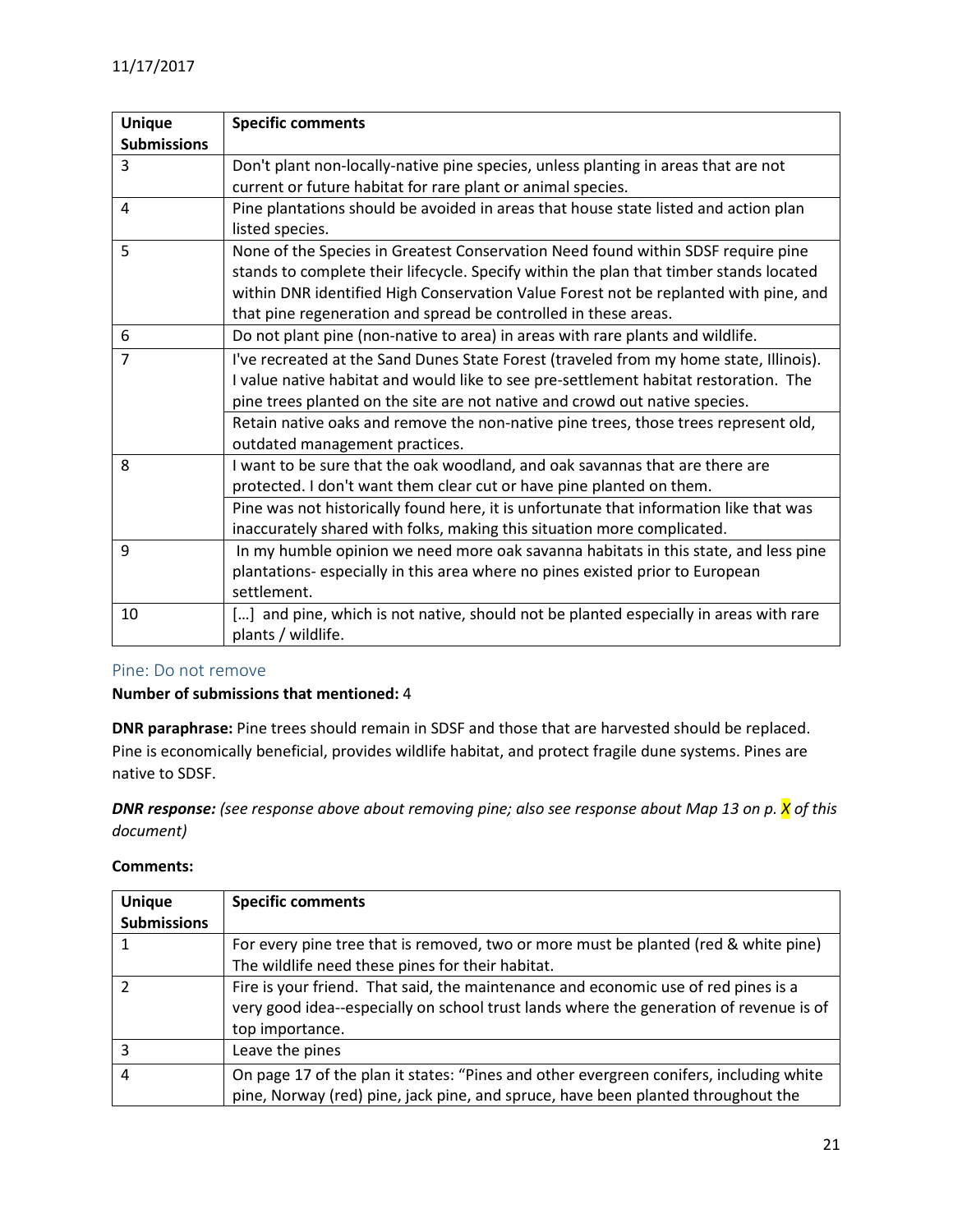| <b>Unique</b><br><b>Submissions</b> | <b>Specific comments</b>                                                                                                                                                                                                                                                                                                                             |
|-------------------------------------|------------------------------------------------------------------------------------------------------------------------------------------------------------------------------------------------------------------------------------------------------------------------------------------------------------------------------------------------------|
| 3                                   | Don't plant non-locally-native pine species, unless planting in areas that are not<br>current or future habitat for rare plant or animal species.                                                                                                                                                                                                    |
| $\overline{4}$                      | Pine plantations should be avoided in areas that house state listed and action plan<br>listed species.                                                                                                                                                                                                                                               |
| 5                                   | None of the Species in Greatest Conservation Need found within SDSF require pine<br>stands to complete their lifecycle. Specify within the plan that timber stands located<br>within DNR identified High Conservation Value Forest not be replanted with pine, and<br>that pine regeneration and spread be controlled in these areas.                |
| 6                                   | Do not plant pine (non-native to area) in areas with rare plants and wildlife.                                                                                                                                                                                                                                                                       |
| $\overline{7}$                      | I've recreated at the Sand Dunes State Forest (traveled from my home state, Illinois).<br>I value native habitat and would like to see pre-settlement habitat restoration. The<br>pine trees planted on the site are not native and crowd out native species.<br>Retain native oaks and remove the non-native pine trees, those trees represent old, |
|                                     | outdated management practices.                                                                                                                                                                                                                                                                                                                       |
| 8                                   | I want to be sure that the oak woodland, and oak savannas that are there are<br>protected. I don't want them clear cut or have pine planted on them.                                                                                                                                                                                                 |
|                                     | Pine was not historically found here, it is unfortunate that information like that was<br>inaccurately shared with folks, making this situation more complicated.                                                                                                                                                                                    |
| 9                                   | In my humble opinion we need more oak savanna habitats in this state, and less pine<br>plantations- especially in this area where no pines existed prior to European<br>settlement.                                                                                                                                                                  |
| 10                                  | [] and pine, which is not native, should not be planted especially in areas with rare<br>plants / wildlife.                                                                                                                                                                                                                                          |

## <span id="page-20-0"></span>Pine: Do not remove

## **Number of submissions that mentioned:** 4

**DNR paraphrase:** Pine trees should remain in SDSF and those that are harvested should be replaced. Pine is economically beneficial, provides wildlife habitat, and protect fragile dune systems. Pines are native to SDSF.

*DNR response: (see response above about removing pine; also see response about Map 13 on p. X of this document)*

| <b>Unique</b><br><b>Submissions</b> | <b>Specific comments</b>                                                                                                                                                                        |
|-------------------------------------|-------------------------------------------------------------------------------------------------------------------------------------------------------------------------------------------------|
|                                     | For every pine tree that is removed, two or more must be planted (red & white pine)                                                                                                             |
|                                     | The wildlife need these pines for their habitat.                                                                                                                                                |
|                                     | Fire is your friend. That said, the maintenance and economic use of red pines is a<br>very good idea--especially on school trust lands where the generation of revenue is of<br>top importance. |
|                                     | Leave the pines                                                                                                                                                                                 |
| 4                                   | On page 17 of the plan it states: "Pines and other evergreen conifers, including white<br>pine, Norway (red) pine, jack pine, and spruce, have been planted throughout the                      |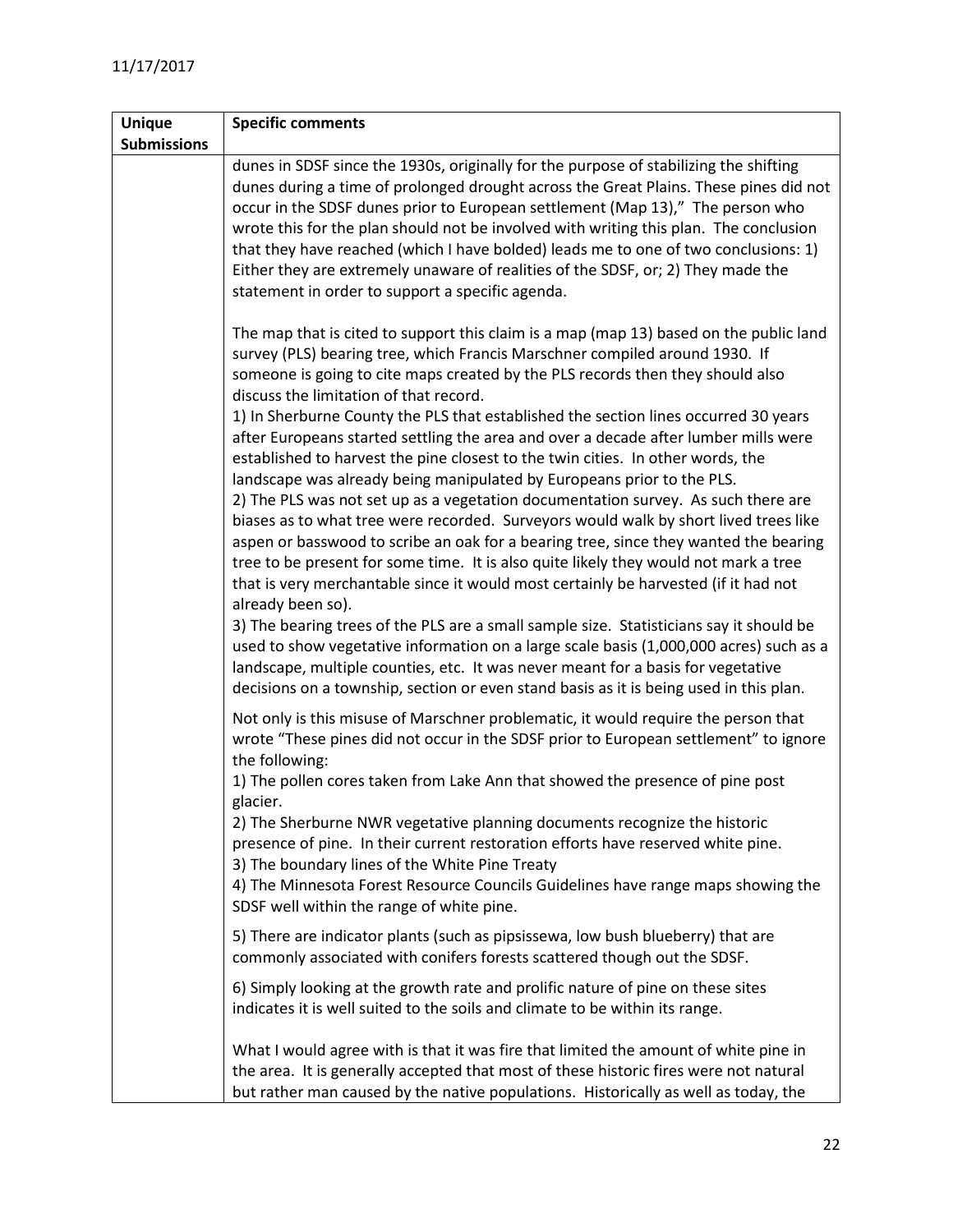| <b>Unique</b>      | <b>Specific comments</b>                                                                                                                                                                                                                                                                                                                                                                                                                                                                                                                                                                                                                                                                                                                                                                                                                                                                                          |
|--------------------|-------------------------------------------------------------------------------------------------------------------------------------------------------------------------------------------------------------------------------------------------------------------------------------------------------------------------------------------------------------------------------------------------------------------------------------------------------------------------------------------------------------------------------------------------------------------------------------------------------------------------------------------------------------------------------------------------------------------------------------------------------------------------------------------------------------------------------------------------------------------------------------------------------------------|
| <b>Submissions</b> |                                                                                                                                                                                                                                                                                                                                                                                                                                                                                                                                                                                                                                                                                                                                                                                                                                                                                                                   |
|                    | dunes in SDSF since the 1930s, originally for the purpose of stabilizing the shifting<br>dunes during a time of prolonged drought across the Great Plains. These pines did not<br>occur in the SDSF dunes prior to European settlement (Map 13)," The person who<br>wrote this for the plan should not be involved with writing this plan. The conclusion<br>that they have reached (which I have bolded) leads me to one of two conclusions: 1)<br>Either they are extremely unaware of realities of the SDSF, or; 2) They made the<br>statement in order to support a specific agenda.                                                                                                                                                                                                                                                                                                                          |
|                    | The map that is cited to support this claim is a map (map 13) based on the public land<br>survey (PLS) bearing tree, which Francis Marschner compiled around 1930. If<br>someone is going to cite maps created by the PLS records then they should also<br>discuss the limitation of that record.<br>1) In Sherburne County the PLS that established the section lines occurred 30 years<br>after Europeans started settling the area and over a decade after lumber mills were<br>established to harvest the pine closest to the twin cities. In other words, the<br>landscape was already being manipulated by Europeans prior to the PLS.<br>2) The PLS was not set up as a vegetation documentation survey. As such there are<br>biases as to what tree were recorded. Surveyors would walk by short lived trees like<br>aspen or basswood to scribe an oak for a bearing tree, since they wanted the bearing |
|                    | tree to be present for some time. It is also quite likely they would not mark a tree<br>that is very merchantable since it would most certainly be harvested (if it had not<br>already been so).<br>3) The bearing trees of the PLS are a small sample size. Statisticians say it should be<br>used to show vegetative information on a large scale basis (1,000,000 acres) such as a<br>landscape, multiple counties, etc. It was never meant for a basis for vegetative<br>decisions on a township, section or even stand basis as it is being used in this plan.                                                                                                                                                                                                                                                                                                                                               |
|                    | Not only is this misuse of Marschner problematic, it would require the person that<br>wrote "These pines did not occur in the SDSF prior to European settlement" to ignore<br>the following:<br>1) The pollen cores taken from Lake Ann that showed the presence of pine post<br>glacier.<br>2) The Sherburne NWR vegetative planning documents recognize the historic<br>presence of pine. In their current restoration efforts have reserved white pine.<br>3) The boundary lines of the White Pine Treaty<br>4) The Minnesota Forest Resource Councils Guidelines have range maps showing the<br>SDSF well within the range of white pine.                                                                                                                                                                                                                                                                     |
|                    | 5) There are indicator plants (such as pipsissewa, low bush blueberry) that are<br>commonly associated with conifers forests scattered though out the SDSF.                                                                                                                                                                                                                                                                                                                                                                                                                                                                                                                                                                                                                                                                                                                                                       |
|                    | 6) Simply looking at the growth rate and prolific nature of pine on these sites<br>indicates it is well suited to the soils and climate to be within its range.                                                                                                                                                                                                                                                                                                                                                                                                                                                                                                                                                                                                                                                                                                                                                   |
|                    | What I would agree with is that it was fire that limited the amount of white pine in<br>the area. It is generally accepted that most of these historic fires were not natural<br>but rather man caused by the native populations. Historically as well as today, the                                                                                                                                                                                                                                                                                                                                                                                                                                                                                                                                                                                                                                              |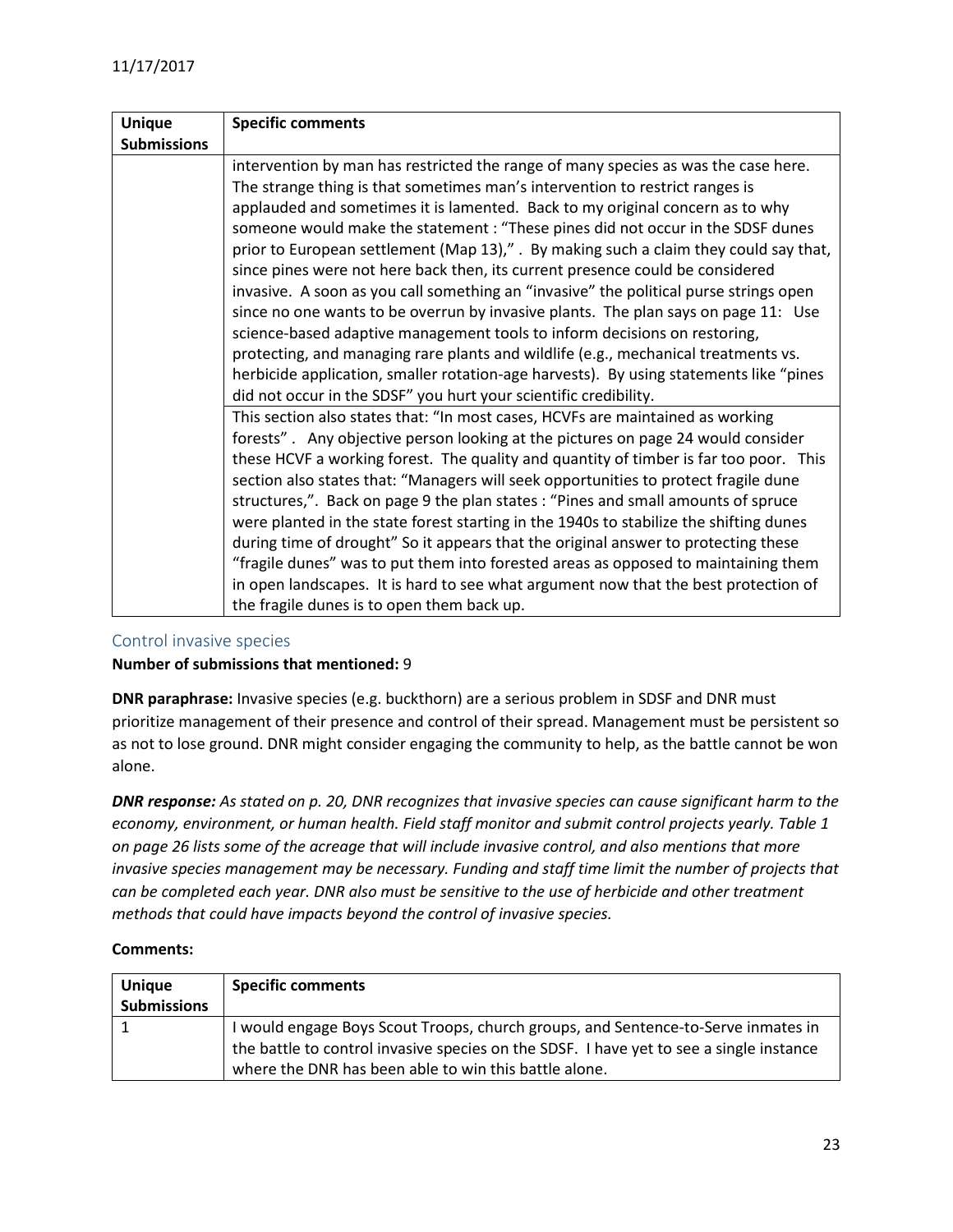| <b>Unique</b>      | <b>Specific comments</b>                                                               |
|--------------------|----------------------------------------------------------------------------------------|
| <b>Submissions</b> |                                                                                        |
|                    | intervention by man has restricted the range of many species as was the case here.     |
|                    | The strange thing is that sometimes man's intervention to restrict ranges is           |
|                    | applauded and sometimes it is lamented. Back to my original concern as to why          |
|                    | someone would make the statement : "These pines did not occur in the SDSF dunes        |
|                    | prior to European settlement (Map 13)," . By making such a claim they could say that,  |
|                    | since pines were not here back then, its current presence could be considered          |
|                    | invasive. A soon as you call something an "invasive" the political purse strings open  |
|                    | since no one wants to be overrun by invasive plants. The plan says on page 11: Use     |
|                    | science-based adaptive management tools to inform decisions on restoring,              |
|                    | protecting, and managing rare plants and wildlife (e.g., mechanical treatments vs.     |
|                    | herbicide application, smaller rotation-age harvests). By using statements like "pines |
|                    | did not occur in the SDSF" you hurt your scientific credibility.                       |
|                    | This section also states that: "In most cases, HCVFs are maintained as working         |
|                    | forests". Any objective person looking at the pictures on page 24 would consider       |
|                    | these HCVF a working forest. The quality and quantity of timber is far too poor. This  |
|                    | section also states that: "Managers will seek opportunities to protect fragile dune    |
|                    | structures,". Back on page 9 the plan states : "Pines and small amounts of spruce      |
|                    | were planted in the state forest starting in the 1940s to stabilize the shifting dunes |
|                    | during time of drought" So it appears that the original answer to protecting these     |
|                    | "fragile dunes" was to put them into forested areas as opposed to maintaining them     |
|                    | in open landscapes. It is hard to see what argument now that the best protection of    |
|                    | the fragile dunes is to open them back up.                                             |

#### <span id="page-22-0"></span>Control invasive species

#### **Number of submissions that mentioned:** 9

**DNR paraphrase:** Invasive species (e.g. buckthorn) are a serious problem in SDSF and DNR must prioritize management of their presence and control of their spread. Management must be persistent so as not to lose ground. DNR might consider engaging the community to help, as the battle cannot be won alone.

*DNR response: As stated on p. 20, DNR recognizes that invasive species can cause significant harm to the economy, environment, or human health. Field staff monitor and submit control projects yearly. Table 1 on page 26 lists some of the acreage that will include invasive control, and also mentions that more invasive species management may be necessary. Funding and staff time limit the number of projects that can be completed each year. DNR also must be sensitive to the use of herbicide and other treatment methods that could have impacts beyond the control of invasive species.*

| <b>Unique</b>      | <b>Specific comments</b>                                                                                                                                                                                                              |
|--------------------|---------------------------------------------------------------------------------------------------------------------------------------------------------------------------------------------------------------------------------------|
| <b>Submissions</b> |                                                                                                                                                                                                                                       |
|                    | I would engage Boys Scout Troops, church groups, and Sentence-to-Serve inmates in<br>the battle to control invasive species on the SDSF. I have yet to see a single instance<br>where the DNR has been able to win this battle alone. |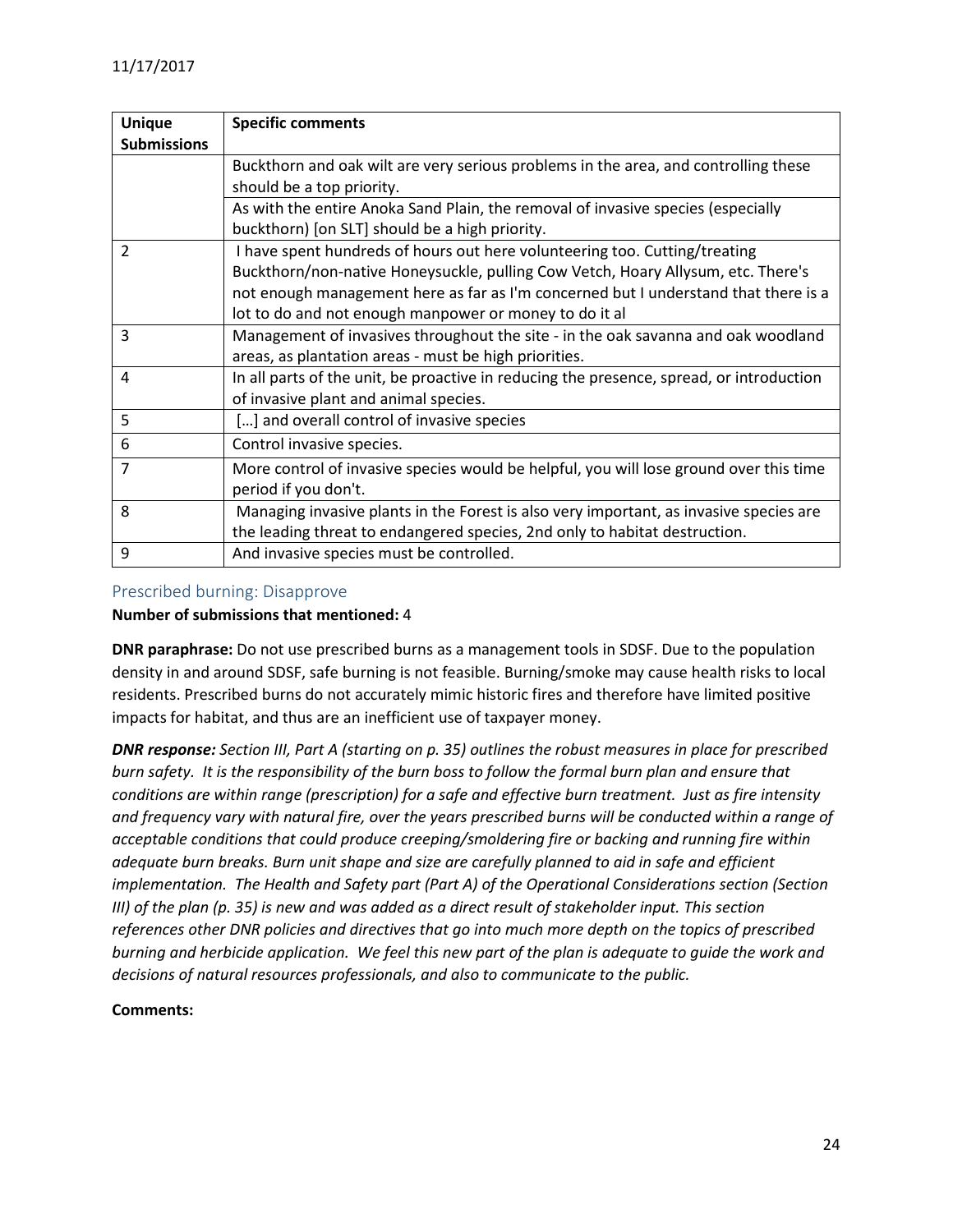| <b>Unique</b>      | <b>Specific comments</b>                                                                 |
|--------------------|------------------------------------------------------------------------------------------|
| <b>Submissions</b> |                                                                                          |
|                    | Buckthorn and oak wilt are very serious problems in the area, and controlling these      |
|                    | should be a top priority.                                                                |
|                    | As with the entire Anoka Sand Plain, the removal of invasive species (especially         |
|                    | buckthorn) [on SLT] should be a high priority.                                           |
| $\overline{2}$     | I have spent hundreds of hours out here volunteering too. Cutting/treating               |
|                    | Buckthorn/non-native Honeysuckle, pulling Cow Vetch, Hoary Allysum, etc. There's         |
|                    | not enough management here as far as I'm concerned but I understand that there is a      |
|                    | lot to do and not enough manpower or money to do it al                                   |
| 3                  | Management of invasives throughout the site - in the oak savanna and oak woodland        |
|                    | areas, as plantation areas - must be high priorities.                                    |
| 4                  | In all parts of the unit, be proactive in reducing the presence, spread, or introduction |
|                    | of invasive plant and animal species.                                                    |
| 5                  | [] and overall control of invasive species                                               |
| 6                  | Control invasive species.                                                                |
| $\overline{7}$     | More control of invasive species would be helpful, you will lose ground over this time   |
|                    | period if you don't.                                                                     |
| 8                  | Managing invasive plants in the Forest is also very important, as invasive species are   |
|                    | the leading threat to endangered species, 2nd only to habitat destruction.               |
| 9                  | And invasive species must be controlled.                                                 |

#### <span id="page-23-0"></span>Prescribed burning: Disapprove

#### **Number of submissions that mentioned:** 4

**DNR paraphrase:** Do not use prescribed burns as a management tools in SDSF. Due to the population density in and around SDSF, safe burning is not feasible. Burning/smoke may cause health risks to local residents. Prescribed burns do not accurately mimic historic fires and therefore have limited positive impacts for habitat, and thus are an inefficient use of taxpayer money.

*DNR response: Section III, Part A (starting on p. 35) outlines the robust measures in place for prescribed burn safety. It is the responsibility of the burn boss to follow the formal burn plan and ensure that conditions are within range (prescription) for a safe and effective burn treatment. Just as fire intensity and frequency vary with natural fire, over the years prescribed burns will be conducted within a range of acceptable conditions that could produce creeping/smoldering fire or backing and running fire within adequate burn breaks. Burn unit shape and size are carefully planned to aid in safe and efficient implementation. The Health and Safety part (Part A) of the Operational Considerations section (Section III) of the plan (p. 35) is new and was added as a direct result of stakeholder input. This section references other DNR policies and directives that go into much more depth on the topics of prescribed burning and herbicide application. We feel this new part of the plan is adequate to guide the work and decisions of natural resources professionals, and also to communicate to the public.*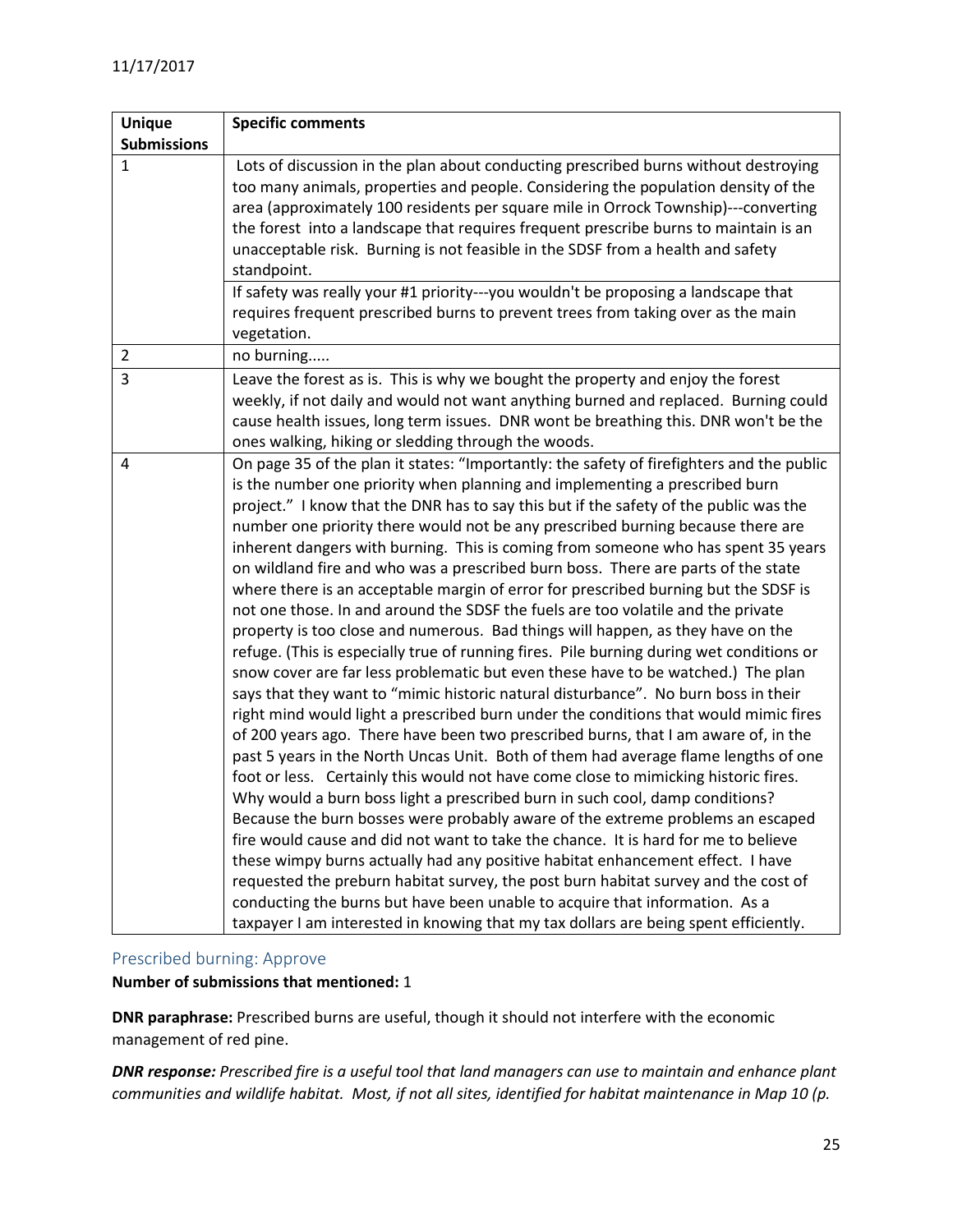| <b>Unique</b>      | <b>Specific comments</b>                                                                                                                                                                                                                                                                                                                                                                                                                                                                                                                                                                                                                                                                                                                                                                                                                                                                                                                                                                                                                                                                                                                                                                                                                                                                                                                                                                                                                                                                                                                                                                                                                                                                                                                                                                                                                                                                                                                                                                                                              |
|--------------------|---------------------------------------------------------------------------------------------------------------------------------------------------------------------------------------------------------------------------------------------------------------------------------------------------------------------------------------------------------------------------------------------------------------------------------------------------------------------------------------------------------------------------------------------------------------------------------------------------------------------------------------------------------------------------------------------------------------------------------------------------------------------------------------------------------------------------------------------------------------------------------------------------------------------------------------------------------------------------------------------------------------------------------------------------------------------------------------------------------------------------------------------------------------------------------------------------------------------------------------------------------------------------------------------------------------------------------------------------------------------------------------------------------------------------------------------------------------------------------------------------------------------------------------------------------------------------------------------------------------------------------------------------------------------------------------------------------------------------------------------------------------------------------------------------------------------------------------------------------------------------------------------------------------------------------------------------------------------------------------------------------------------------------------|
| <b>Submissions</b> |                                                                                                                                                                                                                                                                                                                                                                                                                                                                                                                                                                                                                                                                                                                                                                                                                                                                                                                                                                                                                                                                                                                                                                                                                                                                                                                                                                                                                                                                                                                                                                                                                                                                                                                                                                                                                                                                                                                                                                                                                                       |
| 1                  | Lots of discussion in the plan about conducting prescribed burns without destroying<br>too many animals, properties and people. Considering the population density of the<br>area (approximately 100 residents per square mile in Orrock Township)---converting<br>the forest into a landscape that requires frequent prescribe burns to maintain is an<br>unacceptable risk. Burning is not feasible in the SDSF from a health and safety<br>standpoint.                                                                                                                                                                                                                                                                                                                                                                                                                                                                                                                                                                                                                                                                                                                                                                                                                                                                                                                                                                                                                                                                                                                                                                                                                                                                                                                                                                                                                                                                                                                                                                             |
|                    | If safety was really your #1 priority---you wouldn't be proposing a landscape that<br>requires frequent prescribed burns to prevent trees from taking over as the main<br>vegetation.                                                                                                                                                                                                                                                                                                                                                                                                                                                                                                                                                                                                                                                                                                                                                                                                                                                                                                                                                                                                                                                                                                                                                                                                                                                                                                                                                                                                                                                                                                                                                                                                                                                                                                                                                                                                                                                 |
| $\overline{2}$     | no burning                                                                                                                                                                                                                                                                                                                                                                                                                                                                                                                                                                                                                                                                                                                                                                                                                                                                                                                                                                                                                                                                                                                                                                                                                                                                                                                                                                                                                                                                                                                                                                                                                                                                                                                                                                                                                                                                                                                                                                                                                            |
| 3                  | Leave the forest as is. This is why we bought the property and enjoy the forest<br>weekly, if not daily and would not want anything burned and replaced. Burning could<br>cause health issues, long term issues. DNR wont be breathing this. DNR won't be the<br>ones walking, hiking or sledding through the woods.                                                                                                                                                                                                                                                                                                                                                                                                                                                                                                                                                                                                                                                                                                                                                                                                                                                                                                                                                                                                                                                                                                                                                                                                                                                                                                                                                                                                                                                                                                                                                                                                                                                                                                                  |
| 4                  | On page 35 of the plan it states: "Importantly: the safety of firefighters and the public<br>is the number one priority when planning and implementing a prescribed burn<br>project." I know that the DNR has to say this but if the safety of the public was the<br>number one priority there would not be any prescribed burning because there are<br>inherent dangers with burning. This is coming from someone who has spent 35 years<br>on wildland fire and who was a prescribed burn boss. There are parts of the state<br>where there is an acceptable margin of error for prescribed burning but the SDSF is<br>not one those. In and around the SDSF the fuels are too volatile and the private<br>property is too close and numerous. Bad things will happen, as they have on the<br>refuge. (This is especially true of running fires. Pile burning during wet conditions or<br>snow cover are far less problematic but even these have to be watched.) The plan<br>says that they want to "mimic historic natural disturbance". No burn boss in their<br>right mind would light a prescribed burn under the conditions that would mimic fires<br>of 200 years ago. There have been two prescribed burns, that I am aware of, in the<br>past 5 years in the North Uncas Unit. Both of them had average flame lengths of one<br>foot or less. Certainly this would not have come close to mimicking historic fires.<br>Why would a burn boss light a prescribed burn in such cool, damp conditions?<br>Because the burn bosses were probably aware of the extreme problems an escaped<br>fire would cause and did not want to take the chance. It is hard for me to believe<br>these wimpy burns actually had any positive habitat enhancement effect. I have<br>requested the preburn habitat survey, the post burn habitat survey and the cost of<br>conducting the burns but have been unable to acquire that information. As a<br>taxpayer I am interested in knowing that my tax dollars are being spent efficiently. |

## <span id="page-24-0"></span>Prescribed burning: Approve

#### **Number of submissions that mentioned:** 1

**DNR paraphrase:** Prescribed burns are useful, though it should not interfere with the economic management of red pine.

*DNR response: Prescribed fire is a useful tool that land managers can use to maintain and enhance plant communities and wildlife habitat. Most, if not all sites, identified for habitat maintenance in Map 10 (p.*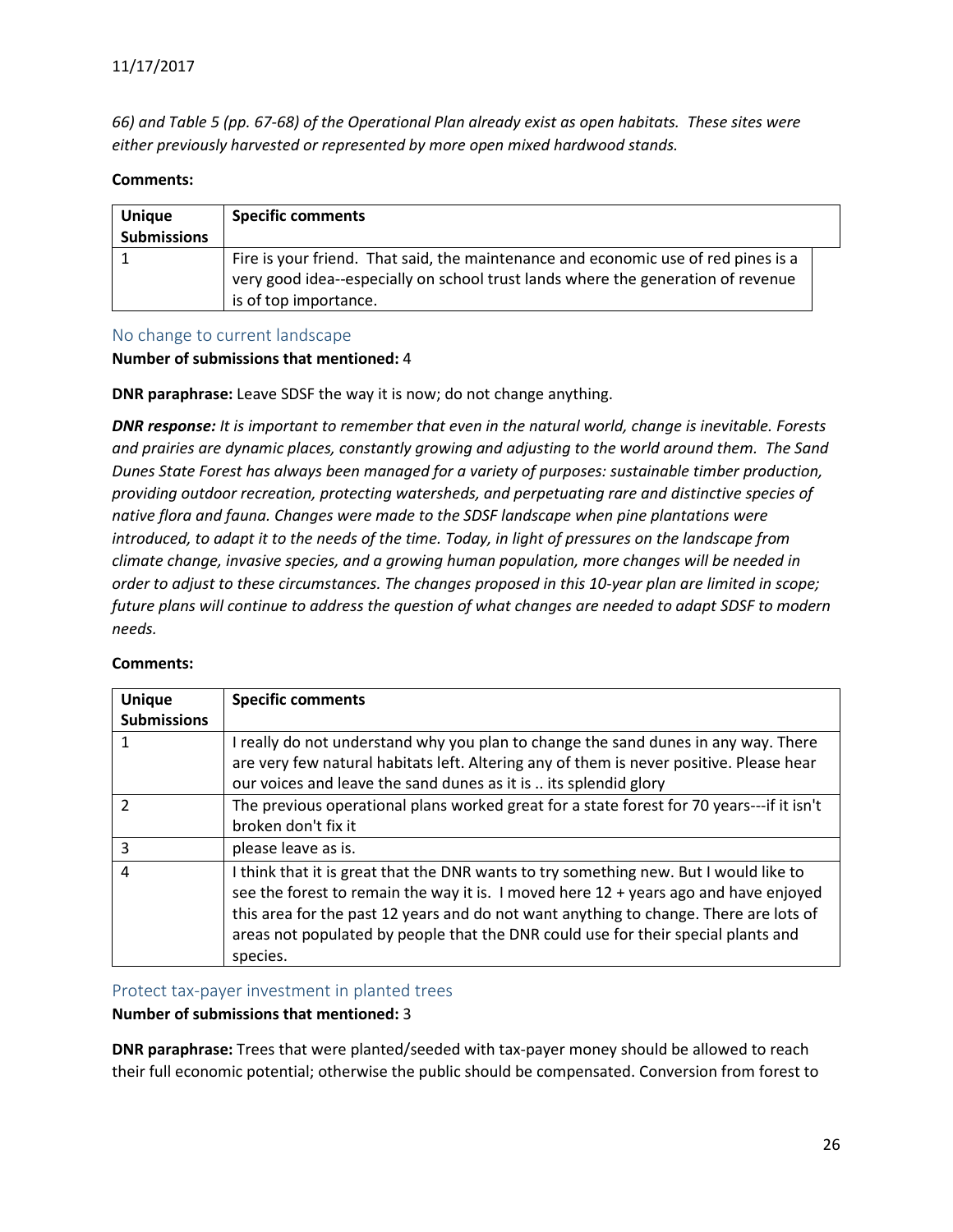*66) and Table 5 (pp. 67-68) of the Operational Plan already exist as open habitats. These sites were either previously harvested or represented by more open mixed hardwood stands.*

#### **Comments:**

| <b>Unique</b><br><b>Submissions</b> | <b>Specific comments</b>                                                                                                                                                                        |  |
|-------------------------------------|-------------------------------------------------------------------------------------------------------------------------------------------------------------------------------------------------|--|
|                                     | Fire is your friend. That said, the maintenance and economic use of red pines is a<br>very good idea--especially on school trust lands where the generation of revenue<br>is of top importance. |  |

#### <span id="page-25-0"></span>No change to current landscape

#### **Number of submissions that mentioned:** 4

**DNR paraphrase:** Leave SDSF the way it is now; do not change anything.

*DNR response: It is important to remember that even in the natural world, change is inevitable. Forests and prairies are dynamic places, constantly growing and adjusting to the world around them. The Sand Dunes State Forest has always been managed for a variety of purposes: sustainable timber production, providing outdoor recreation, protecting watersheds, and perpetuating rare and distinctive species of native flora and fauna. Changes were made to the SDSF landscape when pine plantations were introduced, to adapt it to the needs of the time. Today, in light of pressures on the landscape from climate change, invasive species, and a growing human population, more changes will be needed in order to adjust to these circumstances. The changes proposed in this 10-year plan are limited in scope; future plans will continue to address the question of what changes are needed to adapt SDSF to modern needs.*

| <b>Unique</b><br><b>Submissions</b> | <b>Specific comments</b>                                                                                                                                                                                                                                                                                                                                                         |
|-------------------------------------|----------------------------------------------------------------------------------------------------------------------------------------------------------------------------------------------------------------------------------------------------------------------------------------------------------------------------------------------------------------------------------|
|                                     | I really do not understand why you plan to change the sand dunes in any way. There<br>are very few natural habitats left. Altering any of them is never positive. Please hear<br>our voices and leave the sand dunes as it is  its splendid glory                                                                                                                                |
| $\mathcal{P}$                       | The previous operational plans worked great for a state forest for 70 years---if it isn't<br>broken don't fix it                                                                                                                                                                                                                                                                 |
| 3                                   | please leave as is.                                                                                                                                                                                                                                                                                                                                                              |
| 4                                   | I think that it is great that the DNR wants to try something new. But I would like to<br>see the forest to remain the way it is. I moved here $12 + \gamma$ years ago and have enjoyed<br>this area for the past 12 years and do not want anything to change. There are lots of<br>areas not populated by people that the DNR could use for their special plants and<br>species. |

#### **Comments:**

<span id="page-25-1"></span>Protect tax-payer investment in planted trees

#### **Number of submissions that mentioned:** 3

**DNR paraphrase:** Trees that were planted/seeded with tax-payer money should be allowed to reach their full economic potential; otherwise the public should be compensated. Conversion from forest to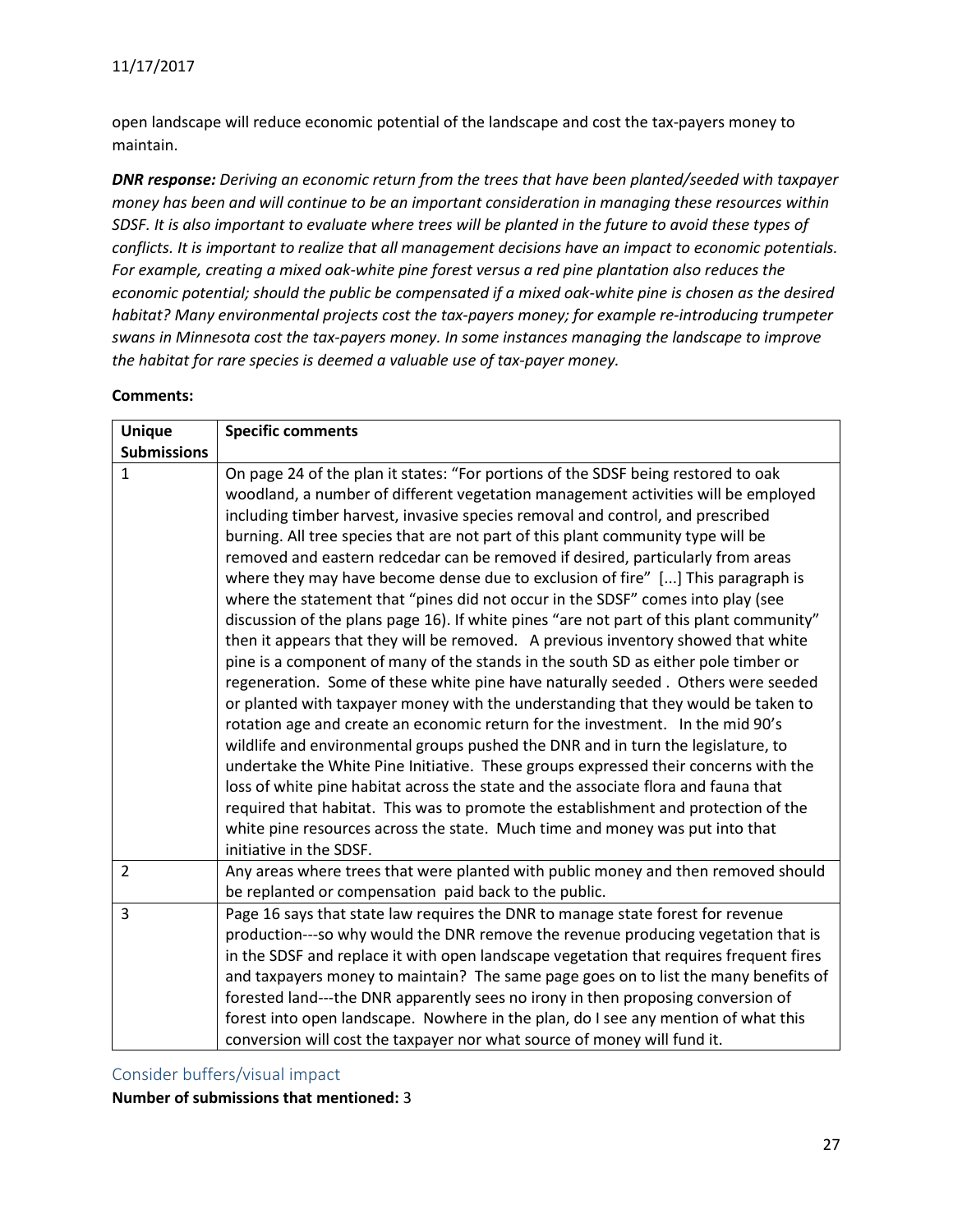open landscape will reduce economic potential of the landscape and cost the tax-payers money to maintain.

*DNR response: Deriving an economic return from the trees that have been planted/seeded with taxpayer money has been and will continue to be an important consideration in managing these resources within SDSF. It is also important to evaluate where trees will be planted in the future to avoid these types of conflicts. It is important to realize that all management decisions have an impact to economic potentials. For example, creating a mixed oak-white pine forest versus a red pine plantation also reduces the economic potential; should the public be compensated if a mixed oak-white pine is chosen as the desired habitat? Many environmental projects cost the tax-payers money; for example re-introducing trumpeter swans in Minnesota cost the tax-payers money. In some instances managing the landscape to improve the habitat for rare species is deemed a valuable use of tax-payer money.*

#### **Comments:**

| <b>Unique</b>      | <b>Specific comments</b>                                                                                                                                                                                                                                                                                                                                                                                                                                                                                                                                                                                                                                                                                                                                                                                                                                                                                                                                                                                                                                                                                                                                                                                                                                                                                                                                                                                                                                                                                                                                                                                 |
|--------------------|----------------------------------------------------------------------------------------------------------------------------------------------------------------------------------------------------------------------------------------------------------------------------------------------------------------------------------------------------------------------------------------------------------------------------------------------------------------------------------------------------------------------------------------------------------------------------------------------------------------------------------------------------------------------------------------------------------------------------------------------------------------------------------------------------------------------------------------------------------------------------------------------------------------------------------------------------------------------------------------------------------------------------------------------------------------------------------------------------------------------------------------------------------------------------------------------------------------------------------------------------------------------------------------------------------------------------------------------------------------------------------------------------------------------------------------------------------------------------------------------------------------------------------------------------------------------------------------------------------|
| <b>Submissions</b> |                                                                                                                                                                                                                                                                                                                                                                                                                                                                                                                                                                                                                                                                                                                                                                                                                                                                                                                                                                                                                                                                                                                                                                                                                                                                                                                                                                                                                                                                                                                                                                                                          |
| $\mathbf{1}$       | On page 24 of the plan it states: "For portions of the SDSF being restored to oak<br>woodland, a number of different vegetation management activities will be employed<br>including timber harvest, invasive species removal and control, and prescribed<br>burning. All tree species that are not part of this plant community type will be<br>removed and eastern redcedar can be removed if desired, particularly from areas<br>where they may have become dense due to exclusion of fire" [] This paragraph is<br>where the statement that "pines did not occur in the SDSF" comes into play (see<br>discussion of the plans page 16). If white pines "are not part of this plant community"<br>then it appears that they will be removed. A previous inventory showed that white<br>pine is a component of many of the stands in the south SD as either pole timber or<br>regeneration. Some of these white pine have naturally seeded. Others were seeded<br>or planted with taxpayer money with the understanding that they would be taken to<br>rotation age and create an economic return for the investment. In the mid 90's<br>wildlife and environmental groups pushed the DNR and in turn the legislature, to<br>undertake the White Pine Initiative. These groups expressed their concerns with the<br>loss of white pine habitat across the state and the associate flora and fauna that<br>required that habitat. This was to promote the establishment and protection of the<br>white pine resources across the state. Much time and money was put into that<br>initiative in the SDSF. |
| $\overline{2}$     | Any areas where trees that were planted with public money and then removed should<br>be replanted or compensation paid back to the public.                                                                                                                                                                                                                                                                                                                                                                                                                                                                                                                                                                                                                                                                                                                                                                                                                                                                                                                                                                                                                                                                                                                                                                                                                                                                                                                                                                                                                                                               |
| 3                  | Page 16 says that state law requires the DNR to manage state forest for revenue<br>production---so why would the DNR remove the revenue producing vegetation that is<br>in the SDSF and replace it with open landscape vegetation that requires frequent fires<br>and taxpayers money to maintain? The same page goes on to list the many benefits of<br>forested land---the DNR apparently sees no irony in then proposing conversion of<br>forest into open landscape. Nowhere in the plan, do I see any mention of what this<br>conversion will cost the taxpayer nor what source of money will fund it.                                                                                                                                                                                                                                                                                                                                                                                                                                                                                                                                                                                                                                                                                                                                                                                                                                                                                                                                                                                              |

<span id="page-26-0"></span>Consider buffers/visual impact

**Number of submissions that mentioned:** 3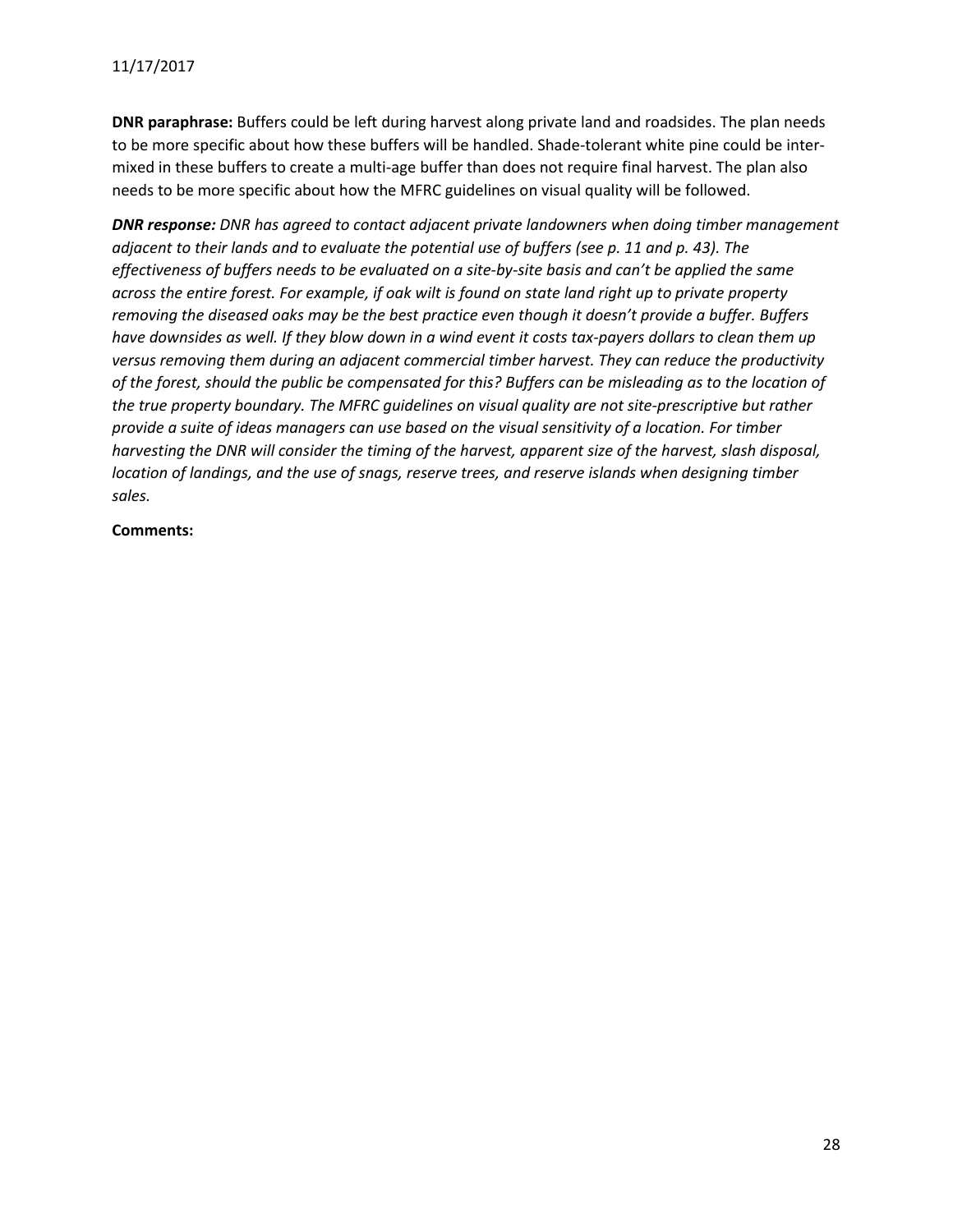**DNR paraphrase:** Buffers could be left during harvest along private land and roadsides. The plan needs to be more specific about how these buffers will be handled. Shade-tolerant white pine could be intermixed in these buffers to create a multi-age buffer than does not require final harvest. The plan also needs to be more specific about how the MFRC guidelines on visual quality will be followed.

*DNR response: DNR has agreed to contact adjacent private landowners when doing timber management adjacent to their lands and to evaluate the potential use of buffers (see p. 11 and p. 43). The effectiveness of buffers needs to be evaluated on a site-by-site basis and can't be applied the same across the entire forest. For example, if oak wilt is found on state land right up to private property removing the diseased oaks may be the best practice even though it doesn't provide a buffer. Buffers have downsides as well. If they blow down in a wind event it costs tax-payers dollars to clean them up versus removing them during an adjacent commercial timber harvest. They can reduce the productivity of the forest, should the public be compensated for this? Buffers can be misleading as to the location of the true property boundary. The MFRC guidelines on visual quality are not site-prescriptive but rather provide a suite of ideas managers can use based on the visual sensitivity of a location. For timber harvesting the DNR will consider the timing of the harvest, apparent size of the harvest, slash disposal, location of landings, and the use of snags, reserve trees, and reserve islands when designing timber sales.*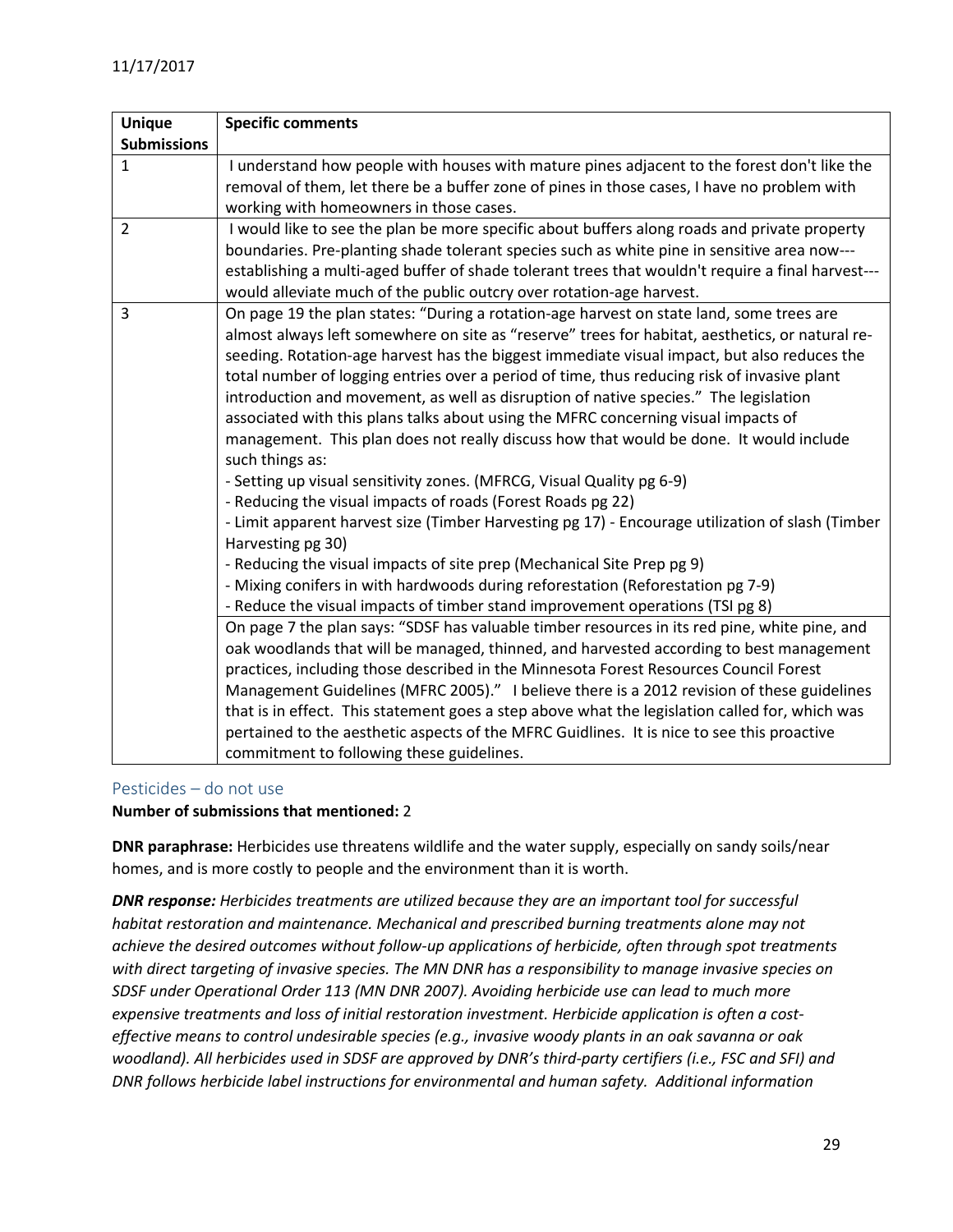| <b>Unique</b>      | <b>Specific comments</b>                                                                          |
|--------------------|---------------------------------------------------------------------------------------------------|
| <b>Submissions</b> |                                                                                                   |
| $\mathbf{1}$       | I understand how people with houses with mature pines adjacent to the forest don't like the       |
|                    | removal of them, let there be a buffer zone of pines in those cases, I have no problem with       |
|                    | working with homeowners in those cases.                                                           |
| $\overline{2}$     | I would like to see the plan be more specific about buffers along roads and private property      |
|                    | boundaries. Pre-planting shade tolerant species such as white pine in sensitive area now---       |
|                    | establishing a multi-aged buffer of shade tolerant trees that wouldn't require a final harvest--- |
|                    | would alleviate much of the public outcry over rotation-age harvest.                              |
| 3                  | On page 19 the plan states: "During a rotation-age harvest on state land, some trees are          |
|                    | almost always left somewhere on site as "reserve" trees for habitat, aesthetics, or natural re-   |
|                    | seeding. Rotation-age harvest has the biggest immediate visual impact, but also reduces the       |
|                    | total number of logging entries over a period of time, thus reducing risk of invasive plant       |
|                    | introduction and movement, as well as disruption of native species." The legislation              |
|                    | associated with this plans talks about using the MFRC concerning visual impacts of                |
|                    | management. This plan does not really discuss how that would be done. It would include            |
|                    | such things as:                                                                                   |
|                    | - Setting up visual sensitivity zones. (MFRCG, Visual Quality pg 6-9)                             |
|                    | - Reducing the visual impacts of roads (Forest Roads pg 22)                                       |
|                    | - Limit apparent harvest size (Timber Harvesting pg 17) - Encourage utilization of slash (Timber  |
|                    | Harvesting pg 30)                                                                                 |
|                    | - Reducing the visual impacts of site prep (Mechanical Site Prep pg 9)                            |
|                    | - Mixing conifers in with hardwoods during reforestation (Reforestation pg 7-9)                   |
|                    | - Reduce the visual impacts of timber stand improvement operations (TSI pg 8)                     |
|                    | On page 7 the plan says: "SDSF has valuable timber resources in its red pine, white pine, and     |
|                    | oak woodlands that will be managed, thinned, and harvested according to best management           |
|                    | practices, including those described in the Minnesota Forest Resources Council Forest             |
|                    | Management Guidelines (MFRC 2005)." I believe there is a 2012 revision of these guidelines        |
|                    | that is in effect. This statement goes a step above what the legislation called for, which was    |
|                    | pertained to the aesthetic aspects of the MFRC Guidlines. It is nice to see this proactive        |
|                    | commitment to following these guidelines.                                                         |

## <span id="page-28-0"></span>Pesticides – do not use

#### **Number of submissions that mentioned:** 2

**DNR paraphrase:** Herbicides use threatens wildlife and the water supply, especially on sandy soils/near homes, and is more costly to people and the environment than it is worth.

*DNR response: Herbicides treatments are utilized because they are an important tool for successful habitat restoration and maintenance. Mechanical and prescribed burning treatments alone may not achieve the desired outcomes without follow-up applications of herbicide, often through spot treatments with direct targeting of invasive species. The MN DNR has a responsibility to manage invasive species on SDSF under Operational Order 113 (MN DNR 2007). Avoiding herbicide use can lead to much more expensive treatments and loss of initial restoration investment. Herbicide application is often a costeffective means to control undesirable species (e.g., invasive woody plants in an oak savanna or oak woodland). All herbicides used in SDSF are approved by DNR's third-party certifiers (i.e., FSC and SFI) and DNR follows herbicide label instructions for environmental and human safety. Additional information*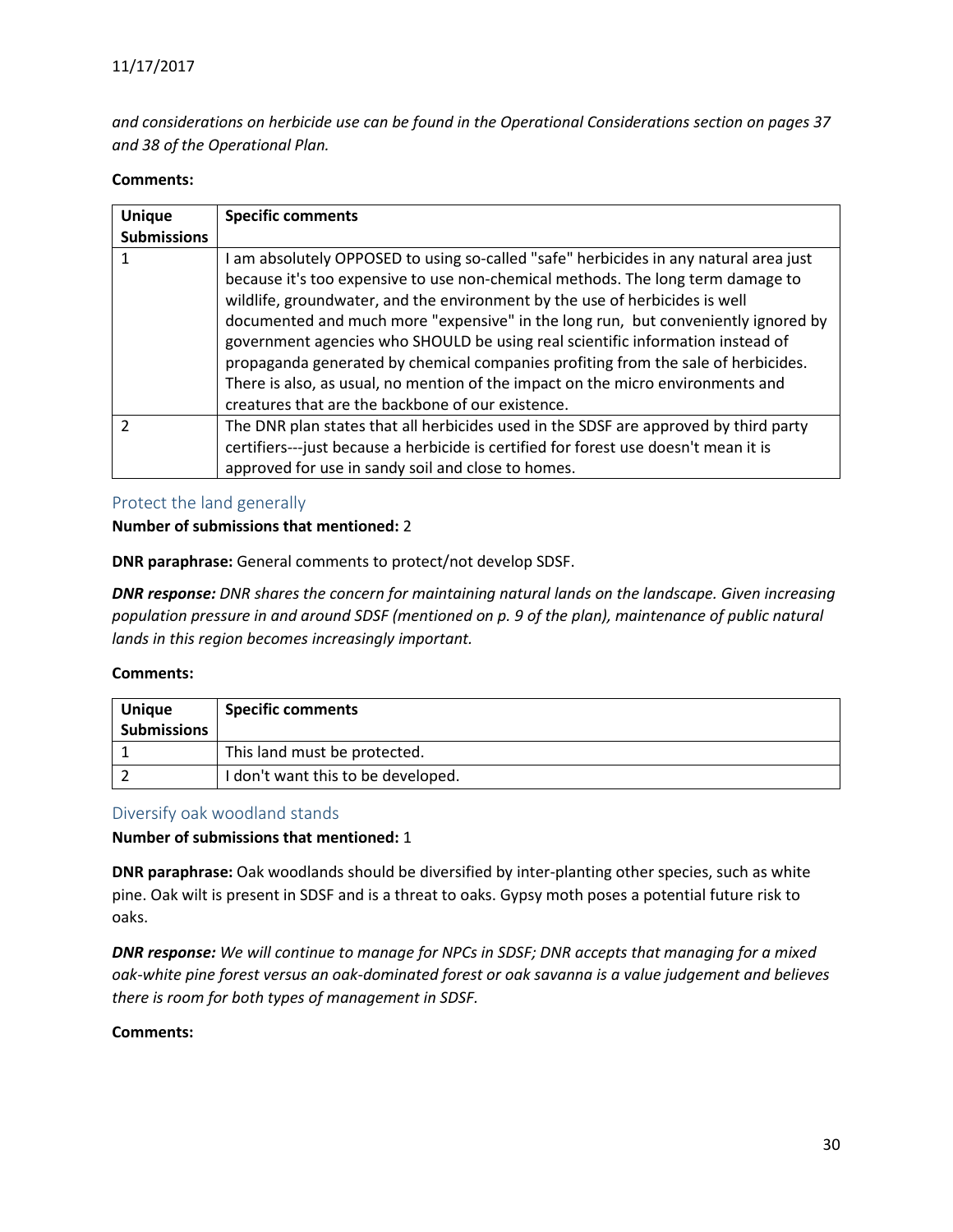*and considerations on herbicide use can be found in the Operational Considerations section on pages 37 and 38 of the Operational Plan.*

#### **Comments:**

| <b>Unique</b>      | <b>Specific comments</b>                                                             |
|--------------------|--------------------------------------------------------------------------------------|
| <b>Submissions</b> |                                                                                      |
|                    | am absolutely OPPOSED to using so-called "safe" herbicides in any natural area just  |
|                    | because it's too expensive to use non-chemical methods. The long term damage to      |
|                    | wildlife, groundwater, and the environment by the use of herbicides is well          |
|                    | documented and much more "expensive" in the long run, but conveniently ignored by    |
|                    | government agencies who SHOULD be using real scientific information instead of       |
|                    | propaganda generated by chemical companies profiting from the sale of herbicides.    |
|                    | There is also, as usual, no mention of the impact on the micro environments and      |
|                    | creatures that are the backbone of our existence.                                    |
| າ                  | The DNR plan states that all herbicides used in the SDSF are approved by third party |
|                    | certifiers---just because a herbicide is certified for forest use doesn't mean it is |
|                    | approved for use in sandy soil and close to homes.                                   |

#### <span id="page-29-0"></span>Protect the land generally

#### **Number of submissions that mentioned:** 2

**DNR paraphrase:** General comments to protect/not develop SDSF.

*DNR response: DNR shares the concern for maintaining natural lands on the landscape. Given increasing population pressure in and around SDSF (mentioned on p. 9 of the plan), maintenance of public natural lands in this region becomes increasingly important.*

#### **Comments:**

| <b>Unique</b><br><b>Submissions</b> | <b>Specific comments</b>           |
|-------------------------------------|------------------------------------|
|                                     | This land must be protected.       |
|                                     | I don't want this to be developed. |

#### <span id="page-29-1"></span>Diversify oak woodland stands

**Number of submissions that mentioned:** 1

**DNR paraphrase:** Oak woodlands should be diversified by inter-planting other species, such as white pine. Oak wilt is present in SDSF and is a threat to oaks. Gypsy moth poses a potential future risk to oaks.

*DNR response: We will continue to manage for NPCs in SDSF; DNR accepts that managing for a mixed oak-white pine forest versus an oak-dominated forest or oak savanna is a value judgement and believes there is room for both types of management in SDSF.*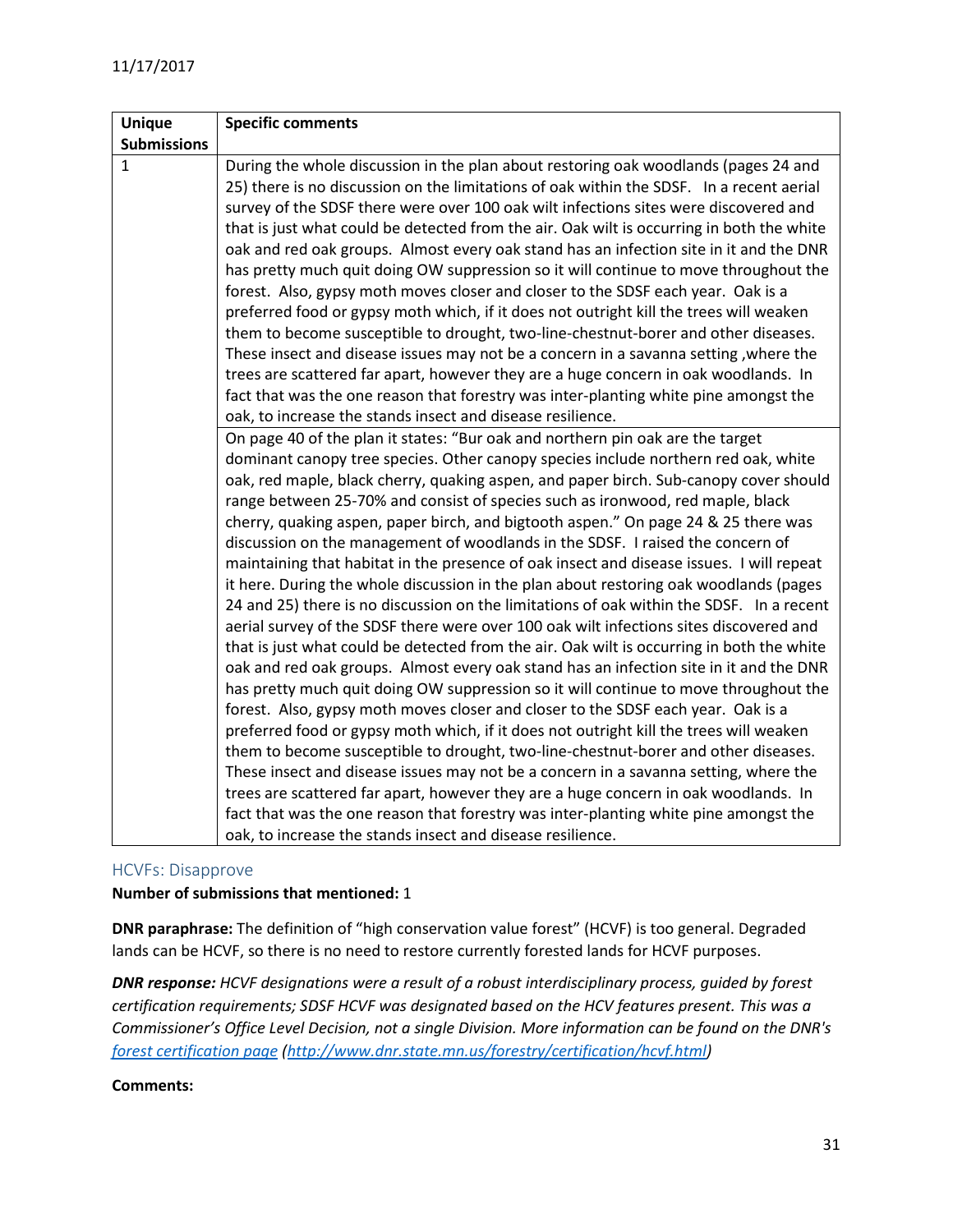| <b>Unique</b>      | <b>Specific comments</b>                                                                  |
|--------------------|-------------------------------------------------------------------------------------------|
| <b>Submissions</b> |                                                                                           |
| $\mathbf{1}$       | During the whole discussion in the plan about restoring oak woodlands (pages 24 and       |
|                    | 25) there is no discussion on the limitations of oak within the SDSF. In a recent aerial  |
|                    | survey of the SDSF there were over 100 oak wilt infections sites were discovered and      |
|                    | that is just what could be detected from the air. Oak wilt is occurring in both the white |
|                    | oak and red oak groups. Almost every oak stand has an infection site in it and the DNR    |
|                    | has pretty much quit doing OW suppression so it will continue to move throughout the      |
|                    | forest. Also, gypsy moth moves closer and closer to the SDSF each year. Oak is a          |
|                    | preferred food or gypsy moth which, if it does not outright kill the trees will weaken    |
|                    | them to become susceptible to drought, two-line-chestnut-borer and other diseases.        |
|                    | These insect and disease issues may not be a concern in a savanna setting, where the      |
|                    | trees are scattered far apart, however they are a huge concern in oak woodlands. In       |
|                    | fact that was the one reason that forestry was inter-planting white pine amongst the      |
|                    | oak, to increase the stands insect and disease resilience.                                |
|                    | On page 40 of the plan it states: "Bur oak and northern pin oak are the target            |
|                    | dominant canopy tree species. Other canopy species include northern red oak, white        |
|                    | oak, red maple, black cherry, quaking aspen, and paper birch. Sub-canopy cover should     |
|                    | range between 25-70% and consist of species such as ironwood, red maple, black            |
|                    | cherry, quaking aspen, paper birch, and bigtooth aspen." On page 24 & 25 there was        |
|                    | discussion on the management of woodlands in the SDSF. I raised the concern of            |
|                    | maintaining that habitat in the presence of oak insect and disease issues. I will repeat  |
|                    | it here. During the whole discussion in the plan about restoring oak woodlands (pages     |
|                    | 24 and 25) there is no discussion on the limitations of oak within the SDSF. In a recent  |
|                    | aerial survey of the SDSF there were over 100 oak wilt infections sites discovered and    |
|                    | that is just what could be detected from the air. Oak wilt is occurring in both the white |
|                    | oak and red oak groups. Almost every oak stand has an infection site in it and the DNR    |
|                    | has pretty much quit doing OW suppression so it will continue to move throughout the      |
|                    | forest. Also, gypsy moth moves closer and closer to the SDSF each year. Oak is a          |
|                    | preferred food or gypsy moth which, if it does not outright kill the trees will weaken    |
|                    | them to become susceptible to drought, two-line-chestnut-borer and other diseases.        |
|                    | These insect and disease issues may not be a concern in a savanna setting, where the      |
|                    | trees are scattered far apart, however they are a huge concern in oak woodlands. In       |
|                    | fact that was the one reason that forestry was inter-planting white pine amongst the      |
|                    | oak, to increase the stands insect and disease resilience.                                |

#### <span id="page-30-0"></span>HCVFs: Disapprove

#### **Number of submissions that mentioned:** 1

**DNR paraphrase:** The definition of "high conservation value forest" (HCVF) is too general. Degraded lands can be HCVF, so there is no need to restore currently forested lands for HCVF purposes.

*DNR response: HCVF designations were a result of a robust interdisciplinary process, guided by forest certification requirements; SDSF HCVF was designated based on the HCV features present. This was a Commissioner's Office Level Decision, not a single Division. More information can be found on the DNR's [forest certification page](http://www.dnr.state.mn.us/forestry/certification/hcvf.html) [\(http://www.dnr.state.mn.us/forestry/certification/hcvf.html\)](http://www.dnr.state.mn.us/forestry/certification/hcvf.html)*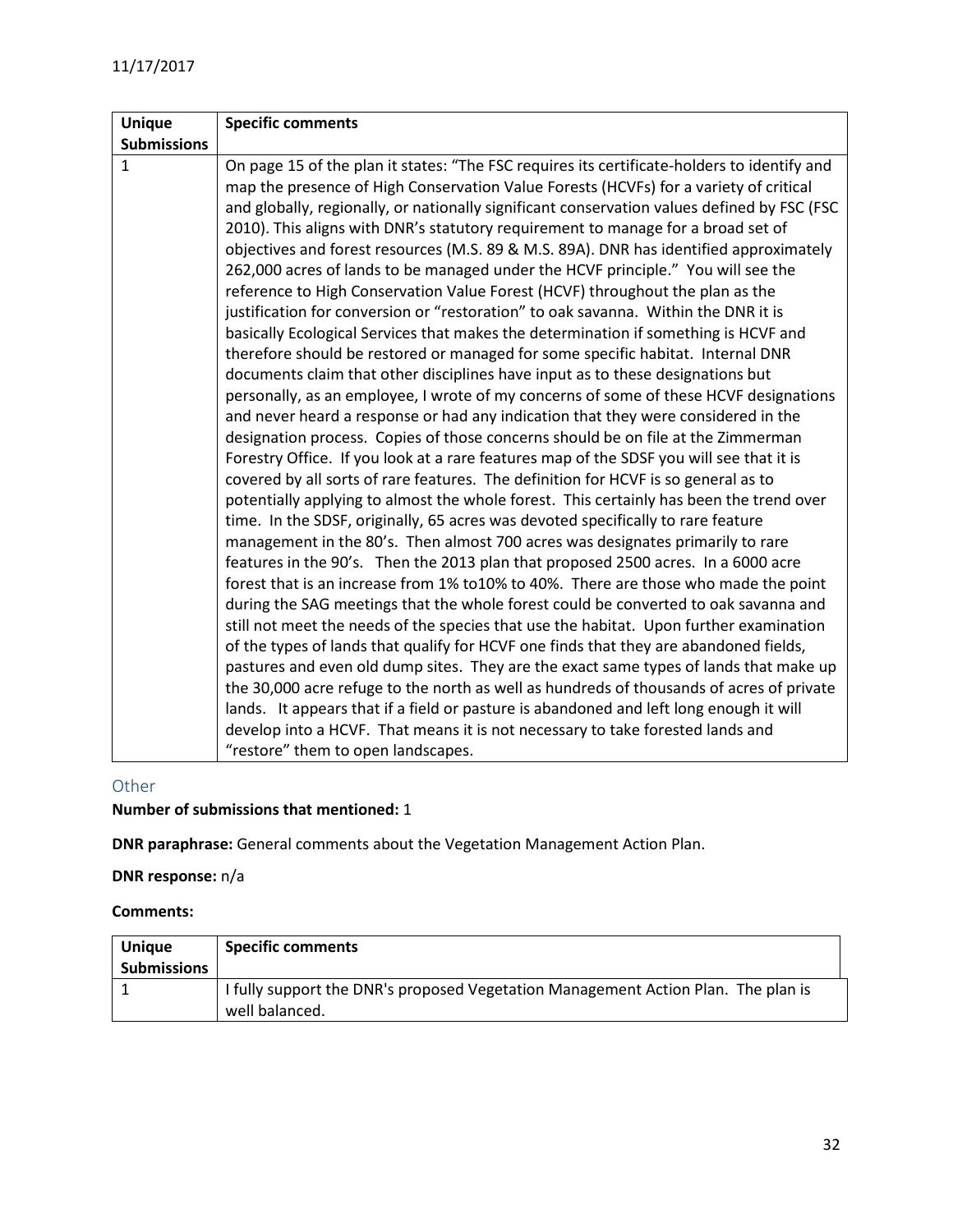## <span id="page-31-0"></span>Other

## **Number of submissions that mentioned:** 1

**DNR paraphrase:** General comments about the Vegetation Management Action Plan.

**DNR response:** n/a

| <b>Unique</b><br><b>Submissions</b> | <b>Specific comments</b>                                                                            |
|-------------------------------------|-----------------------------------------------------------------------------------------------------|
|                                     | I fully support the DNR's proposed Vegetation Management Action Plan. The plan is<br>well balanced. |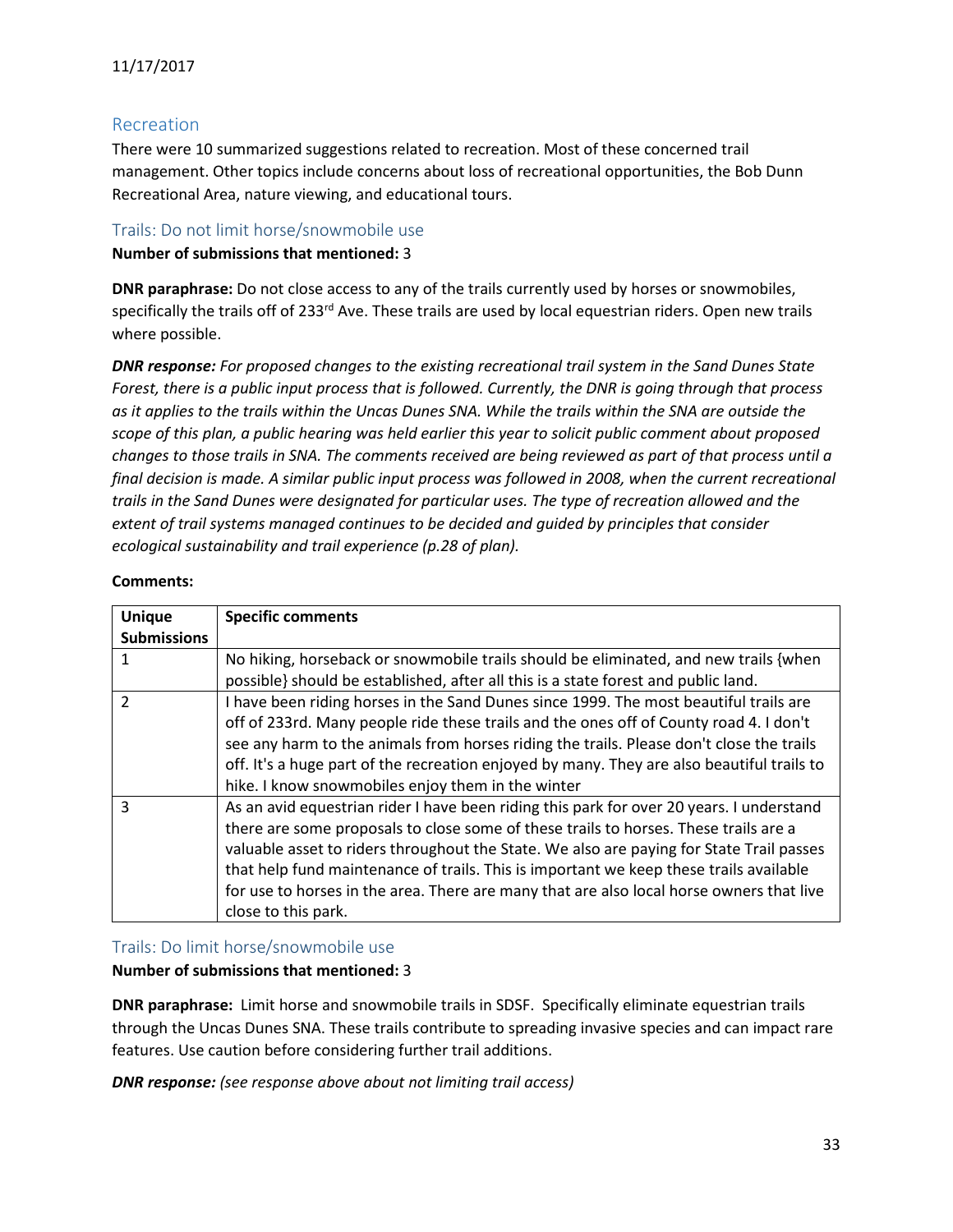## <span id="page-32-0"></span>Recreation

There were 10 summarized suggestions related to recreation. Most of these concerned trail management. Other topics include concerns about loss of recreational opportunities, the Bob Dunn Recreational Area, nature viewing, and educational tours.

## <span id="page-32-1"></span>Trails: Do not limit horse/snowmobile use

#### **Number of submissions that mentioned:** 3

**DNR paraphrase:** Do not close access to any of the trails currently used by horses or snowmobiles, specifically the trails off of 233<sup>rd</sup> Ave. These trails are used by local equestrian riders. Open new trails where possible.

*DNR response: For proposed changes to the existing recreational trail system in the Sand Dunes State Forest, there is a public input process that is followed. Currently, the DNR is going through that process as it applies to the trails within the Uncas Dunes SNA. While the trails within the SNA are outside the scope of this plan, a public hearing was held earlier this year to solicit public comment about proposed changes to those trails in SNA. The comments received are being reviewed as part of that process until a final decision is made. A similar public input process was followed in 2008, when the current recreational trails in the Sand Dunes were designated for particular uses. The type of recreation allowed and the extent of trail systems managed continues to be decided and guided by principles that consider ecological sustainability and trail experience (p.28 of plan).* 

#### **Comments:**

| <b>Unique</b>      | <b>Specific comments</b>                                                                   |
|--------------------|--------------------------------------------------------------------------------------------|
| <b>Submissions</b> |                                                                                            |
|                    | No hiking, horseback or snowmobile trails should be eliminated, and new trails {when       |
|                    | possible} should be established, after all this is a state forest and public land.         |
| $\overline{2}$     | I have been riding horses in the Sand Dunes since 1999. The most beautiful trails are      |
|                    | off of 233rd. Many people ride these trails and the ones off of County road 4. I don't     |
|                    | see any harm to the animals from horses riding the trails. Please don't close the trails   |
|                    | off. It's a huge part of the recreation enjoyed by many. They are also beautiful trails to |
|                    | hike. I know snowmobiles enjoy them in the winter                                          |
| 3                  | As an avid equestrian rider I have been riding this park for over 20 years. I understand   |
|                    | there are some proposals to close some of these trails to horses. These trails are a       |
|                    | valuable asset to riders throughout the State. We also are paying for State Trail passes   |
|                    | that help fund maintenance of trails. This is important we keep these trails available     |
|                    | for use to horses in the area. There are many that are also local horse owners that live   |
|                    | close to this park.                                                                        |

#### <span id="page-32-2"></span>Trails: Do limit horse/snowmobile use

#### **Number of submissions that mentioned:** 3

**DNR paraphrase:** Limit horse and snowmobile trails in SDSF. Specifically eliminate equestrian trails through the Uncas Dunes SNA. These trails contribute to spreading invasive species and can impact rare features. Use caution before considering further trail additions.

*DNR response: (see response above about not limiting trail access)*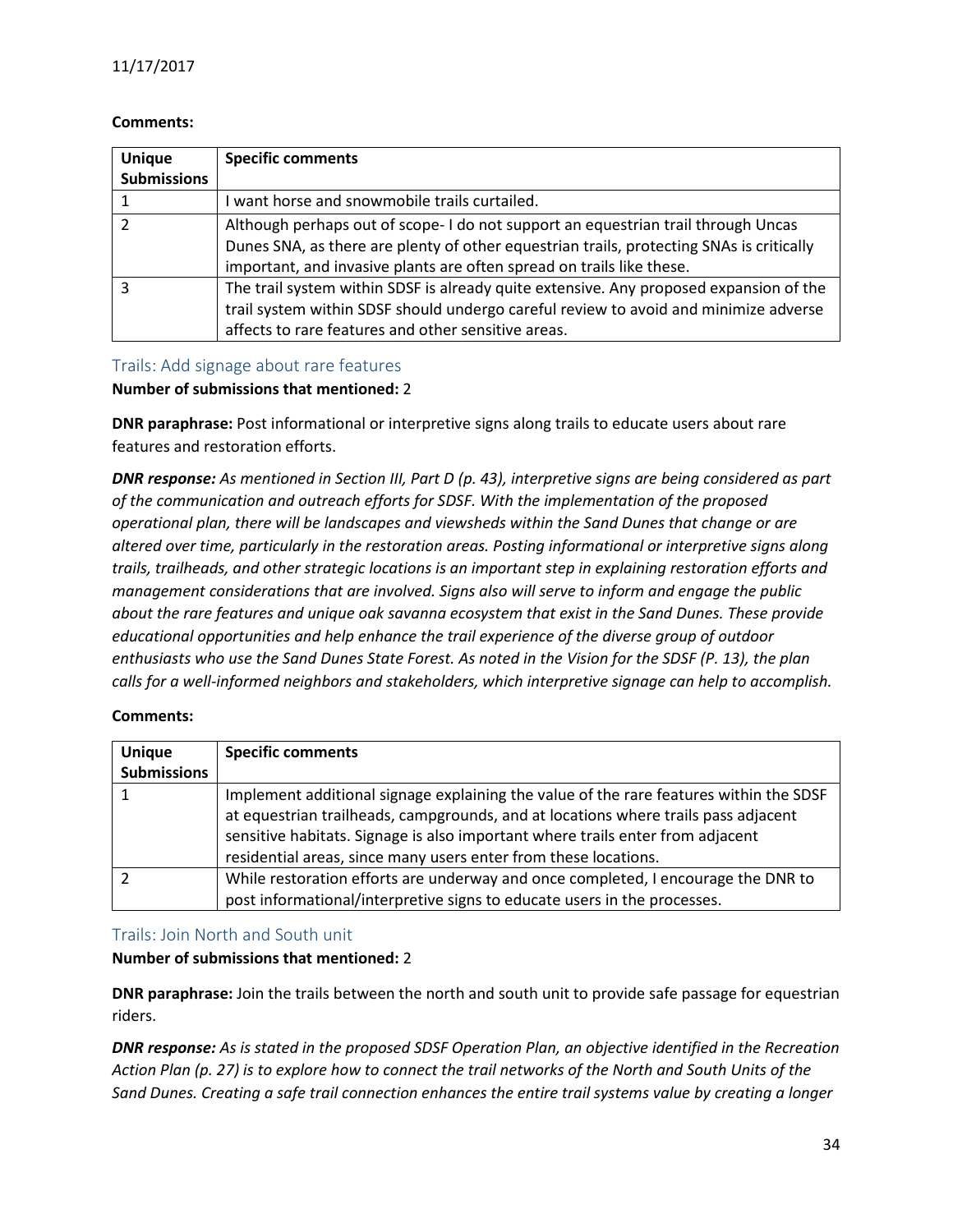#### **Comments:**

| <b>Unique</b><br><b>Submissions</b> | <b>Specific comments</b>                                                                                                                                                                                                                               |
|-------------------------------------|--------------------------------------------------------------------------------------------------------------------------------------------------------------------------------------------------------------------------------------------------------|
|                                     | I want horse and snowmobile trails curtailed.                                                                                                                                                                                                          |
|                                     | Although perhaps out of scope- I do not support an equestrian trail through Uncas<br>Dunes SNA, as there are plenty of other equestrian trails, protecting SNAs is critically<br>important, and invasive plants are often spread on trails like these. |
| ς                                   | The trail system within SDSF is already quite extensive. Any proposed expansion of the<br>trail system within SDSF should undergo careful review to avoid and minimize adverse<br>affects to rare features and other sensitive areas.                  |

## <span id="page-33-0"></span>Trails: Add signage about rare features

#### **Number of submissions that mentioned:** 2

**DNR paraphrase:** Post informational or interpretive signs along trails to educate users about rare features and restoration efforts.

*DNR response: As mentioned in Section III, Part D (p. 43), interpretive signs are being considered as part of the communication and outreach efforts for SDSF. With the implementation of the proposed operational plan, there will be landscapes and viewsheds within the Sand Dunes that change or are altered over time, particularly in the restoration areas. Posting informational or interpretive signs along trails, trailheads, and other strategic locations is an important step in explaining restoration efforts and management considerations that are involved. Signs also will serve to inform and engage the public about the rare features and unique oak savanna ecosystem that exist in the Sand Dunes. These provide educational opportunities and help enhance the trail experience of the diverse group of outdoor enthusiasts who use the Sand Dunes State Forest. As noted in the Vision for the SDSF (P. 13), the plan calls for a well-informed neighbors and stakeholders, which interpretive signage can help to accomplish.*

#### **Comments:**

| <b>Unique</b><br><b>Submissions</b> | <b>Specific comments</b>                                                                                                                                                                                                                                                                                                          |
|-------------------------------------|-----------------------------------------------------------------------------------------------------------------------------------------------------------------------------------------------------------------------------------------------------------------------------------------------------------------------------------|
|                                     | Implement additional signage explaining the value of the rare features within the SDSF<br>at equestrian trailheads, campgrounds, and at locations where trails pass adjacent<br>sensitive habitats. Signage is also important where trails enter from adjacent<br>residential areas, since many users enter from these locations. |
|                                     | While restoration efforts are underway and once completed, I encourage the DNR to<br>post informational/interpretive signs to educate users in the processes.                                                                                                                                                                     |

#### <span id="page-33-1"></span>Trails: Join North and South unit

**Number of submissions that mentioned:** 2

**DNR paraphrase:** Join the trails between the north and south unit to provide safe passage for equestrian riders.

*DNR response: As is stated in the proposed SDSF Operation Plan, an objective identified in the Recreation Action Plan (p. 27) is to explore how to connect the trail networks of the North and South Units of the Sand Dunes. Creating a safe trail connection enhances the entire trail systems value by creating a longer*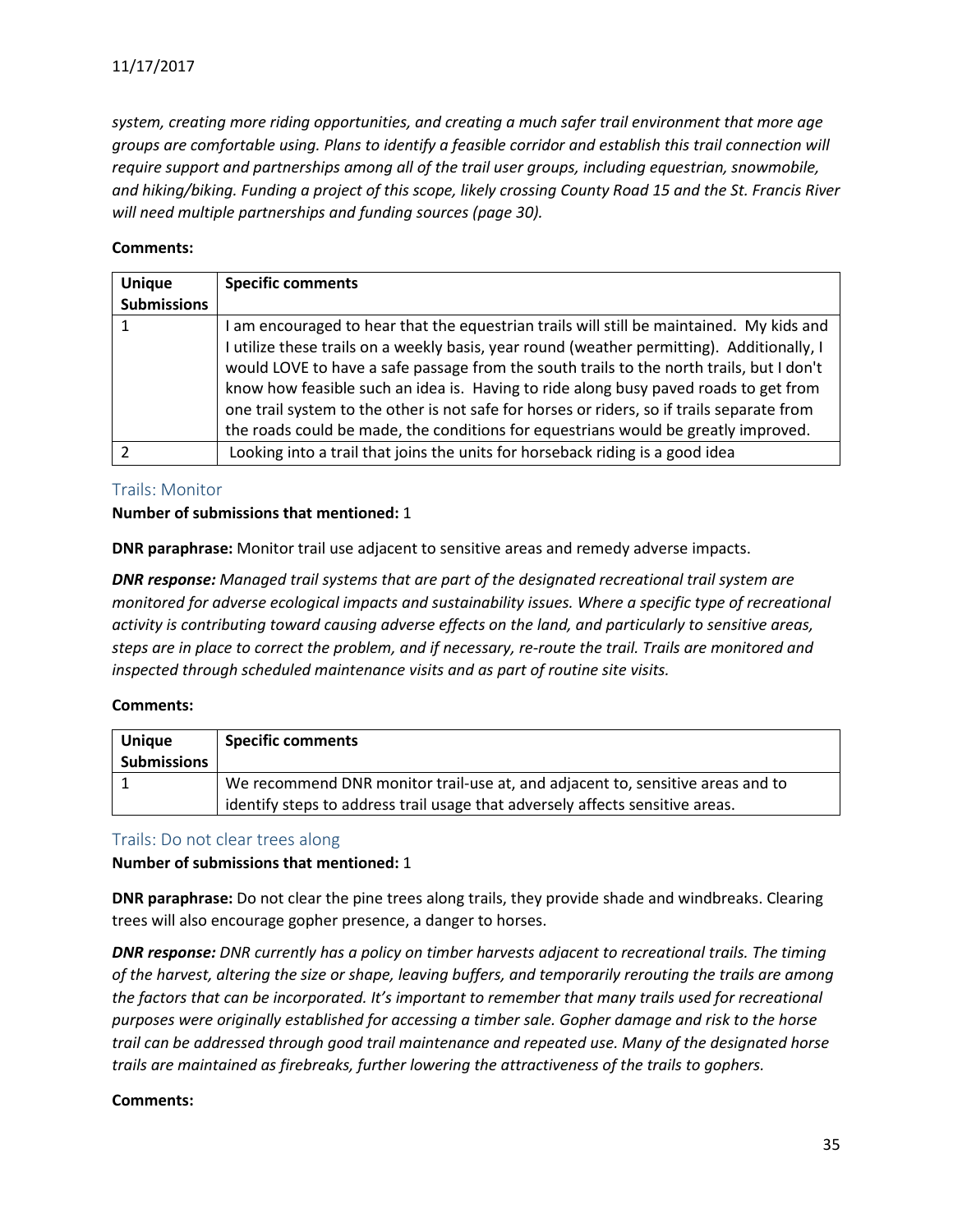*system, creating more riding opportunities, and creating a much safer trail environment that more age groups are comfortable using. Plans to identify a feasible corridor and establish this trail connection will require support and partnerships among all of the trail user groups, including equestrian, snowmobile, and hiking/biking. Funding a project of this scope, likely crossing County Road 15 and the St. Francis River will need multiple partnerships and funding sources (page 30).*

#### **Comments:**

| <b>Unique</b>      | <b>Specific comments</b>                                                                                                                                                                                                                                                                                                                                                                                                                                                                                                                                       |
|--------------------|----------------------------------------------------------------------------------------------------------------------------------------------------------------------------------------------------------------------------------------------------------------------------------------------------------------------------------------------------------------------------------------------------------------------------------------------------------------------------------------------------------------------------------------------------------------|
| <b>Submissions</b> |                                                                                                                                                                                                                                                                                                                                                                                                                                                                                                                                                                |
|                    | I am encouraged to hear that the equestrian trails will still be maintained. My kids and<br>I utilize these trails on a weekly basis, year round (weather permitting). Additionally, I<br>would LOVE to have a safe passage from the south trails to the north trails, but I don't<br>know how feasible such an idea is. Having to ride along busy paved roads to get from<br>one trail system to the other is not safe for horses or riders, so if trails separate from<br>the roads could be made, the conditions for equestrians would be greatly improved. |
|                    | Looking into a trail that joins the units for horseback riding is a good idea                                                                                                                                                                                                                                                                                                                                                                                                                                                                                  |

## <span id="page-34-0"></span>Trails: Monitor

#### **Number of submissions that mentioned:** 1

**DNR paraphrase:** Monitor trail use adjacent to sensitive areas and remedy adverse impacts.

*DNR response: Managed trail systems that are part of the designated recreational trail system are monitored for adverse ecological impacts and sustainability issues. Where a specific type of recreational activity is contributing toward causing adverse effects on the land, and particularly to sensitive areas, steps are in place to correct the problem, and if necessary, re-route the trail. Trails are monitored and inspected through scheduled maintenance visits and as part of routine site visits.*

## **Comments:**

| <b>Unique</b><br><b>Submissions</b> | <b>Specific comments</b>                                                                                                                                        |
|-------------------------------------|-----------------------------------------------------------------------------------------------------------------------------------------------------------------|
|                                     | We recommend DNR monitor trail-use at, and adjacent to, sensitive areas and to<br>identify steps to address trail usage that adversely affects sensitive areas. |

## <span id="page-34-1"></span>Trails: Do not clear trees along

#### **Number of submissions that mentioned:** 1

**DNR paraphrase:** Do not clear the pine trees along trails, they provide shade and windbreaks. Clearing trees will also encourage gopher presence, a danger to horses.

*DNR response: DNR currently has a policy on timber harvests adjacent to recreational trails. The timing of the harvest, altering the size or shape, leaving buffers, and temporarily rerouting the trails are among the factors that can be incorporated. It's important to remember that many trails used for recreational purposes were originally established for accessing a timber sale. Gopher damage and risk to the horse trail can be addressed through good trail maintenance and repeated use. Many of the designated horse trails are maintained as firebreaks, further lowering the attractiveness of the trails to gophers.*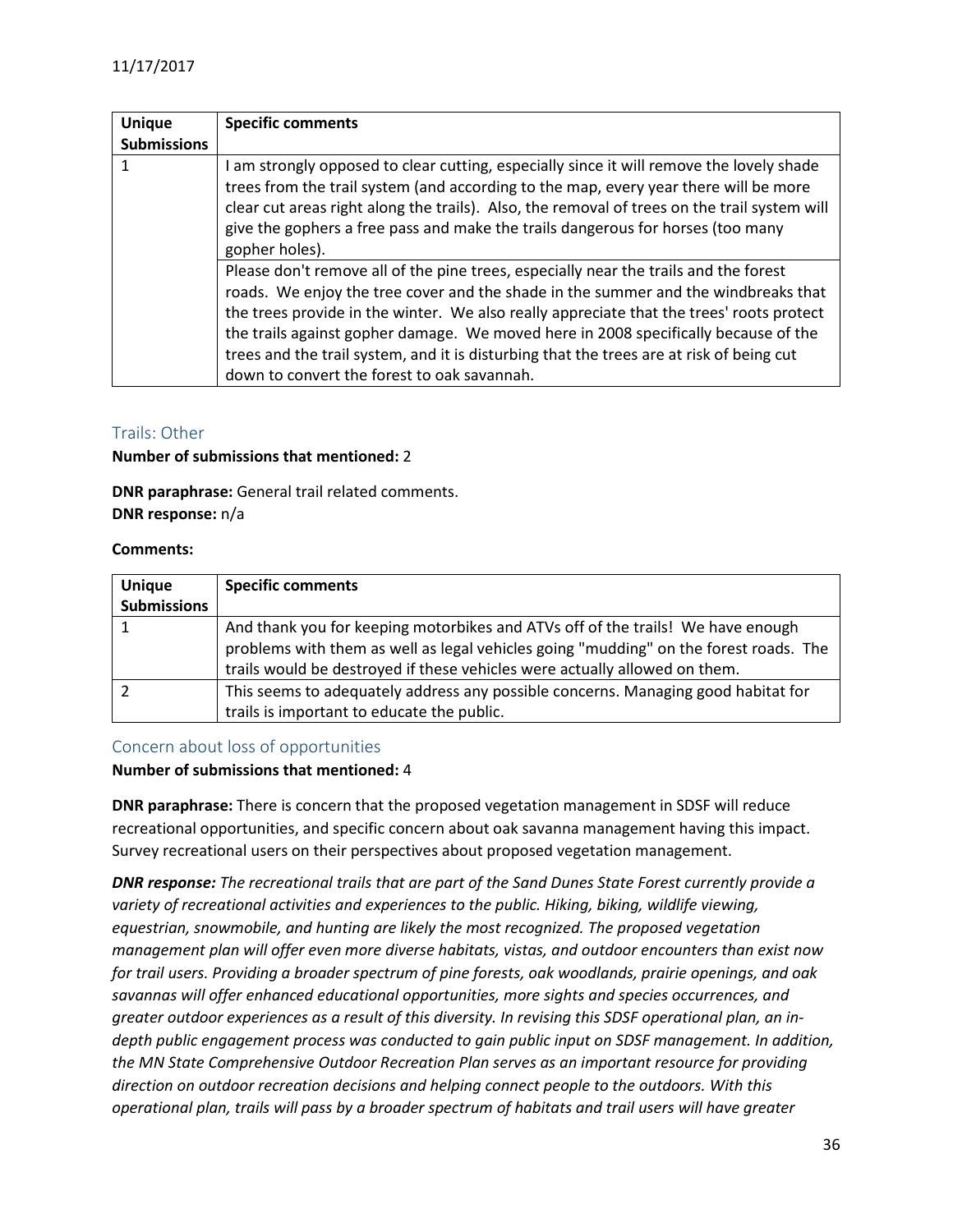| <b>Unique</b>      | <b>Specific comments</b>                                                                                                                                                                                                                                                                                                                                                                                                                                                                                                                                            |
|--------------------|---------------------------------------------------------------------------------------------------------------------------------------------------------------------------------------------------------------------------------------------------------------------------------------------------------------------------------------------------------------------------------------------------------------------------------------------------------------------------------------------------------------------------------------------------------------------|
| <b>Submissions</b> |                                                                                                                                                                                                                                                                                                                                                                                                                                                                                                                                                                     |
| 1                  | I am strongly opposed to clear cutting, especially since it will remove the lovely shade<br>trees from the trail system (and according to the map, every year there will be more<br>clear cut areas right along the trails). Also, the removal of trees on the trail system will<br>give the gophers a free pass and make the trails dangerous for horses (too many<br>gopher holes).<br>Please don't remove all of the pine trees, especially near the trails and the forest<br>roads. We enjoy the tree cover and the shade in the summer and the windbreaks that |
|                    | the trees provide in the winter. We also really appreciate that the trees' roots protect<br>the trails against gopher damage. We moved here in 2008 specifically because of the<br>trees and the trail system, and it is disturbing that the trees are at risk of being cut<br>down to convert the forest to oak savannah.                                                                                                                                                                                                                                          |

## <span id="page-35-0"></span>Trails: Other

#### **Number of submissions that mentioned:** 2

**DNR paraphrase:** General trail related comments. **DNR response:** n/a

#### **Comments:**

| <b>Unique</b>      | <b>Specific comments</b>                                                                                                                                                                                                                               |
|--------------------|--------------------------------------------------------------------------------------------------------------------------------------------------------------------------------------------------------------------------------------------------------|
| <b>Submissions</b> |                                                                                                                                                                                                                                                        |
|                    | And thank you for keeping motorbikes and ATVs off of the trails! We have enough<br>problems with them as well as legal vehicles going "mudding" on the forest roads. The<br>trails would be destroyed if these vehicles were actually allowed on them. |
|                    | This seems to adequately address any possible concerns. Managing good habitat for<br>trails is important to educate the public.                                                                                                                        |

#### <span id="page-35-1"></span>Concern about loss of opportunities

#### **Number of submissions that mentioned:** 4

**DNR paraphrase:** There is concern that the proposed vegetation management in SDSF will reduce recreational opportunities, and specific concern about oak savanna management having this impact. Survey recreational users on their perspectives about proposed vegetation management.

*DNR response: The recreational trails that are part of the Sand Dunes State Forest currently provide a variety of recreational activities and experiences to the public. Hiking, biking, wildlife viewing, equestrian, snowmobile, and hunting are likely the most recognized. The proposed vegetation management plan will offer even more diverse habitats, vistas, and outdoor encounters than exist now for trail users. Providing a broader spectrum of pine forests, oak woodlands, prairie openings, and oak savannas will offer enhanced educational opportunities, more sights and species occurrences, and greater outdoor experiences as a result of this diversity. In revising this SDSF operational plan, an indepth public engagement process was conducted to gain public input on SDSF management. In addition, the MN State Comprehensive Outdoor Recreation Plan serves as an important resource for providing direction on outdoor recreation decisions and helping connect people to the outdoors. With this operational plan, trails will pass by a broader spectrum of habitats and trail users will have greater*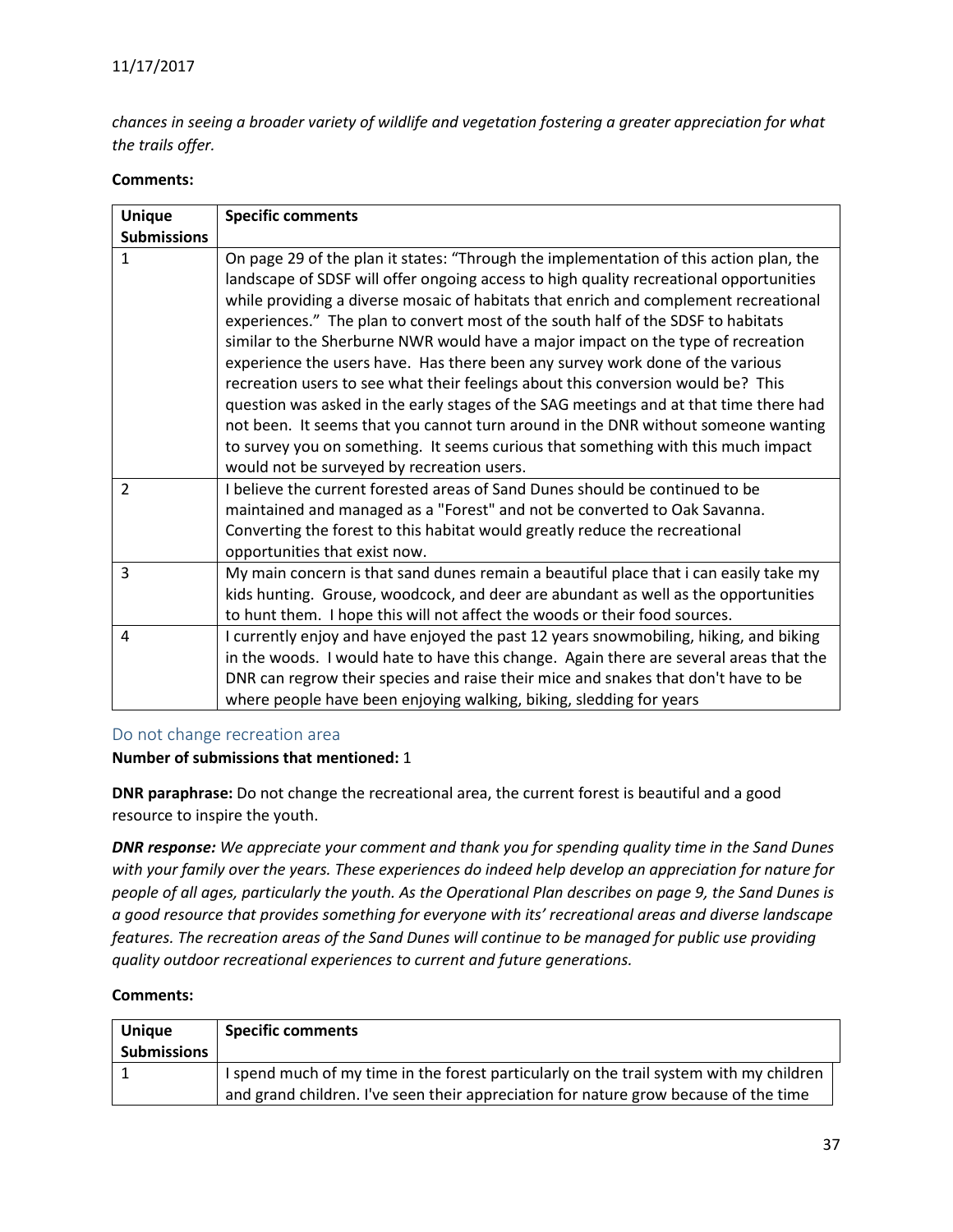*chances in seeing a broader variety of wildlife and vegetation fostering a greater appreciation for what the trails offer.*

#### **Comments:**

| <b>Specific comments</b>                                                                                                                                                         |
|----------------------------------------------------------------------------------------------------------------------------------------------------------------------------------|
|                                                                                                                                                                                  |
| On page 29 of the plan it states: "Through the implementation of this action plan, the<br>landscape of SDSF will offer ongoing access to high quality recreational opportunities |
| while providing a diverse mosaic of habitats that enrich and complement recreational                                                                                             |
| experiences." The plan to convert most of the south half of the SDSF to habitats                                                                                                 |
| similar to the Sherburne NWR would have a major impact on the type of recreation                                                                                                 |
| experience the users have. Has there been any survey work done of the various                                                                                                    |
| recreation users to see what their feelings about this conversion would be? This                                                                                                 |
| question was asked in the early stages of the SAG meetings and at that time there had                                                                                            |
| not been. It seems that you cannot turn around in the DNR without someone wanting                                                                                                |
| to survey you on something. It seems curious that something with this much impact                                                                                                |
| would not be surveyed by recreation users.                                                                                                                                       |
| I believe the current forested areas of Sand Dunes should be continued to be                                                                                                     |
| maintained and managed as a "Forest" and not be converted to Oak Savanna.                                                                                                        |
| Converting the forest to this habitat would greatly reduce the recreational                                                                                                      |
| opportunities that exist now.                                                                                                                                                    |
| My main concern is that sand dunes remain a beautiful place that i can easily take my                                                                                            |
| kids hunting. Grouse, woodcock, and deer are abundant as well as the opportunities                                                                                               |
| to hunt them. I hope this will not affect the woods or their food sources.                                                                                                       |
| I currently enjoy and have enjoyed the past 12 years snowmobiling, hiking, and biking                                                                                            |
| in the woods. I would hate to have this change. Again there are several areas that the                                                                                           |
| DNR can regrow their species and raise their mice and snakes that don't have to be                                                                                               |
| where people have been enjoying walking, biking, sledding for years                                                                                                              |
|                                                                                                                                                                                  |

#### <span id="page-36-0"></span>Do not change recreation area

#### **Number of submissions that mentioned:** 1

**DNR paraphrase:** Do not change the recreational area, the current forest is beautiful and a good resource to inspire the youth.

*DNR response: We appreciate your comment and thank you for spending quality time in the Sand Dunes with your family over the years. These experiences do indeed help develop an appreciation for nature for people of all ages, particularly the youth. As the Operational Plan describes on page 9, the Sand Dunes is a good resource that provides something for everyone with its' recreational areas and diverse landscape features. The recreation areas of the Sand Dunes will continue to be managed for public use providing quality outdoor recreational experiences to current and future generations.*

| <b>Unique</b><br><b>Submissions</b> | <b>Specific comments</b>                                                                                                                                                        |
|-------------------------------------|---------------------------------------------------------------------------------------------------------------------------------------------------------------------------------|
|                                     | I spend much of my time in the forest particularly on the trail system with my children<br>and grand children. I've seen their appreciation for nature grow because of the time |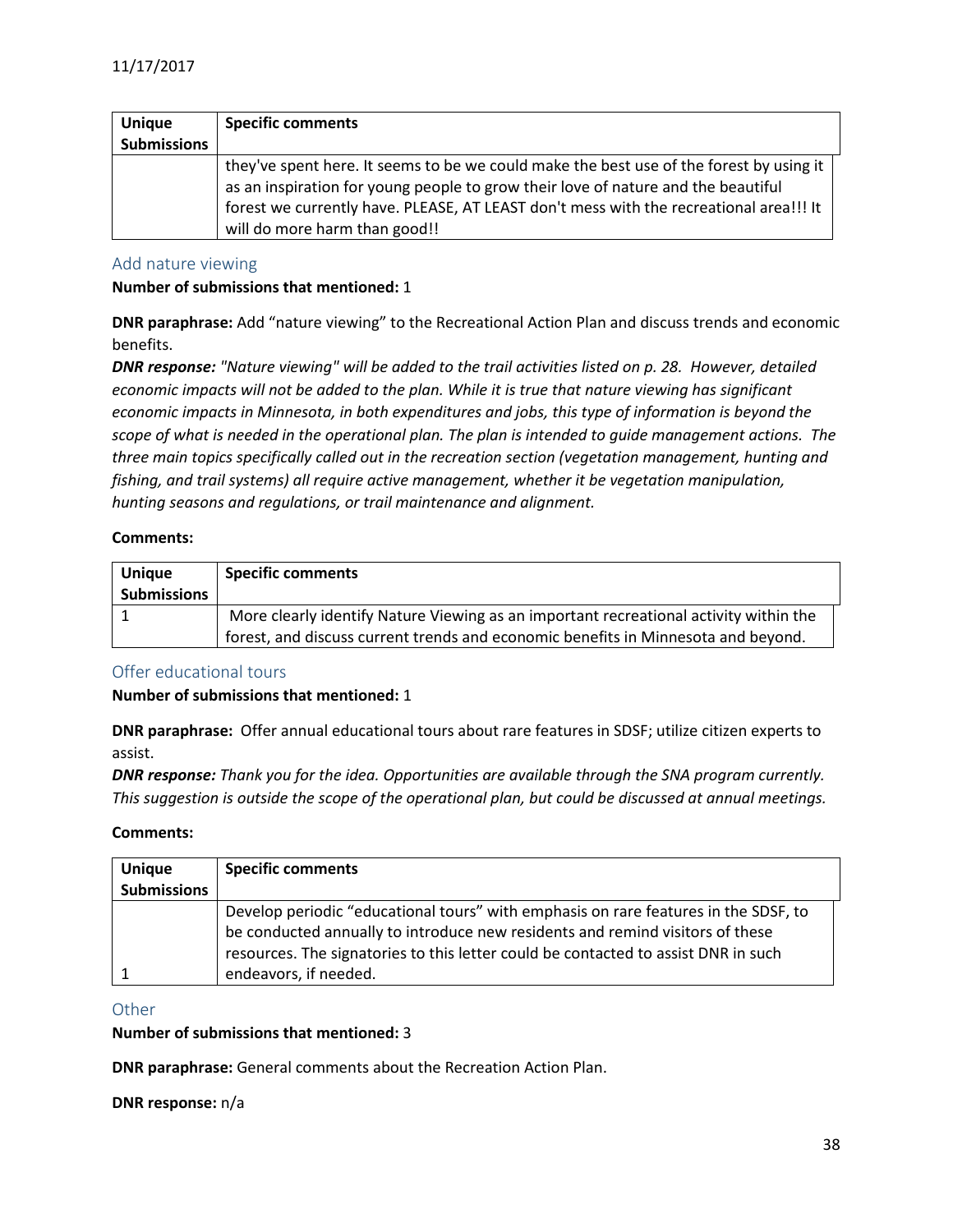| <b>Unique</b>      | <b>Specific comments</b>                                                                                                                                                                                                                                                                                |
|--------------------|---------------------------------------------------------------------------------------------------------------------------------------------------------------------------------------------------------------------------------------------------------------------------------------------------------|
| <b>Submissions</b> |                                                                                                                                                                                                                                                                                                         |
|                    | they've spent here. It seems to be we could make the best use of the forest by using it<br>as an inspiration for young people to grow their love of nature and the beautiful<br>forest we currently have. PLEASE, AT LEAST don't mess with the recreational area!!! It<br>will do more harm than good!! |

#### <span id="page-37-0"></span>Add nature viewing

#### **Number of submissions that mentioned:** 1

**DNR paraphrase:** Add "nature viewing" to the Recreational Action Plan and discuss trends and economic benefits.

*DNR response: "Nature viewing" will be added to the trail activities listed on p. 28. However, detailed economic impacts will not be added to the plan. While it is true that nature viewing has significant economic impacts in Minnesota, in both expenditures and jobs, this type of information is beyond the scope of what is needed in the operational plan. The plan is intended to guide management actions. The three main topics specifically called out in the recreation section (vegetation management, hunting and fishing, and trail systems) all require active management, whether it be vegetation manipulation, hunting seasons and regulations, or trail maintenance and alignment.* 

#### **Comments:**

| <b>Unique</b>      | <b>Specific comments</b>                                                              |
|--------------------|---------------------------------------------------------------------------------------|
| <b>Submissions</b> |                                                                                       |
|                    | More clearly identify Nature Viewing as an important recreational activity within the |
|                    | forest, and discuss current trends and economic benefits in Minnesota and beyond.     |

## <span id="page-37-1"></span>Offer educational tours

#### **Number of submissions that mentioned:** 1

**DNR paraphrase:** Offer annual educational tours about rare features in SDSF; utilize citizen experts to assist.

*DNR response: Thank you for the idea. Opportunities are available through the SNA program currently. This suggestion is outside the scope of the operational plan, but could be discussed at annual meetings.*

#### **Comments:**

| <b>Unique</b>      | <b>Specific comments</b>                                                            |
|--------------------|-------------------------------------------------------------------------------------|
| <b>Submissions</b> |                                                                                     |
|                    | Develop periodic "educational tours" with emphasis on rare features in the SDSF, to |
|                    | be conducted annually to introduce new residents and remind visitors of these       |
|                    | resources. The signatories to this letter could be contacted to assist DNR in such  |
|                    | endeavors, if needed.                                                               |

#### <span id="page-37-2"></span>**Other**

#### **Number of submissions that mentioned:** 3

**DNR paraphrase:** General comments about the Recreation Action Plan.

**DNR response:** n/a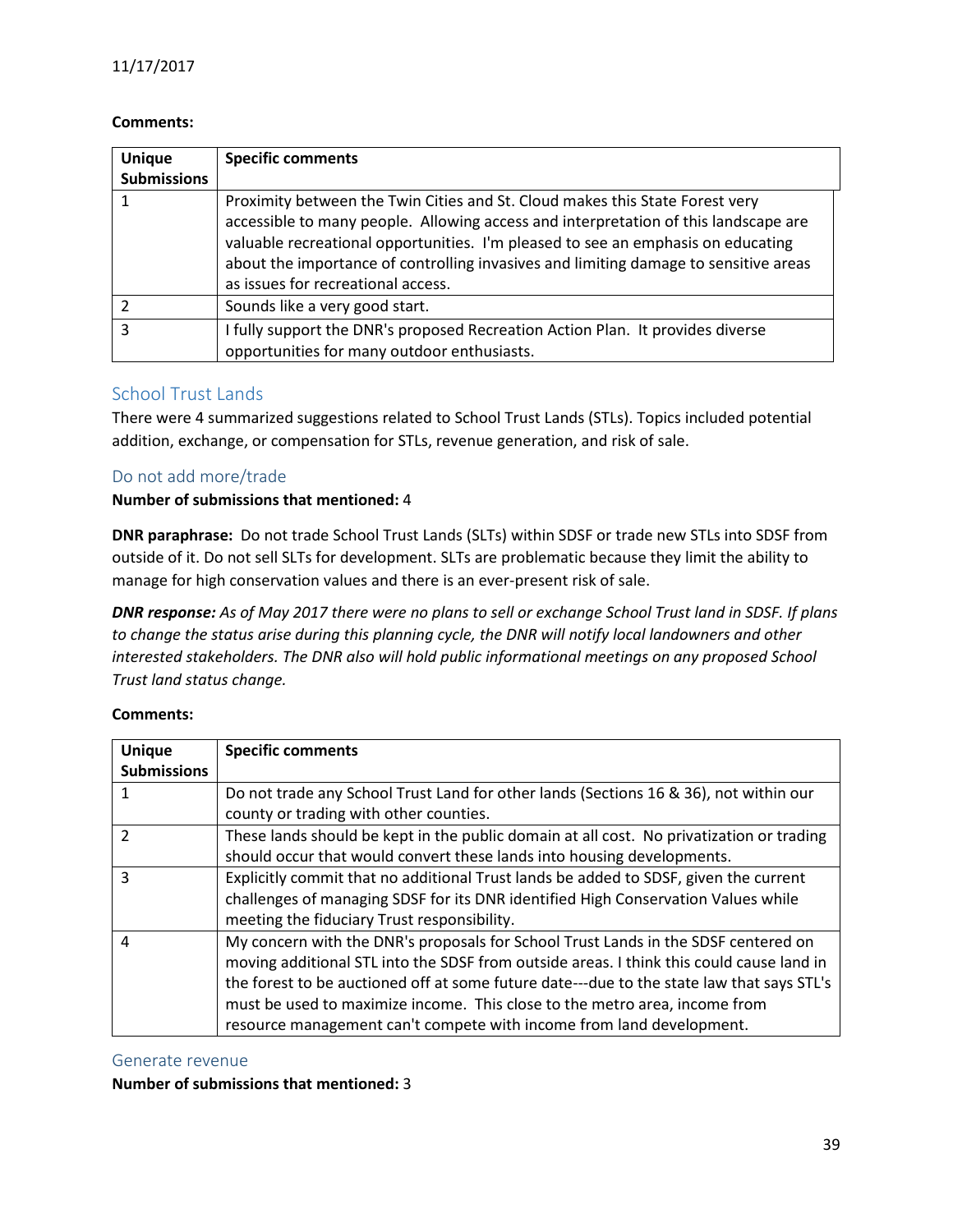#### **Comments:**

| <b>Unique</b><br><b>Submissions</b> | <b>Specific comments</b>                                                                                                                                                                                                                                                                                                                                                              |
|-------------------------------------|---------------------------------------------------------------------------------------------------------------------------------------------------------------------------------------------------------------------------------------------------------------------------------------------------------------------------------------------------------------------------------------|
|                                     | Proximity between the Twin Cities and St. Cloud makes this State Forest very<br>accessible to many people. Allowing access and interpretation of this landscape are<br>valuable recreational opportunities. I'm pleased to see an emphasis on educating<br>about the importance of controlling invasives and limiting damage to sensitive areas<br>as issues for recreational access. |
|                                     | Sounds like a very good start.                                                                                                                                                                                                                                                                                                                                                        |
| 3                                   | I fully support the DNR's proposed Recreation Action Plan. It provides diverse<br>opportunities for many outdoor enthusiasts.                                                                                                                                                                                                                                                         |

## <span id="page-38-0"></span>School Trust Lands

There were 4 summarized suggestions related to School Trust Lands (STLs). Topics included potential addition, exchange, or compensation for STLs, revenue generation, and risk of sale.

## <span id="page-38-1"></span>Do not add more/trade

#### **Number of submissions that mentioned:** 4

**DNR paraphrase:** Do not trade School Trust Lands (SLTs) within SDSF or trade new STLs into SDSF from outside of it. Do not sell SLTs for development. SLTs are problematic because they limit the ability to manage for high conservation values and there is an ever-present risk of sale.

*DNR response: As of May 2017 there were no plans to sell or exchange School Trust land in SDSF. If plans to change the status arise during this planning cycle, the DNR will notify local landowners and other interested stakeholders. The DNR also will hold public informational meetings on any proposed School Trust land status change.*

#### **Comments:**

| <b>Unique</b>      | <b>Specific comments</b>                                                                  |
|--------------------|-------------------------------------------------------------------------------------------|
| <b>Submissions</b> |                                                                                           |
|                    | Do not trade any School Trust Land for other lands (Sections 16 & 36), not within our     |
|                    | county or trading with other counties.                                                    |
| $\mathcal{P}$      | These lands should be kept in the public domain at all cost. No privatization or trading  |
|                    | should occur that would convert these lands into housing developments.                    |
| ς                  | Explicitly commit that no additional Trust lands be added to SDSF, given the current      |
|                    | challenges of managing SDSF for its DNR identified High Conservation Values while         |
|                    | meeting the fiduciary Trust responsibility.                                               |
| 4                  | My concern with the DNR's proposals for School Trust Lands in the SDSF centered on        |
|                    | moving additional STL into the SDSF from outside areas. I think this could cause land in  |
|                    | the forest to be auctioned off at some future date---due to the state law that says STL's |
|                    | must be used to maximize income. This close to the metro area, income from                |
|                    | resource management can't compete with income from land development.                      |

#### <span id="page-38-2"></span>Generate revenue

#### **Number of submissions that mentioned:** 3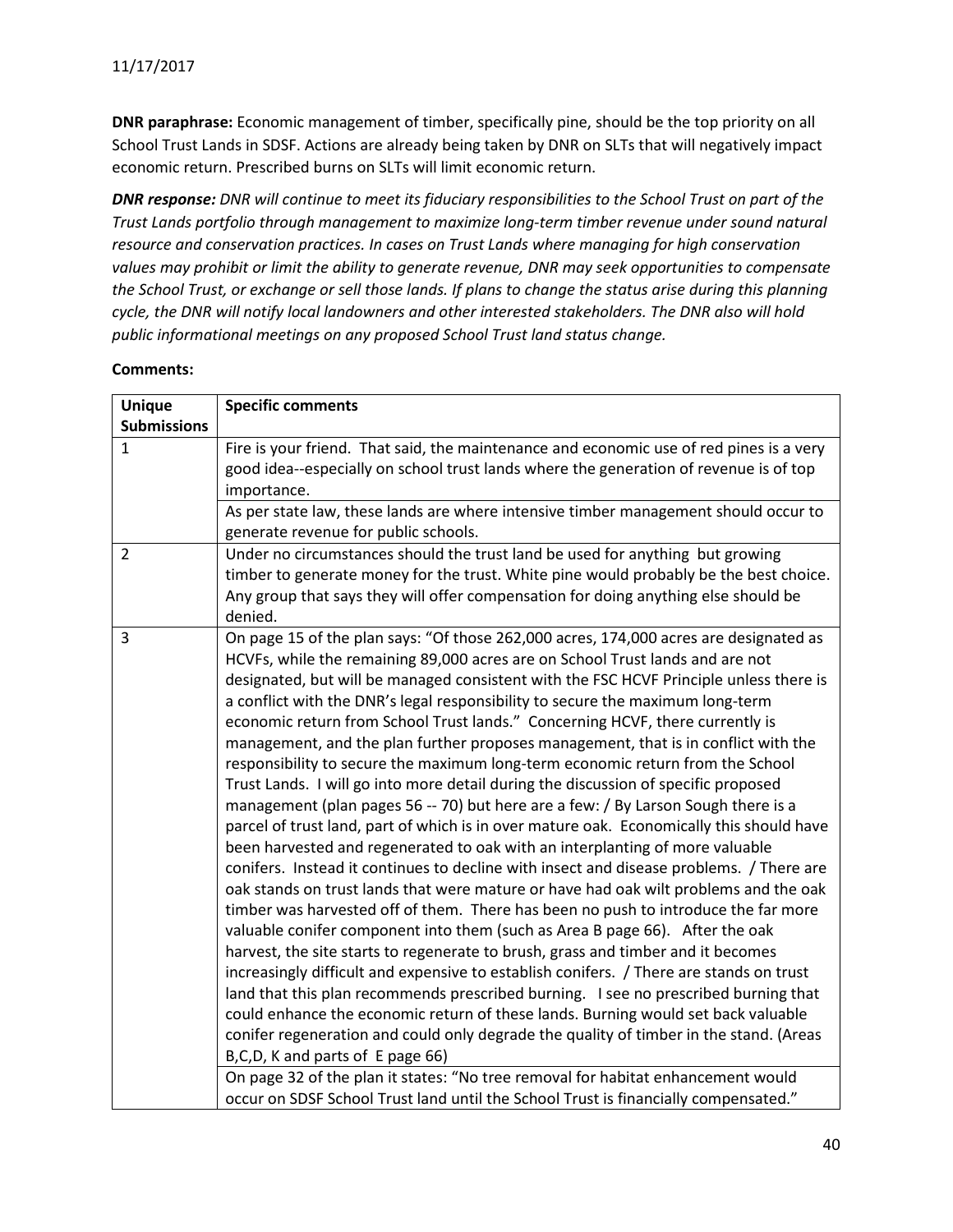**DNR paraphrase:** Economic management of timber, specifically pine, should be the top priority on all School Trust Lands in SDSF. Actions are already being taken by DNR on SLTs that will negatively impact economic return. Prescribed burns on SLTs will limit economic return.

*DNR response: DNR will continue to meet its fiduciary responsibilities to the School Trust on part of the Trust Lands portfolio through management to maximize long-term timber revenue under sound natural resource and conservation practices. In cases on Trust Lands where managing for high conservation values may prohibit or limit the ability to generate revenue, DNR may seek opportunities to compensate the School Trust, or exchange or sell those lands. If plans to change the status arise during this planning cycle, the DNR will notify local landowners and other interested stakeholders. The DNR also will hold public informational meetings on any proposed School Trust land status change.*

| <b>Unique</b>      | <b>Specific comments</b>                                                                                                                                                                                                                                                                                                                                                                                                                                                                                                                                                                                                                                                                                                                                                                                                                                                                                                                                                                                                                                                                                                                                                                                                                                                                                                                                                                                                                                                                                                                                                                                                                                                                                                                                                                                                                                                                                   |
|--------------------|------------------------------------------------------------------------------------------------------------------------------------------------------------------------------------------------------------------------------------------------------------------------------------------------------------------------------------------------------------------------------------------------------------------------------------------------------------------------------------------------------------------------------------------------------------------------------------------------------------------------------------------------------------------------------------------------------------------------------------------------------------------------------------------------------------------------------------------------------------------------------------------------------------------------------------------------------------------------------------------------------------------------------------------------------------------------------------------------------------------------------------------------------------------------------------------------------------------------------------------------------------------------------------------------------------------------------------------------------------------------------------------------------------------------------------------------------------------------------------------------------------------------------------------------------------------------------------------------------------------------------------------------------------------------------------------------------------------------------------------------------------------------------------------------------------------------------------------------------------------------------------------------------------|
| <b>Submissions</b> |                                                                                                                                                                                                                                                                                                                                                                                                                                                                                                                                                                                                                                                                                                                                                                                                                                                                                                                                                                                                                                                                                                                                                                                                                                                                                                                                                                                                                                                                                                                                                                                                                                                                                                                                                                                                                                                                                                            |
| $\mathbf{1}$       | Fire is your friend. That said, the maintenance and economic use of red pines is a very<br>good idea--especially on school trust lands where the generation of revenue is of top<br>importance.                                                                                                                                                                                                                                                                                                                                                                                                                                                                                                                                                                                                                                                                                                                                                                                                                                                                                                                                                                                                                                                                                                                                                                                                                                                                                                                                                                                                                                                                                                                                                                                                                                                                                                            |
|                    | As per state law, these lands are where intensive timber management should occur to<br>generate revenue for public schools.                                                                                                                                                                                                                                                                                                                                                                                                                                                                                                                                                                                                                                                                                                                                                                                                                                                                                                                                                                                                                                                                                                                                                                                                                                                                                                                                                                                                                                                                                                                                                                                                                                                                                                                                                                                |
| $\overline{2}$     | Under no circumstances should the trust land be used for anything but growing<br>timber to generate money for the trust. White pine would probably be the best choice.<br>Any group that says they will offer compensation for doing anything else should be<br>denied.                                                                                                                                                                                                                                                                                                                                                                                                                                                                                                                                                                                                                                                                                                                                                                                                                                                                                                                                                                                                                                                                                                                                                                                                                                                                                                                                                                                                                                                                                                                                                                                                                                    |
| $\overline{3}$     | On page 15 of the plan says: "Of those 262,000 acres, 174,000 acres are designated as<br>HCVFs, while the remaining 89,000 acres are on School Trust lands and are not<br>designated, but will be managed consistent with the FSC HCVF Principle unless there is<br>a conflict with the DNR's legal responsibility to secure the maximum long-term<br>economic return from School Trust lands." Concerning HCVF, there currently is<br>management, and the plan further proposes management, that is in conflict with the<br>responsibility to secure the maximum long-term economic return from the School<br>Trust Lands. I will go into more detail during the discussion of specific proposed<br>management (plan pages 56 -- 70) but here are a few: / By Larson Sough there is a<br>parcel of trust land, part of which is in over mature oak. Economically this should have<br>been harvested and regenerated to oak with an interplanting of more valuable<br>conifers. Instead it continues to decline with insect and disease problems. / There are<br>oak stands on trust lands that were mature or have had oak wilt problems and the oak<br>timber was harvested off of them. There has been no push to introduce the far more<br>valuable conifer component into them (such as Area B page 66). After the oak<br>harvest, the site starts to regenerate to brush, grass and timber and it becomes<br>increasingly difficult and expensive to establish conifers. / There are stands on trust<br>land that this plan recommends prescribed burning. I see no prescribed burning that<br>could enhance the economic return of these lands. Burning would set back valuable<br>conifer regeneration and could only degrade the quality of timber in the stand. (Areas<br>B, C, D, K and parts of E page 66)<br>On page 32 of the plan it states: "No tree removal for habitat enhancement would |
|                    | occur on SDSF School Trust land until the School Trust is financially compensated."                                                                                                                                                                                                                                                                                                                                                                                                                                                                                                                                                                                                                                                                                                                                                                                                                                                                                                                                                                                                                                                                                                                                                                                                                                                                                                                                                                                                                                                                                                                                                                                                                                                                                                                                                                                                                        |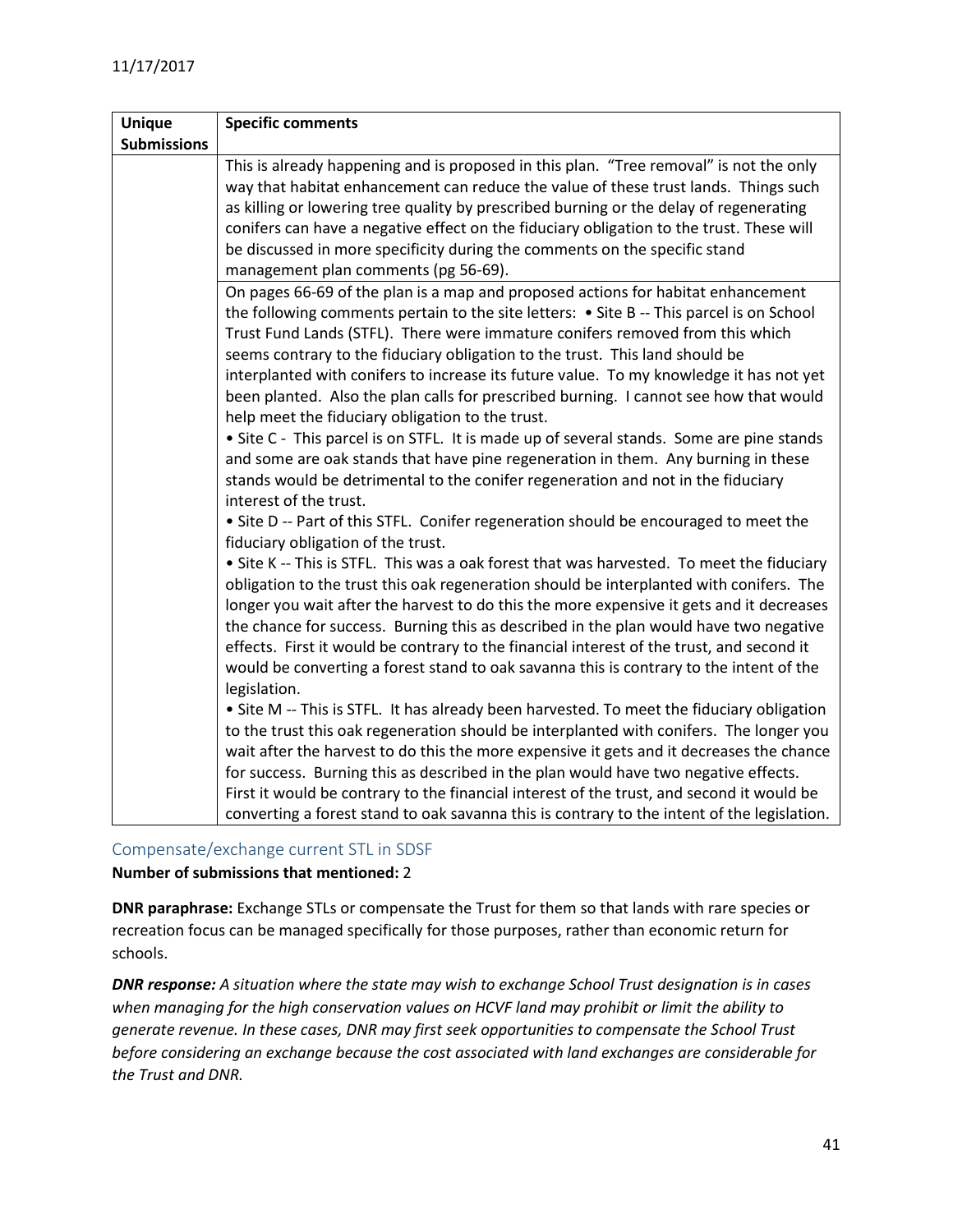| <b>Unique</b>      | <b>Specific comments</b>                                                                                                                                                                                                                                                                                                                                                                                                                                                                                                                                                                                                                                                                                                                                                                                                                                                                                                                                                                                                                                                                                                                                                                       |
|--------------------|------------------------------------------------------------------------------------------------------------------------------------------------------------------------------------------------------------------------------------------------------------------------------------------------------------------------------------------------------------------------------------------------------------------------------------------------------------------------------------------------------------------------------------------------------------------------------------------------------------------------------------------------------------------------------------------------------------------------------------------------------------------------------------------------------------------------------------------------------------------------------------------------------------------------------------------------------------------------------------------------------------------------------------------------------------------------------------------------------------------------------------------------------------------------------------------------|
| <b>Submissions</b> |                                                                                                                                                                                                                                                                                                                                                                                                                                                                                                                                                                                                                                                                                                                                                                                                                                                                                                                                                                                                                                                                                                                                                                                                |
|                    | This is already happening and is proposed in this plan. "Tree removal" is not the only<br>way that habitat enhancement can reduce the value of these trust lands. Things such<br>as killing or lowering tree quality by prescribed burning or the delay of regenerating<br>conifers can have a negative effect on the fiduciary obligation to the trust. These will<br>be discussed in more specificity during the comments on the specific stand<br>management plan comments (pg 56-69).                                                                                                                                                                                                                                                                                                                                                                                                                                                                                                                                                                                                                                                                                                      |
|                    | On pages 66-69 of the plan is a map and proposed actions for habitat enhancement<br>the following comments pertain to the site letters: • Site B -- This parcel is on School<br>Trust Fund Lands (STFL). There were immature conifers removed from this which<br>seems contrary to the fiduciary obligation to the trust. This land should be<br>interplanted with conifers to increase its future value. To my knowledge it has not yet<br>been planted. Also the plan calls for prescribed burning. I cannot see how that would<br>help meet the fiduciary obligation to the trust.<br>• Site C - This parcel is on STFL. It is made up of several stands. Some are pine stands<br>and some are oak stands that have pine regeneration in them. Any burning in these<br>stands would be detrimental to the conifer regeneration and not in the fiduciary<br>interest of the trust.<br>• Site D -- Part of this STFL. Conifer regeneration should be encouraged to meet the                                                                                                                                                                                                                   |
|                    | fiduciary obligation of the trust.<br>• Site K -- This is STFL. This was a oak forest that was harvested. To meet the fiduciary<br>obligation to the trust this oak regeneration should be interplanted with conifers. The<br>longer you wait after the harvest to do this the more expensive it gets and it decreases<br>the chance for success. Burning this as described in the plan would have two negative<br>effects. First it would be contrary to the financial interest of the trust, and second it<br>would be converting a forest stand to oak savanna this is contrary to the intent of the<br>legislation.<br>• Site M -- This is STFL. It has already been harvested. To meet the fiduciary obligation<br>to the trust this oak regeneration should be interplanted with conifers. The longer you<br>wait after the harvest to do this the more expensive it gets and it decreases the chance<br>for success. Burning this as described in the plan would have two negative effects.<br>First it would be contrary to the financial interest of the trust, and second it would be<br>converting a forest stand to oak savanna this is contrary to the intent of the legislation. |

<span id="page-40-0"></span>Compensate/exchange current STL in SDSF

#### **Number of submissions that mentioned:** 2

**DNR paraphrase:** Exchange STLs or compensate the Trust for them so that lands with rare species or recreation focus can be managed specifically for those purposes, rather than economic return for schools.

*DNR response: A situation where the state may wish to exchange School Trust designation is in cases when managing for the high conservation values on HCVF land may prohibit or limit the ability to generate revenue. In these cases, DNR may first seek opportunities to compensate the School Trust before considering an exchange because the cost associated with land exchanges are considerable for the Trust and DNR.*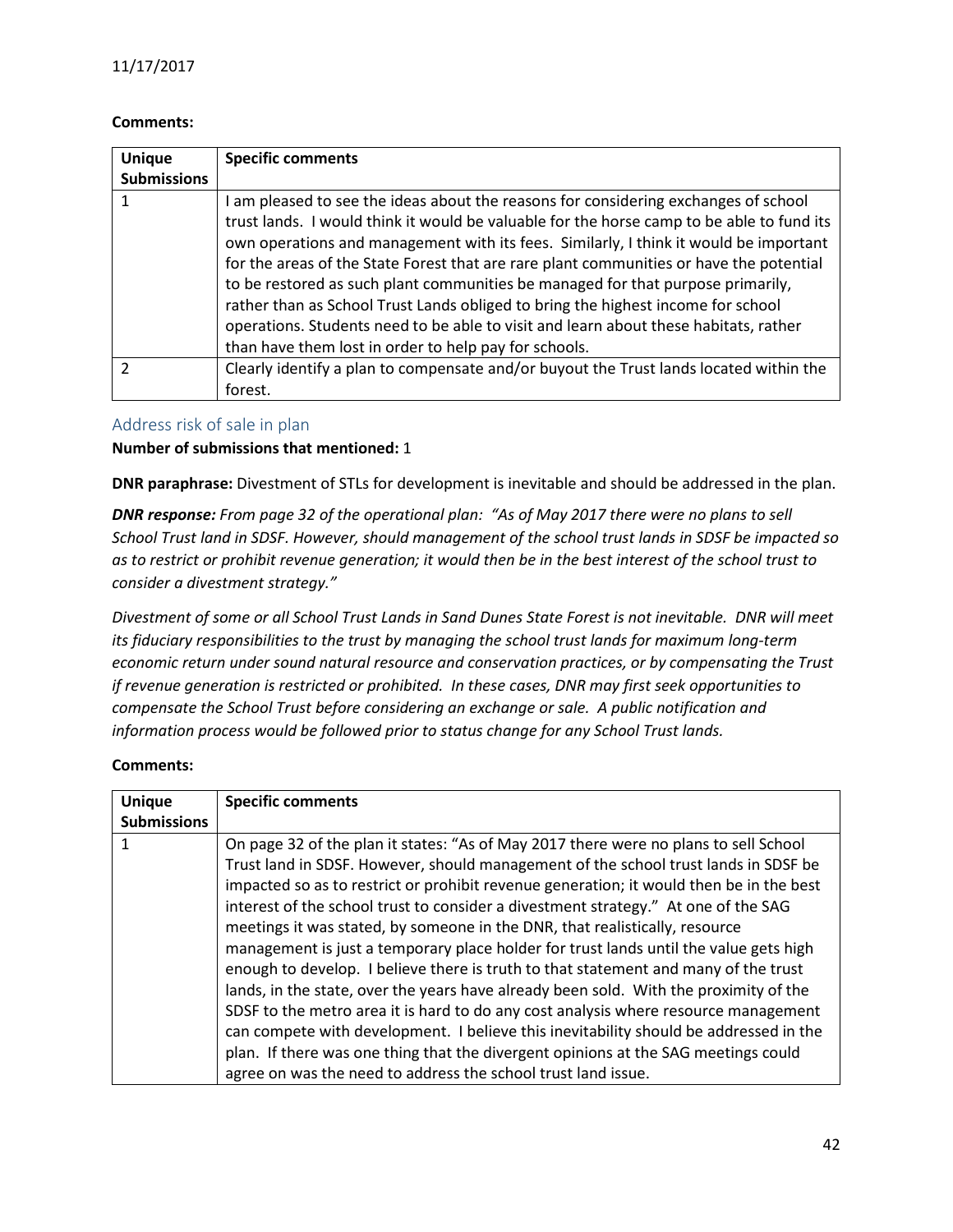#### **Comments:**

| <b>Unique</b>      | <b>Specific comments</b>                                                                                                                                                                                                                                                                                                                                                                                                                                                                                                                                                                                                                                                                     |
|--------------------|----------------------------------------------------------------------------------------------------------------------------------------------------------------------------------------------------------------------------------------------------------------------------------------------------------------------------------------------------------------------------------------------------------------------------------------------------------------------------------------------------------------------------------------------------------------------------------------------------------------------------------------------------------------------------------------------|
| <b>Submissions</b> |                                                                                                                                                                                                                                                                                                                                                                                                                                                                                                                                                                                                                                                                                              |
|                    | I am pleased to see the ideas about the reasons for considering exchanges of school<br>trust lands. I would think it would be valuable for the horse camp to be able to fund its<br>own operations and management with its fees. Similarly, I think it would be important<br>for the areas of the State Forest that are rare plant communities or have the potential<br>to be restored as such plant communities be managed for that purpose primarily,<br>rather than as School Trust Lands obliged to bring the highest income for school<br>operations. Students need to be able to visit and learn about these habitats, rather<br>than have them lost in order to help pay for schools. |
|                    | Clearly identify a plan to compensate and/or buyout the Trust lands located within the<br>forest.                                                                                                                                                                                                                                                                                                                                                                                                                                                                                                                                                                                            |

#### <span id="page-41-0"></span>Address risk of sale in plan

#### **Number of submissions that mentioned:** 1

**DNR paraphrase:** Divestment of STLs for development is inevitable and should be addressed in the plan.

*DNR response: From page 32 of the operational plan: "As of May 2017 there were no plans to sell School Trust land in SDSF. However, should management of the school trust lands in SDSF be impacted so as to restrict or prohibit revenue generation; it would then be in the best interest of the school trust to consider a divestment strategy."*

*Divestment of some or all School Trust Lands in Sand Dunes State Forest is not inevitable. DNR will meet its fiduciary responsibilities to the trust by managing the school trust lands for maximum long-term economic return under sound natural resource and conservation practices, or by compensating the Trust if revenue generation is restricted or prohibited. In these cases, DNR may first seek opportunities to compensate the School Trust before considering an exchange or sale. A public notification and information process would be followed prior to status change for any School Trust lands.*

| <b>Unique</b>      | <b>Specific comments</b>                                                                                                                                                                                                                                                                                                                                                                                                                                                                                                                                                                                                                                                                                                                                                                                                                                                                             |
|--------------------|------------------------------------------------------------------------------------------------------------------------------------------------------------------------------------------------------------------------------------------------------------------------------------------------------------------------------------------------------------------------------------------------------------------------------------------------------------------------------------------------------------------------------------------------------------------------------------------------------------------------------------------------------------------------------------------------------------------------------------------------------------------------------------------------------------------------------------------------------------------------------------------------------|
| <b>Submissions</b> |                                                                                                                                                                                                                                                                                                                                                                                                                                                                                                                                                                                                                                                                                                                                                                                                                                                                                                      |
|                    | On page 32 of the plan it states: "As of May 2017 there were no plans to sell School<br>Trust land in SDSF. However, should management of the school trust lands in SDSF be<br>impacted so as to restrict or prohibit revenue generation; it would then be in the best<br>interest of the school trust to consider a divestment strategy." At one of the SAG<br>meetings it was stated, by someone in the DNR, that realistically, resource<br>management is just a temporary place holder for trust lands until the value gets high<br>enough to develop. I believe there is truth to that statement and many of the trust<br>lands, in the state, over the years have already been sold. With the proximity of the<br>SDSF to the metro area it is hard to do any cost analysis where resource management<br>can compete with development. I believe this inevitability should be addressed in the |
|                    | plan. If there was one thing that the divergent opinions at the SAG meetings could                                                                                                                                                                                                                                                                                                                                                                                                                                                                                                                                                                                                                                                                                                                                                                                                                   |
|                    | agree on was the need to address the school trust land issue.                                                                                                                                                                                                                                                                                                                                                                                                                                                                                                                                                                                                                                                                                                                                                                                                                                        |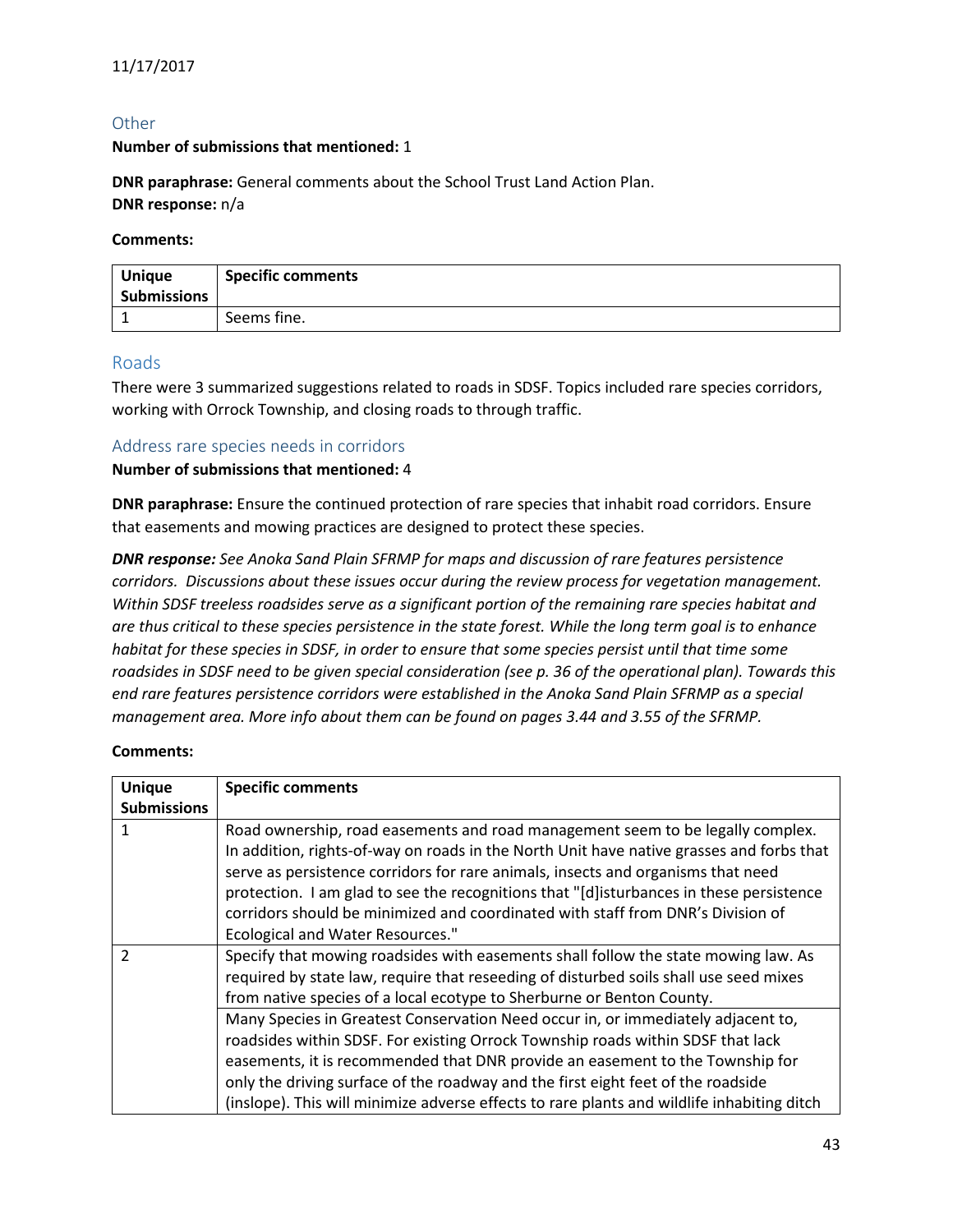## <span id="page-42-0"></span>**Other**

#### **Number of submissions that mentioned:** 1

**DNR paraphrase:** General comments about the School Trust Land Action Plan. **DNR response:** n/a

#### **Comments:**

| <b>Unique</b><br><b>Submissions</b> | <b>Specific comments</b> |
|-------------------------------------|--------------------------|
|                                     | Seems fine.              |

#### <span id="page-42-1"></span>Roads

There were 3 summarized suggestions related to roads in SDSF. Topics included rare species corridors, working with Orrock Township, and closing roads to through traffic.

#### <span id="page-42-2"></span>Address rare species needs in corridors

#### **Number of submissions that mentioned:** 4

**DNR paraphrase:** Ensure the continued protection of rare species that inhabit road corridors. Ensure that easements and mowing practices are designed to protect these species.

*DNR response: See Anoka Sand Plain SFRMP for maps and discussion of rare features persistence corridors. Discussions about these issues occur during the review process for vegetation management. Within SDSF treeless roadsides serve as a significant portion of the remaining rare species habitat and are thus critical to these species persistence in the state forest. While the long term goal is to enhance habitat for these species in SDSF, in order to ensure that some species persist until that time some roadsides in SDSF need to be given special consideration (see p. 36 of the operational plan). Towards this end rare features persistence corridors were established in the Anoka Sand Plain SFRMP as a special management area. More info about them can be found on pages 3.44 and 3.55 of the SFRMP.*

| <b>Unique</b>      | <b>Specific comments</b>                                                                   |
|--------------------|--------------------------------------------------------------------------------------------|
| <b>Submissions</b> |                                                                                            |
| 1                  | Road ownership, road easements and road management seem to be legally complex.             |
|                    | In addition, rights-of-way on roads in the North Unit have native grasses and forbs that   |
|                    | serve as persistence corridors for rare animals, insects and organisms that need           |
|                    | protection. I am glad to see the recognitions that "[d]isturbances in these persistence    |
|                    | corridors should be minimized and coordinated with staff from DNR's Division of            |
|                    | <b>Ecological and Water Resources."</b>                                                    |
| っ                  | Specify that mowing roadsides with easements shall follow the state mowing law. As         |
|                    | required by state law, require that reseeding of disturbed soils shall use seed mixes      |
|                    | from native species of a local ecotype to Sherburne or Benton County.                      |
|                    | Many Species in Greatest Conservation Need occur in, or immediately adjacent to,           |
|                    | roadsides within SDSF. For existing Orrock Township roads within SDSF that lack            |
|                    | easements, it is recommended that DNR provide an easement to the Township for              |
|                    | only the driving surface of the roadway and the first eight feet of the roadside           |
|                    | (inslope). This will minimize adverse effects to rare plants and wildlife inhabiting ditch |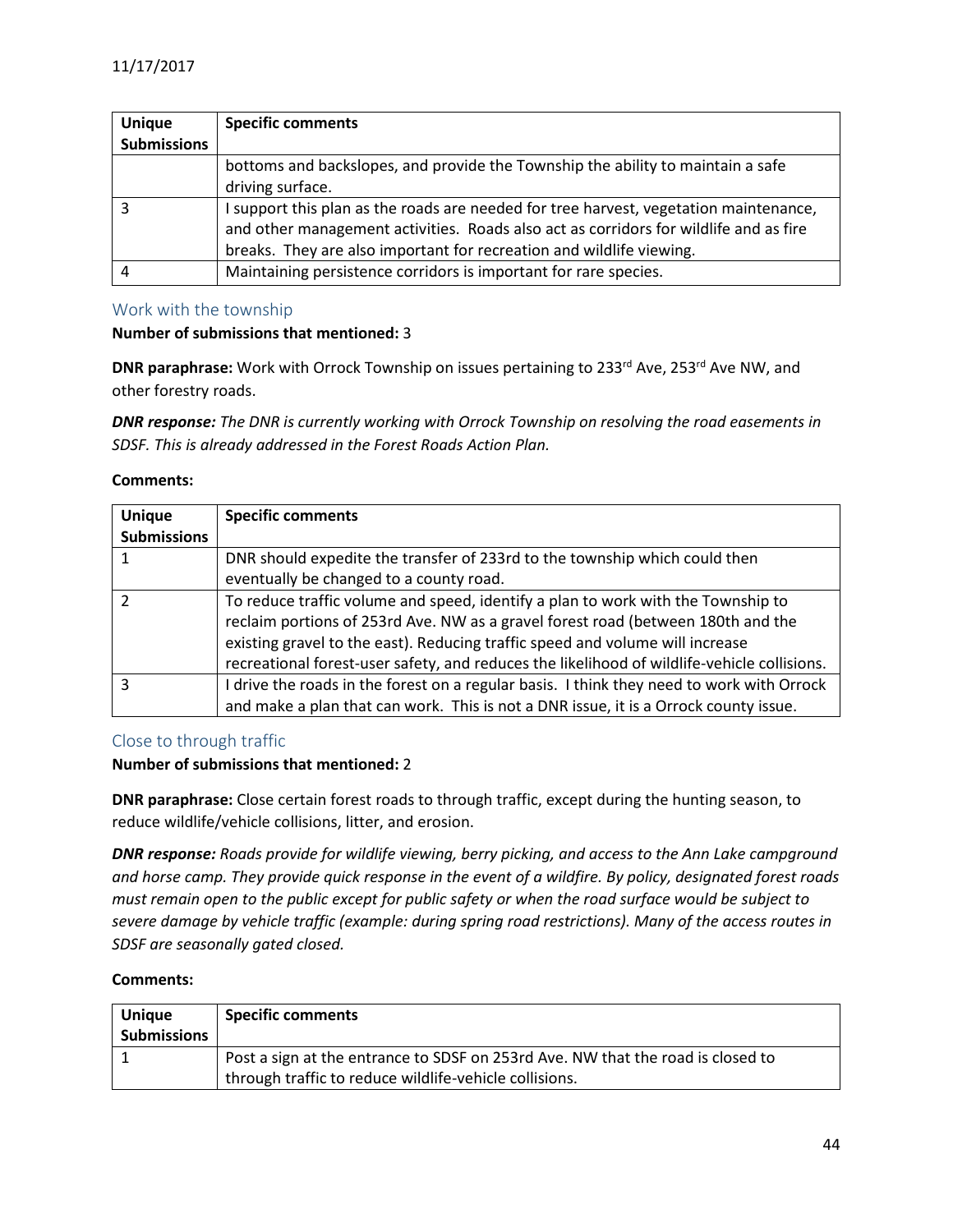| <b>Unique</b>      | <b>Specific comments</b>                                                              |
|--------------------|---------------------------------------------------------------------------------------|
| <b>Submissions</b> |                                                                                       |
|                    | bottoms and backslopes, and provide the Township the ability to maintain a safe       |
|                    | driving surface.                                                                      |
|                    | I support this plan as the roads are needed for tree harvest, vegetation maintenance, |
|                    | and other management activities. Roads also act as corridors for wildlife and as fire |
|                    | breaks. They are also important for recreation and wildlife viewing.                  |
|                    | Maintaining persistence corridors is important for rare species.                      |

#### <span id="page-43-0"></span>Work with the township

#### **Number of submissions that mentioned:** 3

**DNR paraphrase:** Work with Orrock Township on issues pertaining to 233<sup>rd</sup> Ave, 253<sup>rd</sup> Ave NW, and other forestry roads.

*DNR response: The DNR is currently working with Orrock Township on resolving the road easements in SDSF. This is already addressed in the Forest Roads Action Plan.*

#### **Comments:**

| <b>Unique</b>      | <b>Specific comments</b>                                                                    |
|--------------------|---------------------------------------------------------------------------------------------|
| <b>Submissions</b> |                                                                                             |
|                    | DNR should expedite the transfer of 233rd to the township which could then                  |
|                    | eventually be changed to a county road.                                                     |
|                    | To reduce traffic volume and speed, identify a plan to work with the Township to            |
|                    | reclaim portions of 253rd Ave. NW as a gravel forest road (between 180th and the            |
|                    | existing gravel to the east). Reducing traffic speed and volume will increase               |
|                    | recreational forest-user safety, and reduces the likelihood of wildlife-vehicle collisions. |
| ς                  | I drive the roads in the forest on a regular basis. I think they need to work with Orrock   |
|                    | and make a plan that can work. This is not a DNR issue, it is a Orrock county issue.        |

## <span id="page-43-1"></span>Close to through traffic

#### **Number of submissions that mentioned:** 2

**DNR paraphrase:** Close certain forest roads to through traffic, except during the hunting season, to reduce wildlife/vehicle collisions, litter, and erosion.

*DNR response: Roads provide for wildlife viewing, berry picking, and access to the Ann Lake campground and horse camp. They provide quick response in the event of a wildfire. By policy, designated forest roads must remain open to the public except for public safety or when the road surface would be subject to severe damage by vehicle traffic (example: during spring road restrictions). Many of the access routes in SDSF are seasonally gated closed.*

| <b>Unique</b><br><b>Submissions</b> | <b>Specific comments</b>                                                                                                                  |
|-------------------------------------|-------------------------------------------------------------------------------------------------------------------------------------------|
|                                     | Post a sign at the entrance to SDSF on 253rd Ave. NW that the road is closed to<br>through traffic to reduce wildlife-vehicle collisions. |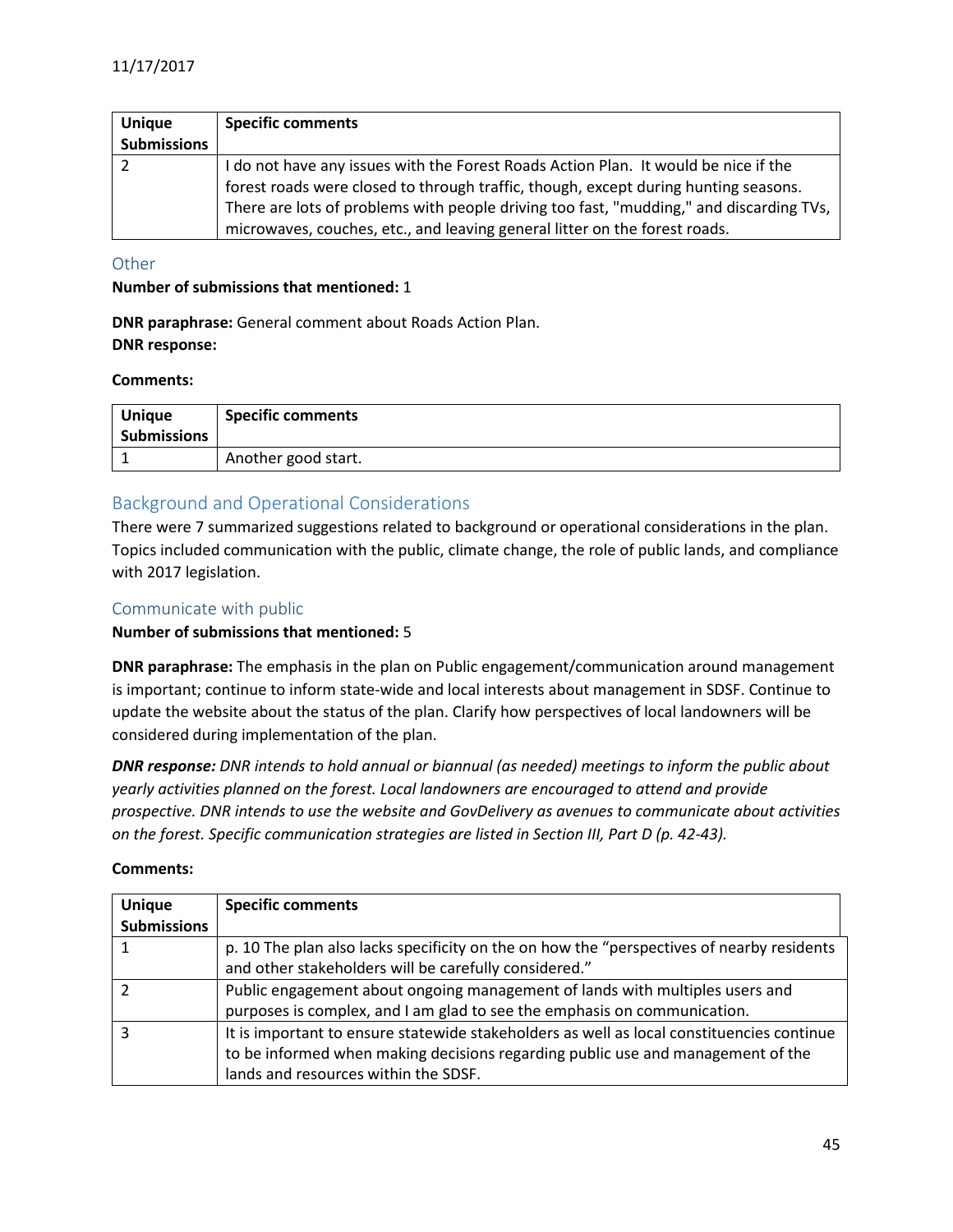| <b>Unique</b>      | <b>Specific comments</b>                                                                |
|--------------------|-----------------------------------------------------------------------------------------|
| <b>Submissions</b> |                                                                                         |
|                    | I do not have any issues with the Forest Roads Action Plan. It would be nice if the     |
|                    | forest roads were closed to through traffic, though, except during hunting seasons.     |
|                    | There are lots of problems with people driving too fast, "mudding," and discarding TVs, |
|                    | microwaves, couches, etc., and leaving general litter on the forest roads.              |

#### <span id="page-44-0"></span>**Other**

#### **Number of submissions that mentioned:** 1

**DNR paraphrase:** General comment about Roads Action Plan. **DNR response:**

#### **Comments:**

| <b>Unique</b><br><b>Submissions</b> | <b>Specific comments</b> |
|-------------------------------------|--------------------------|
|                                     | Another good start.      |

## <span id="page-44-1"></span>Background and Operational Considerations

There were 7 summarized suggestions related to background or operational considerations in the plan. Topics included communication with the public, climate change, the role of public lands, and compliance with 2017 legislation.

#### <span id="page-44-2"></span>Communicate with public

#### **Number of submissions that mentioned:** 5

**DNR paraphrase:** The emphasis in the plan on Public engagement/communication around management is important; continue to inform state-wide and local interests about management in SDSF. Continue to update the website about the status of the plan. Clarify how perspectives of local landowners will be considered during implementation of the plan.

*DNR response: DNR intends to hold annual or biannual (as needed) meetings to inform the public about yearly activities planned on the forest. Local landowners are encouraged to attend and provide prospective. DNR intends to use the website and GovDelivery as avenues to communicate about activities on the forest. Specific communication strategies are listed in Section III, Part D (p. 42-43).*

| <b>Unique</b>      | <b>Specific comments</b>                                                                   |
|--------------------|--------------------------------------------------------------------------------------------|
| <b>Submissions</b> |                                                                                            |
|                    | p. 10 The plan also lacks specificity on the on how the "perspectives of nearby residents" |
|                    | and other stakeholders will be carefully considered."                                      |
|                    | Public engagement about ongoing management of lands with multiples users and               |
|                    | purposes is complex, and I am glad to see the emphasis on communication.                   |
|                    | It is important to ensure statewide stakeholders as well as local constituencies continue  |
|                    | to be informed when making decisions regarding public use and management of the            |
|                    | lands and resources within the SDSF.                                                       |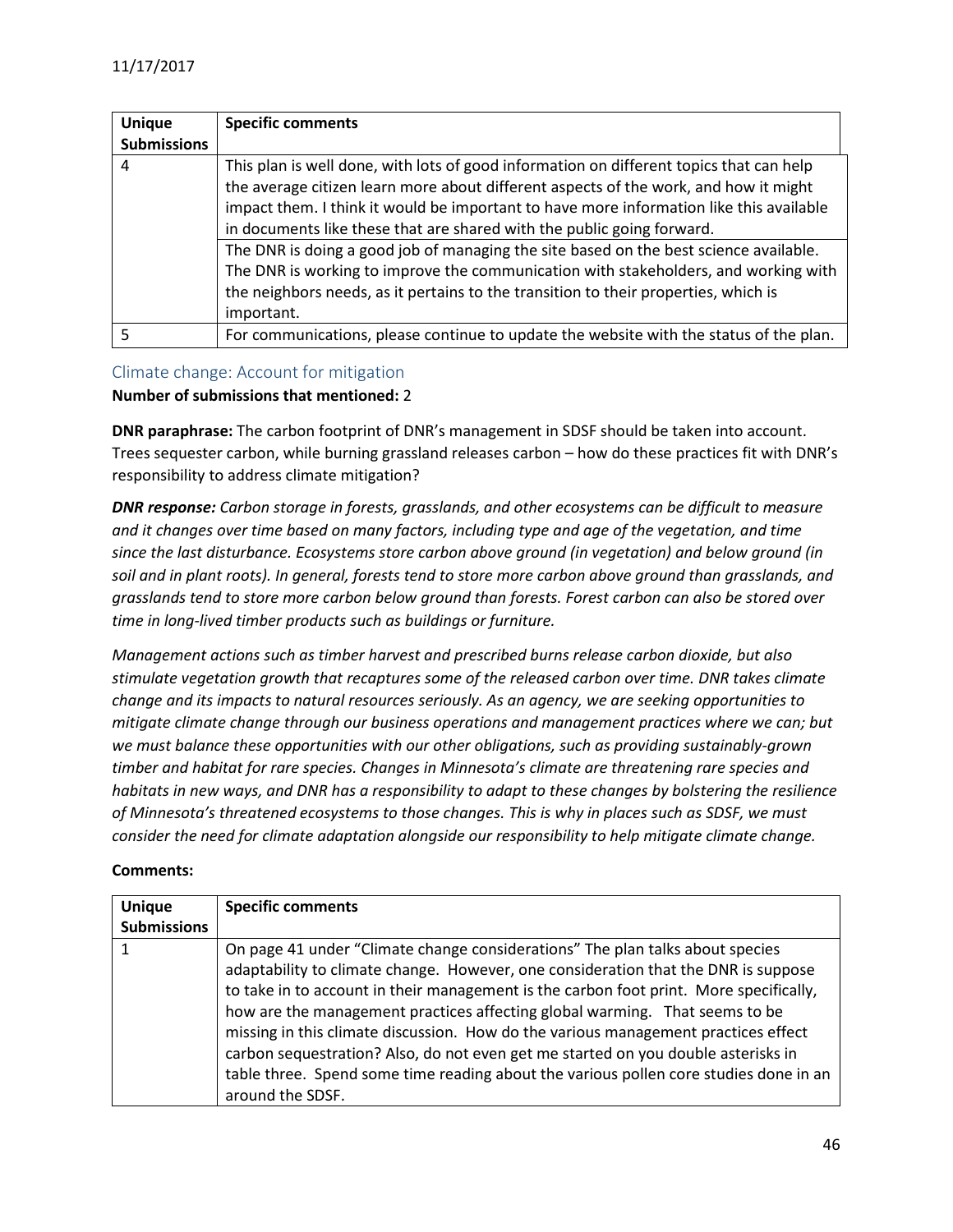| <b>Unique</b>      | <b>Specific comments</b>                                                                |
|--------------------|-----------------------------------------------------------------------------------------|
| <b>Submissions</b> |                                                                                         |
| 4                  | This plan is well done, with lots of good information on different topics that can help |
|                    | the average citizen learn more about different aspects of the work, and how it might    |
|                    | impact them. I think it would be important to have more information like this available |
|                    | in documents like these that are shared with the public going forward.                  |
|                    | The DNR is doing a good job of managing the site based on the best science available.   |
|                    | The DNR is working to improve the communication with stakeholders, and working with     |
|                    | the neighbors needs, as it pertains to the transition to their properties, which is     |
|                    | important.                                                                              |
| 5                  | For communications, please continue to update the website with the status of the plan.  |

#### <span id="page-45-0"></span>Climate change: Account for mitigation

#### **Number of submissions that mentioned:** 2

**DNR paraphrase:** The carbon footprint of DNR's management in SDSF should be taken into account. Trees sequester carbon, while burning grassland releases carbon – how do these practices fit with DNR's responsibility to address climate mitigation?

*DNR response: Carbon storage in forests, grasslands, and other ecosystems can be difficult to measure and it changes over time based on many factors, including type and age of the vegetation, and time since the last disturbance. Ecosystems store carbon above ground (in vegetation) and below ground (in soil and in plant roots). In general, forests tend to store more carbon above ground than grasslands, and grasslands tend to store more carbon below ground than forests. Forest carbon can also be stored over time in long-lived timber products such as buildings or furniture.*

*Management actions such as timber harvest and prescribed burns release carbon dioxide, but also stimulate vegetation growth that recaptures some of the released carbon over time. DNR takes climate change and its impacts to natural resources seriously. As an agency, we are seeking opportunities to mitigate climate change through our business operations and management practices where we can; but we must balance these opportunities with our other obligations, such as providing sustainably-grown timber and habitat for rare species. Changes in Minnesota's climate are threatening rare species and habitats in new ways, and DNR has a responsibility to adapt to these changes by bolstering the resilience of Minnesota's threatened ecosystems to those changes. This is why in places such as SDSF, we must consider the need for climate adaptation alongside our responsibility to help mitigate climate change.*

| <b>Unique</b><br><b>Submissions</b> | <b>Specific comments</b>                                                               |
|-------------------------------------|----------------------------------------------------------------------------------------|
|                                     |                                                                                        |
|                                     | On page 41 under "Climate change considerations" The plan talks about species          |
|                                     | adaptability to climate change. However, one consideration that the DNR is suppose     |
|                                     | to take in to account in their management is the carbon foot print. More specifically, |
|                                     | how are the management practices affecting global warming. That seems to be            |
|                                     | missing in this climate discussion. How do the various management practices effect     |
|                                     | carbon sequestration? Also, do not even get me started on you double asterisks in      |
|                                     | table three. Spend some time reading about the various pollen core studies done in an  |
|                                     | around the SDSF.                                                                       |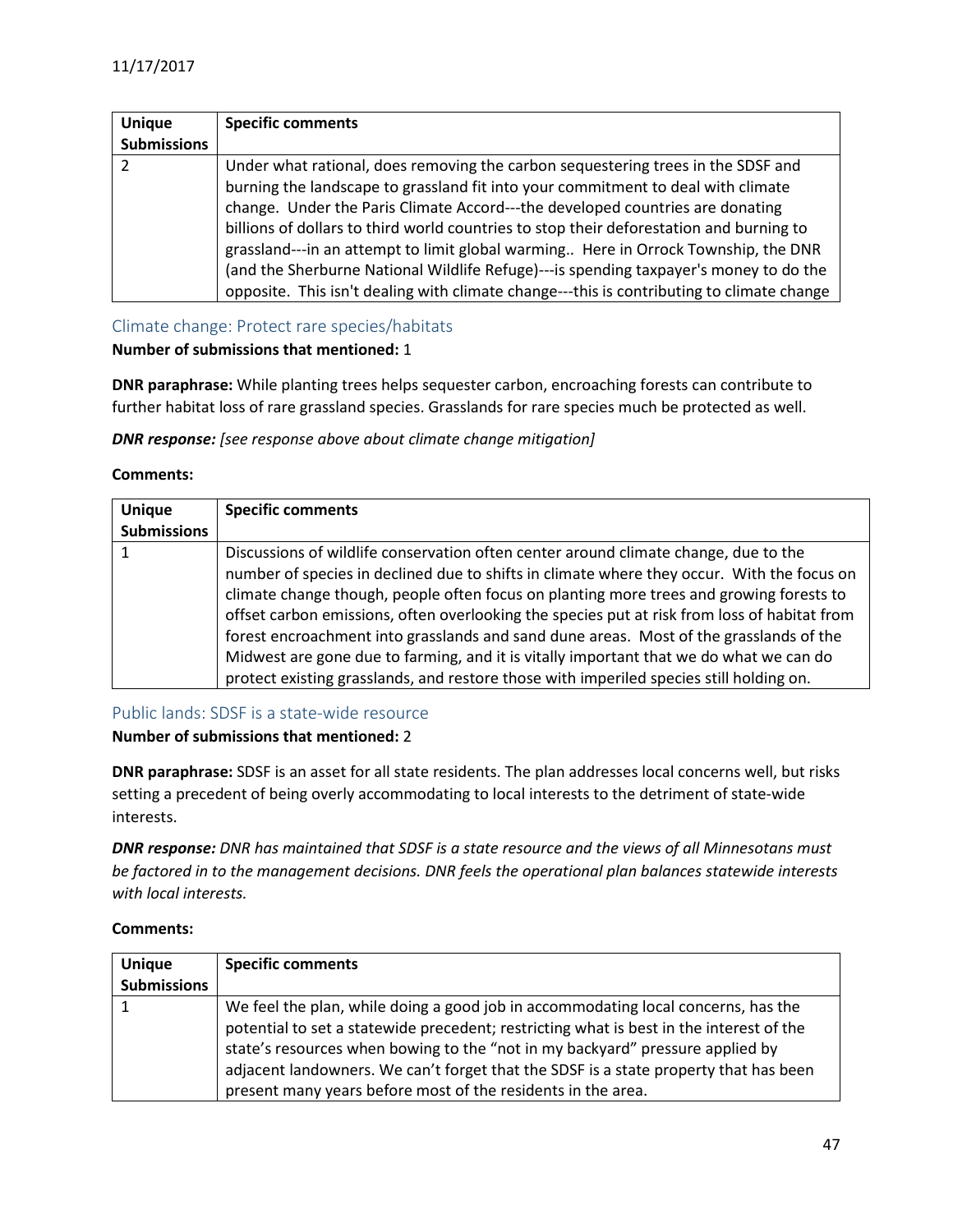| <b>Unique</b>      | <b>Specific comments</b>                                                                  |
|--------------------|-------------------------------------------------------------------------------------------|
| <b>Submissions</b> |                                                                                           |
| 2                  | Under what rational, does removing the carbon sequestering trees in the SDSF and          |
|                    | burning the landscape to grassland fit into your commitment to deal with climate          |
|                    | change. Under the Paris Climate Accord---the developed countries are donating             |
|                    | billions of dollars to third world countries to stop their deforestation and burning to   |
|                    | grassland---in an attempt to limit global warming Here in Orrock Township, the DNR        |
|                    | (and the Sherburne National Wildlife Refuge)---is spending taxpayer's money to do the     |
|                    | opposite. This isn't dealing with climate change---this is contributing to climate change |

#### <span id="page-46-0"></span>Climate change: Protect rare species/habitats

## **Number of submissions that mentioned:** 1

**DNR paraphrase:** While planting trees helps sequester carbon, encroaching forests can contribute to further habitat loss of rare grassland species. Grasslands for rare species much be protected as well.

*DNR response: [see response above about climate change mitigation]*

#### **Comments:**

| <b>Unique</b>      | <b>Specific comments</b>                                                                                                                                                                                                                                                                                                                                                                                                                                                                                                                                                                                                                                    |
|--------------------|-------------------------------------------------------------------------------------------------------------------------------------------------------------------------------------------------------------------------------------------------------------------------------------------------------------------------------------------------------------------------------------------------------------------------------------------------------------------------------------------------------------------------------------------------------------------------------------------------------------------------------------------------------------|
| <b>Submissions</b> |                                                                                                                                                                                                                                                                                                                                                                                                                                                                                                                                                                                                                                                             |
|                    | Discussions of wildlife conservation often center around climate change, due to the<br>number of species in declined due to shifts in climate where they occur. With the focus on<br>climate change though, people often focus on planting more trees and growing forests to<br>offset carbon emissions, often overlooking the species put at risk from loss of habitat from<br>forest encroachment into grasslands and sand dune areas. Most of the grasslands of the<br>Midwest are gone due to farming, and it is vitally important that we do what we can do<br>protect existing grasslands, and restore those with imperiled species still holding on. |

## <span id="page-46-1"></span>Public lands: SDSF is a state-wide resource

#### **Number of submissions that mentioned:** 2

**DNR paraphrase:** SDSF is an asset for all state residents. The plan addresses local concerns well, but risks setting a precedent of being overly accommodating to local interests to the detriment of state-wide interests.

*DNR response: DNR has maintained that SDSF is a state resource and the views of all Minnesotans must be factored in to the management decisions. DNR feels the operational plan balances statewide interests with local interests.*

| Comments: |  |
|-----------|--|
|-----------|--|

| <b>Unique</b>      | <b>Specific comments</b>                                                                                                                                                                                                                                                                                                                                                                                              |
|--------------------|-----------------------------------------------------------------------------------------------------------------------------------------------------------------------------------------------------------------------------------------------------------------------------------------------------------------------------------------------------------------------------------------------------------------------|
| <b>Submissions</b> |                                                                                                                                                                                                                                                                                                                                                                                                                       |
|                    | We feel the plan, while doing a good job in accommodating local concerns, has the<br>potential to set a statewide precedent; restricting what is best in the interest of the<br>state's resources when bowing to the "not in my backyard" pressure applied by<br>adjacent landowners. We can't forget that the SDSF is a state property that has been<br>present many years before most of the residents in the area. |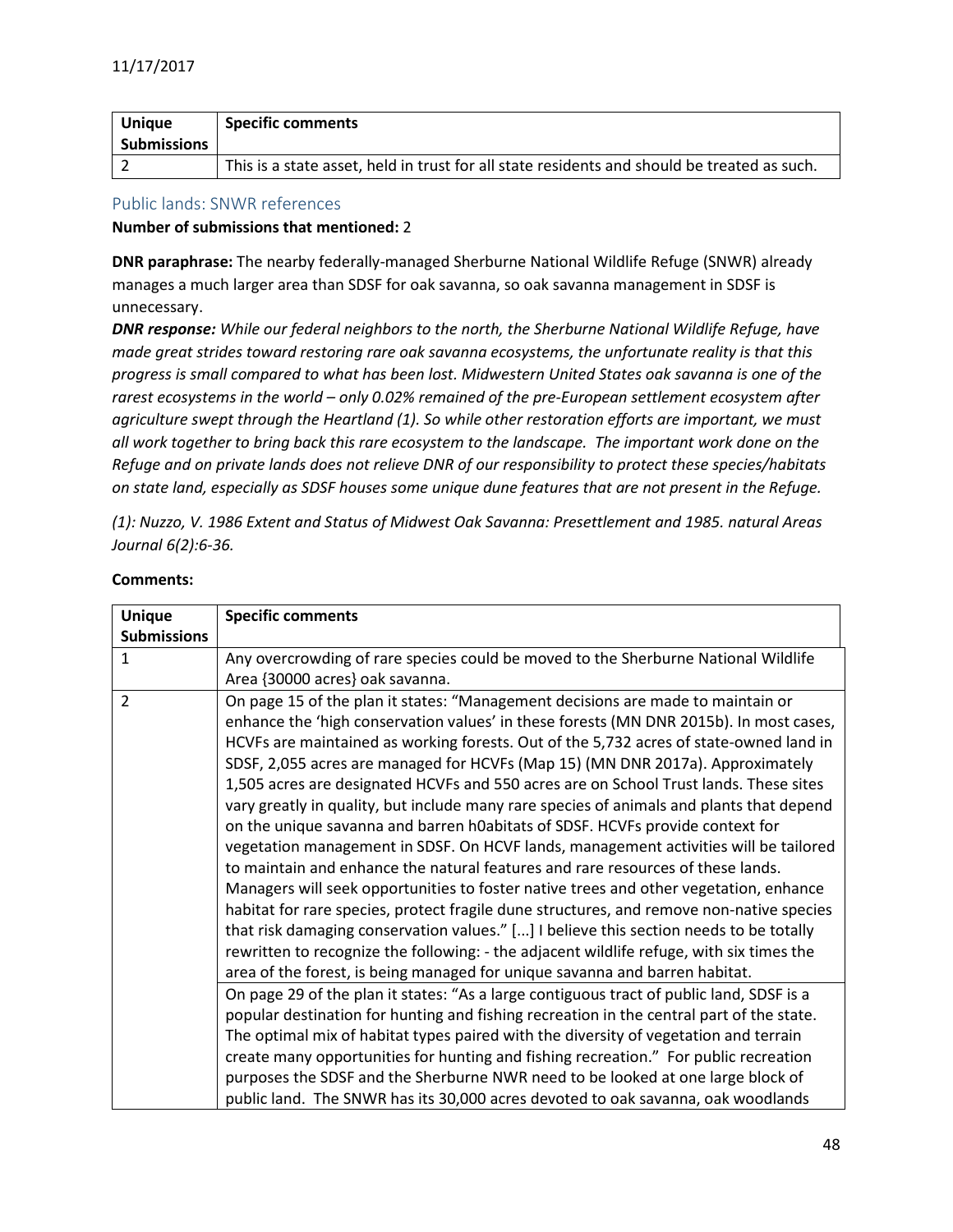| <b>Unique</b>      | <b>Specific comments</b>                                                                    |
|--------------------|---------------------------------------------------------------------------------------------|
| <b>Submissions</b> |                                                                                             |
|                    | This is a state asset, held in trust for all state residents and should be treated as such. |

#### <span id="page-47-0"></span>Public lands: SNWR references

#### **Number of submissions that mentioned:** 2

**DNR paraphrase:** The nearby federally-managed Sherburne National Wildlife Refuge (SNWR) already manages a much larger area than SDSF for oak savanna, so oak savanna management in SDSF is unnecessary.

*DNR response: While our federal neighbors to the north, the Sherburne National Wildlife Refuge, have made great strides toward restoring rare oak savanna ecosystems, the unfortunate reality is that this progress is small compared to what has been lost. Midwestern United States oak savanna is one of the rarest ecosystems in the world – only 0.02% remained of the pre-European settlement ecosystem after agriculture swept through the Heartland (1). So while other restoration efforts are important, we must all work together to bring back this rare ecosystem to the landscape. The important work done on the Refuge and on private lands does not relieve DNR of our responsibility to protect these species/habitats on state land, especially as SDSF houses some unique dune features that are not present in the Refuge.*

*(1): Nuzzo, V. 1986 Extent and Status of Midwest Oak Savanna: Presettlement and 1985. natural Areas Journal 6(2):6-36.*

| <b>Unique</b>      | <b>Specific comments</b>                                                                 |
|--------------------|------------------------------------------------------------------------------------------|
| <b>Submissions</b> |                                                                                          |
| $\mathbf{1}$       | Any overcrowding of rare species could be moved to the Sherburne National Wildlife       |
|                    | Area {30000 acres} oak savanna.                                                          |
| $\overline{2}$     | On page 15 of the plan it states: "Management decisions are made to maintain or          |
|                    | enhance the 'high conservation values' in these forests (MN DNR 2015b). In most cases,   |
|                    | HCVFs are maintained as working forests. Out of the 5,732 acres of state-owned land in   |
|                    | SDSF, 2,055 acres are managed for HCVFs (Map 15) (MN DNR 2017a). Approximately           |
|                    | 1,505 acres are designated HCVFs and 550 acres are on School Trust lands. These sites    |
|                    | vary greatly in quality, but include many rare species of animals and plants that depend |
|                    | on the unique savanna and barren h0abitats of SDSF. HCVFs provide context for            |
|                    | vegetation management in SDSF. On HCVF lands, management activities will be tailored     |
|                    | to maintain and enhance the natural features and rare resources of these lands.          |
|                    | Managers will seek opportunities to foster native trees and other vegetation, enhance    |
|                    | habitat for rare species, protect fragile dune structures, and remove non-native species |
|                    | that risk damaging conservation values." [] I believe this section needs to be totally   |
|                    | rewritten to recognize the following: - the adjacent wildlife refuge, with six times the |
|                    | area of the forest, is being managed for unique savanna and barren habitat.              |
|                    | On page 29 of the plan it states: "As a large contiguous tract of public land, SDSF is a |
|                    | popular destination for hunting and fishing recreation in the central part of the state. |
|                    | The optimal mix of habitat types paired with the diversity of vegetation and terrain     |
|                    | create many opportunities for hunting and fishing recreation." For public recreation     |
|                    | purposes the SDSF and the Sherburne NWR need to be looked at one large block of          |
|                    | public land. The SNWR has its 30,000 acres devoted to oak savanna, oak woodlands         |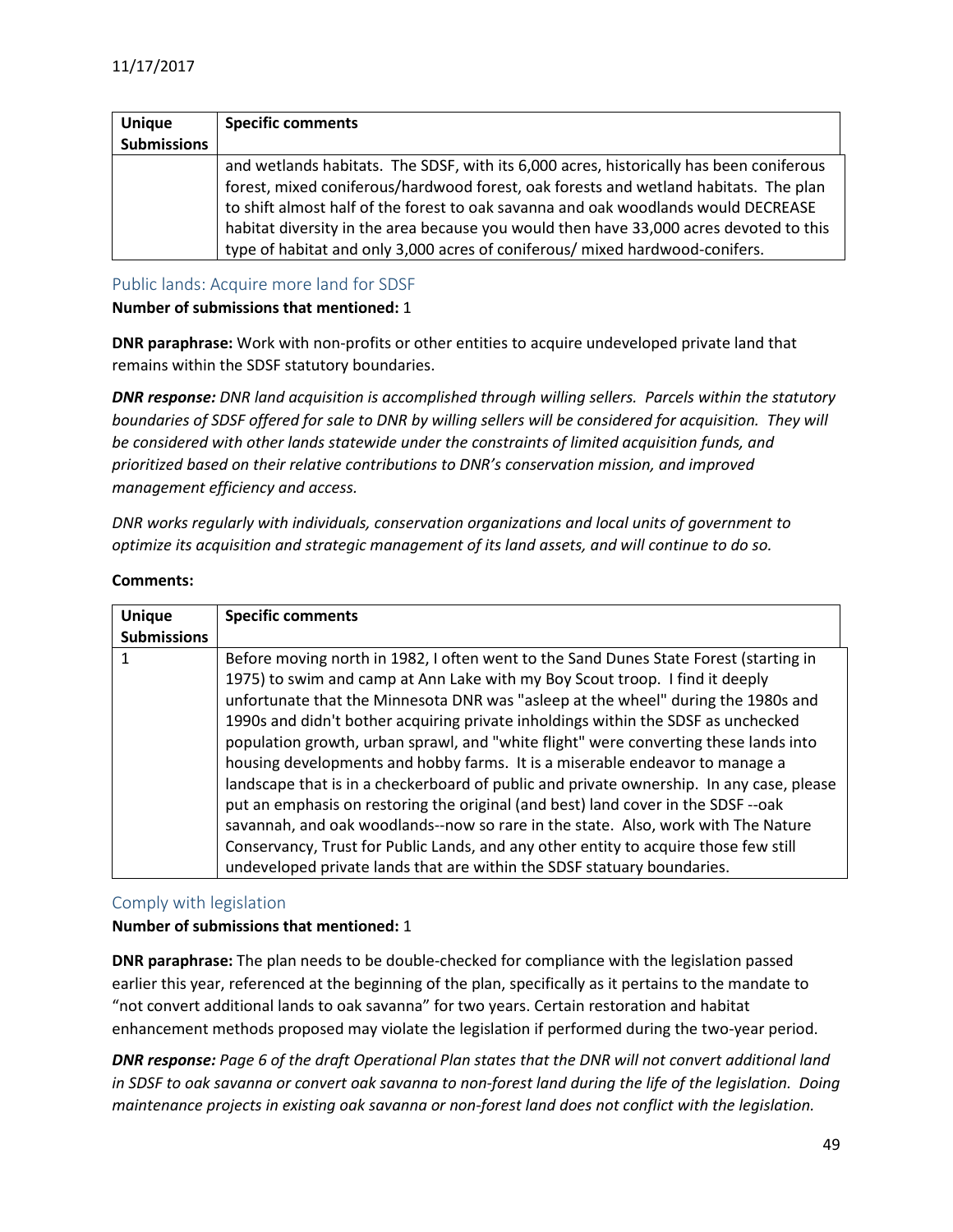| <b>Unique</b>      | <b>Specific comments</b>                                                                |
|--------------------|-----------------------------------------------------------------------------------------|
| <b>Submissions</b> |                                                                                         |
|                    | and wetlands habitats. The SDSF, with its 6,000 acres, historically has been coniferous |
|                    | forest, mixed coniferous/hardwood forest, oak forests and wetland habitats. The plan    |
|                    | to shift almost half of the forest to oak savanna and oak woodlands would DECREASE      |
|                    | habitat diversity in the area because you would then have 33,000 acres devoted to this  |
|                    | type of habitat and only 3,000 acres of coniferous/ mixed hardwood-conifers.            |

<span id="page-48-0"></span>Public lands: Acquire more land for SDSF

**Number of submissions that mentioned:** 1

**DNR paraphrase:** Work with non-profits or other entities to acquire undeveloped private land that remains within the SDSF statutory boundaries.

*DNR response: DNR land acquisition is accomplished through willing sellers. Parcels within the statutory boundaries of SDSF offered for sale to DNR by willing sellers will be considered for acquisition. They will be considered with other lands statewide under the constraints of limited acquisition funds, and prioritized based on their relative contributions to DNR's conservation mission, and improved management efficiency and access.*

*DNR works regularly with individuals, conservation organizations and local units of government to optimize its acquisition and strategic management of its land assets, and will continue to do so.*

#### **Comments:**

| <b>Unique</b>      | <b>Specific comments</b>                                                                 |
|--------------------|------------------------------------------------------------------------------------------|
| <b>Submissions</b> |                                                                                          |
|                    | Before moving north in 1982, I often went to the Sand Dunes State Forest (starting in    |
|                    | 1975) to swim and camp at Ann Lake with my Boy Scout troop. I find it deeply             |
|                    | unfortunate that the Minnesota DNR was "asleep at the wheel" during the 1980s and        |
|                    | 1990s and didn't bother acquiring private inholdings within the SDSF as unchecked        |
|                    | population growth, urban sprawl, and "white flight" were converting these lands into     |
|                    | housing developments and hobby farms. It is a miserable endeavor to manage a             |
|                    | landscape that is in a checkerboard of public and private ownership. In any case, please |
|                    | put an emphasis on restoring the original (and best) land cover in the SDSF--oak         |
|                    | savannah, and oak woodlands--now so rare in the state. Also, work with The Nature        |
|                    | Conservancy, Trust for Public Lands, and any other entity to acquire those few still     |
|                    | undeveloped private lands that are within the SDSF statuary boundaries.                  |

## <span id="page-48-1"></span>Comply with legislation

## **Number of submissions that mentioned:** 1

**DNR paraphrase:** The plan needs to be double-checked for compliance with the legislation passed earlier this year, referenced at the beginning of the plan, specifically as it pertains to the mandate to "not convert additional lands to oak savanna" for two years. Certain restoration and habitat enhancement methods proposed may violate the legislation if performed during the two-year period.

*DNR response: Page 6 of the draft Operational Plan states that the DNR will not convert additional land in SDSF to oak savanna or convert oak savanna to non-forest land during the life of the legislation. Doing maintenance projects in existing oak savanna or non-forest land does not conflict with the legislation.*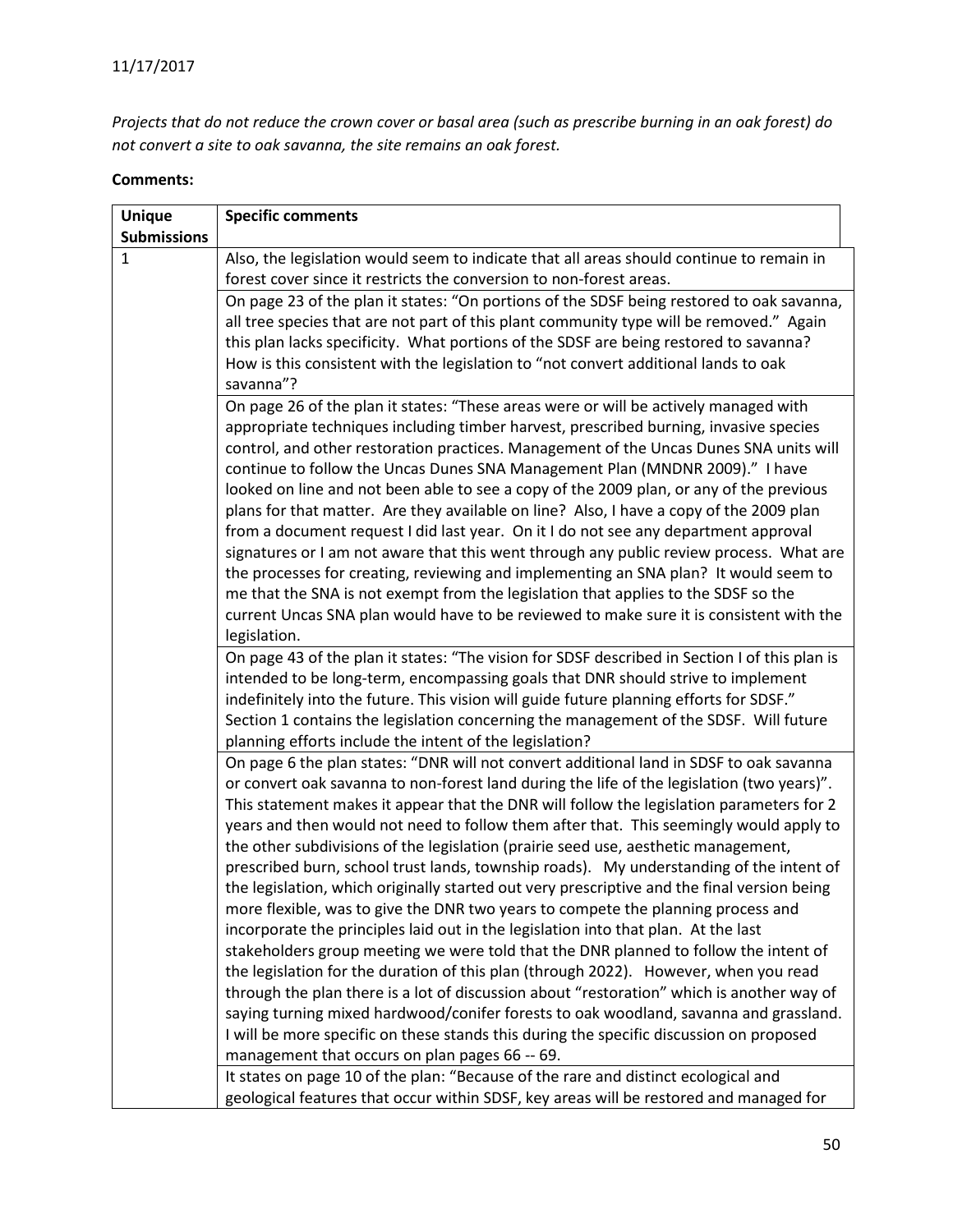*Projects that do not reduce the crown cover or basal area (such as prescribe burning in an oak forest) do not convert a site to oak savanna, the site remains an oak forest.*

| <b>Unique</b>      | <b>Specific comments</b>                                                                                                                                                   |
|--------------------|----------------------------------------------------------------------------------------------------------------------------------------------------------------------------|
| <b>Submissions</b> |                                                                                                                                                                            |
| $\mathbf{1}$       | Also, the legislation would seem to indicate that all areas should continue to remain in                                                                                   |
|                    | forest cover since it restricts the conversion to non-forest areas.                                                                                                        |
|                    | On page 23 of the plan it states: "On portions of the SDSF being restored to oak savanna,                                                                                  |
|                    | all tree species that are not part of this plant community type will be removed." Again                                                                                    |
|                    | this plan lacks specificity. What portions of the SDSF are being restored to savanna?                                                                                      |
|                    | How is this consistent with the legislation to "not convert additional lands to oak<br>savanna"?                                                                           |
|                    | On page 26 of the plan it states: "These areas were or will be actively managed with                                                                                       |
|                    | appropriate techniques including timber harvest, prescribed burning, invasive species                                                                                      |
|                    | control, and other restoration practices. Management of the Uncas Dunes SNA units will                                                                                     |
|                    | continue to follow the Uncas Dunes SNA Management Plan (MNDNR 2009)." I have                                                                                               |
|                    | looked on line and not been able to see a copy of the 2009 plan, or any of the previous                                                                                    |
|                    | plans for that matter. Are they available on line? Also, I have a copy of the 2009 plan                                                                                    |
|                    | from a document request I did last year. On it I do not see any department approval                                                                                        |
|                    | signatures or I am not aware that this went through any public review process. What are                                                                                    |
|                    | the processes for creating, reviewing and implementing an SNA plan? It would seem to                                                                                       |
|                    | me that the SNA is not exempt from the legislation that applies to the SDSF so the                                                                                         |
|                    | current Uncas SNA plan would have to be reviewed to make sure it is consistent with the                                                                                    |
|                    | legislation.                                                                                                                                                               |
|                    | On page 43 of the plan it states: "The vision for SDSF described in Section I of this plan is                                                                              |
|                    | intended to be long-term, encompassing goals that DNR should strive to implement                                                                                           |
|                    | indefinitely into the future. This vision will guide future planning efforts for SDSF."                                                                                    |
|                    | Section 1 contains the legislation concerning the management of the SDSF. Will future                                                                                      |
|                    | planning efforts include the intent of the legislation?                                                                                                                    |
|                    | On page 6 the plan states: "DNR will not convert additional land in SDSF to oak savanna                                                                                    |
|                    | or convert oak savanna to non-forest land during the life of the legislation (two years)".                                                                                 |
|                    | This statement makes it appear that the DNR will follow the legislation parameters for 2                                                                                   |
|                    | years and then would not need to follow them after that. This seemingly would apply to                                                                                     |
|                    | the other subdivisions of the legislation (prairie seed use, aesthetic management,                                                                                         |
|                    | prescribed burn, school trust lands, township roads). My understanding of the intent of                                                                                    |
|                    | the legislation, which originally started out very prescriptive and the final version being                                                                                |
|                    | more flexible, was to give the DNR two years to compete the planning process and                                                                                           |
|                    | incorporate the principles laid out in the legislation into that plan. At the last<br>stakeholders group meeting we were told that the DNR planned to follow the intent of |
|                    | the legislation for the duration of this plan (through 2022). However, when you read                                                                                       |
|                    | through the plan there is a lot of discussion about "restoration" which is another way of                                                                                  |
|                    | saying turning mixed hardwood/conifer forests to oak woodland, savanna and grassland.                                                                                      |
|                    | I will be more specific on these stands this during the specific discussion on proposed                                                                                    |
|                    | management that occurs on plan pages 66 -- 69.                                                                                                                             |
|                    | It states on page 10 of the plan: "Because of the rare and distinct ecological and                                                                                         |
|                    | geological features that occur within SDSF, key areas will be restored and managed for                                                                                     |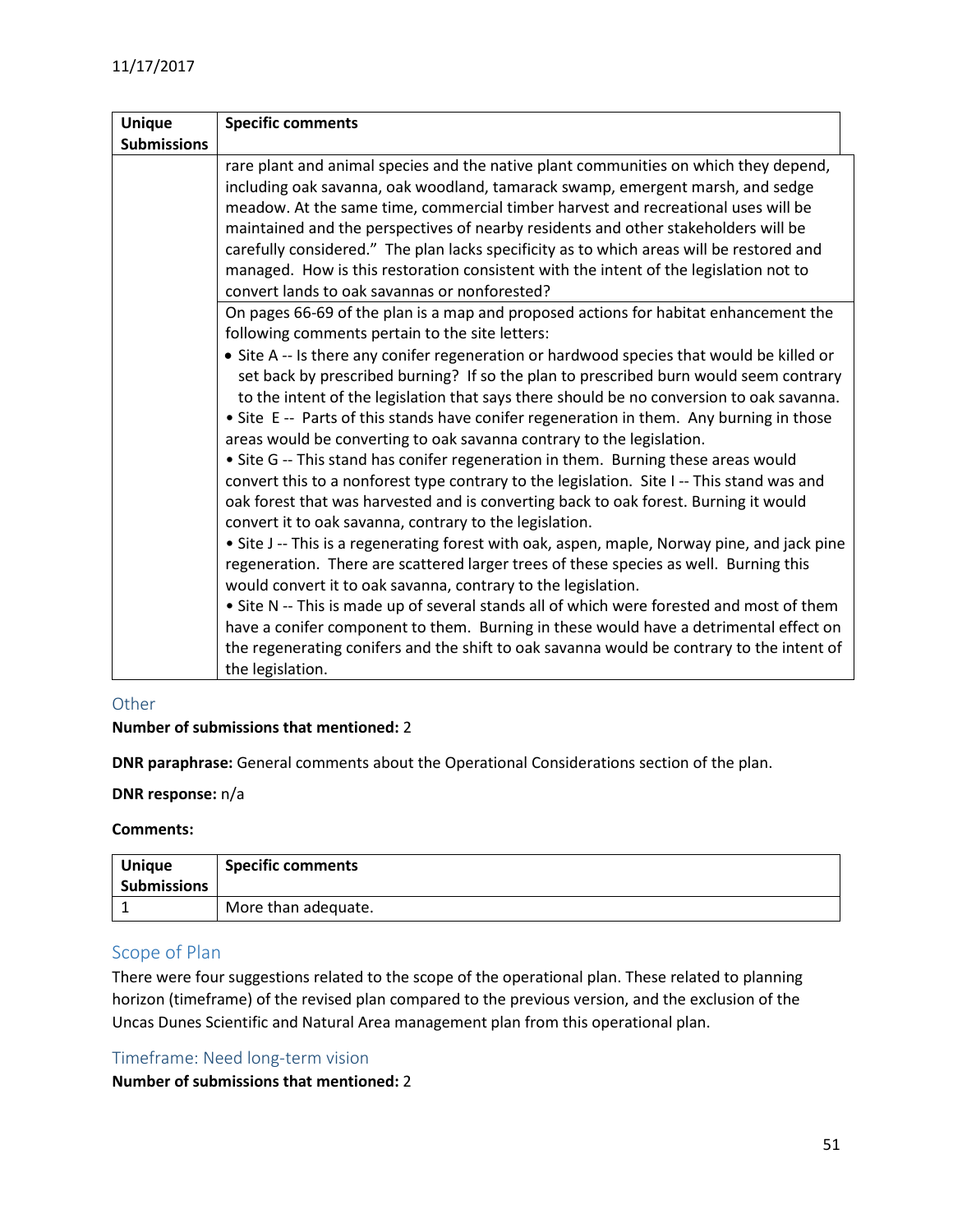| <b>Unique</b>      | <b>Specific comments</b>                                                                                                                                                                                                                                                                                                                                                                                                                                                                                                                                                                                                                                                                                                                                                                                                                                                                                                                                                                                                             |  |
|--------------------|--------------------------------------------------------------------------------------------------------------------------------------------------------------------------------------------------------------------------------------------------------------------------------------------------------------------------------------------------------------------------------------------------------------------------------------------------------------------------------------------------------------------------------------------------------------------------------------------------------------------------------------------------------------------------------------------------------------------------------------------------------------------------------------------------------------------------------------------------------------------------------------------------------------------------------------------------------------------------------------------------------------------------------------|--|
| <b>Submissions</b> |                                                                                                                                                                                                                                                                                                                                                                                                                                                                                                                                                                                                                                                                                                                                                                                                                                                                                                                                                                                                                                      |  |
|                    | rare plant and animal species and the native plant communities on which they depend,<br>including oak savanna, oak woodland, tamarack swamp, emergent marsh, and sedge<br>meadow. At the same time, commercial timber harvest and recreational uses will be<br>maintained and the perspectives of nearby residents and other stakeholders will be<br>carefully considered." The plan lacks specificity as to which areas will be restored and<br>managed. How is this restoration consistent with the intent of the legislation not to<br>convert lands to oak savannas or nonforested?                                                                                                                                                                                                                                                                                                                                                                                                                                              |  |
|                    | On pages 66-69 of the plan is a map and proposed actions for habitat enhancement the<br>following comments pertain to the site letters:<br>• Site A -- Is there any conifer regeneration or hardwood species that would be killed or<br>set back by prescribed burning? If so the plan to prescribed burn would seem contrary<br>to the intent of the legislation that says there should be no conversion to oak savanna.<br>• Site E -- Parts of this stands have conifer regeneration in them. Any burning in those<br>areas would be converting to oak savanna contrary to the legislation.<br>• Site G -- This stand has conifer regeneration in them. Burning these areas would<br>convert this to a nonforest type contrary to the legislation. Site I-- This stand was and<br>oak forest that was harvested and is converting back to oak forest. Burning it would<br>convert it to oak savanna, contrary to the legislation.<br>• Site J -- This is a regenerating forest with oak, aspen, maple, Norway pine, and jack pine |  |
|                    | regeneration. There are scattered larger trees of these species as well. Burning this<br>would convert it to oak savanna, contrary to the legislation.<br>• Site N -- This is made up of several stands all of which were forested and most of them<br>have a conifer component to them. Burning in these would have a detrimental effect on<br>the regenerating conifers and the shift to oak savanna would be contrary to the intent of<br>the legislation.                                                                                                                                                                                                                                                                                                                                                                                                                                                                                                                                                                        |  |

## <span id="page-50-0"></span>**Other**

#### **Number of submissions that mentioned:** 2

**DNR paraphrase:** General comments about the Operational Considerations section of the plan.

#### **DNR response:** n/a

#### **Comments:**

| <b>Unique</b><br><b>Submissions</b> | <b>Specific comments</b> |
|-------------------------------------|--------------------------|
|                                     | More than adequate.      |

## <span id="page-50-1"></span>Scope of Plan

There were four suggestions related to the scope of the operational plan. These related to planning horizon (timeframe) of the revised plan compared to the previous version, and the exclusion of the Uncas Dunes Scientific and Natural Area management plan from this operational plan.

#### <span id="page-50-2"></span>Timeframe: Need long-term vision

#### **Number of submissions that mentioned:** 2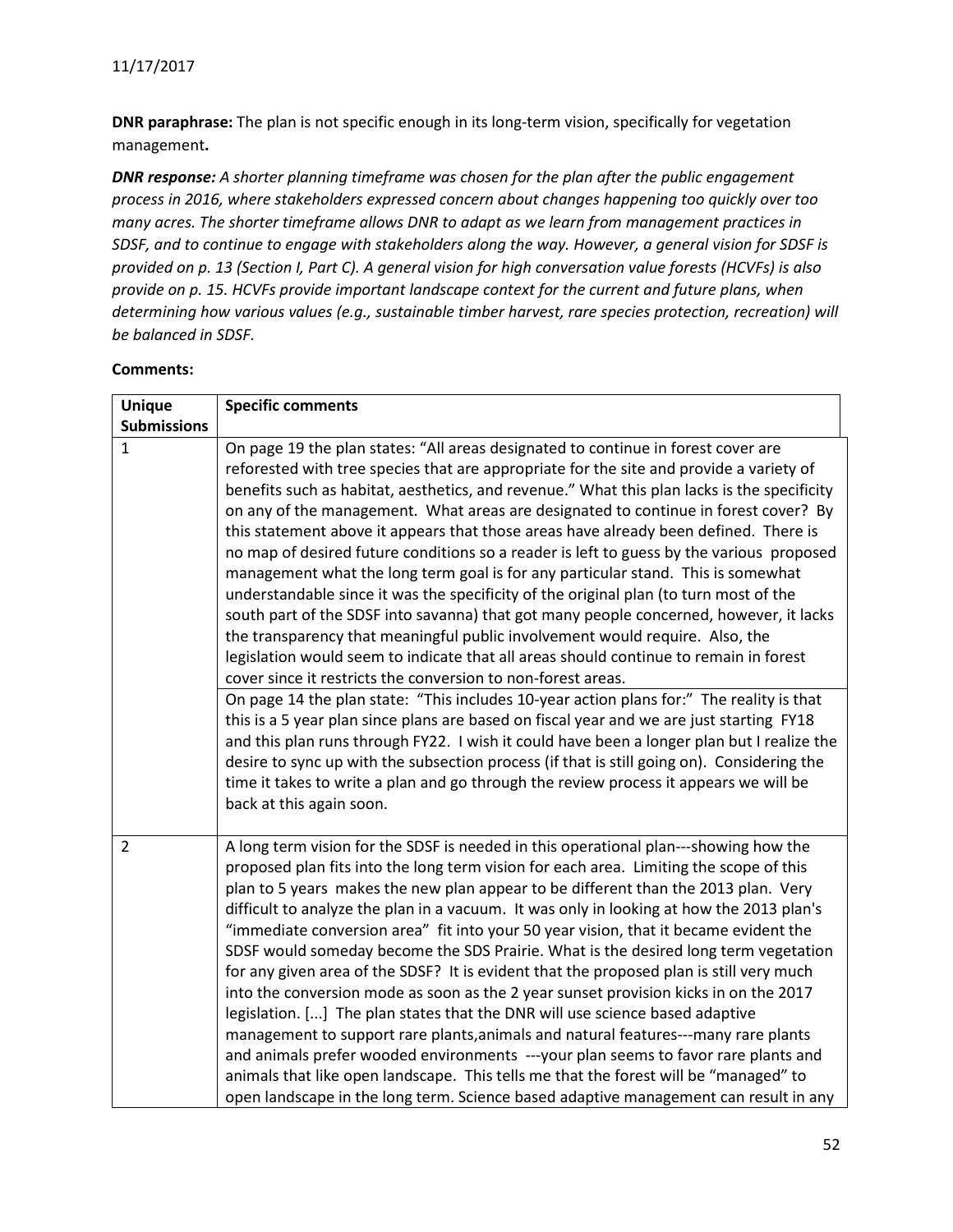**DNR paraphrase:** The plan is not specific enough in its long-term vision, specifically for vegetation management**.**

*DNR response: A shorter planning timeframe was chosen for the plan after the public engagement process in 2016, where stakeholders expressed concern about changes happening too quickly over too many acres. The shorter timeframe allows DNR to adapt as we learn from management practices in SDSF, and to continue to engage with stakeholders along the way. However, a general vision for SDSF is provided on p. 13 (Section I, Part C). A general vision for high conversation value forests (HCVFs) is also provide on p. 15. HCVFs provide important landscape context for the current and future plans, when determining how various values (e.g., sustainable timber harvest, rare species protection, recreation) will be balanced in SDSF.*

| <b>Unique</b>      | <b>Specific comments</b>                                                                                                                                                                                                                                                                                                                                                                                                                                                                                                                                                                                                                                                                                                                                                                                                                                                                                                                                                                                                                                                                                                                                                       |
|--------------------|--------------------------------------------------------------------------------------------------------------------------------------------------------------------------------------------------------------------------------------------------------------------------------------------------------------------------------------------------------------------------------------------------------------------------------------------------------------------------------------------------------------------------------------------------------------------------------------------------------------------------------------------------------------------------------------------------------------------------------------------------------------------------------------------------------------------------------------------------------------------------------------------------------------------------------------------------------------------------------------------------------------------------------------------------------------------------------------------------------------------------------------------------------------------------------|
| <b>Submissions</b> |                                                                                                                                                                                                                                                                                                                                                                                                                                                                                                                                                                                                                                                                                                                                                                                                                                                                                                                                                                                                                                                                                                                                                                                |
| $\mathbf{1}$       | On page 19 the plan states: "All areas designated to continue in forest cover are<br>reforested with tree species that are appropriate for the site and provide a variety of<br>benefits such as habitat, aesthetics, and revenue." What this plan lacks is the specificity<br>on any of the management. What areas are designated to continue in forest cover? By<br>this statement above it appears that those areas have already been defined. There is<br>no map of desired future conditions so a reader is left to guess by the various proposed<br>management what the long term goal is for any particular stand. This is somewhat<br>understandable since it was the specificity of the original plan (to turn most of the<br>south part of the SDSF into savanna) that got many people concerned, however, it lacks<br>the transparency that meaningful public involvement would require. Also, the<br>legislation would seem to indicate that all areas should continue to remain in forest<br>cover since it restricts the conversion to non-forest areas.                                                                                                         |
|                    | On page 14 the plan state: "This includes 10-year action plans for:" The reality is that<br>this is a 5 year plan since plans are based on fiscal year and we are just starting FY18<br>and this plan runs through FY22. I wish it could have been a longer plan but I realize the<br>desire to sync up with the subsection process (if that is still going on). Considering the<br>time it takes to write a plan and go through the review process it appears we will be<br>back at this again soon.                                                                                                                                                                                                                                                                                                                                                                                                                                                                                                                                                                                                                                                                          |
| $\overline{2}$     | A long term vision for the SDSF is needed in this operational plan---showing how the<br>proposed plan fits into the long term vision for each area. Limiting the scope of this<br>plan to 5 years makes the new plan appear to be different than the 2013 plan. Very<br>difficult to analyze the plan in a vacuum. It was only in looking at how the 2013 plan's<br>"immediate conversion area" fit into your 50 year vision, that it became evident the<br>SDSF would someday become the SDS Prairie. What is the desired long term vegetation<br>for any given area of the SDSF? It is evident that the proposed plan is still very much<br>into the conversion mode as soon as the 2 year sunset provision kicks in on the 2017<br>legislation. [] The plan states that the DNR will use science based adaptive<br>management to support rare plants, animals and natural features---many rare plants<br>and animals prefer wooded environments ---your plan seems to favor rare plants and<br>animals that like open landscape. This tells me that the forest will be "managed" to<br>open landscape in the long term. Science based adaptive management can result in any |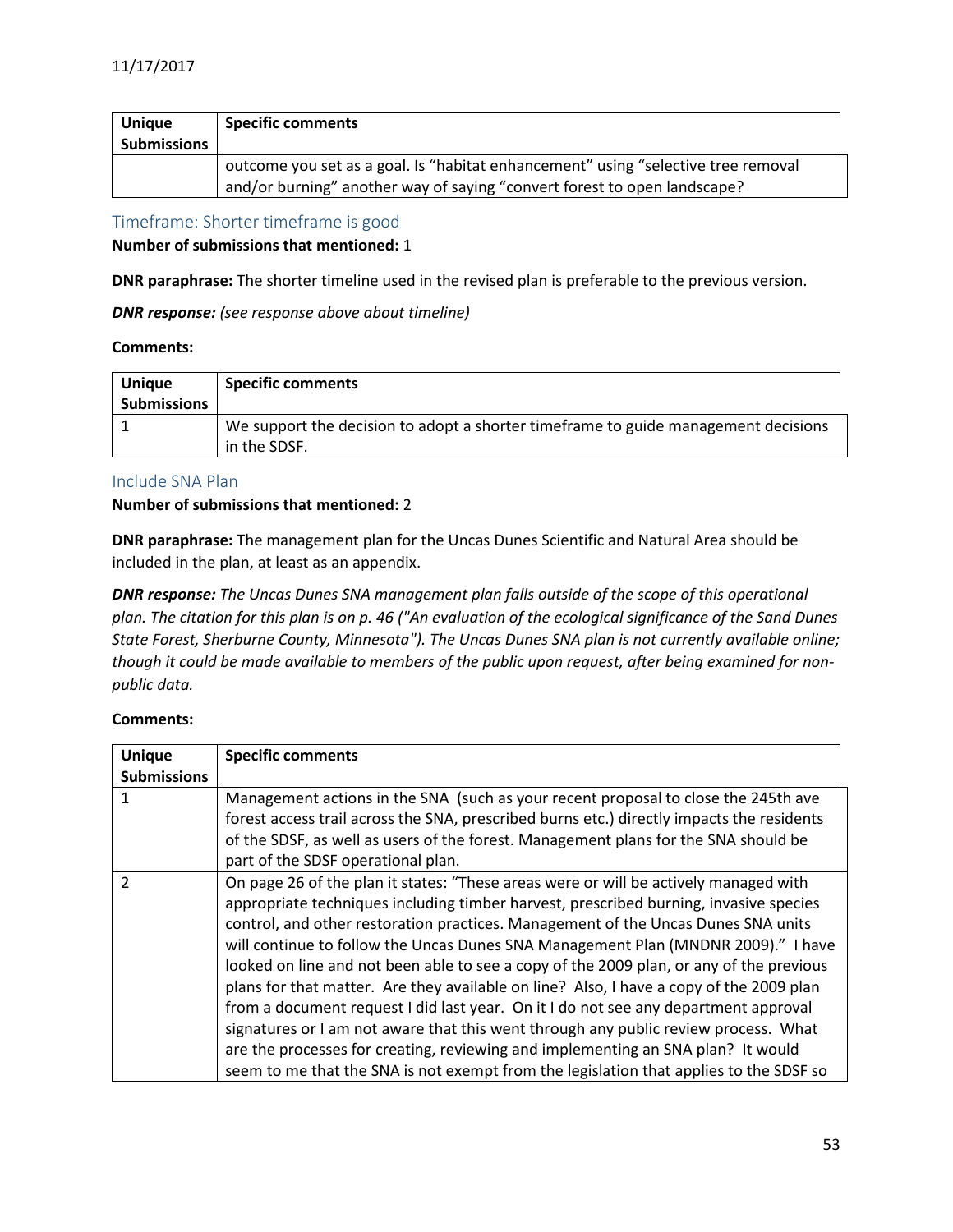| <b>Unique</b><br><b>Submissions</b> | <b>Specific comments</b>                                                                                                                                      |
|-------------------------------------|---------------------------------------------------------------------------------------------------------------------------------------------------------------|
|                                     | outcome you set as a goal. Is "habitat enhancement" using "selective tree removal<br>and/or burning" another way of saying "convert forest to open landscape? |

<span id="page-52-0"></span>Timeframe: Shorter timeframe is good

**Number of submissions that mentioned:** 1

**DNR paraphrase:** The shorter timeline used in the revised plan is preferable to the previous version.

*DNR response: (see response above about timeline)*

#### **Comments:**

| <b>Unique</b><br><b>Submissions</b> | <b>Specific comments</b>                                                                            |
|-------------------------------------|-----------------------------------------------------------------------------------------------------|
|                                     | We support the decision to adopt a shorter time frame to guide management decisions<br>in the SDSF. |

#### <span id="page-52-1"></span>Include SNA Plan

#### **Number of submissions that mentioned:** 2

**DNR paraphrase:** The management plan for the Uncas Dunes Scientific and Natural Area should be included in the plan, at least as an appendix.

*DNR response: The Uncas Dunes SNA management plan falls outside of the scope of this operational plan. The citation for this plan is on p. 46 ("An evaluation of the ecological significance of the Sand Dunes State Forest, Sherburne County, Minnesota"). The Uncas Dunes SNA plan is not currently available online; though it could be made available to members of the public upon request, after being examined for nonpublic data.*

| <b>Unique</b>      | <b>Specific comments</b>                                                                  |
|--------------------|-------------------------------------------------------------------------------------------|
| <b>Submissions</b> |                                                                                           |
| 1                  | Management actions in the SNA (such as your recent proposal to close the 245th ave        |
|                    | forest access trail across the SNA, prescribed burns etc.) directly impacts the residents |
|                    | of the SDSF, as well as users of the forest. Management plans for the SNA should be       |
|                    | part of the SDSF operational plan.                                                        |
| $\mathcal{P}$      | On page 26 of the plan it states: "These areas were or will be actively managed with      |
|                    | appropriate techniques including timber harvest, prescribed burning, invasive species     |
|                    | control, and other restoration practices. Management of the Uncas Dunes SNA units         |
|                    | will continue to follow the Uncas Dunes SNA Management Plan (MNDNR 2009)." I have         |
|                    | looked on line and not been able to see a copy of the 2009 plan, or any of the previous   |
|                    | plans for that matter. Are they available on line? Also, I have a copy of the 2009 plan   |
|                    | from a document request I did last year. On it I do not see any department approval       |
|                    | signatures or I am not aware that this went through any public review process. What       |
|                    | are the processes for creating, reviewing and implementing an SNA plan? It would          |
|                    | seem to me that the SNA is not exempt from the legislation that applies to the SDSF so    |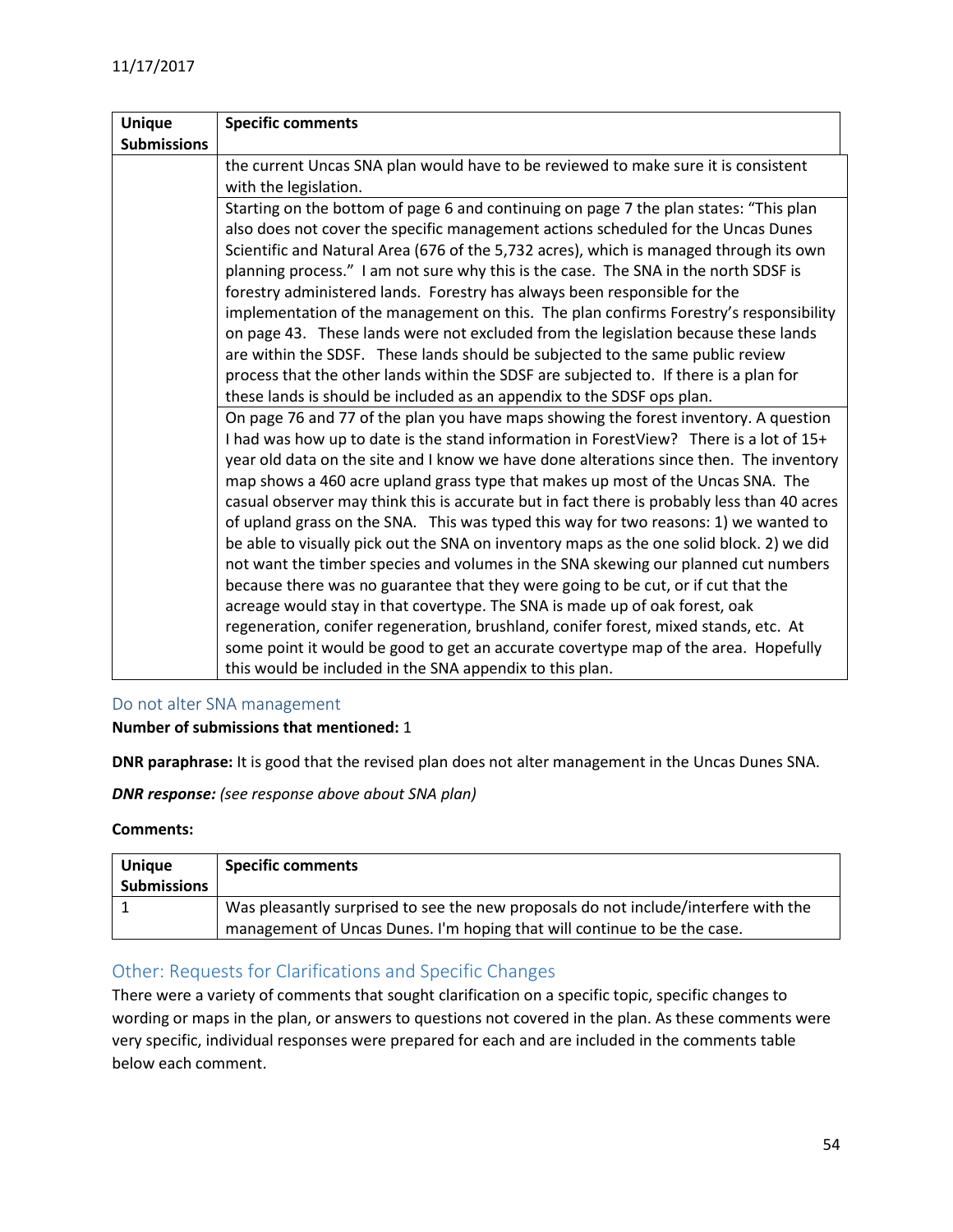| <b>Unique</b>      | <b>Specific comments</b>                                                                    |
|--------------------|---------------------------------------------------------------------------------------------|
| <b>Submissions</b> |                                                                                             |
|                    | the current Uncas SNA plan would have to be reviewed to make sure it is consistent          |
|                    | with the legislation.                                                                       |
|                    | Starting on the bottom of page 6 and continuing on page 7 the plan states: "This plan       |
|                    | also does not cover the specific management actions scheduled for the Uncas Dunes           |
|                    | Scientific and Natural Area (676 of the 5,732 acres), which is managed through its own      |
|                    | planning process." I am not sure why this is the case. The SNA in the north SDSF is         |
|                    | forestry administered lands. Forestry has always been responsible for the                   |
|                    | implementation of the management on this. The plan confirms Forestry's responsibility       |
|                    | on page 43. These lands were not excluded from the legislation because these lands          |
|                    | are within the SDSF. These lands should be subjected to the same public review              |
|                    | process that the other lands within the SDSF are subjected to. If there is a plan for       |
|                    | these lands is should be included as an appendix to the SDSF ops plan.                      |
|                    | On page 76 and 77 of the plan you have maps showing the forest inventory. A question        |
|                    | I had was how up to date is the stand information in ForestView? There is a lot of 15+      |
|                    | year old data on the site and I know we have done alterations since then. The inventory     |
|                    | map shows a 460 acre upland grass type that makes up most of the Uncas SNA. The             |
|                    | casual observer may think this is accurate but in fact there is probably less than 40 acres |
|                    | of upland grass on the SNA. This was typed this way for two reasons: 1) we wanted to        |
|                    | be able to visually pick out the SNA on inventory maps as the one solid block. 2) we did    |
|                    | not want the timber species and volumes in the SNA skewing our planned cut numbers          |
|                    | because there was no guarantee that they were going to be cut, or if cut that the           |
|                    | acreage would stay in that covertype. The SNA is made up of oak forest, oak                 |
|                    | regeneration, conifer regeneration, brushland, conifer forest, mixed stands, etc. At        |
|                    | some point it would be good to get an accurate covertype map of the area. Hopefully         |
|                    | this would be included in the SNA appendix to this plan.                                    |

## <span id="page-53-0"></span>Do not alter SNA management

**Number of submissions that mentioned:** 1

**DNR paraphrase:** It is good that the revised plan does not alter management in the Uncas Dunes SNA.

*DNR response: (see response above about SNA plan)*

**Comments:**

| <b>Unique</b><br><b>Submissions</b> | <b>Specific comments</b>                                                                                                                                        |
|-------------------------------------|-----------------------------------------------------------------------------------------------------------------------------------------------------------------|
|                                     | Was pleasantly surprised to see the new proposals do not include/interfere with the<br>management of Uncas Dunes. I'm hoping that will continue to be the case. |

## <span id="page-53-1"></span>Other: Requests for Clarifications and Specific Changes

There were a variety of comments that sought clarification on a specific topic, specific changes to wording or maps in the plan, or answers to questions not covered in the plan. As these comments were very specific, individual responses were prepared for each and are included in the comments table below each comment.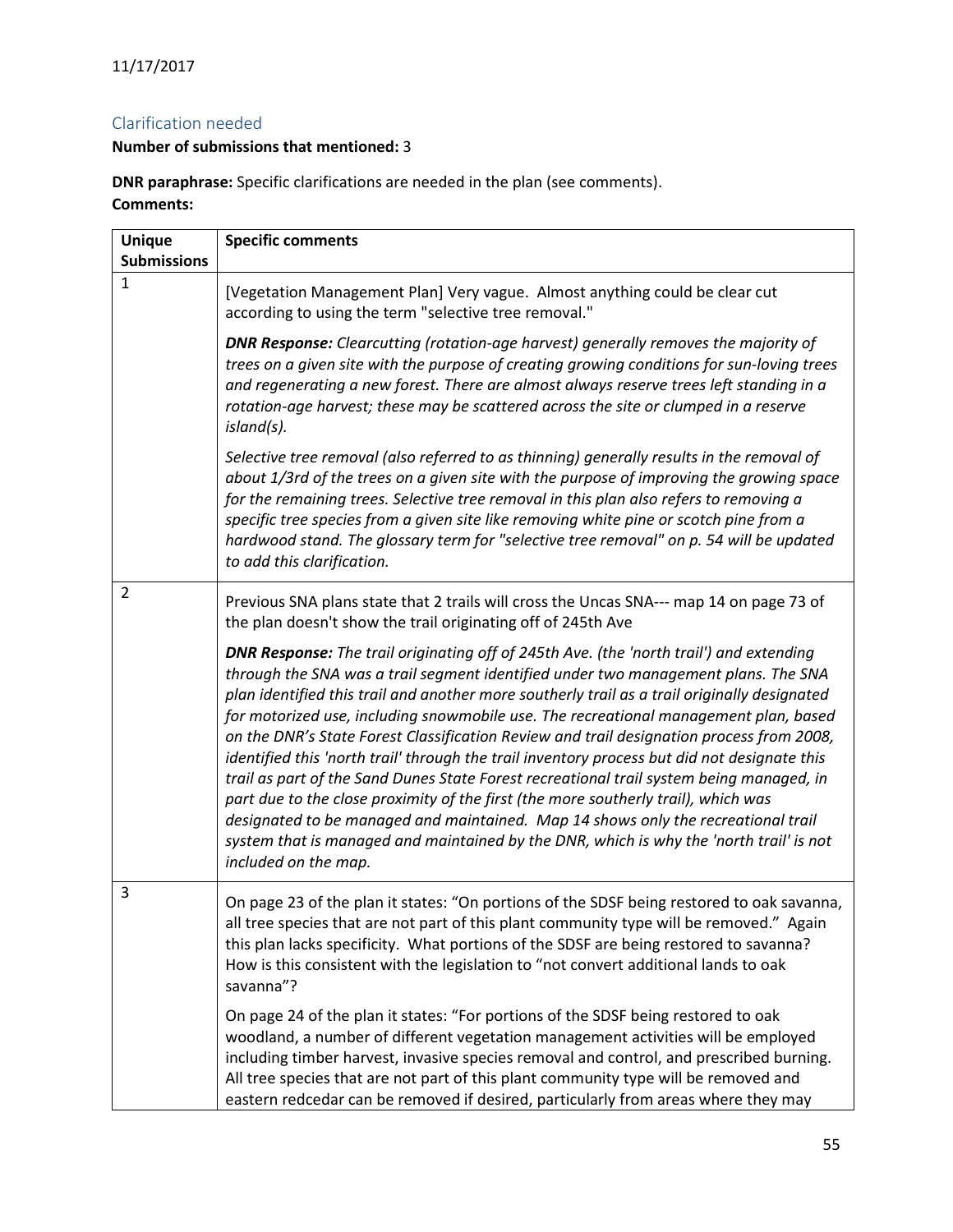## <span id="page-54-0"></span>Clarification needed

## **Number of submissions that mentioned:** 3

**DNR paraphrase:** Specific clarifications are needed in the plan (see comments). **Comments:**

| <b>Unique</b><br><b>Submissions</b> | <b>Specific comments</b>                                                                                                                                                                                                                                                                                                                                                                                                                                                                                                                                                                                                                                                                                                                                                                                                                                                                                                                                           |
|-------------------------------------|--------------------------------------------------------------------------------------------------------------------------------------------------------------------------------------------------------------------------------------------------------------------------------------------------------------------------------------------------------------------------------------------------------------------------------------------------------------------------------------------------------------------------------------------------------------------------------------------------------------------------------------------------------------------------------------------------------------------------------------------------------------------------------------------------------------------------------------------------------------------------------------------------------------------------------------------------------------------|
| $\mathbf{1}$                        | [Vegetation Management Plan] Very vague. Almost anything could be clear cut<br>according to using the term "selective tree removal."                                                                                                                                                                                                                                                                                                                                                                                                                                                                                                                                                                                                                                                                                                                                                                                                                               |
|                                     | DNR Response: Clearcutting (rotation-age harvest) generally removes the majority of<br>trees on a given site with the purpose of creating growing conditions for sun-loving trees<br>and regenerating a new forest. There are almost always reserve trees left standing in a<br>rotation-age harvest; these may be scattered across the site or clumped in a reserve<br>island(s).                                                                                                                                                                                                                                                                                                                                                                                                                                                                                                                                                                                 |
|                                     | Selective tree removal (also referred to as thinning) generally results in the removal of<br>about 1/3rd of the trees on a given site with the purpose of improving the growing space<br>for the remaining trees. Selective tree removal in this plan also refers to removing a<br>specific tree species from a given site like removing white pine or scotch pine from a<br>hardwood stand. The glossary term for "selective tree removal" on p. 54 will be updated<br>to add this clarification.                                                                                                                                                                                                                                                                                                                                                                                                                                                                 |
| $\overline{2}$                      | Previous SNA plans state that 2 trails will cross the Uncas SNA--- map 14 on page 73 of<br>the plan doesn't show the trail originating off of 245th Ave                                                                                                                                                                                                                                                                                                                                                                                                                                                                                                                                                                                                                                                                                                                                                                                                            |
|                                     | <b>DNR Response:</b> The trail originating off of 245th Ave. (the 'north trail') and extending<br>through the SNA was a trail segment identified under two management plans. The SNA<br>plan identified this trail and another more southerly trail as a trail originally designated<br>for motorized use, including snowmobile use. The recreational management plan, based<br>on the DNR's State Forest Classification Review and trail designation process from 2008,<br>identified this 'north trail' through the trail inventory process but did not designate this<br>trail as part of the Sand Dunes State Forest recreational trail system being managed, in<br>part due to the close proximity of the first (the more southerly trail), which was<br>designated to be managed and maintained. Map 14 shows only the recreational trail<br>system that is managed and maintained by the DNR, which is why the 'north trail' is not<br>included on the map. |
| 3                                   | On page 23 of the plan it states: "On portions of the SDSF being restored to oak savanna,<br>all tree species that are not part of this plant community type will be removed." Again<br>this plan lacks specificity. What portions of the SDSF are being restored to savanna?<br>How is this consistent with the legislation to "not convert additional lands to oak<br>savanna"?                                                                                                                                                                                                                                                                                                                                                                                                                                                                                                                                                                                  |
|                                     | On page 24 of the plan it states: "For portions of the SDSF being restored to oak<br>woodland, a number of different vegetation management activities will be employed<br>including timber harvest, invasive species removal and control, and prescribed burning.<br>All tree species that are not part of this plant community type will be removed and<br>eastern redcedar can be removed if desired, particularly from areas where they may                                                                                                                                                                                                                                                                                                                                                                                                                                                                                                                     |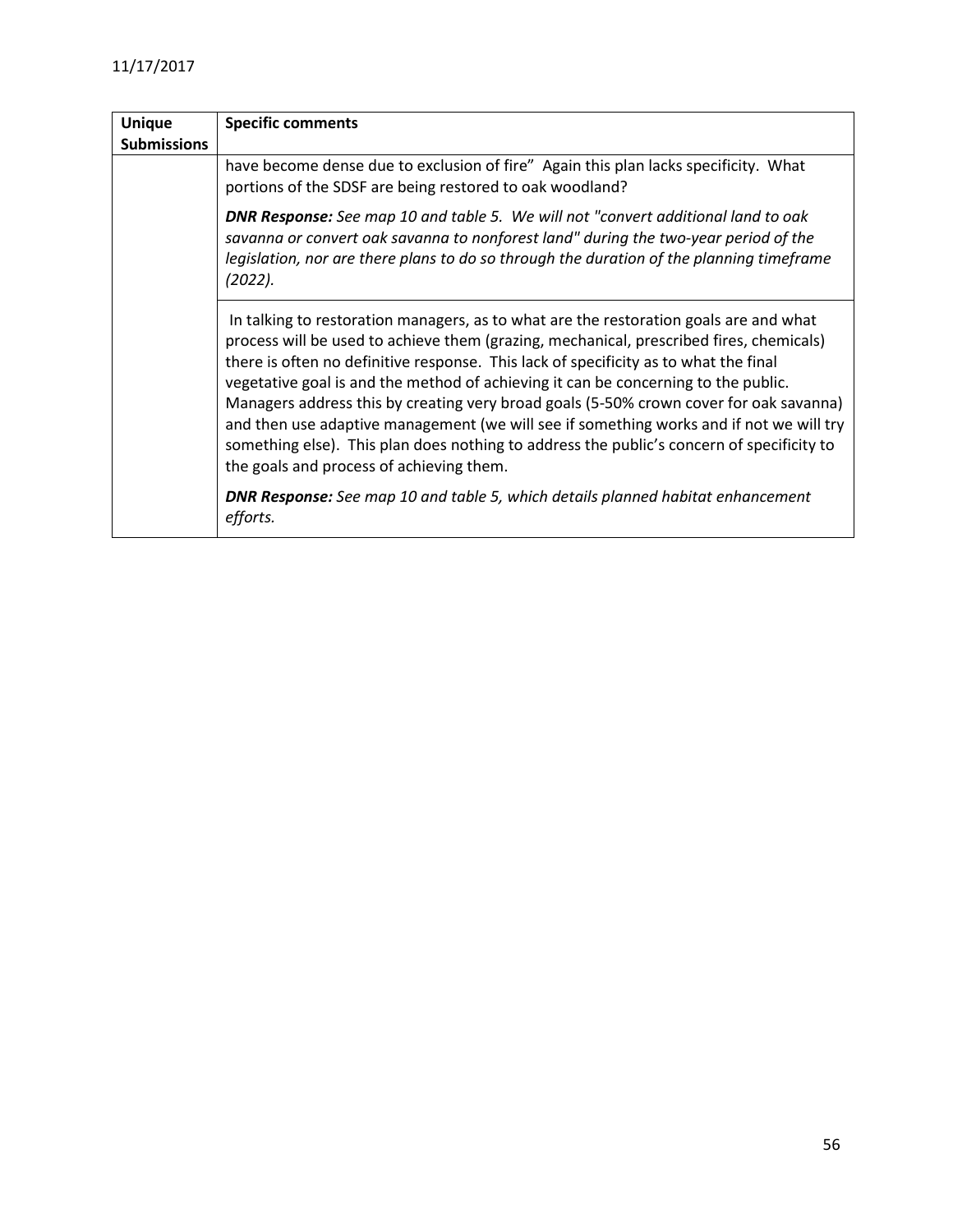| <b>Unique</b>      | <b>Specific comments</b>                                                                                                                                                                                                                                                                                                                                                                                                                                                                                                                                                                                                                                                                     |
|--------------------|----------------------------------------------------------------------------------------------------------------------------------------------------------------------------------------------------------------------------------------------------------------------------------------------------------------------------------------------------------------------------------------------------------------------------------------------------------------------------------------------------------------------------------------------------------------------------------------------------------------------------------------------------------------------------------------------|
| <b>Submissions</b> |                                                                                                                                                                                                                                                                                                                                                                                                                                                                                                                                                                                                                                                                                              |
|                    | have become dense due to exclusion of fire" Again this plan lacks specificity. What<br>portions of the SDSF are being restored to oak woodland?                                                                                                                                                                                                                                                                                                                                                                                                                                                                                                                                              |
|                    | <b>DNR Response:</b> See map 10 and table 5. We will not "convert additional land to oak<br>savanna or convert oak savanna to nonforest land" during the two-year period of the<br>legislation, nor are there plans to do so through the duration of the planning timeframe<br>(2022).                                                                                                                                                                                                                                                                                                                                                                                                       |
|                    | In talking to restoration managers, as to what are the restoration goals are and what<br>process will be used to achieve them (grazing, mechanical, prescribed fires, chemicals)<br>there is often no definitive response. This lack of specificity as to what the final<br>vegetative goal is and the method of achieving it can be concerning to the public.<br>Managers address this by creating very broad goals (5-50% crown cover for oak savanna)<br>and then use adaptive management (we will see if something works and if not we will try<br>something else). This plan does nothing to address the public's concern of specificity to<br>the goals and process of achieving them. |
|                    | <b>DNR Response:</b> See map 10 and table 5, which details planned habitat enhancement<br>efforts.                                                                                                                                                                                                                                                                                                                                                                                                                                                                                                                                                                                           |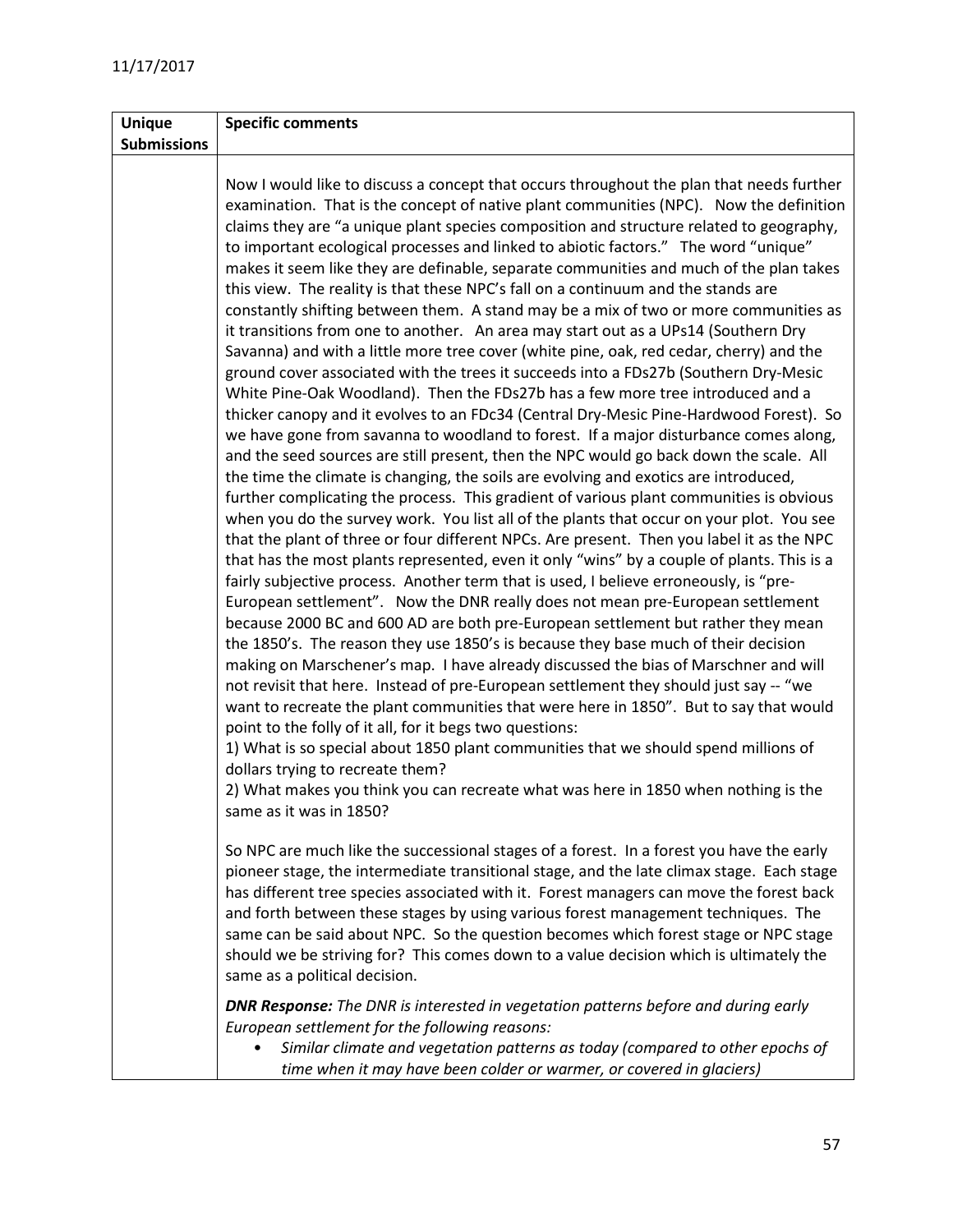| <b>Unique</b>      | <b>Specific comments</b>                                                                                                                                                                                                                                                                                                                                                                                                                                                                                                                                                                                                                                                                                                                                                                                                                                                                                                                                                                                                                                                                                                                                                                                                                                                                                                                                                                                                                                                                                                                                                                                                                                                                                                                                                                                                                                                                                                                                                                                                                                                                                                                                                                                                                                                                                                                                                                                                                                                                                                                                                                                                                                                                           |
|--------------------|----------------------------------------------------------------------------------------------------------------------------------------------------------------------------------------------------------------------------------------------------------------------------------------------------------------------------------------------------------------------------------------------------------------------------------------------------------------------------------------------------------------------------------------------------------------------------------------------------------------------------------------------------------------------------------------------------------------------------------------------------------------------------------------------------------------------------------------------------------------------------------------------------------------------------------------------------------------------------------------------------------------------------------------------------------------------------------------------------------------------------------------------------------------------------------------------------------------------------------------------------------------------------------------------------------------------------------------------------------------------------------------------------------------------------------------------------------------------------------------------------------------------------------------------------------------------------------------------------------------------------------------------------------------------------------------------------------------------------------------------------------------------------------------------------------------------------------------------------------------------------------------------------------------------------------------------------------------------------------------------------------------------------------------------------------------------------------------------------------------------------------------------------------------------------------------------------------------------------------------------------------------------------------------------------------------------------------------------------------------------------------------------------------------------------------------------------------------------------------------------------------------------------------------------------------------------------------------------------------------------------------------------------------------------------------------------------|
| <b>Submissions</b> |                                                                                                                                                                                                                                                                                                                                                                                                                                                                                                                                                                                                                                                                                                                                                                                                                                                                                                                                                                                                                                                                                                                                                                                                                                                                                                                                                                                                                                                                                                                                                                                                                                                                                                                                                                                                                                                                                                                                                                                                                                                                                                                                                                                                                                                                                                                                                                                                                                                                                                                                                                                                                                                                                                    |
|                    | Now I would like to discuss a concept that occurs throughout the plan that needs further<br>examination. That is the concept of native plant communities (NPC). Now the definition<br>claims they are "a unique plant species composition and structure related to geography,<br>to important ecological processes and linked to abiotic factors." The word "unique"<br>makes it seem like they are definable, separate communities and much of the plan takes<br>this view. The reality is that these NPC's fall on a continuum and the stands are<br>constantly shifting between them. A stand may be a mix of two or more communities as<br>it transitions from one to another. An area may start out as a UPs14 (Southern Dry<br>Savanna) and with a little more tree cover (white pine, oak, red cedar, cherry) and the<br>ground cover associated with the trees it succeeds into a FDs27b (Southern Dry-Mesic<br>White Pine-Oak Woodland). Then the FDs27b has a few more tree introduced and a<br>thicker canopy and it evolves to an FDc34 (Central Dry-Mesic Pine-Hardwood Forest). So<br>we have gone from savanna to woodland to forest. If a major disturbance comes along,<br>and the seed sources are still present, then the NPC would go back down the scale. All<br>the time the climate is changing, the soils are evolving and exotics are introduced,<br>further complicating the process. This gradient of various plant communities is obvious<br>when you do the survey work. You list all of the plants that occur on your plot. You see<br>that the plant of three or four different NPCs. Are present. Then you label it as the NPC<br>that has the most plants represented, even it only "wins" by a couple of plants. This is a<br>fairly subjective process. Another term that is used, I believe erroneously, is "pre-<br>European settlement". Now the DNR really does not mean pre-European settlement<br>because 2000 BC and 600 AD are both pre-European settlement but rather they mean<br>the 1850's. The reason they use 1850's is because they base much of their decision<br>making on Marschener's map. I have already discussed the bias of Marschner and will<br>not revisit that here. Instead of pre-European settlement they should just say -- "we<br>want to recreate the plant communities that were here in 1850". But to say that would<br>point to the folly of it all, for it begs two questions:<br>1) What is so special about 1850 plant communities that we should spend millions of<br>dollars trying to recreate them?<br>2) What makes you think you can recreate what was here in 1850 when nothing is the<br>same as it was in 1850? |
|                    | So NPC are much like the successional stages of a forest. In a forest you have the early<br>pioneer stage, the intermediate transitional stage, and the late climax stage. Each stage<br>has different tree species associated with it. Forest managers can move the forest back<br>and forth between these stages by using various forest management techniques. The<br>same can be said about NPC. So the question becomes which forest stage or NPC stage<br>should we be striving for? This comes down to a value decision which is ultimately the<br>same as a political decision.                                                                                                                                                                                                                                                                                                                                                                                                                                                                                                                                                                                                                                                                                                                                                                                                                                                                                                                                                                                                                                                                                                                                                                                                                                                                                                                                                                                                                                                                                                                                                                                                                                                                                                                                                                                                                                                                                                                                                                                                                                                                                                            |
|                    | <b>DNR Response:</b> The DNR is interested in vegetation patterns before and during early<br>European settlement for the following reasons:<br>Similar climate and vegetation patterns as today (compared to other epochs of<br>time when it may have been colder or warmer, or covered in glaciers)                                                                                                                                                                                                                                                                                                                                                                                                                                                                                                                                                                                                                                                                                                                                                                                                                                                                                                                                                                                                                                                                                                                                                                                                                                                                                                                                                                                                                                                                                                                                                                                                                                                                                                                                                                                                                                                                                                                                                                                                                                                                                                                                                                                                                                                                                                                                                                                               |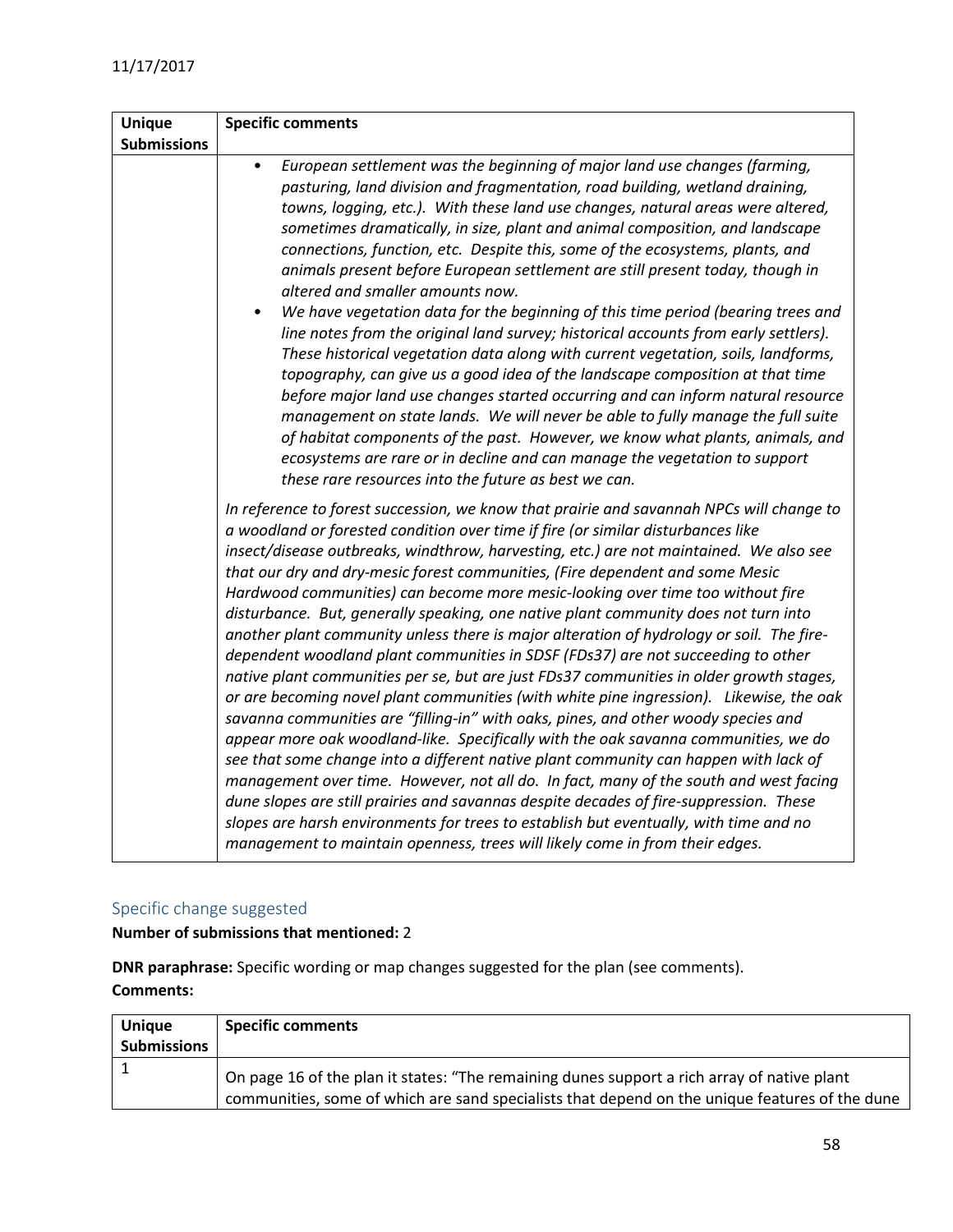| <b>Unique</b>      | <b>Specific comments</b>                                                                                                                                                                                                                                                                                                                                                                                                                                                                                                                                                                                                                                                                                                                                                                                                                                                                                                                                                                                                                                                                                                                                                                                                                                                                                                                                                                                                                                                                                                                |
|--------------------|-----------------------------------------------------------------------------------------------------------------------------------------------------------------------------------------------------------------------------------------------------------------------------------------------------------------------------------------------------------------------------------------------------------------------------------------------------------------------------------------------------------------------------------------------------------------------------------------------------------------------------------------------------------------------------------------------------------------------------------------------------------------------------------------------------------------------------------------------------------------------------------------------------------------------------------------------------------------------------------------------------------------------------------------------------------------------------------------------------------------------------------------------------------------------------------------------------------------------------------------------------------------------------------------------------------------------------------------------------------------------------------------------------------------------------------------------------------------------------------------------------------------------------------------|
| <b>Submissions</b> |                                                                                                                                                                                                                                                                                                                                                                                                                                                                                                                                                                                                                                                                                                                                                                                                                                                                                                                                                                                                                                                                                                                                                                                                                                                                                                                                                                                                                                                                                                                                         |
|                    | European settlement was the beginning of major land use changes (farming,<br>$\bullet$<br>pasturing, land division and fragmentation, road building, wetland draining,<br>towns, logging, etc.). With these land use changes, natural areas were altered,<br>sometimes dramatically, in size, plant and animal composition, and landscape<br>connections, function, etc. Despite this, some of the ecosystems, plants, and<br>animals present before European settlement are still present today, though in<br>altered and smaller amounts now.<br>We have vegetation data for the beginning of this time period (bearing trees and<br>$\bullet$<br>line notes from the original land survey; historical accounts from early settlers).<br>These historical vegetation data along with current vegetation, soils, landforms,<br>topography, can give us a good idea of the landscape composition at that time<br>before major land use changes started occurring and can inform natural resource<br>management on state lands. We will never be able to fully manage the full suite<br>of habitat components of the past. However, we know what plants, animals, and<br>ecosystems are rare or in decline and can manage the vegetation to support<br>these rare resources into the future as best we can.                                                                                                                                                                                                                              |
|                    | In reference to forest succession, we know that prairie and savannah NPCs will change to<br>a woodland or forested condition over time if fire (or similar disturbances like<br>insect/disease outbreaks, windthrow, harvesting, etc.) are not maintained. We also see<br>that our dry and dry-mesic forest communities, (Fire dependent and some Mesic<br>Hardwood communities) can become more mesic-looking over time too without fire<br>disturbance. But, generally speaking, one native plant community does not turn into<br>another plant community unless there is major alteration of hydrology or soil. The fire-<br>dependent woodland plant communities in SDSF (FDs37) are not succeeding to other<br>native plant communities per se, but are just FDs37 communities in older growth stages,<br>or are becoming novel plant communities (with white pine ingression). Likewise, the oak<br>savanna communities are "filling-in" with oaks, pines, and other woody species and<br>appear more oak woodland-like. Specifically with the oak savanna communities, we do<br>see that some change into a different native plant community can happen with lack of<br>management over time. However, not all do. In fact, many of the south and west facing<br>dune slopes are still prairies and savannas despite decades of fire-suppression. These<br>slopes are harsh environments for trees to establish but eventually, with time and no<br>management to maintain openness, trees will likely come in from their edges. |

## <span id="page-57-0"></span>Specific change suggested

**Number of submissions that mentioned:** 2

**DNR paraphrase:** Specific wording or map changes suggested for the plan (see comments). **Comments:**

| <b>Unique</b><br><b>Submissions</b> | <b>Specific comments</b>                                                                                                                                                                      |
|-------------------------------------|-----------------------------------------------------------------------------------------------------------------------------------------------------------------------------------------------|
|                                     | On page 16 of the plan it states: "The remaining dunes support a rich array of native plant<br>communities, some of which are sand specialists that depend on the unique features of the dune |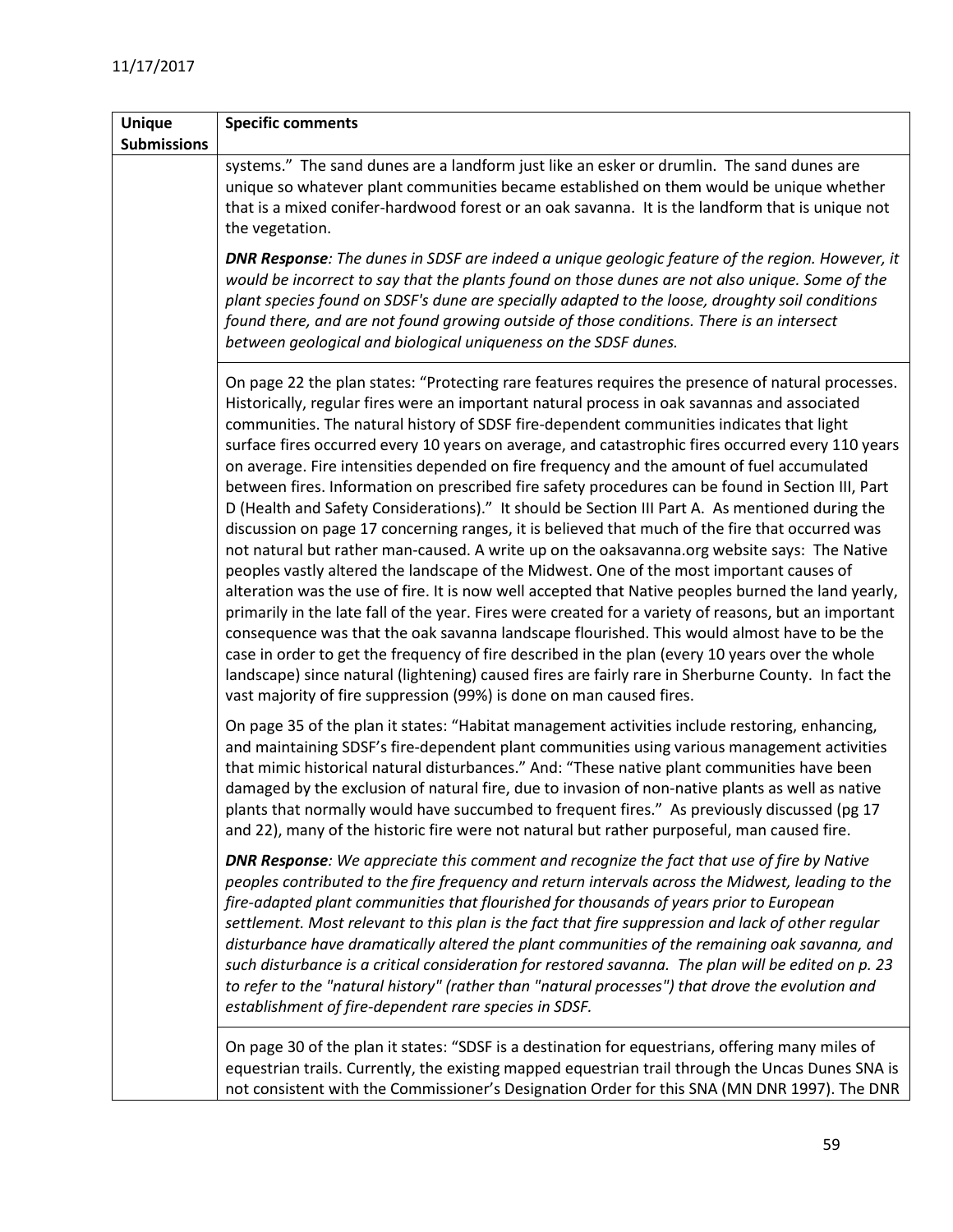| <b>Unique</b>      | <b>Specific comments</b>                                                                                                                                                                                                                                                                                                                                                                                                                                                                                                                                                                                                                                                                                                                                                                                                                                                                                                                                                                                                                                                                                                                                                                                                                                                                                                                                                                                                                                                                                                                                                                                 |
|--------------------|----------------------------------------------------------------------------------------------------------------------------------------------------------------------------------------------------------------------------------------------------------------------------------------------------------------------------------------------------------------------------------------------------------------------------------------------------------------------------------------------------------------------------------------------------------------------------------------------------------------------------------------------------------------------------------------------------------------------------------------------------------------------------------------------------------------------------------------------------------------------------------------------------------------------------------------------------------------------------------------------------------------------------------------------------------------------------------------------------------------------------------------------------------------------------------------------------------------------------------------------------------------------------------------------------------------------------------------------------------------------------------------------------------------------------------------------------------------------------------------------------------------------------------------------------------------------------------------------------------|
| <b>Submissions</b> |                                                                                                                                                                                                                                                                                                                                                                                                                                                                                                                                                                                                                                                                                                                                                                                                                                                                                                                                                                                                                                                                                                                                                                                                                                                                                                                                                                                                                                                                                                                                                                                                          |
|                    | systems." The sand dunes are a landform just like an esker or drumlin. The sand dunes are<br>unique so whatever plant communities became established on them would be unique whether<br>that is a mixed conifer-hardwood forest or an oak savanna. It is the landform that is unique not<br>the vegetation.                                                                                                                                                                                                                                                                                                                                                                                                                                                                                                                                                                                                                                                                                                                                                                                                                                                                                                                                                                                                                                                                                                                                                                                                                                                                                              |
|                    | <b>DNR Response:</b> The dunes in SDSF are indeed a unique geologic feature of the region. However, it<br>would be incorrect to say that the plants found on those dunes are not also unique. Some of the<br>plant species found on SDSF's dune are specially adapted to the loose, droughty soil conditions<br>found there, and are not found growing outside of those conditions. There is an intersect<br>between geological and biological uniqueness on the SDSF dunes.                                                                                                                                                                                                                                                                                                                                                                                                                                                                                                                                                                                                                                                                                                                                                                                                                                                                                                                                                                                                                                                                                                                             |
|                    | On page 22 the plan states: "Protecting rare features requires the presence of natural processes.<br>Historically, regular fires were an important natural process in oak savannas and associated<br>communities. The natural history of SDSF fire-dependent communities indicates that light<br>surface fires occurred every 10 years on average, and catastrophic fires occurred every 110 years<br>on average. Fire intensities depended on fire frequency and the amount of fuel accumulated<br>between fires. Information on prescribed fire safety procedures can be found in Section III, Part<br>D (Health and Safety Considerations)." It should be Section III Part A. As mentioned during the<br>discussion on page 17 concerning ranges, it is believed that much of the fire that occurred was<br>not natural but rather man-caused. A write up on the oaksavanna.org website says: The Native<br>peoples vastly altered the landscape of the Midwest. One of the most important causes of<br>alteration was the use of fire. It is now well accepted that Native peoples burned the land yearly,<br>primarily in the late fall of the year. Fires were created for a variety of reasons, but an important<br>consequence was that the oak savanna landscape flourished. This would almost have to be the<br>case in order to get the frequency of fire described in the plan (every 10 years over the whole<br>landscape) since natural (lightening) caused fires are fairly rare in Sherburne County. In fact the<br>vast majority of fire suppression (99%) is done on man caused fires. |
|                    | On page 35 of the plan it states: "Habitat management activities include restoring, enhancing,<br>and maintaining SDSF's fire-dependent plant communities using various management activities<br>that mimic historical natural disturbances." And: "These native plant communities have been<br>damaged by the exclusion of natural fire, due to invasion of non-native plants as well as native<br>plants that normally would have succumbed to frequent fires." As previously discussed (pg 17<br>and 22), many of the historic fire were not natural but rather purposeful, man caused fire.                                                                                                                                                                                                                                                                                                                                                                                                                                                                                                                                                                                                                                                                                                                                                                                                                                                                                                                                                                                                          |
|                    | <b>DNR Response:</b> We appreciate this comment and recognize the fact that use of fire by Native<br>peoples contributed to the fire frequency and return intervals across the Midwest, leading to the<br>fire-adapted plant communities that flourished for thousands of years prior to European<br>settlement. Most relevant to this plan is the fact that fire suppression and lack of other regular<br>disturbance have dramatically altered the plant communities of the remaining oak savanna, and<br>such disturbance is a critical consideration for restored savanna. The plan will be edited on p. 23<br>to refer to the "natural history" (rather than "natural processes") that drove the evolution and<br>establishment of fire-dependent rare species in SDSF.                                                                                                                                                                                                                                                                                                                                                                                                                                                                                                                                                                                                                                                                                                                                                                                                                             |
|                    | On page 30 of the plan it states: "SDSF is a destination for equestrians, offering many miles of<br>equestrian trails. Currently, the existing mapped equestrian trail through the Uncas Dunes SNA is<br>not consistent with the Commissioner's Designation Order for this SNA (MN DNR 1997). The DNR                                                                                                                                                                                                                                                                                                                                                                                                                                                                                                                                                                                                                                                                                                                                                                                                                                                                                                                                                                                                                                                                                                                                                                                                                                                                                                    |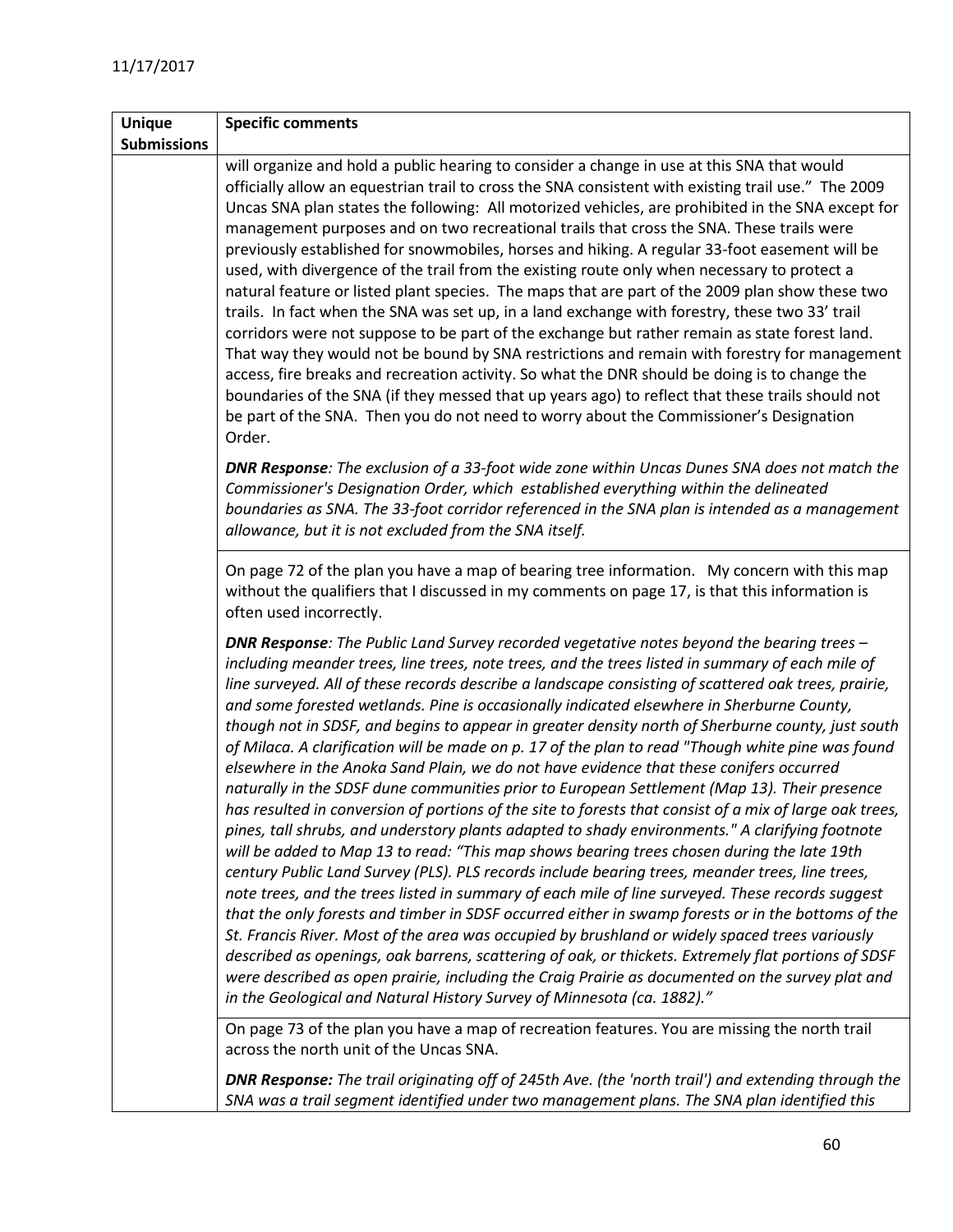| <b>Unique</b>      | <b>Specific comments</b>                                                                                                                                                                                                                                                                                                                                                                                                                                                                                                                                                                                                                                                                                                                                                                                                                                                                                                                                                                                                                                                                                                                                                                                                                                                                                                                                                                                                                                                                                                                                                                                                                                                                                                                                                                                                       |
|--------------------|--------------------------------------------------------------------------------------------------------------------------------------------------------------------------------------------------------------------------------------------------------------------------------------------------------------------------------------------------------------------------------------------------------------------------------------------------------------------------------------------------------------------------------------------------------------------------------------------------------------------------------------------------------------------------------------------------------------------------------------------------------------------------------------------------------------------------------------------------------------------------------------------------------------------------------------------------------------------------------------------------------------------------------------------------------------------------------------------------------------------------------------------------------------------------------------------------------------------------------------------------------------------------------------------------------------------------------------------------------------------------------------------------------------------------------------------------------------------------------------------------------------------------------------------------------------------------------------------------------------------------------------------------------------------------------------------------------------------------------------------------------------------------------------------------------------------------------|
| <b>Submissions</b> |                                                                                                                                                                                                                                                                                                                                                                                                                                                                                                                                                                                                                                                                                                                                                                                                                                                                                                                                                                                                                                                                                                                                                                                                                                                                                                                                                                                                                                                                                                                                                                                                                                                                                                                                                                                                                                |
|                    | will organize and hold a public hearing to consider a change in use at this SNA that would<br>officially allow an equestrian trail to cross the SNA consistent with existing trail use." The 2009<br>Uncas SNA plan states the following: All motorized vehicles, are prohibited in the SNA except for<br>management purposes and on two recreational trails that cross the SNA. These trails were<br>previously established for snowmobiles, horses and hiking. A regular 33-foot easement will be<br>used, with divergence of the trail from the existing route only when necessary to protect a<br>natural feature or listed plant species. The maps that are part of the 2009 plan show these two<br>trails. In fact when the SNA was set up, in a land exchange with forestry, these two 33' trail<br>corridors were not suppose to be part of the exchange but rather remain as state forest land.<br>That way they would not be bound by SNA restrictions and remain with forestry for management<br>access, fire breaks and recreation activity. So what the DNR should be doing is to change the<br>boundaries of the SNA (if they messed that up years ago) to reflect that these trails should not<br>be part of the SNA. Then you do not need to worry about the Commissioner's Designation<br>Order.                                                                                                                                                                                                                                                                                                                                                                                                                                                                                                              |
|                    | <b>DNR Response:</b> The exclusion of a 33-foot wide zone within Uncas Dunes SNA does not match the<br>Commissioner's Designation Order, which established everything within the delineated<br>boundaries as SNA. The 33-foot corridor referenced in the SNA plan is intended as a management<br>allowance, but it is not excluded from the SNA itself.                                                                                                                                                                                                                                                                                                                                                                                                                                                                                                                                                                                                                                                                                                                                                                                                                                                                                                                                                                                                                                                                                                                                                                                                                                                                                                                                                                                                                                                                        |
|                    | On page 72 of the plan you have a map of bearing tree information. My concern with this map<br>without the qualifiers that I discussed in my comments on page 17, is that this information is<br>often used incorrectly.                                                                                                                                                                                                                                                                                                                                                                                                                                                                                                                                                                                                                                                                                                                                                                                                                                                                                                                                                                                                                                                                                                                                                                                                                                                                                                                                                                                                                                                                                                                                                                                                       |
|                    | <b>DNR Response:</b> The Public Land Survey recorded vegetative notes beyond the bearing trees -<br>including meander trees, line trees, note trees, and the trees listed in summary of each mile of<br>line surveyed. All of these records describe a landscape consisting of scattered oak trees, prairie,<br>and some forested wetlands. Pine is occasionally indicated elsewhere in Sherburne County,<br>though not in SDSF, and begins to appear in greater density north of Sherburne county, just south<br>of Milaca. A clarification will be made on p. 17 of the plan to read "Though white pine was found<br>elsewhere in the Anoka Sand Plain, we do not have evidence that these conifers occurred<br>naturally in the SDSF dune communities prior to European Settlement (Map 13). Their presence<br>has resulted in conversion of portions of the site to forests that consist of a mix of large oak trees,<br>pines, tall shrubs, and understory plants adapted to shady environments." A clarifying footnote<br>will be added to Map 13 to read: "This map shows bearing trees chosen during the late 19th<br>century Public Land Survey (PLS). PLS records include bearing trees, meander trees, line trees,<br>note trees, and the trees listed in summary of each mile of line surveyed. These records suggest<br>that the only forests and timber in SDSF occurred either in swamp forests or in the bottoms of the<br>St. Francis River. Most of the area was occupied by brushland or widely spaced trees variously<br>described as openings, oak barrens, scattering of oak, or thickets. Extremely flat portions of SDSF<br>were described as open prairie, including the Craig Prairie as documented on the survey plat and<br>in the Geological and Natural History Survey of Minnesota (ca. 1882)." |
|                    | On page 73 of the plan you have a map of recreation features. You are missing the north trail<br>across the north unit of the Uncas SNA.<br><b>DNR Response:</b> The trail originating off of 245th Ave. (the 'north trail') and extending through the                                                                                                                                                                                                                                                                                                                                                                                                                                                                                                                                                                                                                                                                                                                                                                                                                                                                                                                                                                                                                                                                                                                                                                                                                                                                                                                                                                                                                                                                                                                                                                         |

*SNA was a trail segment identified under two management plans. The SNA plan identified this*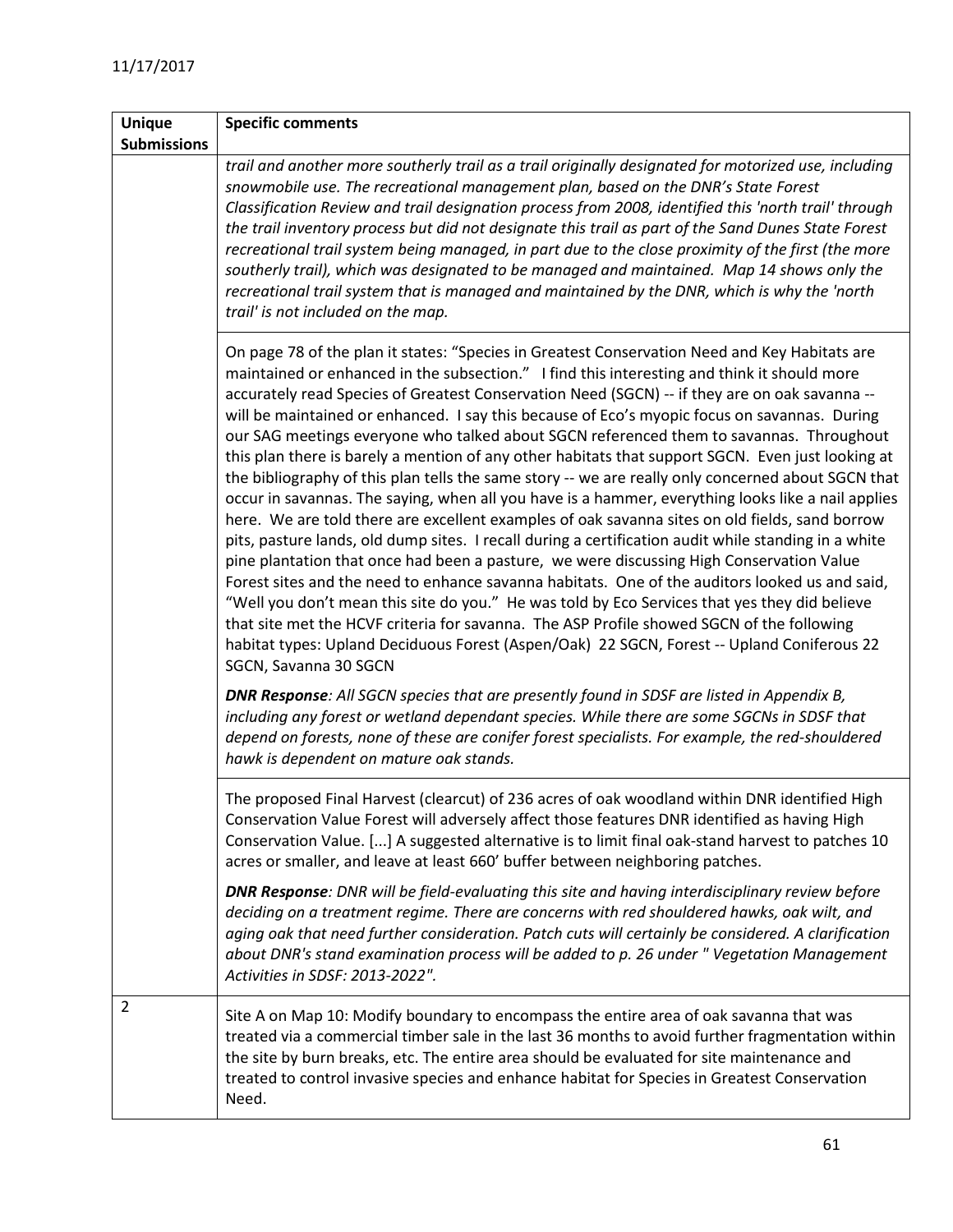| <b>Unique</b>      | <b>Specific comments</b>                                                                                                                                                                                                                                                                                                                                                                                                                                                                                                                                                                                                                                                                                                                                                                                                                                                                                                                                                                                                                                                                                                                                                                                                                                                                                                                                                                                                                                                                                                                                                                                                                   |
|--------------------|--------------------------------------------------------------------------------------------------------------------------------------------------------------------------------------------------------------------------------------------------------------------------------------------------------------------------------------------------------------------------------------------------------------------------------------------------------------------------------------------------------------------------------------------------------------------------------------------------------------------------------------------------------------------------------------------------------------------------------------------------------------------------------------------------------------------------------------------------------------------------------------------------------------------------------------------------------------------------------------------------------------------------------------------------------------------------------------------------------------------------------------------------------------------------------------------------------------------------------------------------------------------------------------------------------------------------------------------------------------------------------------------------------------------------------------------------------------------------------------------------------------------------------------------------------------------------------------------------------------------------------------------|
| <b>Submissions</b> |                                                                                                                                                                                                                                                                                                                                                                                                                                                                                                                                                                                                                                                                                                                                                                                                                                                                                                                                                                                                                                                                                                                                                                                                                                                                                                                                                                                                                                                                                                                                                                                                                                            |
|                    | trail and another more southerly trail as a trail originally designated for motorized use, including<br>snowmobile use. The recreational management plan, based on the DNR's State Forest<br>Classification Review and trail designation process from 2008, identified this 'north trail' through<br>the trail inventory process but did not designate this trail as part of the Sand Dunes State Forest<br>recreational trail system being managed, in part due to the close proximity of the first (the more<br>southerly trail), which was designated to be managed and maintained. Map 14 shows only the<br>recreational trail system that is managed and maintained by the DNR, which is why the 'north<br>trail' is not included on the map.                                                                                                                                                                                                                                                                                                                                                                                                                                                                                                                                                                                                                                                                                                                                                                                                                                                                                         |
|                    | On page 78 of the plan it states: "Species in Greatest Conservation Need and Key Habitats are<br>maintained or enhanced in the subsection." I find this interesting and think it should more<br>accurately read Species of Greatest Conservation Need (SGCN) -- if they are on oak savanna --<br>will be maintained or enhanced. I say this because of Eco's myopic focus on savannas. During<br>our SAG meetings everyone who talked about SGCN referenced them to savannas. Throughout<br>this plan there is barely a mention of any other habitats that support SGCN. Even just looking at<br>the bibliography of this plan tells the same story -- we are really only concerned about SGCN that<br>occur in savannas. The saying, when all you have is a hammer, everything looks like a nail applies<br>here. We are told there are excellent examples of oak savanna sites on old fields, sand borrow<br>pits, pasture lands, old dump sites. I recall during a certification audit while standing in a white<br>pine plantation that once had been a pasture, we were discussing High Conservation Value<br>Forest sites and the need to enhance savanna habitats. One of the auditors looked us and said,<br>"Well you don't mean this site do you." He was told by Eco Services that yes they did believe<br>that site met the HCVF criteria for savanna. The ASP Profile showed SGCN of the following<br>habitat types: Upland Deciduous Forest (Aspen/Oak) 22 SGCN, Forest -- Upland Coniferous 22<br>SGCN, Savanna 30 SGCN<br><b>DNR Response:</b> All SGCN species that are presently found in SDSF are listed in Appendix B, |
|                    | including any forest or wetland dependant species. While there are some SGCNs in SDSF that<br>depend on forests, none of these are conifer forest specialists. For example, the red-shouldered<br>hawk is dependent on mature oak stands.                                                                                                                                                                                                                                                                                                                                                                                                                                                                                                                                                                                                                                                                                                                                                                                                                                                                                                                                                                                                                                                                                                                                                                                                                                                                                                                                                                                                  |
|                    | The proposed Final Harvest (clearcut) of 236 acres of oak woodland within DNR identified High<br>Conservation Value Forest will adversely affect those features DNR identified as having High<br>Conservation Value. [] A suggested alternative is to limit final oak-stand harvest to patches 10<br>acres or smaller, and leave at least 660' buffer between neighboring patches.                                                                                                                                                                                                                                                                                                                                                                                                                                                                                                                                                                                                                                                                                                                                                                                                                                                                                                                                                                                                                                                                                                                                                                                                                                                         |
|                    | <b>DNR Response:</b> DNR will be field-evaluating this site and having interdisciplinary review before<br>deciding on a treatment regime. There are concerns with red shouldered hawks, oak wilt, and<br>aging oak that need further consideration. Patch cuts will certainly be considered. A clarification<br>about DNR's stand examination process will be added to p. 26 under "Vegetation Management<br>Activities in SDSF: 2013-2022".                                                                                                                                                                                                                                                                                                                                                                                                                                                                                                                                                                                                                                                                                                                                                                                                                                                                                                                                                                                                                                                                                                                                                                                               |
| $\overline{2}$     | Site A on Map 10: Modify boundary to encompass the entire area of oak savanna that was<br>treated via a commercial timber sale in the last 36 months to avoid further fragmentation within<br>the site by burn breaks, etc. The entire area should be evaluated for site maintenance and<br>treated to control invasive species and enhance habitat for Species in Greatest Conservation<br>Need.                                                                                                                                                                                                                                                                                                                                                                                                                                                                                                                                                                                                                                                                                                                                                                                                                                                                                                                                                                                                                                                                                                                                                                                                                                          |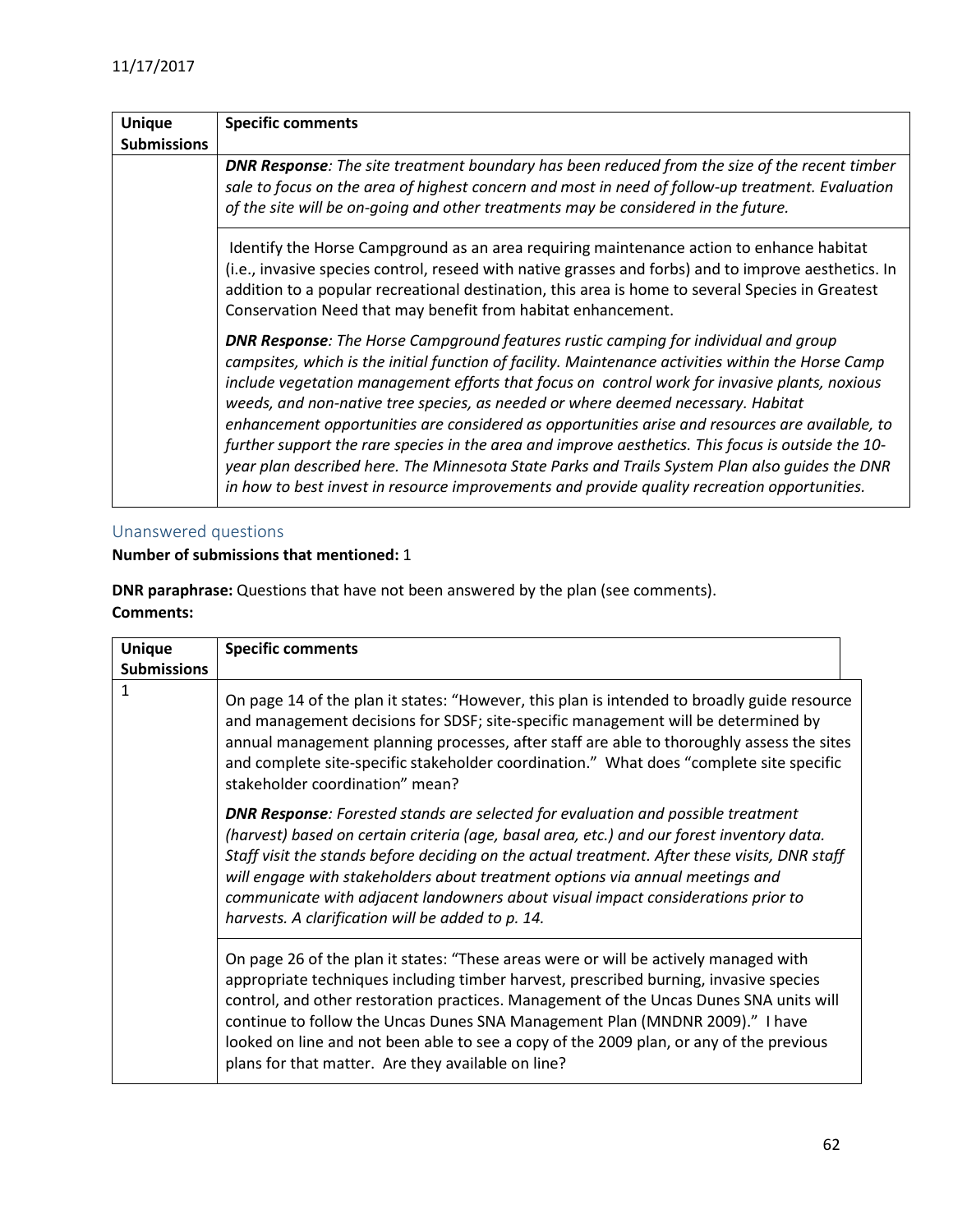| <b>Unique</b>      | <b>Specific comments</b>                                                                                                                                                                                                                                                                                                                                                                                                                                                                                                                                                                                                                                                                                                                                                                         |
|--------------------|--------------------------------------------------------------------------------------------------------------------------------------------------------------------------------------------------------------------------------------------------------------------------------------------------------------------------------------------------------------------------------------------------------------------------------------------------------------------------------------------------------------------------------------------------------------------------------------------------------------------------------------------------------------------------------------------------------------------------------------------------------------------------------------------------|
| <b>Submissions</b> |                                                                                                                                                                                                                                                                                                                                                                                                                                                                                                                                                                                                                                                                                                                                                                                                  |
|                    | <b>DNR Response:</b> The site treatment boundary has been reduced from the size of the recent timber<br>sale to focus on the area of highest concern and most in need of follow-up treatment. Evaluation<br>of the site will be on-going and other treatments may be considered in the future.                                                                                                                                                                                                                                                                                                                                                                                                                                                                                                   |
|                    | Identify the Horse Campground as an area requiring maintenance action to enhance habitat<br>(i.e., invasive species control, reseed with native grasses and forbs) and to improve aesthetics. In<br>addition to a popular recreational destination, this area is home to several Species in Greatest<br>Conservation Need that may benefit from habitat enhancement.                                                                                                                                                                                                                                                                                                                                                                                                                             |
|                    | <b>DNR Response:</b> The Horse Campground features rustic camping for individual and group<br>campsites, which is the initial function of facility. Maintenance activities within the Horse Camp<br>include vegetation management efforts that focus on control work for invasive plants, noxious<br>weeds, and non-native tree species, as needed or where deemed necessary. Habitat<br>enhancement opportunities are considered as opportunities arise and resources are available, to<br>further support the rare species in the area and improve aesthetics. This focus is outside the 10-<br>year plan described here. The Minnesota State Parks and Trails System Plan also quides the DNR<br>in how to best invest in resource improvements and provide quality recreation opportunities. |

## <span id="page-61-0"></span>Unanswered questions

#### **Number of submissions that mentioned:** 1

**DNR paraphrase:** Questions that have not been answered by the plan (see comments). **Comments:**

| <b>Unique</b>      | <b>Specific comments</b>                                                                                                                                                                                                                                                                                                                                                                                                                                                                                         |  |
|--------------------|------------------------------------------------------------------------------------------------------------------------------------------------------------------------------------------------------------------------------------------------------------------------------------------------------------------------------------------------------------------------------------------------------------------------------------------------------------------------------------------------------------------|--|
| <b>Submissions</b> |                                                                                                                                                                                                                                                                                                                                                                                                                                                                                                                  |  |
| 1                  | On page 14 of the plan it states: "However, this plan is intended to broadly guide resource<br>and management decisions for SDSF; site-specific management will be determined by<br>annual management planning processes, after staff are able to thoroughly assess the sites<br>and complete site-specific stakeholder coordination." What does "complete site specific<br>stakeholder coordination" mean?                                                                                                      |  |
|                    | <b>DNR Response:</b> Forested stands are selected for evaluation and possible treatment<br>(harvest) based on certain criteria (age, basal area, etc.) and our forest inventory data.<br>Staff visit the stands before deciding on the actual treatment. After these visits, DNR staff<br>will engage with stakeholders about treatment options via annual meetings and<br>communicate with adjacent landowners about visual impact considerations prior to<br>harvests. A clarification will be added to p. 14. |  |
|                    | On page 26 of the plan it states: "These areas were or will be actively managed with<br>appropriate techniques including timber harvest, prescribed burning, invasive species<br>control, and other restoration practices. Management of the Uncas Dunes SNA units will<br>continue to follow the Uncas Dunes SNA Management Plan (MNDNR 2009)." I have<br>looked on line and not been able to see a copy of the 2009 plan, or any of the previous<br>plans for that matter. Are they available on line?         |  |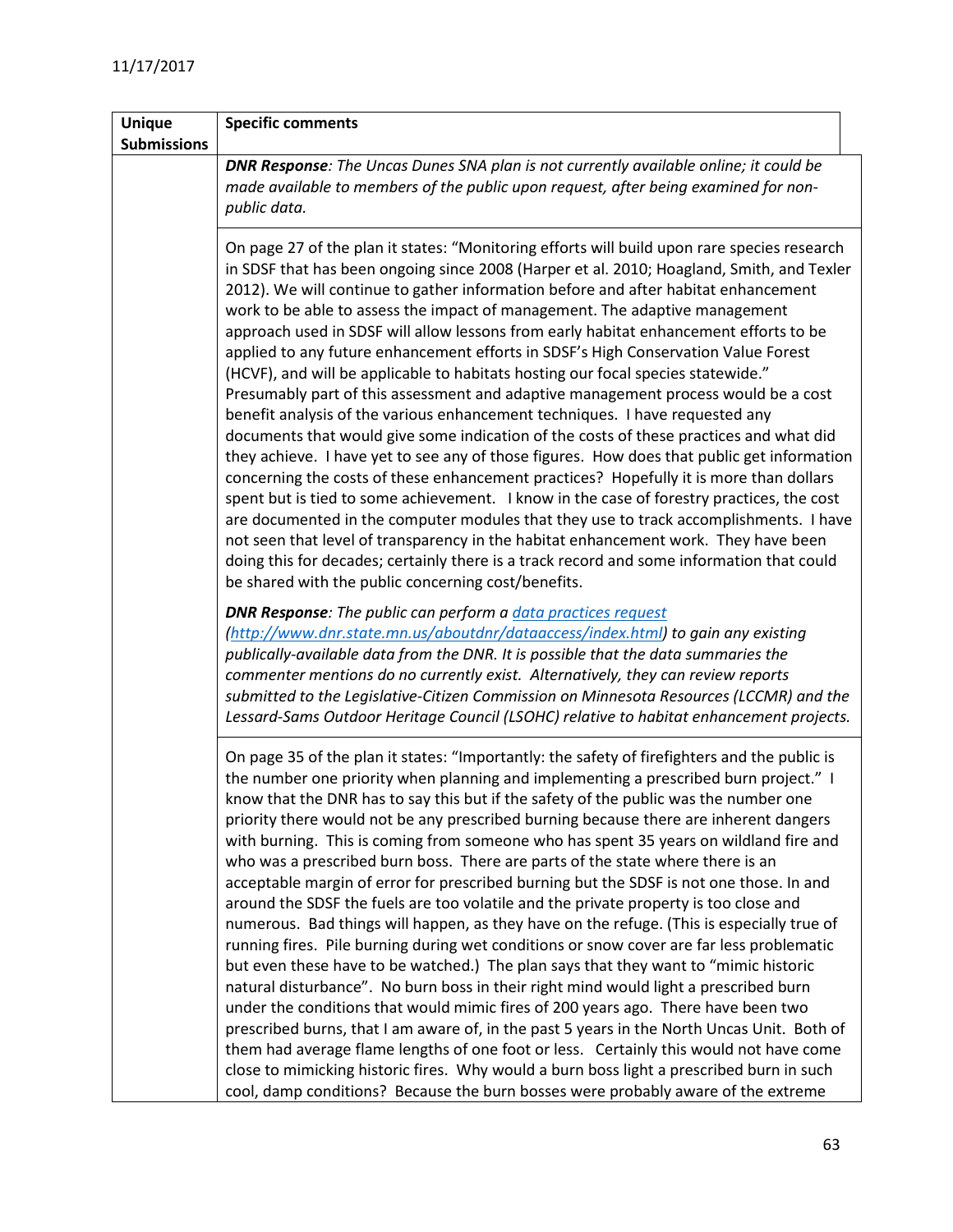| <b>Unique</b><br><b>Submissions</b> | <b>Specific comments</b>                                                                                                                                                                                                                                                                                                                                                                                                                                                                                                                                                                                                                                                                                                                                                                                                                                                                                                                                                                                                                                                                                                                                                                                                                                                                                                                                                                                                                                                                                                                                                  |
|-------------------------------------|---------------------------------------------------------------------------------------------------------------------------------------------------------------------------------------------------------------------------------------------------------------------------------------------------------------------------------------------------------------------------------------------------------------------------------------------------------------------------------------------------------------------------------------------------------------------------------------------------------------------------------------------------------------------------------------------------------------------------------------------------------------------------------------------------------------------------------------------------------------------------------------------------------------------------------------------------------------------------------------------------------------------------------------------------------------------------------------------------------------------------------------------------------------------------------------------------------------------------------------------------------------------------------------------------------------------------------------------------------------------------------------------------------------------------------------------------------------------------------------------------------------------------------------------------------------------------|
|                                     | <b>DNR Response:</b> The Uncas Dunes SNA plan is not currently available online; it could be<br>made available to members of the public upon request, after being examined for non-<br>public data.                                                                                                                                                                                                                                                                                                                                                                                                                                                                                                                                                                                                                                                                                                                                                                                                                                                                                                                                                                                                                                                                                                                                                                                                                                                                                                                                                                       |
|                                     | On page 27 of the plan it states: "Monitoring efforts will build upon rare species research<br>in SDSF that has been ongoing since 2008 (Harper et al. 2010; Hoagland, Smith, and Texler<br>2012). We will continue to gather information before and after habitat enhancement<br>work to be able to assess the impact of management. The adaptive management<br>approach used in SDSF will allow lessons from early habitat enhancement efforts to be<br>applied to any future enhancement efforts in SDSF's High Conservation Value Forest<br>(HCVF), and will be applicable to habitats hosting our focal species statewide."<br>Presumably part of this assessment and adaptive management process would be a cost<br>benefit analysis of the various enhancement techniques. I have requested any<br>documents that would give some indication of the costs of these practices and what did<br>they achieve. I have yet to see any of those figures. How does that public get information<br>concerning the costs of these enhancement practices? Hopefully it is more than dollars<br>spent but is tied to some achievement. I know in the case of forestry practices, the cost<br>are documented in the computer modules that they use to track accomplishments. I have<br>not seen that level of transparency in the habitat enhancement work. They have been<br>doing this for decades; certainly there is a track record and some information that could<br>be shared with the public concerning cost/benefits.                                                 |
|                                     | <b>DNR Response:</b> The public can perform a <i>data practices request</i><br>(http://www.dnr.state.mn.us/aboutdnr/dataaccess/index.html) to gain any existing<br>publically-available data from the DNR. It is possible that the data summaries the<br>commenter mentions do no currently exist. Alternatively, they can review reports<br>submitted to the Legislative-Citizen Commission on Minnesota Resources (LCCMR) and the<br>Lessard-Sams Outdoor Heritage Council (LSOHC) relative to habitat enhancement projects.                                                                                                                                                                                                                                                                                                                                                                                                                                                                                                                                                                                                                                                                                                                                                                                                                                                                                                                                                                                                                                            |
|                                     | On page 35 of the plan it states: "Importantly: the safety of firefighters and the public is<br>the number one priority when planning and implementing a prescribed burn project." I<br>know that the DNR has to say this but if the safety of the public was the number one<br>priority there would not be any prescribed burning because there are inherent dangers<br>with burning. This is coming from someone who has spent 35 years on wildland fire and<br>who was a prescribed burn boss. There are parts of the state where there is an<br>acceptable margin of error for prescribed burning but the SDSF is not one those. In and<br>around the SDSF the fuels are too volatile and the private property is too close and<br>numerous. Bad things will happen, as they have on the refuge. (This is especially true of<br>running fires. Pile burning during wet conditions or snow cover are far less problematic<br>but even these have to be watched.) The plan says that they want to "mimic historic<br>natural disturbance". No burn boss in their right mind would light a prescribed burn<br>under the conditions that would mimic fires of 200 years ago. There have been two<br>prescribed burns, that I am aware of, in the past 5 years in the North Uncas Unit. Both of<br>them had average flame lengths of one foot or less. Certainly this would not have come<br>close to mimicking historic fires. Why would a burn boss light a prescribed burn in such<br>cool, damp conditions? Because the burn bosses were probably aware of the extreme |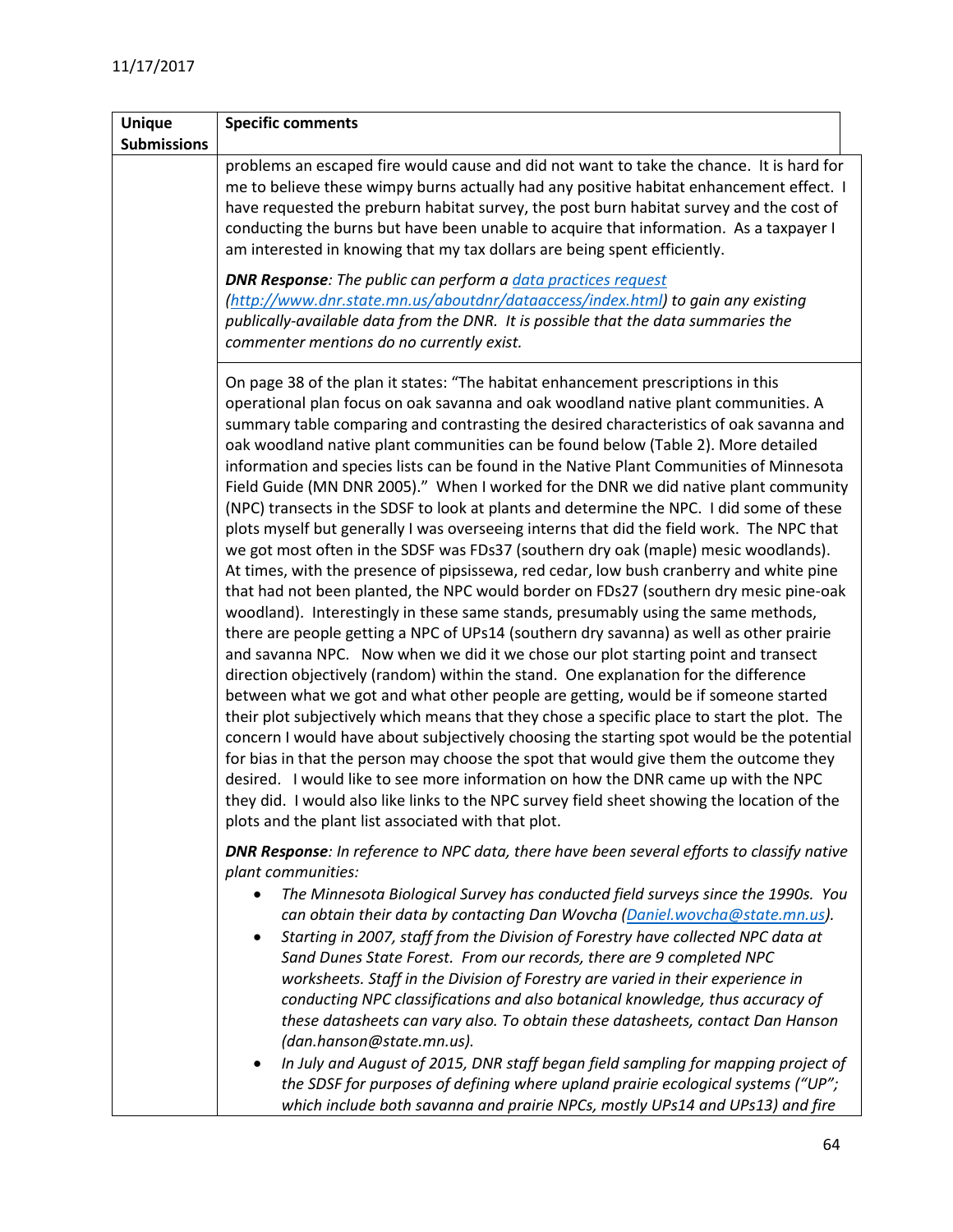| <b>Unique</b>      | <b>Specific comments</b>                                                                                                                                                                                                                                                                                                                                                                                                                                                                                                                                                                                                                                                                                                                                                                                                                                                                                                                                                                                                                                                                                                                                                                                                                                                                                                                                                                                                                                                                                                                                                                                                                                                                                                                                                                                                                                                                                                                                                                      |
|--------------------|-----------------------------------------------------------------------------------------------------------------------------------------------------------------------------------------------------------------------------------------------------------------------------------------------------------------------------------------------------------------------------------------------------------------------------------------------------------------------------------------------------------------------------------------------------------------------------------------------------------------------------------------------------------------------------------------------------------------------------------------------------------------------------------------------------------------------------------------------------------------------------------------------------------------------------------------------------------------------------------------------------------------------------------------------------------------------------------------------------------------------------------------------------------------------------------------------------------------------------------------------------------------------------------------------------------------------------------------------------------------------------------------------------------------------------------------------------------------------------------------------------------------------------------------------------------------------------------------------------------------------------------------------------------------------------------------------------------------------------------------------------------------------------------------------------------------------------------------------------------------------------------------------------------------------------------------------------------------------------------------------|
| <b>Submissions</b> |                                                                                                                                                                                                                                                                                                                                                                                                                                                                                                                                                                                                                                                                                                                                                                                                                                                                                                                                                                                                                                                                                                                                                                                                                                                                                                                                                                                                                                                                                                                                                                                                                                                                                                                                                                                                                                                                                                                                                                                               |
|                    | problems an escaped fire would cause and did not want to take the chance. It is hard for<br>me to believe these wimpy burns actually had any positive habitat enhancement effect. I<br>have requested the preburn habitat survey, the post burn habitat survey and the cost of<br>conducting the burns but have been unable to acquire that information. As a taxpayer I<br>am interested in knowing that my tax dollars are being spent efficiently.                                                                                                                                                                                                                                                                                                                                                                                                                                                                                                                                                                                                                                                                                                                                                                                                                                                                                                                                                                                                                                                                                                                                                                                                                                                                                                                                                                                                                                                                                                                                         |
|                    | <b>DNR Response:</b> The public can perform a <i>data practices request</i><br>(http://www.dnr.state.mn.us/aboutdnr/dataaccess/index.html) to gain any existing<br>publically-available data from the DNR. It is possible that the data summaries the<br>commenter mentions do no currently exist.                                                                                                                                                                                                                                                                                                                                                                                                                                                                                                                                                                                                                                                                                                                                                                                                                                                                                                                                                                                                                                                                                                                                                                                                                                                                                                                                                                                                                                                                                                                                                                                                                                                                                            |
|                    | On page 38 of the plan it states: "The habitat enhancement prescriptions in this<br>operational plan focus on oak savanna and oak woodland native plant communities. A<br>summary table comparing and contrasting the desired characteristics of oak savanna and<br>oak woodland native plant communities can be found below (Table 2). More detailed<br>information and species lists can be found in the Native Plant Communities of Minnesota<br>Field Guide (MN DNR 2005)." When I worked for the DNR we did native plant community<br>(NPC) transects in the SDSF to look at plants and determine the NPC. I did some of these<br>plots myself but generally I was overseeing interns that did the field work. The NPC that<br>we got most often in the SDSF was FDs37 (southern dry oak (maple) mesic woodlands).<br>At times, with the presence of pipsissewa, red cedar, low bush cranberry and white pine<br>that had not been planted, the NPC would border on FDs27 (southern dry mesic pine-oak<br>woodland). Interestingly in these same stands, presumably using the same methods,<br>there are people getting a NPC of UPs14 (southern dry savanna) as well as other prairie<br>and savanna NPC. Now when we did it we chose our plot starting point and transect<br>direction objectively (random) within the stand. One explanation for the difference<br>between what we got and what other people are getting, would be if someone started<br>their plot subjectively which means that they chose a specific place to start the plot. The<br>concern I would have about subjectively choosing the starting spot would be the potential<br>for bias in that the person may choose the spot that would give them the outcome they<br>desired. I would like to see more information on how the DNR came up with the NPC<br>they did. I would also like links to the NPC survey field sheet showing the location of the<br>plots and the plant list associated with that plot. |
|                    | <b>DNR Response:</b> In reference to NPC data, there have been several efforts to classify native<br>plant communities:<br>The Minnesota Biological Survey has conducted field surveys since the 1990s. You<br>$\bullet$<br>can obtain their data by contacting Dan Wovcha (Daniel.wovcha@state.mn.us).<br>Starting in 2007, staff from the Division of Forestry have collected NPC data at<br>$\bullet$<br>Sand Dunes State Forest. From our records, there are 9 completed NPC<br>worksheets. Staff in the Division of Forestry are varied in their experience in<br>conducting NPC classifications and also botanical knowledge, thus accuracy of<br>these datasheets can vary also. To obtain these datasheets, contact Dan Hanson<br>(dan.hanson@state.mn.us).<br>In July and August of 2015, DNR staff began field sampling for mapping project of<br>$\bullet$<br>the SDSF for purposes of defining where upland prairie ecological systems ("UP";<br>which include both savanna and prairie NPCs, mostly UPs14 and UPs13) and fire                                                                                                                                                                                                                                                                                                                                                                                                                                                                                                                                                                                                                                                                                                                                                                                                                                                                                                                                                    |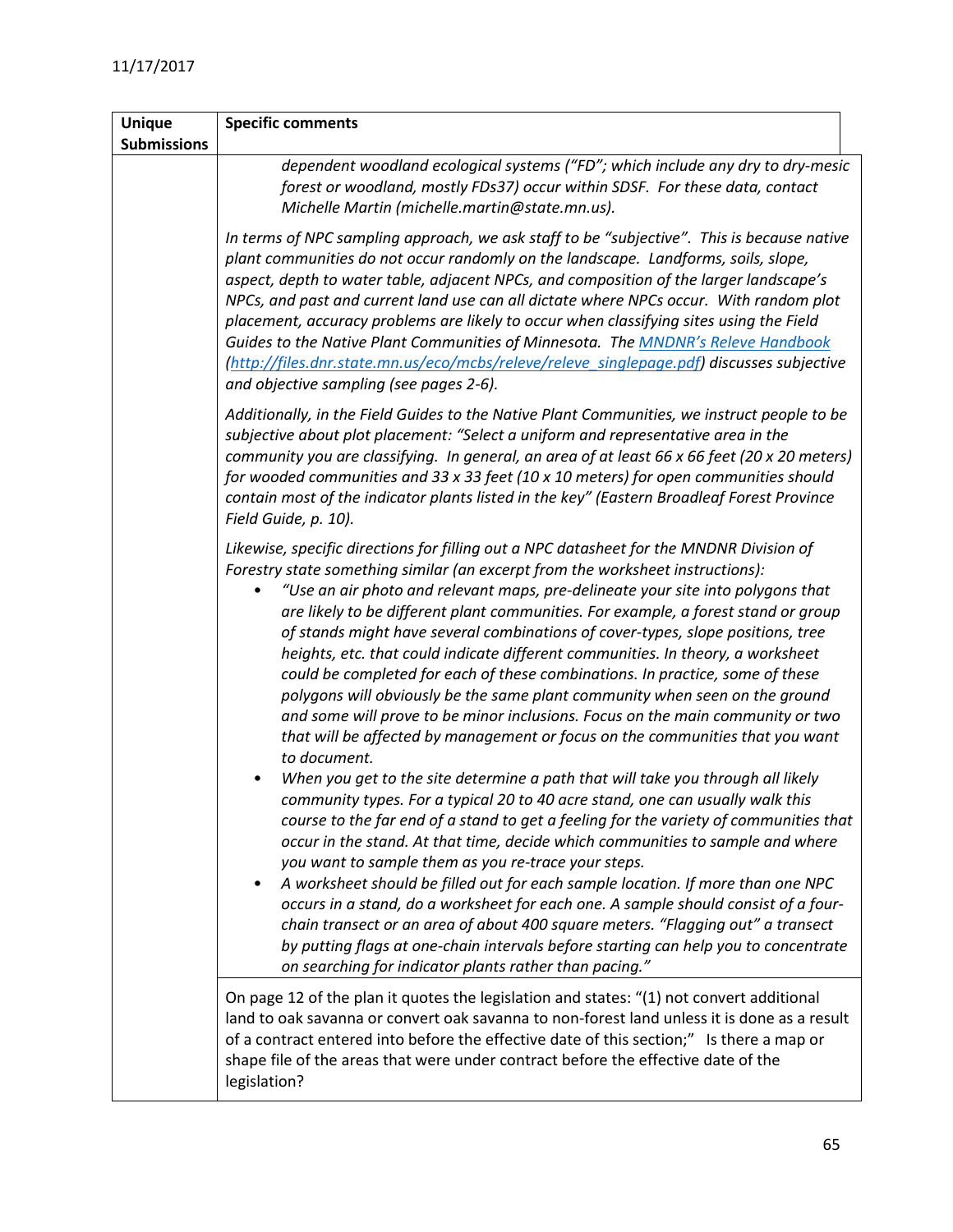| <b>Unique</b>      | <b>Specific comments</b>                                                                                                                                                                                                                                                                                                                                                                                                                                                                                                                                                                                                                                                                                                                                                                                                                                                                                                                                                                                                                                                                                                                                                                                                                                                                                                                                                                                                                                                                                                                                                                                                                                                                            |
|--------------------|-----------------------------------------------------------------------------------------------------------------------------------------------------------------------------------------------------------------------------------------------------------------------------------------------------------------------------------------------------------------------------------------------------------------------------------------------------------------------------------------------------------------------------------------------------------------------------------------------------------------------------------------------------------------------------------------------------------------------------------------------------------------------------------------------------------------------------------------------------------------------------------------------------------------------------------------------------------------------------------------------------------------------------------------------------------------------------------------------------------------------------------------------------------------------------------------------------------------------------------------------------------------------------------------------------------------------------------------------------------------------------------------------------------------------------------------------------------------------------------------------------------------------------------------------------------------------------------------------------------------------------------------------------------------------------------------------------|
| <b>Submissions</b> |                                                                                                                                                                                                                                                                                                                                                                                                                                                                                                                                                                                                                                                                                                                                                                                                                                                                                                                                                                                                                                                                                                                                                                                                                                                                                                                                                                                                                                                                                                                                                                                                                                                                                                     |
|                    | dependent woodland ecological systems ("FD"; which include any dry to dry-mesic<br>forest or woodland, mostly FDs37) occur within SDSF. For these data, contact<br>Michelle Martin (michelle.martin@state.mn.us).                                                                                                                                                                                                                                                                                                                                                                                                                                                                                                                                                                                                                                                                                                                                                                                                                                                                                                                                                                                                                                                                                                                                                                                                                                                                                                                                                                                                                                                                                   |
|                    | In terms of NPC sampling approach, we ask staff to be "subjective". This is because native<br>plant communities do not occur randomly on the landscape. Landforms, soils, slope,<br>aspect, depth to water table, adjacent NPCs, and composition of the larger landscape's<br>NPCs, and past and current land use can all dictate where NPCs occur. With random plot<br>placement, accuracy problems are likely to occur when classifying sites using the Field<br>Guides to the Native Plant Communities of Minnesota. The MNDNR's Releve Handbook<br>(http://files.dnr.state.mn.us/eco/mcbs/releve/releve_singlepage.pdf) discusses subjective<br>and objective sampling (see pages 2-6).                                                                                                                                                                                                                                                                                                                                                                                                                                                                                                                                                                                                                                                                                                                                                                                                                                                                                                                                                                                                         |
|                    | Additionally, in the Field Guides to the Native Plant Communities, we instruct people to be<br>subjective about plot placement: "Select a uniform and representative area in the<br>community you are classifying. In general, an area of at least 66 x 66 feet (20 x 20 meters)<br>for wooded communities and 33 x 33 feet (10 x 10 meters) for open communities should<br>contain most of the indicator plants listed in the key" (Eastern Broadleaf Forest Province<br>Field Guide, p. 10).                                                                                                                                                                                                                                                                                                                                                                                                                                                                                                                                                                                                                                                                                                                                                                                                                                                                                                                                                                                                                                                                                                                                                                                                      |
|                    | Likewise, specific directions for filling out a NPC datasheet for the MNDNR Division of<br>Forestry state something similar (an excerpt from the worksheet instructions):<br>"Use an air photo and relevant maps, pre-delineate your site into polygons that<br>are likely to be different plant communities. For example, a forest stand or group<br>of stands might have several combinations of cover-types, slope positions, tree<br>heights, etc. that could indicate different communities. In theory, a worksheet<br>could be completed for each of these combinations. In practice, some of these<br>polygons will obviously be the same plant community when seen on the ground<br>and some will prove to be minor inclusions. Focus on the main community or two<br>that will be affected by management or focus on the communities that you want<br>to document.<br>When you get to the site determine a path that will take you through all likely<br>community types. For a typical 20 to 40 acre stand, one can usually walk this<br>course to the far end of a stand to get a feeling for the variety of communities that<br>occur in the stand. At that time, decide which communities to sample and where<br>you want to sample them as you re-trace your steps.<br>A worksheet should be filled out for each sample location. If more than one NPC<br>٠<br>occurs in a stand, do a worksheet for each one. A sample should consist of a four-<br>chain transect or an area of about 400 square meters. "Flagging out" a transect<br>by putting flags at one-chain intervals before starting can help you to concentrate<br>on searching for indicator plants rather than pacing." |
|                    | On page 12 of the plan it quotes the legislation and states: "(1) not convert additional<br>land to oak savanna or convert oak savanna to non-forest land unless it is done as a result<br>of a contract entered into before the effective date of this section;" Is there a map or<br>shape file of the areas that were under contract before the effective date of the<br>legislation?                                                                                                                                                                                                                                                                                                                                                                                                                                                                                                                                                                                                                                                                                                                                                                                                                                                                                                                                                                                                                                                                                                                                                                                                                                                                                                            |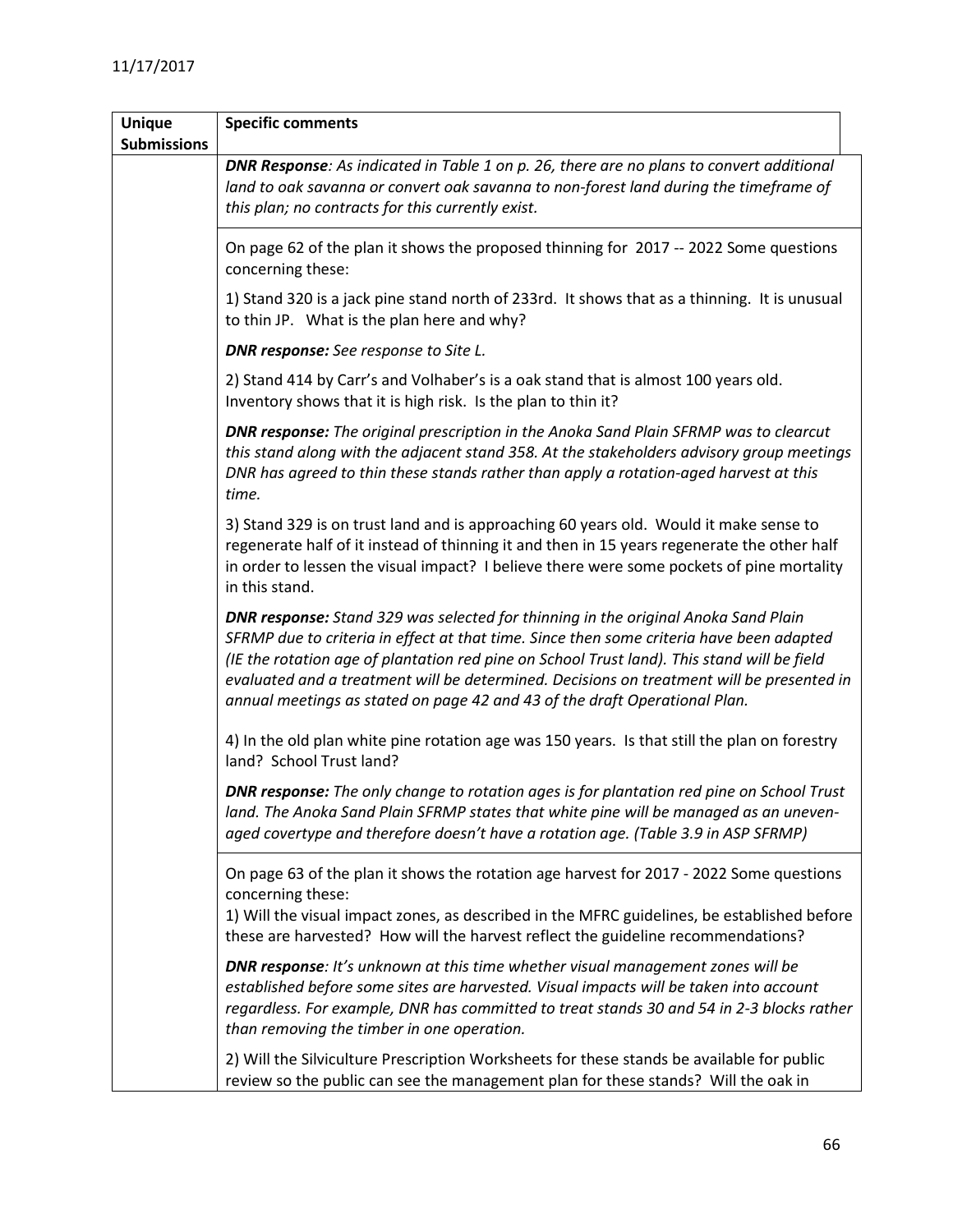| <b>Unique</b>      | <b>Specific comments</b>                                                                                                                                                                                                                                                                                                                                                                                                                                        |
|--------------------|-----------------------------------------------------------------------------------------------------------------------------------------------------------------------------------------------------------------------------------------------------------------------------------------------------------------------------------------------------------------------------------------------------------------------------------------------------------------|
| <b>Submissions</b> |                                                                                                                                                                                                                                                                                                                                                                                                                                                                 |
|                    | <b>DNR Response:</b> As indicated in Table 1 on p. 26, there are no plans to convert additional<br>land to oak savanna or convert oak savanna to non-forest land during the timeframe of<br>this plan; no contracts for this currently exist.                                                                                                                                                                                                                   |
|                    | On page 62 of the plan it shows the proposed thinning for 2017 -- 2022 Some questions<br>concerning these:                                                                                                                                                                                                                                                                                                                                                      |
|                    | 1) Stand 320 is a jack pine stand north of 233rd. It shows that as a thinning. It is unusual<br>to thin JP. What is the plan here and why?                                                                                                                                                                                                                                                                                                                      |
|                    | <b>DNR response:</b> See response to Site L.                                                                                                                                                                                                                                                                                                                                                                                                                    |
|                    | 2) Stand 414 by Carr's and Volhaber's is a oak stand that is almost 100 years old.<br>Inventory shows that it is high risk. Is the plan to thin it?                                                                                                                                                                                                                                                                                                             |
|                    | <b>DNR response:</b> The original prescription in the Anoka Sand Plain SFRMP was to clearcut<br>this stand along with the adjacent stand 358. At the stakeholders advisory group meetings<br>DNR has agreed to thin these stands rather than apply a rotation-aged harvest at this<br>time.                                                                                                                                                                     |
|                    | 3) Stand 329 is on trust land and is approaching 60 years old. Would it make sense to<br>regenerate half of it instead of thinning it and then in 15 years regenerate the other half<br>in order to lessen the visual impact? I believe there were some pockets of pine mortality<br>in this stand.                                                                                                                                                             |
|                    | <b>DNR response:</b> Stand 329 was selected for thinning in the original Anoka Sand Plain<br>SFRMP due to criteria in effect at that time. Since then some criteria have been adapted<br>(IE the rotation age of plantation red pine on School Trust land). This stand will be field<br>evaluated and a treatment will be determined. Decisions on treatment will be presented in<br>annual meetings as stated on page 42 and 43 of the draft Operational Plan. |
|                    | 4) In the old plan white pine rotation age was 150 years. Is that still the plan on forestry<br>land? School Trust land?                                                                                                                                                                                                                                                                                                                                        |
|                    | <b>DNR response:</b> The only change to rotation ages is for plantation red pine on School Trust<br>land. The Anoka Sand Plain SFRMP states that white pine will be managed as an uneven-<br>aged covertype and therefore doesn't have a rotation age. (Table 3.9 in ASP SFRMP)                                                                                                                                                                                 |
|                    | On page 63 of the plan it shows the rotation age harvest for 2017 - 2022 Some questions<br>concerning these:<br>1) Will the visual impact zones, as described in the MFRC guidelines, be established before<br>these are harvested? How will the harvest reflect the guideline recommendations?                                                                                                                                                                 |
|                    | <b>DNR response:</b> It's unknown at this time whether visual management zones will be<br>established before some sites are harvested. Visual impacts will be taken into account<br>regardless. For example, DNR has committed to treat stands 30 and 54 in 2-3 blocks rather<br>than removing the timber in one operation.                                                                                                                                     |
|                    | 2) Will the Silviculture Prescription Worksheets for these stands be available for public<br>review so the public can see the management plan for these stands? Will the oak in                                                                                                                                                                                                                                                                                 |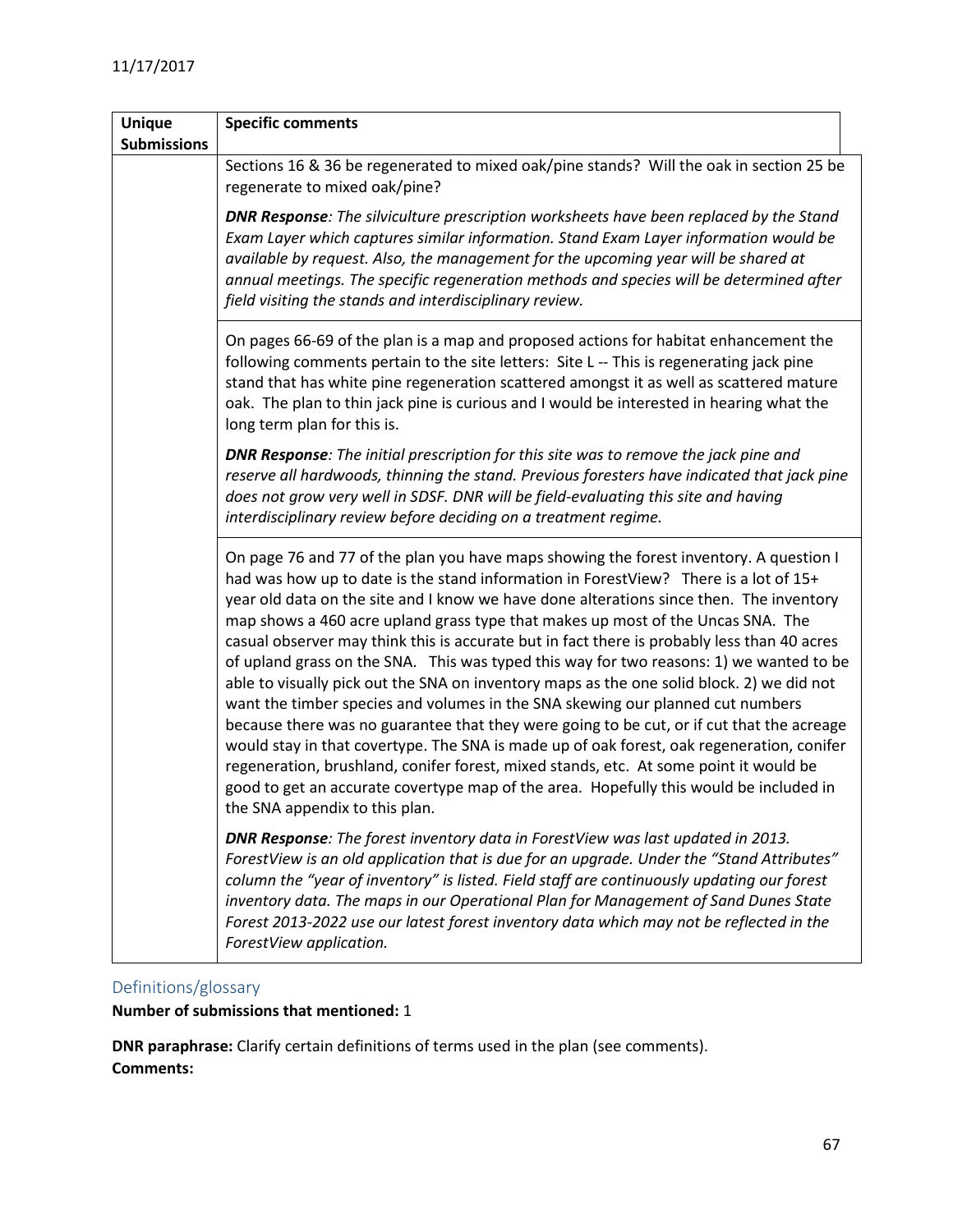| <b>Unique</b>      | <b>Specific comments</b>                                                                                                                                                                                                                                                                                                                                                                                                                                                                                                                                                                                                                                                                                                                                                                                                                                                                                                                                                                                                                                                                                                                             |  |
|--------------------|------------------------------------------------------------------------------------------------------------------------------------------------------------------------------------------------------------------------------------------------------------------------------------------------------------------------------------------------------------------------------------------------------------------------------------------------------------------------------------------------------------------------------------------------------------------------------------------------------------------------------------------------------------------------------------------------------------------------------------------------------------------------------------------------------------------------------------------------------------------------------------------------------------------------------------------------------------------------------------------------------------------------------------------------------------------------------------------------------------------------------------------------------|--|
| <b>Submissions</b> |                                                                                                                                                                                                                                                                                                                                                                                                                                                                                                                                                                                                                                                                                                                                                                                                                                                                                                                                                                                                                                                                                                                                                      |  |
|                    | Sections 16 & 36 be regenerated to mixed oak/pine stands? Will the oak in section 25 be<br>regenerate to mixed oak/pine?                                                                                                                                                                                                                                                                                                                                                                                                                                                                                                                                                                                                                                                                                                                                                                                                                                                                                                                                                                                                                             |  |
|                    | <b>DNR Response:</b> The silviculture prescription worksheets have been replaced by the Stand<br>Exam Layer which captures similar information. Stand Exam Layer information would be<br>available by request. Also, the management for the upcoming year will be shared at<br>annual meetings. The specific regeneration methods and species will be determined after<br>field visiting the stands and interdisciplinary review.                                                                                                                                                                                                                                                                                                                                                                                                                                                                                                                                                                                                                                                                                                                    |  |
|                    | On pages 66-69 of the plan is a map and proposed actions for habitat enhancement the<br>following comments pertain to the site letters: Site L -- This is regenerating jack pine<br>stand that has white pine regeneration scattered amongst it as well as scattered mature<br>oak. The plan to thin jack pine is curious and I would be interested in hearing what the<br>long term plan for this is.                                                                                                                                                                                                                                                                                                                                                                                                                                                                                                                                                                                                                                                                                                                                               |  |
|                    | <b>DNR Response:</b> The initial prescription for this site was to remove the jack pine and<br>reserve all hardwoods, thinning the stand. Previous foresters have indicated that jack pine<br>does not grow very well in SDSF. DNR will be field-evaluating this site and having<br>interdisciplinary review before deciding on a treatment regime.                                                                                                                                                                                                                                                                                                                                                                                                                                                                                                                                                                                                                                                                                                                                                                                                  |  |
|                    | On page 76 and 77 of the plan you have maps showing the forest inventory. A question I<br>had was how up to date is the stand information in ForestView? There is a lot of 15+<br>year old data on the site and I know we have done alterations since then. The inventory<br>map shows a 460 acre upland grass type that makes up most of the Uncas SNA. The<br>casual observer may think this is accurate but in fact there is probably less than 40 acres<br>of upland grass on the SNA. This was typed this way for two reasons: 1) we wanted to be<br>able to visually pick out the SNA on inventory maps as the one solid block. 2) we did not<br>want the timber species and volumes in the SNA skewing our planned cut numbers<br>because there was no guarantee that they were going to be cut, or if cut that the acreage<br>would stay in that covertype. The SNA is made up of oak forest, oak regeneration, conifer<br>regeneration, brushland, conifer forest, mixed stands, etc. At some point it would be<br>good to get an accurate covertype map of the area. Hopefully this would be included in<br>the SNA appendix to this plan. |  |
|                    | DNR Response: The forest inventory data in ForestView was last updated in 2013.<br>ForestView is an old application that is due for an upgrade. Under the "Stand Attributes"<br>column the "year of inventory" is listed. Field staff are continuously updating our forest<br>inventory data. The maps in our Operational Plan for Management of Sand Dunes State<br>Forest 2013-2022 use our latest forest inventory data which may not be reflected in the<br>ForestView application.                                                                                                                                                                                                                                                                                                                                                                                                                                                                                                                                                                                                                                                              |  |

## <span id="page-66-0"></span>Definitions/glossary

**Number of submissions that mentioned:** 1

**DNR paraphrase:** Clarify certain definitions of terms used in the plan (see comments). **Comments:**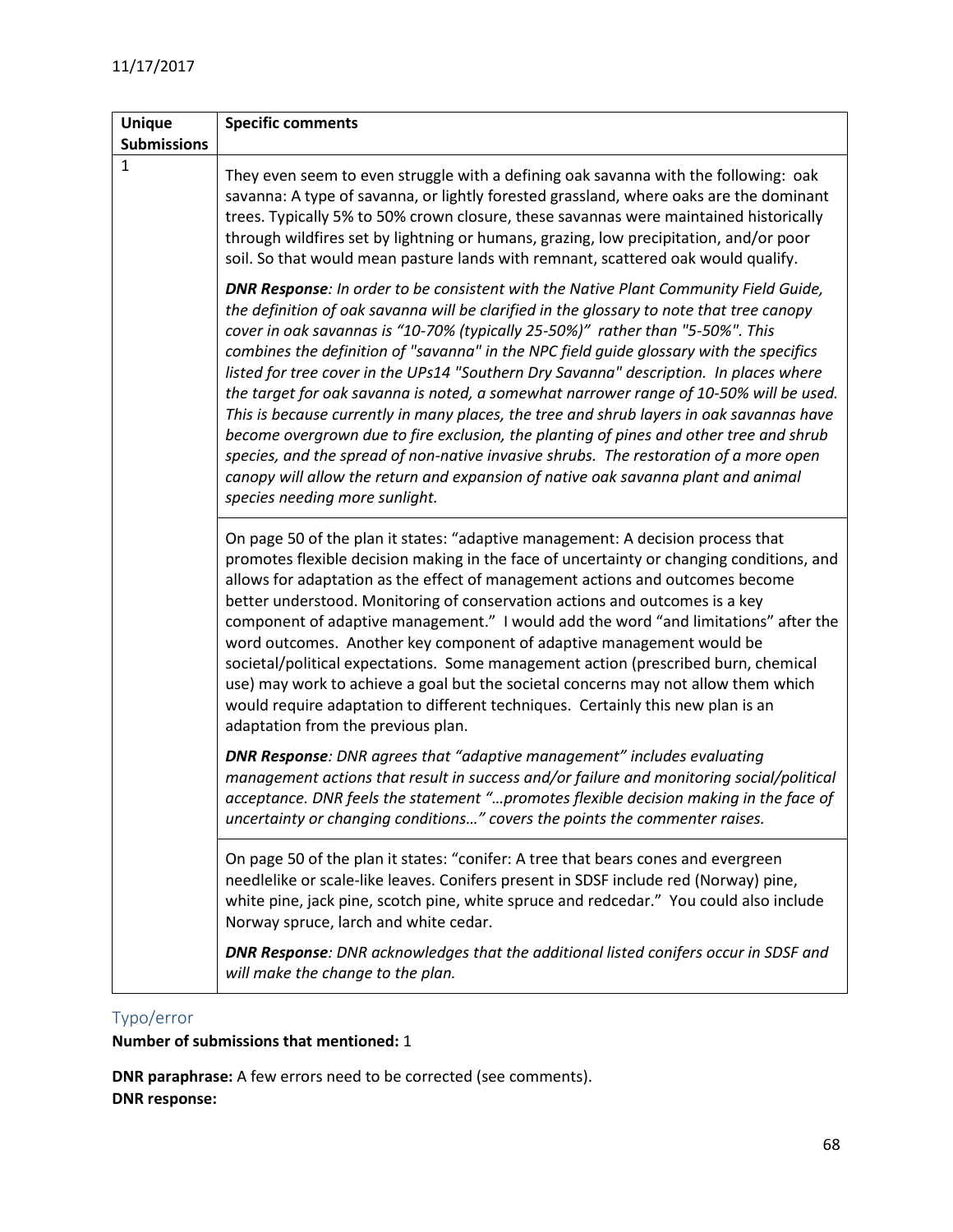| <b>Unique</b>      | <b>Specific comments</b>                                                                                                                                                                                                                                                                                                                                                                                                                                                                                                                                                                                                                                                                                                                                                                                                                                                                                                                                       |
|--------------------|----------------------------------------------------------------------------------------------------------------------------------------------------------------------------------------------------------------------------------------------------------------------------------------------------------------------------------------------------------------------------------------------------------------------------------------------------------------------------------------------------------------------------------------------------------------------------------------------------------------------------------------------------------------------------------------------------------------------------------------------------------------------------------------------------------------------------------------------------------------------------------------------------------------------------------------------------------------|
| <b>Submissions</b> |                                                                                                                                                                                                                                                                                                                                                                                                                                                                                                                                                                                                                                                                                                                                                                                                                                                                                                                                                                |
| $\mathbf{1}$       | They even seem to even struggle with a defining oak savanna with the following: oak<br>savanna: A type of savanna, or lightly forested grassland, where oaks are the dominant<br>trees. Typically 5% to 50% crown closure, these savannas were maintained historically<br>through wildfires set by lightning or humans, grazing, low precipitation, and/or poor<br>soil. So that would mean pasture lands with remnant, scattered oak would qualify.                                                                                                                                                                                                                                                                                                                                                                                                                                                                                                           |
|                    | <b>DNR Response:</b> In order to be consistent with the Native Plant Community Field Guide,<br>the definition of oak savanna will be clarified in the glossary to note that tree canopy<br>cover in oak savannas is "10-70% (typically 25-50%)" rather than "5-50%". This<br>combines the definition of "savanna" in the NPC field guide glossary with the specifics<br>listed for tree cover in the UPs14 "Southern Dry Savanna" description. In places where<br>the target for oak savanna is noted, a somewhat narrower range of 10-50% will be used.<br>This is because currently in many places, the tree and shrub layers in oak savannas have<br>become overgrown due to fire exclusion, the planting of pines and other tree and shrub<br>species, and the spread of non-native invasive shrubs. The restoration of a more open<br>canopy will allow the return and expansion of native oak savanna plant and animal<br>species needing more sunlight. |
|                    | On page 50 of the plan it states: "adaptive management: A decision process that<br>promotes flexible decision making in the face of uncertainty or changing conditions, and<br>allows for adaptation as the effect of management actions and outcomes become<br>better understood. Monitoring of conservation actions and outcomes is a key<br>component of adaptive management." I would add the word "and limitations" after the<br>word outcomes. Another key component of adaptive management would be<br>societal/political expectations. Some management action (prescribed burn, chemical<br>use) may work to achieve a goal but the societal concerns may not allow them which<br>would require adaptation to different techniques. Certainly this new plan is an<br>adaptation from the previous plan.                                                                                                                                                |
|                    | <b>DNR Response:</b> DNR agrees that "adaptive management" includes evaluating<br>management actions that result in success and/or failure and monitoring social/political<br>acceptance. DNR feels the statement "promotes flexible decision making in the face of<br>uncertainty or changing conditions" covers the points the commenter raises.                                                                                                                                                                                                                                                                                                                                                                                                                                                                                                                                                                                                             |
|                    | On page 50 of the plan it states: "conifer: A tree that bears cones and evergreen<br>needlelike or scale-like leaves. Conifers present in SDSF include red (Norway) pine,<br>white pine, jack pine, scotch pine, white spruce and redcedar." You could also include<br>Norway spruce, larch and white cedar.                                                                                                                                                                                                                                                                                                                                                                                                                                                                                                                                                                                                                                                   |
|                    | <b>DNR Response:</b> DNR acknowledges that the additional listed conifers occur in SDSF and<br>will make the change to the plan.                                                                                                                                                                                                                                                                                                                                                                                                                                                                                                                                                                                                                                                                                                                                                                                                                               |

## <span id="page-67-0"></span>Typo/error

**Number of submissions that mentioned:** 1

**DNR paraphrase:** A few errors need to be corrected (see comments). **DNR response:**